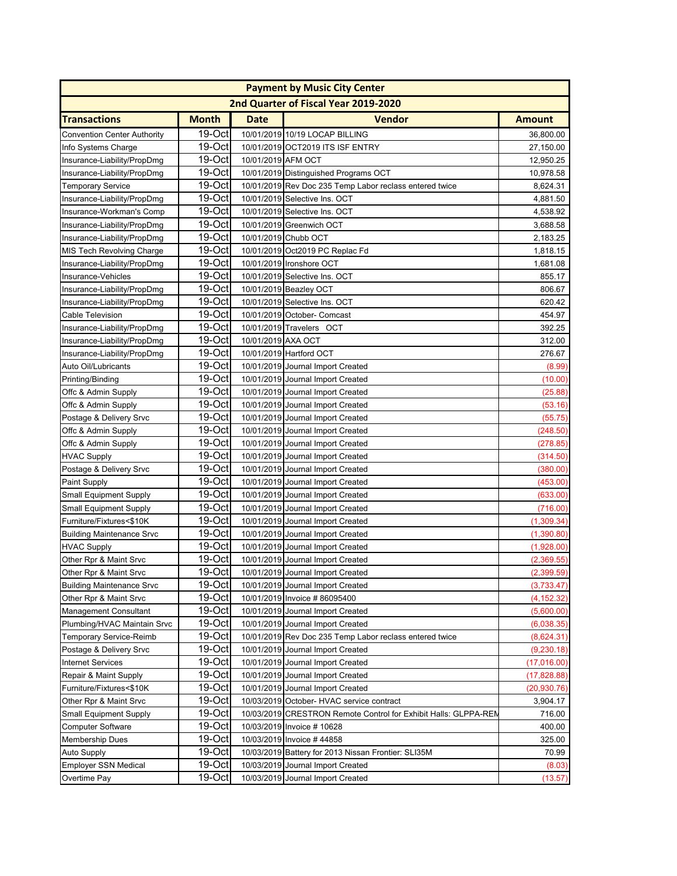| 2nd Quarter of Fiscal Year 2019-2020<br><b>Month</b><br><b>Date</b><br><b>Vendor</b><br><b>Amount</b><br>19-Oct<br>10/01/2019 10/19 LOCAP BILLING<br>36,800.00<br>$19-Oct$<br>10/01/2019 OCT2019 ITS ISF ENTRY<br>27,150.00<br>19-Oct<br>10/01/2019 AFM OCT<br>12,950.25<br>19-Oct<br>10/01/2019 Distinguished Programs OCT<br>10,978.58<br>19-Oct<br>10/01/2019 Rev Doc 235 Temp Labor reclass entered twice<br>8,624.31<br>19-Oct<br>10/01/2019 Selective Ins. OCT<br>4,881.50<br>19-Oct<br>10/01/2019 Selective Ins. OCT<br>4,538.92<br>19-Oct<br>10/01/2019 Greenwich OCT<br>3,688.58<br>19-Oct<br>10/01/2019 Chubb OCT<br>2,183.25<br>19-Oct<br>10/01/2019 Oct2019 PC Replac Fd<br>1,818.15<br>19-Oct<br>10/01/2019 Ironshore OCT<br>1,681.08<br>19-Oct<br>10/01/2019 Selective Ins. OCT<br>855.17<br>19-Oct<br>10/01/2019 Beazley OCT<br>806.67<br>19-Oct<br>10/01/2019 Selective Ins. OCT<br>Insurance-Liability/PropDmg<br>620.42<br>19-Oct<br>10/01/2019 October- Comcast<br>454.97<br><b>Cable Television</b><br>19-Oct<br>10/01/2019 Travelers OCT<br>392.25<br>Insurance-Liability/PropDmg<br>19-Oct<br>10/01/2019 AXA OCT<br>312.00<br>Insurance-Liability/PropDmg<br>19-Oct<br>276.67<br>Insurance-Liability/PropDmg<br>10/01/2019 Hartford OCT<br>19-Oct<br>Auto Oil/Lubricants<br>10/01/2019 Journal Import Created<br>(8.99)<br>19-Oct<br>Printing/Binding<br>10/01/2019 Journal Import Created<br>(10.00)<br>19-Oct<br>10/01/2019 Journal Import Created<br>Offc & Admin Supply<br>(25.88)<br>19-Oct<br>Offc & Admin Supply<br>10/01/2019 Journal Import Created<br>(53.16)<br>19-Oct<br>10/01/2019 Journal Import Created<br>Postage & Delivery Srvc<br>(55.75)<br>19-Oct<br>10/01/2019 Journal Import Created<br>(248.50)<br>Offc & Admin Supply<br>19-Oct<br>10/01/2019 Journal Import Created<br>(278.85)<br>Offc & Admin Supply<br>19-Oct<br>10/01/2019 Journal Import Created<br><b>HVAC Supply</b><br>(314.50)<br>19-Oct<br>10/01/2019 Journal Import Created<br>(380.00)<br>Postage & Delivery Srvc<br>19-Oct<br>10/01/2019 Journal Import Created<br>(453.00)<br><b>Paint Supply</b><br>$19-Oct$<br>10/01/2019 Journal Import Created<br>(633.00)<br><b>Small Equipment Supply</b><br>19-Oct<br>10/01/2019 Journal Import Created<br><b>Small Equipment Supply</b><br>(716.00)<br>19-Oct<br>Furniture/Fixtures<\$10K<br>10/01/2019 Journal Import Created<br>(1,309.34)<br>19-Oct<br>10/01/2019 Journal Import Created<br>(1,390.80)<br><b>Building Maintenance Srvc</b><br>19-Oct<br>10/01/2019 Journal Import Created<br><b>HVAC Supply</b><br>(1,928.00)<br>19-Oct<br>Other Rpr & Maint Srvc<br>10/01/2019 Journal Import Created<br>(2,369.55)<br>19-Octl<br>Other Rpr & Maint Srvc<br>10/01/2019 Journal Import Created<br>(2.399.59)<br>Building Maintenance Srvc<br>19-Oct<br>10/01/2019 Journal Import Created<br>(3,733.47)<br>19-Oct<br>Other Rpr & Maint Srvc<br>10/01/2019 Invoice #86095400<br>(4, 152.32)<br>19-Oct<br>10/01/2019 Journal Import Created<br><b>Management Consultant</b><br>(5,600.00)<br>19-Oct<br>Plumbing/HVAC Maintain Srvc<br>10/01/2019 Journal Import Created<br>(6,038.35)<br>19-Oct<br>10/01/2019 Rev Doc 235 Temp Labor reclass entered twice<br><b>Temporary Service-Reimb</b><br>(8,624.31)<br>19-Oct<br>10/01/2019 Journal Import Created<br>Postage & Delivery Srvc<br>(9,230.18)<br>19-Oct<br>10/01/2019 Journal Import Created<br><b>Internet Services</b><br>(17,016.00)<br>19-Oct<br>10/01/2019 Journal Import Created<br>Repair & Maint Supply<br>(17,828.88)<br>19-Oct<br>Furniture/Fixtures<\$10K<br>10/01/2019 Journal Import Created<br>(20, 930.76)<br>19-Oct<br>10/03/2019 October- HVAC service contract<br>3,904.17<br>Other Rpr & Maint Srvc<br>19-Oct<br>10/03/2019 CRESTRON Remote Control for Exhibit Halls: GLPPA-REN<br><b>Small Equipment Supply</b><br>716.00<br>19-Oct<br>400.00<br><b>Computer Software</b><br>10/03/2019 Invoice # 10628<br>19-Oct<br>10/03/2019 Invoice #44858<br>325.00<br><b>Membership Dues</b><br>19-Oct<br>10/03/2019 Battery for 2013 Nissan Frontier: SLI35M<br>70.99<br>Auto Supply<br>19-Oct<br><b>Employer SSN Medical</b><br>10/03/2019 Journal Import Created<br>(8.03)<br>10/03/2019 Journal Import Created | <b>Payment by Music City Center</b> |        |  |  |         |
|------------------------------------------------------------------------------------------------------------------------------------------------------------------------------------------------------------------------------------------------------------------------------------------------------------------------------------------------------------------------------------------------------------------------------------------------------------------------------------------------------------------------------------------------------------------------------------------------------------------------------------------------------------------------------------------------------------------------------------------------------------------------------------------------------------------------------------------------------------------------------------------------------------------------------------------------------------------------------------------------------------------------------------------------------------------------------------------------------------------------------------------------------------------------------------------------------------------------------------------------------------------------------------------------------------------------------------------------------------------------------------------------------------------------------------------------------------------------------------------------------------------------------------------------------------------------------------------------------------------------------------------------------------------------------------------------------------------------------------------------------------------------------------------------------------------------------------------------------------------------------------------------------------------------------------------------------------------------------------------------------------------------------------------------------------------------------------------------------------------------------------------------------------------------------------------------------------------------------------------------------------------------------------------------------------------------------------------------------------------------------------------------------------------------------------------------------------------------------------------------------------------------------------------------------------------------------------------------------------------------------------------------------------------------------------------------------------------------------------------------------------------------------------------------------------------------------------------------------------------------------------------------------------------------------------------------------------------------------------------------------------------------------------------------------------------------------------------------------------------------------------------------------------------------------------------------------------------------------------------------------------------------------------------------------------------------------------------------------------------------------------------------------------------------------------------------------------------------------------------------------------------------------------------------------------------------------------------------------------------------------------------------------------------------------------------------------------------------------------------------------------------------------------------------------------------------------------------------------------------------------------------------------------------------------------------------------------------------------------------------------------------------------------------------------------------------------------------------------------------------------------------------------------------------------------------------------------------------------------------|-------------------------------------|--------|--|--|---------|
|                                                                                                                                                                                                                                                                                                                                                                                                                                                                                                                                                                                                                                                                                                                                                                                                                                                                                                                                                                                                                                                                                                                                                                                                                                                                                                                                                                                                                                                                                                                                                                                                                                                                                                                                                                                                                                                                                                                                                                                                                                                                                                                                                                                                                                                                                                                                                                                                                                                                                                                                                                                                                                                                                                                                                                                                                                                                                                                                                                                                                                                                                                                                                                                                                                                                                                                                                                                                                                                                                                                                                                                                                                                                                                                                                                                                                                                                                                                                                                                                                                                                                                                                                                                                                                          |                                     |        |  |  |         |
|                                                                                                                                                                                                                                                                                                                                                                                                                                                                                                                                                                                                                                                                                                                                                                                                                                                                                                                                                                                                                                                                                                                                                                                                                                                                                                                                                                                                                                                                                                                                                                                                                                                                                                                                                                                                                                                                                                                                                                                                                                                                                                                                                                                                                                                                                                                                                                                                                                                                                                                                                                                                                                                                                                                                                                                                                                                                                                                                                                                                                                                                                                                                                                                                                                                                                                                                                                                                                                                                                                                                                                                                                                                                                                                                                                                                                                                                                                                                                                                                                                                                                                                                                                                                                                          | <b>Transactions</b>                 |        |  |  |         |
|                                                                                                                                                                                                                                                                                                                                                                                                                                                                                                                                                                                                                                                                                                                                                                                                                                                                                                                                                                                                                                                                                                                                                                                                                                                                                                                                                                                                                                                                                                                                                                                                                                                                                                                                                                                                                                                                                                                                                                                                                                                                                                                                                                                                                                                                                                                                                                                                                                                                                                                                                                                                                                                                                                                                                                                                                                                                                                                                                                                                                                                                                                                                                                                                                                                                                                                                                                                                                                                                                                                                                                                                                                                                                                                                                                                                                                                                                                                                                                                                                                                                                                                                                                                                                                          | <b>Convention Center Authority</b>  |        |  |  |         |
|                                                                                                                                                                                                                                                                                                                                                                                                                                                                                                                                                                                                                                                                                                                                                                                                                                                                                                                                                                                                                                                                                                                                                                                                                                                                                                                                                                                                                                                                                                                                                                                                                                                                                                                                                                                                                                                                                                                                                                                                                                                                                                                                                                                                                                                                                                                                                                                                                                                                                                                                                                                                                                                                                                                                                                                                                                                                                                                                                                                                                                                                                                                                                                                                                                                                                                                                                                                                                                                                                                                                                                                                                                                                                                                                                                                                                                                                                                                                                                                                                                                                                                                                                                                                                                          | Info Systems Charge                 |        |  |  |         |
|                                                                                                                                                                                                                                                                                                                                                                                                                                                                                                                                                                                                                                                                                                                                                                                                                                                                                                                                                                                                                                                                                                                                                                                                                                                                                                                                                                                                                                                                                                                                                                                                                                                                                                                                                                                                                                                                                                                                                                                                                                                                                                                                                                                                                                                                                                                                                                                                                                                                                                                                                                                                                                                                                                                                                                                                                                                                                                                                                                                                                                                                                                                                                                                                                                                                                                                                                                                                                                                                                                                                                                                                                                                                                                                                                                                                                                                                                                                                                                                                                                                                                                                                                                                                                                          | Insurance-Liability/PropDmg         |        |  |  |         |
|                                                                                                                                                                                                                                                                                                                                                                                                                                                                                                                                                                                                                                                                                                                                                                                                                                                                                                                                                                                                                                                                                                                                                                                                                                                                                                                                                                                                                                                                                                                                                                                                                                                                                                                                                                                                                                                                                                                                                                                                                                                                                                                                                                                                                                                                                                                                                                                                                                                                                                                                                                                                                                                                                                                                                                                                                                                                                                                                                                                                                                                                                                                                                                                                                                                                                                                                                                                                                                                                                                                                                                                                                                                                                                                                                                                                                                                                                                                                                                                                                                                                                                                                                                                                                                          | Insurance-Liability/PropDmg         |        |  |  |         |
|                                                                                                                                                                                                                                                                                                                                                                                                                                                                                                                                                                                                                                                                                                                                                                                                                                                                                                                                                                                                                                                                                                                                                                                                                                                                                                                                                                                                                                                                                                                                                                                                                                                                                                                                                                                                                                                                                                                                                                                                                                                                                                                                                                                                                                                                                                                                                                                                                                                                                                                                                                                                                                                                                                                                                                                                                                                                                                                                                                                                                                                                                                                                                                                                                                                                                                                                                                                                                                                                                                                                                                                                                                                                                                                                                                                                                                                                                                                                                                                                                                                                                                                                                                                                                                          | <b>Temporary Service</b>            |        |  |  |         |
|                                                                                                                                                                                                                                                                                                                                                                                                                                                                                                                                                                                                                                                                                                                                                                                                                                                                                                                                                                                                                                                                                                                                                                                                                                                                                                                                                                                                                                                                                                                                                                                                                                                                                                                                                                                                                                                                                                                                                                                                                                                                                                                                                                                                                                                                                                                                                                                                                                                                                                                                                                                                                                                                                                                                                                                                                                                                                                                                                                                                                                                                                                                                                                                                                                                                                                                                                                                                                                                                                                                                                                                                                                                                                                                                                                                                                                                                                                                                                                                                                                                                                                                                                                                                                                          | Insurance-Liability/PropDmg         |        |  |  |         |
|                                                                                                                                                                                                                                                                                                                                                                                                                                                                                                                                                                                                                                                                                                                                                                                                                                                                                                                                                                                                                                                                                                                                                                                                                                                                                                                                                                                                                                                                                                                                                                                                                                                                                                                                                                                                                                                                                                                                                                                                                                                                                                                                                                                                                                                                                                                                                                                                                                                                                                                                                                                                                                                                                                                                                                                                                                                                                                                                                                                                                                                                                                                                                                                                                                                                                                                                                                                                                                                                                                                                                                                                                                                                                                                                                                                                                                                                                                                                                                                                                                                                                                                                                                                                                                          | Insurance-Workman's Comp            |        |  |  |         |
|                                                                                                                                                                                                                                                                                                                                                                                                                                                                                                                                                                                                                                                                                                                                                                                                                                                                                                                                                                                                                                                                                                                                                                                                                                                                                                                                                                                                                                                                                                                                                                                                                                                                                                                                                                                                                                                                                                                                                                                                                                                                                                                                                                                                                                                                                                                                                                                                                                                                                                                                                                                                                                                                                                                                                                                                                                                                                                                                                                                                                                                                                                                                                                                                                                                                                                                                                                                                                                                                                                                                                                                                                                                                                                                                                                                                                                                                                                                                                                                                                                                                                                                                                                                                                                          | Insurance-Liability/PropDmg         |        |  |  |         |
|                                                                                                                                                                                                                                                                                                                                                                                                                                                                                                                                                                                                                                                                                                                                                                                                                                                                                                                                                                                                                                                                                                                                                                                                                                                                                                                                                                                                                                                                                                                                                                                                                                                                                                                                                                                                                                                                                                                                                                                                                                                                                                                                                                                                                                                                                                                                                                                                                                                                                                                                                                                                                                                                                                                                                                                                                                                                                                                                                                                                                                                                                                                                                                                                                                                                                                                                                                                                                                                                                                                                                                                                                                                                                                                                                                                                                                                                                                                                                                                                                                                                                                                                                                                                                                          | Insurance-Liability/PropDmg         |        |  |  |         |
|                                                                                                                                                                                                                                                                                                                                                                                                                                                                                                                                                                                                                                                                                                                                                                                                                                                                                                                                                                                                                                                                                                                                                                                                                                                                                                                                                                                                                                                                                                                                                                                                                                                                                                                                                                                                                                                                                                                                                                                                                                                                                                                                                                                                                                                                                                                                                                                                                                                                                                                                                                                                                                                                                                                                                                                                                                                                                                                                                                                                                                                                                                                                                                                                                                                                                                                                                                                                                                                                                                                                                                                                                                                                                                                                                                                                                                                                                                                                                                                                                                                                                                                                                                                                                                          | MIS Tech Revolving Charge           |        |  |  |         |
|                                                                                                                                                                                                                                                                                                                                                                                                                                                                                                                                                                                                                                                                                                                                                                                                                                                                                                                                                                                                                                                                                                                                                                                                                                                                                                                                                                                                                                                                                                                                                                                                                                                                                                                                                                                                                                                                                                                                                                                                                                                                                                                                                                                                                                                                                                                                                                                                                                                                                                                                                                                                                                                                                                                                                                                                                                                                                                                                                                                                                                                                                                                                                                                                                                                                                                                                                                                                                                                                                                                                                                                                                                                                                                                                                                                                                                                                                                                                                                                                                                                                                                                                                                                                                                          | Insurance-Liability/PropDmg         |        |  |  |         |
|                                                                                                                                                                                                                                                                                                                                                                                                                                                                                                                                                                                                                                                                                                                                                                                                                                                                                                                                                                                                                                                                                                                                                                                                                                                                                                                                                                                                                                                                                                                                                                                                                                                                                                                                                                                                                                                                                                                                                                                                                                                                                                                                                                                                                                                                                                                                                                                                                                                                                                                                                                                                                                                                                                                                                                                                                                                                                                                                                                                                                                                                                                                                                                                                                                                                                                                                                                                                                                                                                                                                                                                                                                                                                                                                                                                                                                                                                                                                                                                                                                                                                                                                                                                                                                          | Insurance-Vehicles                  |        |  |  |         |
|                                                                                                                                                                                                                                                                                                                                                                                                                                                                                                                                                                                                                                                                                                                                                                                                                                                                                                                                                                                                                                                                                                                                                                                                                                                                                                                                                                                                                                                                                                                                                                                                                                                                                                                                                                                                                                                                                                                                                                                                                                                                                                                                                                                                                                                                                                                                                                                                                                                                                                                                                                                                                                                                                                                                                                                                                                                                                                                                                                                                                                                                                                                                                                                                                                                                                                                                                                                                                                                                                                                                                                                                                                                                                                                                                                                                                                                                                                                                                                                                                                                                                                                                                                                                                                          | Insurance-Liability/PropDmg         |        |  |  |         |
|                                                                                                                                                                                                                                                                                                                                                                                                                                                                                                                                                                                                                                                                                                                                                                                                                                                                                                                                                                                                                                                                                                                                                                                                                                                                                                                                                                                                                                                                                                                                                                                                                                                                                                                                                                                                                                                                                                                                                                                                                                                                                                                                                                                                                                                                                                                                                                                                                                                                                                                                                                                                                                                                                                                                                                                                                                                                                                                                                                                                                                                                                                                                                                                                                                                                                                                                                                                                                                                                                                                                                                                                                                                                                                                                                                                                                                                                                                                                                                                                                                                                                                                                                                                                                                          |                                     |        |  |  |         |
|                                                                                                                                                                                                                                                                                                                                                                                                                                                                                                                                                                                                                                                                                                                                                                                                                                                                                                                                                                                                                                                                                                                                                                                                                                                                                                                                                                                                                                                                                                                                                                                                                                                                                                                                                                                                                                                                                                                                                                                                                                                                                                                                                                                                                                                                                                                                                                                                                                                                                                                                                                                                                                                                                                                                                                                                                                                                                                                                                                                                                                                                                                                                                                                                                                                                                                                                                                                                                                                                                                                                                                                                                                                                                                                                                                                                                                                                                                                                                                                                                                                                                                                                                                                                                                          |                                     |        |  |  |         |
|                                                                                                                                                                                                                                                                                                                                                                                                                                                                                                                                                                                                                                                                                                                                                                                                                                                                                                                                                                                                                                                                                                                                                                                                                                                                                                                                                                                                                                                                                                                                                                                                                                                                                                                                                                                                                                                                                                                                                                                                                                                                                                                                                                                                                                                                                                                                                                                                                                                                                                                                                                                                                                                                                                                                                                                                                                                                                                                                                                                                                                                                                                                                                                                                                                                                                                                                                                                                                                                                                                                                                                                                                                                                                                                                                                                                                                                                                                                                                                                                                                                                                                                                                                                                                                          |                                     |        |  |  |         |
|                                                                                                                                                                                                                                                                                                                                                                                                                                                                                                                                                                                                                                                                                                                                                                                                                                                                                                                                                                                                                                                                                                                                                                                                                                                                                                                                                                                                                                                                                                                                                                                                                                                                                                                                                                                                                                                                                                                                                                                                                                                                                                                                                                                                                                                                                                                                                                                                                                                                                                                                                                                                                                                                                                                                                                                                                                                                                                                                                                                                                                                                                                                                                                                                                                                                                                                                                                                                                                                                                                                                                                                                                                                                                                                                                                                                                                                                                                                                                                                                                                                                                                                                                                                                                                          |                                     |        |  |  |         |
|                                                                                                                                                                                                                                                                                                                                                                                                                                                                                                                                                                                                                                                                                                                                                                                                                                                                                                                                                                                                                                                                                                                                                                                                                                                                                                                                                                                                                                                                                                                                                                                                                                                                                                                                                                                                                                                                                                                                                                                                                                                                                                                                                                                                                                                                                                                                                                                                                                                                                                                                                                                                                                                                                                                                                                                                                                                                                                                                                                                                                                                                                                                                                                                                                                                                                                                                                                                                                                                                                                                                                                                                                                                                                                                                                                                                                                                                                                                                                                                                                                                                                                                                                                                                                                          |                                     |        |  |  |         |
|                                                                                                                                                                                                                                                                                                                                                                                                                                                                                                                                                                                                                                                                                                                                                                                                                                                                                                                                                                                                                                                                                                                                                                                                                                                                                                                                                                                                                                                                                                                                                                                                                                                                                                                                                                                                                                                                                                                                                                                                                                                                                                                                                                                                                                                                                                                                                                                                                                                                                                                                                                                                                                                                                                                                                                                                                                                                                                                                                                                                                                                                                                                                                                                                                                                                                                                                                                                                                                                                                                                                                                                                                                                                                                                                                                                                                                                                                                                                                                                                                                                                                                                                                                                                                                          |                                     |        |  |  |         |
|                                                                                                                                                                                                                                                                                                                                                                                                                                                                                                                                                                                                                                                                                                                                                                                                                                                                                                                                                                                                                                                                                                                                                                                                                                                                                                                                                                                                                                                                                                                                                                                                                                                                                                                                                                                                                                                                                                                                                                                                                                                                                                                                                                                                                                                                                                                                                                                                                                                                                                                                                                                                                                                                                                                                                                                                                                                                                                                                                                                                                                                                                                                                                                                                                                                                                                                                                                                                                                                                                                                                                                                                                                                                                                                                                                                                                                                                                                                                                                                                                                                                                                                                                                                                                                          |                                     |        |  |  |         |
|                                                                                                                                                                                                                                                                                                                                                                                                                                                                                                                                                                                                                                                                                                                                                                                                                                                                                                                                                                                                                                                                                                                                                                                                                                                                                                                                                                                                                                                                                                                                                                                                                                                                                                                                                                                                                                                                                                                                                                                                                                                                                                                                                                                                                                                                                                                                                                                                                                                                                                                                                                                                                                                                                                                                                                                                                                                                                                                                                                                                                                                                                                                                                                                                                                                                                                                                                                                                                                                                                                                                                                                                                                                                                                                                                                                                                                                                                                                                                                                                                                                                                                                                                                                                                                          |                                     |        |  |  |         |
|                                                                                                                                                                                                                                                                                                                                                                                                                                                                                                                                                                                                                                                                                                                                                                                                                                                                                                                                                                                                                                                                                                                                                                                                                                                                                                                                                                                                                                                                                                                                                                                                                                                                                                                                                                                                                                                                                                                                                                                                                                                                                                                                                                                                                                                                                                                                                                                                                                                                                                                                                                                                                                                                                                                                                                                                                                                                                                                                                                                                                                                                                                                                                                                                                                                                                                                                                                                                                                                                                                                                                                                                                                                                                                                                                                                                                                                                                                                                                                                                                                                                                                                                                                                                                                          |                                     |        |  |  |         |
|                                                                                                                                                                                                                                                                                                                                                                                                                                                                                                                                                                                                                                                                                                                                                                                                                                                                                                                                                                                                                                                                                                                                                                                                                                                                                                                                                                                                                                                                                                                                                                                                                                                                                                                                                                                                                                                                                                                                                                                                                                                                                                                                                                                                                                                                                                                                                                                                                                                                                                                                                                                                                                                                                                                                                                                                                                                                                                                                                                                                                                                                                                                                                                                                                                                                                                                                                                                                                                                                                                                                                                                                                                                                                                                                                                                                                                                                                                                                                                                                                                                                                                                                                                                                                                          |                                     |        |  |  |         |
|                                                                                                                                                                                                                                                                                                                                                                                                                                                                                                                                                                                                                                                                                                                                                                                                                                                                                                                                                                                                                                                                                                                                                                                                                                                                                                                                                                                                                                                                                                                                                                                                                                                                                                                                                                                                                                                                                                                                                                                                                                                                                                                                                                                                                                                                                                                                                                                                                                                                                                                                                                                                                                                                                                                                                                                                                                                                                                                                                                                                                                                                                                                                                                                                                                                                                                                                                                                                                                                                                                                                                                                                                                                                                                                                                                                                                                                                                                                                                                                                                                                                                                                                                                                                                                          |                                     |        |  |  |         |
|                                                                                                                                                                                                                                                                                                                                                                                                                                                                                                                                                                                                                                                                                                                                                                                                                                                                                                                                                                                                                                                                                                                                                                                                                                                                                                                                                                                                                                                                                                                                                                                                                                                                                                                                                                                                                                                                                                                                                                                                                                                                                                                                                                                                                                                                                                                                                                                                                                                                                                                                                                                                                                                                                                                                                                                                                                                                                                                                                                                                                                                                                                                                                                                                                                                                                                                                                                                                                                                                                                                                                                                                                                                                                                                                                                                                                                                                                                                                                                                                                                                                                                                                                                                                                                          |                                     |        |  |  |         |
|                                                                                                                                                                                                                                                                                                                                                                                                                                                                                                                                                                                                                                                                                                                                                                                                                                                                                                                                                                                                                                                                                                                                                                                                                                                                                                                                                                                                                                                                                                                                                                                                                                                                                                                                                                                                                                                                                                                                                                                                                                                                                                                                                                                                                                                                                                                                                                                                                                                                                                                                                                                                                                                                                                                                                                                                                                                                                                                                                                                                                                                                                                                                                                                                                                                                                                                                                                                                                                                                                                                                                                                                                                                                                                                                                                                                                                                                                                                                                                                                                                                                                                                                                                                                                                          |                                     |        |  |  |         |
|                                                                                                                                                                                                                                                                                                                                                                                                                                                                                                                                                                                                                                                                                                                                                                                                                                                                                                                                                                                                                                                                                                                                                                                                                                                                                                                                                                                                                                                                                                                                                                                                                                                                                                                                                                                                                                                                                                                                                                                                                                                                                                                                                                                                                                                                                                                                                                                                                                                                                                                                                                                                                                                                                                                                                                                                                                                                                                                                                                                                                                                                                                                                                                                                                                                                                                                                                                                                                                                                                                                                                                                                                                                                                                                                                                                                                                                                                                                                                                                                                                                                                                                                                                                                                                          |                                     |        |  |  |         |
|                                                                                                                                                                                                                                                                                                                                                                                                                                                                                                                                                                                                                                                                                                                                                                                                                                                                                                                                                                                                                                                                                                                                                                                                                                                                                                                                                                                                                                                                                                                                                                                                                                                                                                                                                                                                                                                                                                                                                                                                                                                                                                                                                                                                                                                                                                                                                                                                                                                                                                                                                                                                                                                                                                                                                                                                                                                                                                                                                                                                                                                                                                                                                                                                                                                                                                                                                                                                                                                                                                                                                                                                                                                                                                                                                                                                                                                                                                                                                                                                                                                                                                                                                                                                                                          |                                     |        |  |  |         |
|                                                                                                                                                                                                                                                                                                                                                                                                                                                                                                                                                                                                                                                                                                                                                                                                                                                                                                                                                                                                                                                                                                                                                                                                                                                                                                                                                                                                                                                                                                                                                                                                                                                                                                                                                                                                                                                                                                                                                                                                                                                                                                                                                                                                                                                                                                                                                                                                                                                                                                                                                                                                                                                                                                                                                                                                                                                                                                                                                                                                                                                                                                                                                                                                                                                                                                                                                                                                                                                                                                                                                                                                                                                                                                                                                                                                                                                                                                                                                                                                                                                                                                                                                                                                                                          |                                     |        |  |  |         |
|                                                                                                                                                                                                                                                                                                                                                                                                                                                                                                                                                                                                                                                                                                                                                                                                                                                                                                                                                                                                                                                                                                                                                                                                                                                                                                                                                                                                                                                                                                                                                                                                                                                                                                                                                                                                                                                                                                                                                                                                                                                                                                                                                                                                                                                                                                                                                                                                                                                                                                                                                                                                                                                                                                                                                                                                                                                                                                                                                                                                                                                                                                                                                                                                                                                                                                                                                                                                                                                                                                                                                                                                                                                                                                                                                                                                                                                                                                                                                                                                                                                                                                                                                                                                                                          |                                     |        |  |  |         |
|                                                                                                                                                                                                                                                                                                                                                                                                                                                                                                                                                                                                                                                                                                                                                                                                                                                                                                                                                                                                                                                                                                                                                                                                                                                                                                                                                                                                                                                                                                                                                                                                                                                                                                                                                                                                                                                                                                                                                                                                                                                                                                                                                                                                                                                                                                                                                                                                                                                                                                                                                                                                                                                                                                                                                                                                                                                                                                                                                                                                                                                                                                                                                                                                                                                                                                                                                                                                                                                                                                                                                                                                                                                                                                                                                                                                                                                                                                                                                                                                                                                                                                                                                                                                                                          |                                     |        |  |  |         |
|                                                                                                                                                                                                                                                                                                                                                                                                                                                                                                                                                                                                                                                                                                                                                                                                                                                                                                                                                                                                                                                                                                                                                                                                                                                                                                                                                                                                                                                                                                                                                                                                                                                                                                                                                                                                                                                                                                                                                                                                                                                                                                                                                                                                                                                                                                                                                                                                                                                                                                                                                                                                                                                                                                                                                                                                                                                                                                                                                                                                                                                                                                                                                                                                                                                                                                                                                                                                                                                                                                                                                                                                                                                                                                                                                                                                                                                                                                                                                                                                                                                                                                                                                                                                                                          |                                     |        |  |  |         |
|                                                                                                                                                                                                                                                                                                                                                                                                                                                                                                                                                                                                                                                                                                                                                                                                                                                                                                                                                                                                                                                                                                                                                                                                                                                                                                                                                                                                                                                                                                                                                                                                                                                                                                                                                                                                                                                                                                                                                                                                                                                                                                                                                                                                                                                                                                                                                                                                                                                                                                                                                                                                                                                                                                                                                                                                                                                                                                                                                                                                                                                                                                                                                                                                                                                                                                                                                                                                                                                                                                                                                                                                                                                                                                                                                                                                                                                                                                                                                                                                                                                                                                                                                                                                                                          |                                     |        |  |  |         |
|                                                                                                                                                                                                                                                                                                                                                                                                                                                                                                                                                                                                                                                                                                                                                                                                                                                                                                                                                                                                                                                                                                                                                                                                                                                                                                                                                                                                                                                                                                                                                                                                                                                                                                                                                                                                                                                                                                                                                                                                                                                                                                                                                                                                                                                                                                                                                                                                                                                                                                                                                                                                                                                                                                                                                                                                                                                                                                                                                                                                                                                                                                                                                                                                                                                                                                                                                                                                                                                                                                                                                                                                                                                                                                                                                                                                                                                                                                                                                                                                                                                                                                                                                                                                                                          |                                     |        |  |  |         |
|                                                                                                                                                                                                                                                                                                                                                                                                                                                                                                                                                                                                                                                                                                                                                                                                                                                                                                                                                                                                                                                                                                                                                                                                                                                                                                                                                                                                                                                                                                                                                                                                                                                                                                                                                                                                                                                                                                                                                                                                                                                                                                                                                                                                                                                                                                                                                                                                                                                                                                                                                                                                                                                                                                                                                                                                                                                                                                                                                                                                                                                                                                                                                                                                                                                                                                                                                                                                                                                                                                                                                                                                                                                                                                                                                                                                                                                                                                                                                                                                                                                                                                                                                                                                                                          |                                     |        |  |  |         |
|                                                                                                                                                                                                                                                                                                                                                                                                                                                                                                                                                                                                                                                                                                                                                                                                                                                                                                                                                                                                                                                                                                                                                                                                                                                                                                                                                                                                                                                                                                                                                                                                                                                                                                                                                                                                                                                                                                                                                                                                                                                                                                                                                                                                                                                                                                                                                                                                                                                                                                                                                                                                                                                                                                                                                                                                                                                                                                                                                                                                                                                                                                                                                                                                                                                                                                                                                                                                                                                                                                                                                                                                                                                                                                                                                                                                                                                                                                                                                                                                                                                                                                                                                                                                                                          |                                     |        |  |  |         |
|                                                                                                                                                                                                                                                                                                                                                                                                                                                                                                                                                                                                                                                                                                                                                                                                                                                                                                                                                                                                                                                                                                                                                                                                                                                                                                                                                                                                                                                                                                                                                                                                                                                                                                                                                                                                                                                                                                                                                                                                                                                                                                                                                                                                                                                                                                                                                                                                                                                                                                                                                                                                                                                                                                                                                                                                                                                                                                                                                                                                                                                                                                                                                                                                                                                                                                                                                                                                                                                                                                                                                                                                                                                                                                                                                                                                                                                                                                                                                                                                                                                                                                                                                                                                                                          |                                     |        |  |  |         |
|                                                                                                                                                                                                                                                                                                                                                                                                                                                                                                                                                                                                                                                                                                                                                                                                                                                                                                                                                                                                                                                                                                                                                                                                                                                                                                                                                                                                                                                                                                                                                                                                                                                                                                                                                                                                                                                                                                                                                                                                                                                                                                                                                                                                                                                                                                                                                                                                                                                                                                                                                                                                                                                                                                                                                                                                                                                                                                                                                                                                                                                                                                                                                                                                                                                                                                                                                                                                                                                                                                                                                                                                                                                                                                                                                                                                                                                                                                                                                                                                                                                                                                                                                                                                                                          |                                     |        |  |  |         |
|                                                                                                                                                                                                                                                                                                                                                                                                                                                                                                                                                                                                                                                                                                                                                                                                                                                                                                                                                                                                                                                                                                                                                                                                                                                                                                                                                                                                                                                                                                                                                                                                                                                                                                                                                                                                                                                                                                                                                                                                                                                                                                                                                                                                                                                                                                                                                                                                                                                                                                                                                                                                                                                                                                                                                                                                                                                                                                                                                                                                                                                                                                                                                                                                                                                                                                                                                                                                                                                                                                                                                                                                                                                                                                                                                                                                                                                                                                                                                                                                                                                                                                                                                                                                                                          |                                     |        |  |  |         |
|                                                                                                                                                                                                                                                                                                                                                                                                                                                                                                                                                                                                                                                                                                                                                                                                                                                                                                                                                                                                                                                                                                                                                                                                                                                                                                                                                                                                                                                                                                                                                                                                                                                                                                                                                                                                                                                                                                                                                                                                                                                                                                                                                                                                                                                                                                                                                                                                                                                                                                                                                                                                                                                                                                                                                                                                                                                                                                                                                                                                                                                                                                                                                                                                                                                                                                                                                                                                                                                                                                                                                                                                                                                                                                                                                                                                                                                                                                                                                                                                                                                                                                                                                                                                                                          |                                     |        |  |  |         |
|                                                                                                                                                                                                                                                                                                                                                                                                                                                                                                                                                                                                                                                                                                                                                                                                                                                                                                                                                                                                                                                                                                                                                                                                                                                                                                                                                                                                                                                                                                                                                                                                                                                                                                                                                                                                                                                                                                                                                                                                                                                                                                                                                                                                                                                                                                                                                                                                                                                                                                                                                                                                                                                                                                                                                                                                                                                                                                                                                                                                                                                                                                                                                                                                                                                                                                                                                                                                                                                                                                                                                                                                                                                                                                                                                                                                                                                                                                                                                                                                                                                                                                                                                                                                                                          |                                     |        |  |  |         |
|                                                                                                                                                                                                                                                                                                                                                                                                                                                                                                                                                                                                                                                                                                                                                                                                                                                                                                                                                                                                                                                                                                                                                                                                                                                                                                                                                                                                                                                                                                                                                                                                                                                                                                                                                                                                                                                                                                                                                                                                                                                                                                                                                                                                                                                                                                                                                                                                                                                                                                                                                                                                                                                                                                                                                                                                                                                                                                                                                                                                                                                                                                                                                                                                                                                                                                                                                                                                                                                                                                                                                                                                                                                                                                                                                                                                                                                                                                                                                                                                                                                                                                                                                                                                                                          |                                     |        |  |  |         |
|                                                                                                                                                                                                                                                                                                                                                                                                                                                                                                                                                                                                                                                                                                                                                                                                                                                                                                                                                                                                                                                                                                                                                                                                                                                                                                                                                                                                                                                                                                                                                                                                                                                                                                                                                                                                                                                                                                                                                                                                                                                                                                                                                                                                                                                                                                                                                                                                                                                                                                                                                                                                                                                                                                                                                                                                                                                                                                                                                                                                                                                                                                                                                                                                                                                                                                                                                                                                                                                                                                                                                                                                                                                                                                                                                                                                                                                                                                                                                                                                                                                                                                                                                                                                                                          |                                     |        |  |  |         |
|                                                                                                                                                                                                                                                                                                                                                                                                                                                                                                                                                                                                                                                                                                                                                                                                                                                                                                                                                                                                                                                                                                                                                                                                                                                                                                                                                                                                                                                                                                                                                                                                                                                                                                                                                                                                                                                                                                                                                                                                                                                                                                                                                                                                                                                                                                                                                                                                                                                                                                                                                                                                                                                                                                                                                                                                                                                                                                                                                                                                                                                                                                                                                                                                                                                                                                                                                                                                                                                                                                                                                                                                                                                                                                                                                                                                                                                                                                                                                                                                                                                                                                                                                                                                                                          |                                     |        |  |  |         |
|                                                                                                                                                                                                                                                                                                                                                                                                                                                                                                                                                                                                                                                                                                                                                                                                                                                                                                                                                                                                                                                                                                                                                                                                                                                                                                                                                                                                                                                                                                                                                                                                                                                                                                                                                                                                                                                                                                                                                                                                                                                                                                                                                                                                                                                                                                                                                                                                                                                                                                                                                                                                                                                                                                                                                                                                                                                                                                                                                                                                                                                                                                                                                                                                                                                                                                                                                                                                                                                                                                                                                                                                                                                                                                                                                                                                                                                                                                                                                                                                                                                                                                                                                                                                                                          |                                     |        |  |  |         |
|                                                                                                                                                                                                                                                                                                                                                                                                                                                                                                                                                                                                                                                                                                                                                                                                                                                                                                                                                                                                                                                                                                                                                                                                                                                                                                                                                                                                                                                                                                                                                                                                                                                                                                                                                                                                                                                                                                                                                                                                                                                                                                                                                                                                                                                                                                                                                                                                                                                                                                                                                                                                                                                                                                                                                                                                                                                                                                                                                                                                                                                                                                                                                                                                                                                                                                                                                                                                                                                                                                                                                                                                                                                                                                                                                                                                                                                                                                                                                                                                                                                                                                                                                                                                                                          |                                     |        |  |  |         |
|                                                                                                                                                                                                                                                                                                                                                                                                                                                                                                                                                                                                                                                                                                                                                                                                                                                                                                                                                                                                                                                                                                                                                                                                                                                                                                                                                                                                                                                                                                                                                                                                                                                                                                                                                                                                                                                                                                                                                                                                                                                                                                                                                                                                                                                                                                                                                                                                                                                                                                                                                                                                                                                                                                                                                                                                                                                                                                                                                                                                                                                                                                                                                                                                                                                                                                                                                                                                                                                                                                                                                                                                                                                                                                                                                                                                                                                                                                                                                                                                                                                                                                                                                                                                                                          |                                     |        |  |  |         |
|                                                                                                                                                                                                                                                                                                                                                                                                                                                                                                                                                                                                                                                                                                                                                                                                                                                                                                                                                                                                                                                                                                                                                                                                                                                                                                                                                                                                                                                                                                                                                                                                                                                                                                                                                                                                                                                                                                                                                                                                                                                                                                                                                                                                                                                                                                                                                                                                                                                                                                                                                                                                                                                                                                                                                                                                                                                                                                                                                                                                                                                                                                                                                                                                                                                                                                                                                                                                                                                                                                                                                                                                                                                                                                                                                                                                                                                                                                                                                                                                                                                                                                                                                                                                                                          |                                     |        |  |  |         |
|                                                                                                                                                                                                                                                                                                                                                                                                                                                                                                                                                                                                                                                                                                                                                                                                                                                                                                                                                                                                                                                                                                                                                                                                                                                                                                                                                                                                                                                                                                                                                                                                                                                                                                                                                                                                                                                                                                                                                                                                                                                                                                                                                                                                                                                                                                                                                                                                                                                                                                                                                                                                                                                                                                                                                                                                                                                                                                                                                                                                                                                                                                                                                                                                                                                                                                                                                                                                                                                                                                                                                                                                                                                                                                                                                                                                                                                                                                                                                                                                                                                                                                                                                                                                                                          |                                     |        |  |  |         |
|                                                                                                                                                                                                                                                                                                                                                                                                                                                                                                                                                                                                                                                                                                                                                                                                                                                                                                                                                                                                                                                                                                                                                                                                                                                                                                                                                                                                                                                                                                                                                                                                                                                                                                                                                                                                                                                                                                                                                                                                                                                                                                                                                                                                                                                                                                                                                                                                                                                                                                                                                                                                                                                                                                                                                                                                                                                                                                                                                                                                                                                                                                                                                                                                                                                                                                                                                                                                                                                                                                                                                                                                                                                                                                                                                                                                                                                                                                                                                                                                                                                                                                                                                                                                                                          |                                     |        |  |  |         |
|                                                                                                                                                                                                                                                                                                                                                                                                                                                                                                                                                                                                                                                                                                                                                                                                                                                                                                                                                                                                                                                                                                                                                                                                                                                                                                                                                                                                                                                                                                                                                                                                                                                                                                                                                                                                                                                                                                                                                                                                                                                                                                                                                                                                                                                                                                                                                                                                                                                                                                                                                                                                                                                                                                                                                                                                                                                                                                                                                                                                                                                                                                                                                                                                                                                                                                                                                                                                                                                                                                                                                                                                                                                                                                                                                                                                                                                                                                                                                                                                                                                                                                                                                                                                                                          | Overtime Pay                        | 19-Oct |  |  | (13.57) |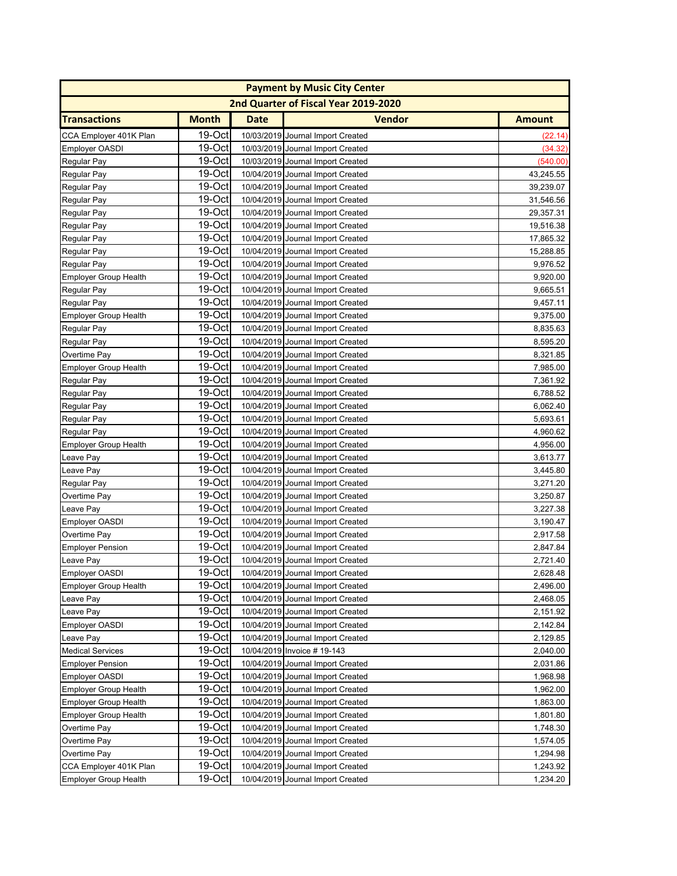| <b>Payment by Music City Center</b> |              |             |                                      |               |
|-------------------------------------|--------------|-------------|--------------------------------------|---------------|
|                                     |              |             | 2nd Quarter of Fiscal Year 2019-2020 |               |
| <b>Transactions</b>                 | <b>Month</b> | <b>Date</b> | <b>Vendor</b>                        | <b>Amount</b> |
| CCA Employer 401K Plan              | 19-Oct       |             | 10/03/2019 Journal Import Created    | (22.14)       |
| <b>Employer OASDI</b>               | 19-Oct       |             | 10/03/2019 Journal Import Created    | (34.32)       |
| Regular Pay                         | 19-Oct       |             | 10/03/2019 Journal Import Created    | (540.00)      |
| Regular Pay                         | 19-Oct       |             | 10/04/2019 Journal Import Created    | 43,245.55     |
| Regular Pay                         | 19-Oct       |             | 10/04/2019 Journal Import Created    | 39,239.07     |
| Regular Pay                         | 19-Oct       |             | 10/04/2019 Journal Import Created    | 31,546.56     |
| Regular Pay                         | 19-Oct       |             | 10/04/2019 Journal Import Created    | 29,357.31     |
| Regular Pay                         | 19-Oct       |             | 10/04/2019 Journal Import Created    | 19,516.38     |
| Regular Pay                         | 19-Oct       |             | 10/04/2019 Journal Import Created    | 17,865.32     |
| Regular Pay                         | 19-Oct       |             | 10/04/2019 Journal Import Created    | 15,288.85     |
| Regular Pay                         | 19-Oct       |             | 10/04/2019 Journal Import Created    | 9,976.52      |
| Employer Group Health               | 19-Oct       |             | 10/04/2019 Journal Import Created    | 9,920.00      |
| Regular Pay                         | 19-Oct       |             | 10/04/2019 Journal Import Created    | 9,665.51      |
| Regular Pay                         | 19-Oct       |             | 10/04/2019 Journal Import Created    | 9,457.11      |
| <b>Employer Group Health</b>        | 19-Oct       |             | 10/04/2019 Journal Import Created    | 9,375.00      |
| Regular Pay                         | 19-Oct       |             | 10/04/2019 Journal Import Created    | 8,835.63      |
| Regular Pay                         | 19-Oct       |             | 10/04/2019 Journal Import Created    | 8,595.20      |
| Overtime Pay                        | 19-Oct       |             | 10/04/2019 Journal Import Created    | 8,321.85      |
| <b>Employer Group Health</b>        | 19-Oct       |             | 10/04/2019 Journal Import Created    | 7,985.00      |
| Regular Pay                         | $19-Oct$     |             | 10/04/2019 Journal Import Created    | 7,361.92      |
| Regular Pay                         | $19-Oct$     |             | 10/04/2019 Journal Import Created    | 6,788.52      |
| Regular Pay                         | 19-Oct       |             | 10/04/2019 Journal Import Created    | 6,062.40      |
| Regular Pay                         | 19-Oct       |             | 10/04/2019 Journal Import Created    | 5,693.61      |
| Regular Pay                         | 19-Oct       |             | 10/04/2019 Journal Import Created    | 4,960.62      |
| <b>Employer Group Health</b>        | 19-Oct       |             | 10/04/2019 Journal Import Created    | 4,956.00      |
| Leave Pay                           | 19-Oct       |             | 10/04/2019 Journal Import Created    | 3,613.77      |
| Leave Pay                           | 19-Oct       |             | 10/04/2019 Journal Import Created    | 3,445.80      |
| Regular Pay                         | 19-Oct       |             | 10/04/2019 Journal Import Created    | 3,271.20      |
| Overtime Pay                        | 19-Oct       |             | 10/04/2019 Journal Import Created    | 3,250.87      |
| Leave Pay                           | 19-Oct       |             | 10/04/2019 Journal Import Created    | 3,227.38      |
| Employer OASDI                      | 19-Oct       |             | 10/04/2019 Journal Import Created    | 3,190.47      |
| Overtime Pay                        | 19-Oct       |             | 10/04/2019 Journal Import Created    | 2,917.58      |
| <b>Employer Pension</b>             | 19-Oct       |             | 10/04/2019 Journal Import Created    | 2,847.84      |
| Leave Pay                           | 19-Oct       |             | 10/04/2019 Journal Import Created    | 2,721.40      |
| Employer OASDI                      | $19$ -Octl   |             | 10/04/2019 Journal Import Created    | 2,628.48      |
| <b>Employer Group Health</b>        | 19-Oct       |             | 10/04/2019 Journal Import Created    | 2,496.00      |
| Leave Pay                           | 19-Oct       |             | 10/04/2019 Journal Import Created    | 2,468.05      |
| Leave Pay                           | $19-Oct$     |             | 10/04/2019 Journal Import Created    | 2,151.92      |
| Employer OASDI                      | 19-Octl      |             | 10/04/2019 Journal Import Created    | 2,142.84      |
| Leave Pay                           | 19-Oct       |             | 10/04/2019 Journal Import Created    | 2,129.85      |
| <b>Medical Services</b>             | 19-Oct       |             | 10/04/2019 Invoice # 19-143          | 2,040.00      |
| <b>Employer Pension</b>             | 19-Oct       |             | 10/04/2019 Journal Import Created    | 2,031.86      |
| <b>Employer OASDI</b>               | 19-Oct       |             | 10/04/2019 Journal Import Created    | 1,968.98      |
| <b>Employer Group Health</b>        | 19-Oct       |             | 10/04/2019 Journal Import Created    | 1,962.00      |
| <b>Employer Group Health</b>        | 19-Oct       |             | 10/04/2019 Journal Import Created    | 1,863.00      |
| <b>Employer Group Health</b>        | 19-Oct       |             | 10/04/2019 Journal Import Created    | 1,801.80      |
| Overtime Pay                        | 19-Oct       |             | 10/04/2019 Journal Import Created    | 1,748.30      |
| Overtime Pay                        | 19-Oct       |             | 10/04/2019 Journal Import Created    | 1,574.05      |
| Overtime Pay                        | 19-Oct       |             | 10/04/2019 Journal Import Created    | 1,294.98      |
| CCA Employer 401K Plan              | 19-Oct       |             | 10/04/2019 Journal Import Created    | 1,243.92      |
| <b>Employer Group Health</b>        | 19-Oct       |             | 10/04/2019 Journal Import Created    | 1,234.20      |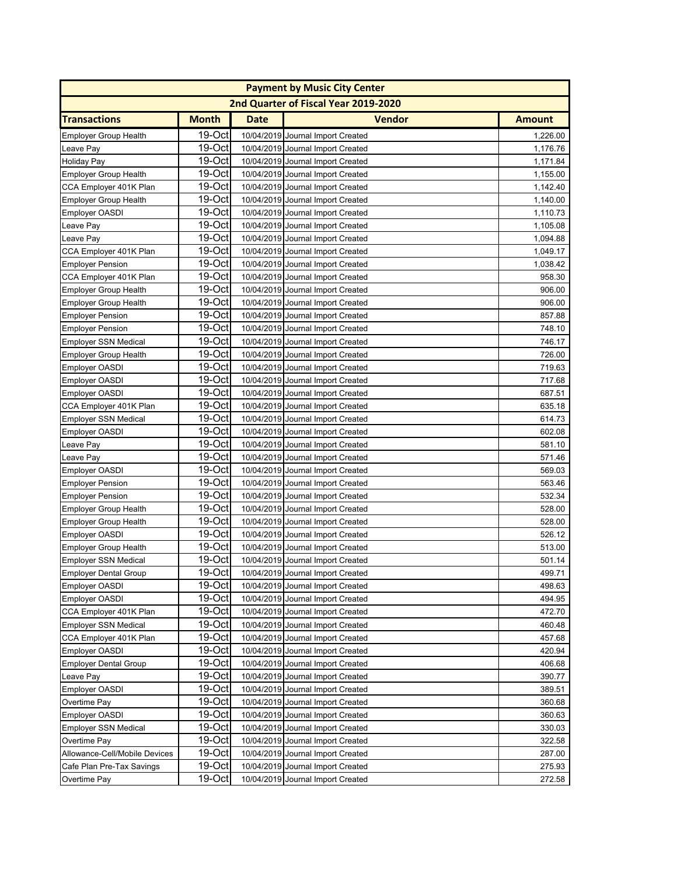| <b>Payment by Music City Center</b> |              |             |                                      |               |
|-------------------------------------|--------------|-------------|--------------------------------------|---------------|
|                                     |              |             | 2nd Quarter of Fiscal Year 2019-2020 |               |
| <b>Transactions</b>                 | <b>Month</b> | <b>Date</b> | <b>Vendor</b>                        | <b>Amount</b> |
| <b>Employer Group Health</b>        | 19-Oct       |             | 10/04/2019 Journal Import Created    | 1,226.00      |
| Leave Pay                           | 19-Oct       |             | 10/04/2019 Journal Import Created    | 1,176.76      |
| <b>Holiday Pay</b>                  | $19-Oct$     |             | 10/04/2019 Journal Import Created    | 1,171.84      |
| <b>Employer Group Health</b>        | 19-Oct       |             | 10/04/2019 Journal Import Created    | 1,155.00      |
| CCA Employer 401K Plan              | $19-Oct$     |             | 10/04/2019 Journal Import Created    | 1,142.40      |
| <b>Employer Group Health</b>        | 19-Oct       |             | 10/04/2019 Journal Import Created    | 1,140.00      |
| <b>Employer OASDI</b>               | 19-Oct       |             | 10/04/2019 Journal Import Created    | 1,110.73      |
| Leave Pay                           | 19-Oct       |             | 10/04/2019 Journal Import Created    | 1,105.08      |
| Leave Pay                           | 19-Oct       |             | 10/04/2019 Journal Import Created    | 1,094.88      |
| CCA Employer 401K Plan              | 19-Oct       |             | 10/04/2019 Journal Import Created    | 1,049.17      |
| <b>Employer Pension</b>             | 19-Oct       |             | 10/04/2019 Journal Import Created    | 1,038.42      |
| CCA Employer 401K Plan              | 19-Oct       |             | 10/04/2019 Journal Import Created    | 958.30        |
| <b>Employer Group Health</b>        | $19-Oct$     |             | 10/04/2019 Journal Import Created    | 906.00        |
| <b>Employer Group Health</b>        | 19-Oct       |             | 10/04/2019 Journal Import Created    | 906.00        |
| <b>Employer Pension</b>             | $19-Oct$     |             | 10/04/2019 Journal Import Created    | 857.88        |
| <b>Employer Pension</b>             | 19-Oct       |             | 10/04/2019 Journal Import Created    | 748.10        |
| <b>Employer SSN Medical</b>         | 19-Oct       |             | 10/04/2019 Journal Import Created    | 746.17        |
| <b>Employer Group Health</b>        | 19-Oct       |             | 10/04/2019 Journal Import Created    | 726.00        |
| <b>Employer OASDI</b>               | 19-Oct       |             | 10/04/2019 Journal Import Created    | 719.63        |
| <b>Employer OASDI</b>               | $19-Oct$     |             | 10/04/2019 Journal Import Created    | 717.68        |
| <b>Employer OASDI</b>               | 19-Oct       |             | 10/04/2019 Journal Import Created    | 687.51        |
| CCA Employer 401K Plan              | $19-Oct$     |             | 10/04/2019 Journal Import Created    | 635.18        |
| <b>Employer SSN Medical</b>         | $19-Oct$     |             | 10/04/2019 Journal Import Created    | 614.73        |
| <b>Employer OASDI</b>               | 19-Oct       |             | 10/04/2019 Journal Import Created    | 602.08        |
| Leave Pay                           | 19-Oct       |             | 10/04/2019 Journal Import Created    | 581.10        |
| Leave Pay                           | 19-Oct       |             | 10/04/2019 Journal Import Created    | 571.46        |
| <b>Employer OASDI</b>               | 19-Oct       |             | 10/04/2019 Journal Import Created    | 569.03        |
| <b>Employer Pension</b>             | $19-Oct$     |             | 10/04/2019 Journal Import Created    | 563.46        |
| <b>Employer Pension</b>             | $19-Oct$     |             | 10/04/2019 Journal Import Created    | 532.34        |
| <b>Employer Group Health</b>        | $19$ -Oct    |             | 10/04/2019 Journal Import Created    | 528.00        |
| <b>Employer Group Health</b>        | $19$ -Oct    |             | 10/04/2019 Journal Import Created    | 528.00        |
| <b>Employer OASDI</b>               | 19-Oct       |             | 10/04/2019 Journal Import Created    | 526.12        |
| <b>Employer Group Health</b>        | $19-Oct$     |             | 10/04/2019 Journal Import Created    | 513.00        |
| <b>Employer SSN Medical</b>         | 19-Oct       |             | 10/04/2019 Journal Import Created    | 501.14        |
| <b>Employer Dental Group</b>        | $19$ -Oct    |             | 10/04/2019 Journal Import Created    | 499.71        |
| Employer OASDI                      | 19-Oct       |             | 10/04/2019 Journal Import Created    | 498.63        |
| <b>Employer OASDI</b>               | 19-Oct       |             | 10/04/2019 Journal Import Created    | 494.95        |
| CCA Employer 401K Plan              | 19-Octl      |             | 10/04/2019 Journal Import Created    | 472.70        |
| <b>Employer SSN Medical</b>         | 19-Octl      |             | 10/04/2019 Journal Import Created    | 460.48        |
| CCA Employer 401K Plan              | $19-Oct$     |             | 10/04/2019 Journal Import Created    | 457.68        |
| <b>Employer OASDI</b>               | 19-Oct       |             | 10/04/2019 Journal Import Created    | 420.94        |
| Employer Dental Group               | 19-Oct       |             | 10/04/2019 Journal Import Created    | 406.68        |
| Leave Pay                           | 19-Oct       |             | 10/04/2019 Journal Import Created    | 390.77        |
| Employer OASDI                      | 19-Oct       |             | 10/04/2019 Journal Import Created    | 389.51        |
| Overtime Pay                        | 19-Oct       |             | 10/04/2019 Journal Import Created    | 360.68        |
| <b>Employer OASDI</b>               | 19-Oct       |             | 10/04/2019 Journal Import Created    | 360.63        |
| <b>Employer SSN Medical</b>         | $19-Oct$     |             | 10/04/2019 Journal Import Created    | 330.03        |
| Overtime Pay                        | 19-Oct       |             | 10/04/2019 Journal Import Created    | 322.58        |
| Allowance-Cell/Mobile Devices       | 19-Oct       |             | 10/04/2019 Journal Import Created    | 287.00        |
| Cafe Plan Pre-Tax Savings           | 19-Oct       |             | 10/04/2019 Journal Import Created    | 275.93        |
| Overtime Pay                        | 19-Oct       |             | 10/04/2019 Journal Import Created    | 272.58        |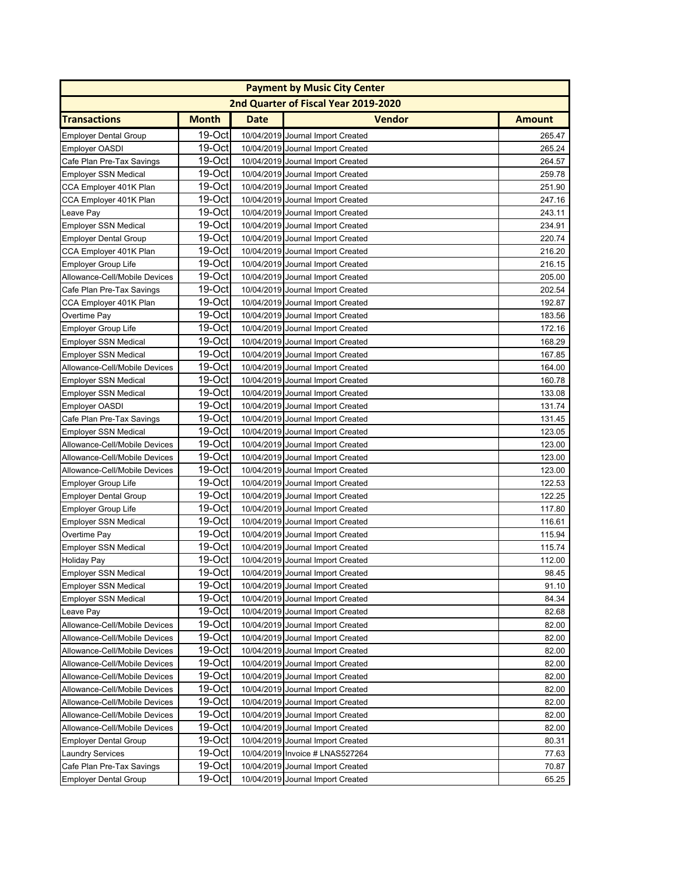| <b>Payment by Music City Center</b> |              |             |                                      |               |
|-------------------------------------|--------------|-------------|--------------------------------------|---------------|
|                                     |              |             | 2nd Quarter of Fiscal Year 2019-2020 |               |
| <b>Transactions</b>                 | <b>Month</b> | <b>Date</b> | <b>Vendor</b>                        | <b>Amount</b> |
| <b>Employer Dental Group</b>        | 19-Oct       |             | 10/04/2019 Journal Import Created    | 265.47        |
| <b>Employer OASDI</b>               | 19-Oct       |             | 10/04/2019 Journal Import Created    | 265.24        |
| Cafe Plan Pre-Tax Savings           | 19-Oct       |             | 10/04/2019 Journal Import Created    | 264.57        |
| <b>Employer SSN Medical</b>         | 19-Oct       |             | 10/04/2019 Journal Import Created    | 259.78        |
| CCA Employer 401K Plan              | 19-Octl      |             | 10/04/2019 Journal Import Created    | 251.90        |
| CCA Employer 401K Plan              | 19-Oct       |             | 10/04/2019 Journal Import Created    | 247.16        |
| Leave Pay                           | 19-Oct       |             | 10/04/2019 Journal Import Created    | 243.11        |
| <b>Employer SSN Medical</b>         | 19-Oct       |             | 10/04/2019 Journal Import Created    | 234.91        |
| <b>Employer Dental Group</b>        | 19-Oct       |             | 10/04/2019 Journal Import Created    | 220.74        |
| CCA Employer 401K Plan              | 19-Oct       |             | 10/04/2019 Journal Import Created    | 216.20        |
| <b>Employer Group Life</b>          | 19-Oct       |             | 10/04/2019 Journal Import Created    | 216.15        |
| Allowance-Cell/Mobile Devices       | 19-Oct       |             | 10/04/2019 Journal Import Created    | 205.00        |
| Cafe Plan Pre-Tax Savings           | 19-Oct       |             | 10/04/2019 Journal Import Created    | 202.54        |
| CCA Employer 401K Plan              | 19-Oct       |             | 10/04/2019 Journal Import Created    | 192.87        |
| Overtime Pay                        | 19-Oct       |             | 10/04/2019 Journal Import Created    | 183.56        |
| <b>Employer Group Life</b>          | 19-Oct       |             | 10/04/2019 Journal Import Created    | 172.16        |
| <b>Employer SSN Medical</b>         | 19-Oct       |             | 10/04/2019 Journal Import Created    | 168.29        |
| <b>Employer SSN Medical</b>         | 19-Oct       |             | 10/04/2019 Journal Import Created    | 167.85        |
| Allowance-Cell/Mobile Devices       | 19-Oct       |             | 10/04/2019 Journal Import Created    | 164.00        |
| <b>Employer SSN Medical</b>         | 19-Oct       |             | 10/04/2019 Journal Import Created    | 160.78        |
| <b>Employer SSN Medical</b>         | 19-Oct       |             | 10/04/2019 Journal Import Created    | 133.08        |
| <b>Employer OASDI</b>               | 19-Oct       |             | 10/04/2019 Journal Import Created    | 131.74        |
| Cafe Plan Pre-Tax Savings           | 19-Oct       |             | 10/04/2019 Journal Import Created    | 131.45        |
| <b>Employer SSN Medical</b>         | 19-Oct       |             | 10/04/2019 Journal Import Created    | 123.05        |
| Allowance-Cell/Mobile Devices       | 19-Oct       |             | 10/04/2019 Journal Import Created    | 123.00        |
| Allowance-Cell/Mobile Devices       | 19-Oct       |             | 10/04/2019 Journal Import Created    | 123.00        |
| Allowance-Cell/Mobile Devices       | 19-Oct       |             | 10/04/2019 Journal Import Created    | 123.00        |
| <b>Employer Group Life</b>          | 19-Oct       |             | 10/04/2019 Journal Import Created    | 122.53        |
| <b>Employer Dental Group</b>        | 19-Oct       |             | 10/04/2019 Journal Import Created    | 122.25        |
| <b>Employer Group Life</b>          | 19-Oct       |             | 10/04/2019 Journal Import Created    | 117.80        |
| <b>Employer SSN Medical</b>         | 19-Oct       |             | 10/04/2019 Journal Import Created    | 116.61        |
| Overtime Pay                        | $19-Oct$     |             | 10/04/2019 Journal Import Created    | 115.94        |
| <b>Employer SSN Medical</b>         | $19-Oct$     |             | 10/04/2019 Journal Import Created    | 115.74        |
| <b>Holiday Pay</b>                  | 19-Oct       |             | 10/04/2019 Journal Import Created    | 112.00        |
| Employer SSN Medical                | 19-Oct       |             | 10/04/2019 Journal Import Created    | 98.45         |
| <b>Employer SSN Medical</b>         | 19-Oct       |             | 10/04/2019 Journal Import Created    | 91.10         |
| <b>Employer SSN Medical</b>         | $19-Oct$     |             | 10/04/2019 Journal Import Created    | 84.34         |
| Leave Pay                           | 19-Octl      |             | 10/04/2019 Journal Import Created    | 82.68         |
| Allowance-Cell/Mobile Devices       | 19-Octl      |             | 10/04/2019 Journal Import Created    | 82.00         |
| Allowance-Cell/Mobile Devices       | 19-Octl      |             | 10/04/2019 Journal Import Created    | 82.00         |
| Allowance-Cell/Mobile Devices       | 19-Oct       |             | 10/04/2019 Journal Import Created    | 82.00         |
| Allowance-Cell/Mobile Devices       | 19-Oct       |             | 10/04/2019 Journal Import Created    | 82.00         |
| Allowance-Cell/Mobile Devices       | 19-Oct       |             | 10/04/2019 Journal Import Created    | 82.00         |
| Allowance-Cell/Mobile Devices       | 19-Oct       |             | 10/04/2019 Journal Import Created    | 82.00         |
| Allowance-Cell/Mobile Devices       | 19-Oct       |             | 10/04/2019 Journal Import Created    | 82.00         |
| Allowance-Cell/Mobile Devices       | 19-Oct       |             | 10/04/2019 Journal Import Created    | 82.00         |
| Allowance-Cell/Mobile Devices       | 19-Oct       |             | 10/04/2019 Journal Import Created    | 82.00         |
| <b>Employer Dental Group</b>        | 19-Oct       |             | 10/04/2019 Journal Import Created    | 80.31         |
| <b>Laundry Services</b>             | 19-Oct       |             | 10/04/2019 Invoice # LNAS527264      | 77.63         |
| Cafe Plan Pre-Tax Savings           | 19-Oct       |             | 10/04/2019 Journal Import Created    | 70.87         |
| <b>Employer Dental Group</b>        | 19-Oct       |             | 10/04/2019 Journal Import Created    | 65.25         |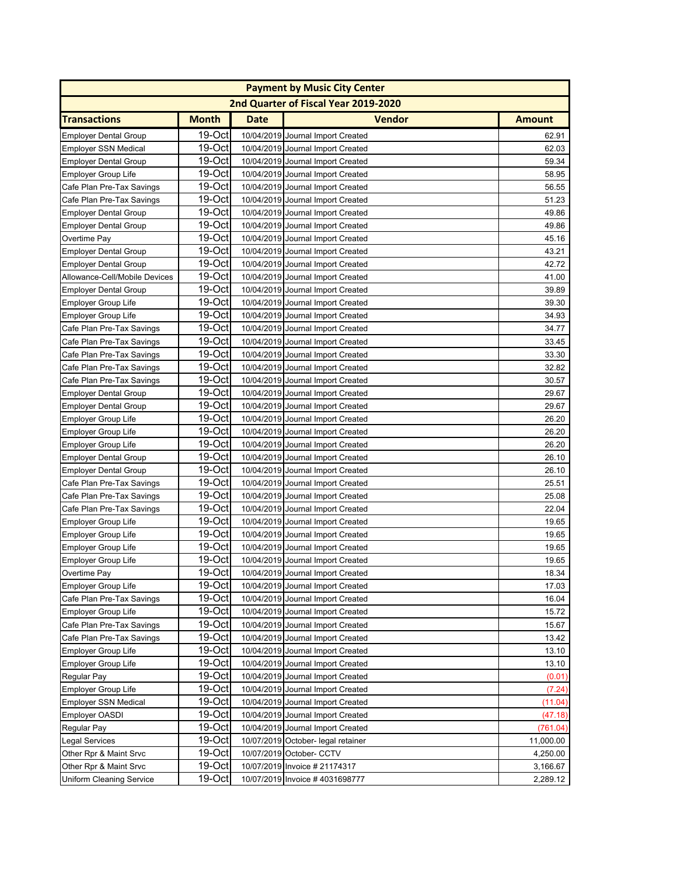|                                 |              |             | <b>Payment by Music City Center</b>  |               |
|---------------------------------|--------------|-------------|--------------------------------------|---------------|
|                                 |              |             | 2nd Quarter of Fiscal Year 2019-2020 |               |
| <b>Transactions</b>             | <b>Month</b> | <b>Date</b> | <b>Vendor</b>                        | <b>Amount</b> |
| <b>Employer Dental Group</b>    | 19-Oct       |             | 10/04/2019 Journal Import Created    | 62.91         |
| <b>Employer SSN Medical</b>     | 19-Oct       |             | 10/04/2019 Journal Import Created    | 62.03         |
| <b>Employer Dental Group</b>    | 19-Oct       |             | 10/04/2019 Journal Import Created    | 59.34         |
| <b>Employer Group Life</b>      | 19-Oct       |             | 10/04/2019 Journal Import Created    | 58.95         |
| Cafe Plan Pre-Tax Savings       | 19-Oct       |             | 10/04/2019 Journal Import Created    | 56.55         |
| Cafe Plan Pre-Tax Savings       | 19-Oct       |             | 10/04/2019 Journal Import Created    | 51.23         |
| <b>Employer Dental Group</b>    | 19-Oct       |             | 10/04/2019 Journal Import Created    | 49.86         |
| <b>Employer Dental Group</b>    | 19-Oct       |             | 10/04/2019 Journal Import Created    | 49.86         |
| Overtime Pay                    | 19-Oct       |             | 10/04/2019 Journal Import Created    | 45.16         |
| <b>Employer Dental Group</b>    | 19-Oct       |             | 10/04/2019 Journal Import Created    | 43.21         |
| <b>Employer Dental Group</b>    | 19-Oct       |             | 10/04/2019 Journal Import Created    | 42.72         |
| Allowance-Cell/Mobile Devices   | 19-Oct       |             | 10/04/2019 Journal Import Created    | 41.00         |
| <b>Employer Dental Group</b>    | 19-Oct       |             | 10/04/2019 Journal Import Created    | 39.89         |
| <b>Employer Group Life</b>      | 19-Oct       |             | 10/04/2019 Journal Import Created    | 39.30         |
| <b>Employer Group Life</b>      | 19-Oct       |             | 10/04/2019 Journal Import Created    | 34.93         |
| Cafe Plan Pre-Tax Savings       | 19-Oct       |             | 10/04/2019 Journal Import Created    | 34.77         |
| Cafe Plan Pre-Tax Savings       | 19-Oct       |             | 10/04/2019 Journal Import Created    | 33.45         |
| Cafe Plan Pre-Tax Savings       | 19-Oct       |             | 10/04/2019 Journal Import Created    | 33.30         |
| Cafe Plan Pre-Tax Savings       | 19-Oct       |             | 10/04/2019 Journal Import Created    | 32.82         |
| Cafe Plan Pre-Tax Savings       | 19-Oct       |             | 10/04/2019 Journal Import Created    | 30.57         |
| <b>Employer Dental Group</b>    | 19-Oct       |             | 10/04/2019 Journal Import Created    | 29.67         |
| <b>Employer Dental Group</b>    | 19-Oct       |             | 10/04/2019 Journal Import Created    | 29.67         |
| <b>Employer Group Life</b>      | 19-Oct       |             | 10/04/2019 Journal Import Created    | 26.20         |
| <b>Employer Group Life</b>      | 19-Oct       |             | 10/04/2019 Journal Import Created    | 26.20         |
| <b>Employer Group Life</b>      | 19-Oct       |             | 10/04/2019 Journal Import Created    | 26.20         |
| <b>Employer Dental Group</b>    | 19-Oct       |             | 10/04/2019 Journal Import Created    | 26.10         |
| <b>Employer Dental Group</b>    | 19-Oct       |             | 10/04/2019 Journal Import Created    | 26.10         |
| Cafe Plan Pre-Tax Savings       | 19-Oct       |             | 10/04/2019 Journal Import Created    | 25.51         |
| Cafe Plan Pre-Tax Savings       | 19-Oct       |             | 10/04/2019 Journal Import Created    | 25.08         |
| Cafe Plan Pre-Tax Savings       | 19-Oct       |             | 10/04/2019 Journal Import Created    | 22.04         |
| <b>Employer Group Life</b>      | 19-Oct       |             | 10/04/2019 Journal Import Created    | 19.65         |
| <b>Employer Group Life</b>      | 19-Oct       |             | 10/04/2019 Journal Import Created    | 19.65         |
| <b>Employer Group Life</b>      | 19-Oct       |             | 10/04/2019 Journal Import Created    | 19.65         |
| Employer Group Life             | 19-Oct       |             | 10/04/2019 Journal Import Created    | 19.65         |
| Overtime Pay                    | 19-Octl      |             | 10/04/2019 Journal Import Created    | 18.34         |
| Employer Group Life             | 19-Oct       |             | 10/04/2019 Journal Import Created    | 17.03         |
| Cafe Plan Pre-Tax Savings       | 19-Oct       |             | 10/04/2019 Journal Import Created    | 16.04         |
| <b>Employer Group Life</b>      | $19-Oct$     |             | 10/04/2019 Journal Import Created    | 15.72         |
| Cafe Plan Pre-Tax Savings       | 19-Octl      |             | 10/04/2019 Journal Import Created    | 15.67         |
| Cafe Plan Pre-Tax Savings       | 19-Oct       |             | 10/04/2019 Journal Import Created    | 13.42         |
| <b>Employer Group Life</b>      | 19-Oct       |             | 10/04/2019 Journal Import Created    | 13.10         |
| <b>Employer Group Life</b>      | 19-Oct       |             | 10/04/2019 Journal Import Created    | 13.10         |
| Regular Pay                     | 19-Oct       |             | 10/04/2019 Journal Import Created    | (0.01)        |
| <b>Employer Group Life</b>      | 19-Oct       |             | 10/04/2019 Journal Import Created    | (7.24)        |
| <b>Employer SSN Medical</b>     | 19-Oct       |             | 10/04/2019 Journal Import Created    | (11.04)       |
| <b>Employer OASDI</b>           | 19-Oct       |             | 10/04/2019 Journal Import Created    | (47.18)       |
| Regular Pay                     | 19-Oct       |             | 10/04/2019 Journal Import Created    | (761.04)      |
| <b>Legal Services</b>           | 19-Oct       |             | 10/07/2019 October- legal retainer   | 11,000.00     |
| Other Rpr & Maint Srvc          | 19-Oct       |             | 10/07/2019 October- CCTV             | 4,250.00      |
| Other Rpr & Maint Srvc          | 19-Oct       |             | 10/07/2019 Invoice # 21174317        | 3,166.67      |
| <b>Uniform Cleaning Service</b> | 19-Oct       |             | 10/07/2019 Invoice #4031698777       | 2,289.12      |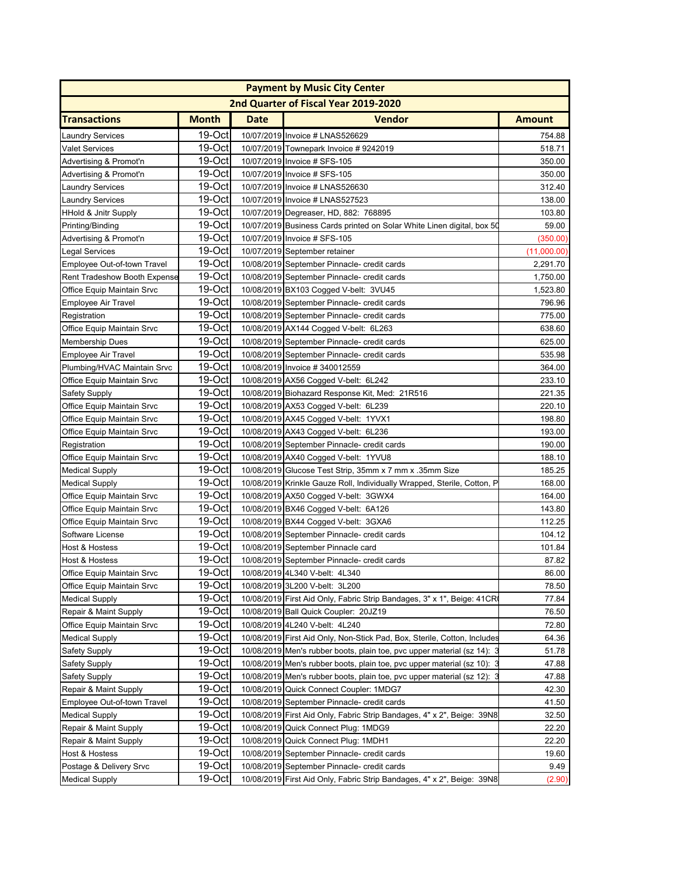|                                     | <b>Payment by Music City Center</b> |             |                                                                          |               |  |
|-------------------------------------|-------------------------------------|-------------|--------------------------------------------------------------------------|---------------|--|
|                                     |                                     |             | 2nd Quarter of Fiscal Year 2019-2020                                     |               |  |
| <b>Transactions</b>                 | <b>Month</b>                        | <b>Date</b> | <b>Vendor</b>                                                            | <b>Amount</b> |  |
| Laundry Services                    | 19-Oct                              |             | 10/07/2019 Invoice # LNAS526629                                          | 754.88        |  |
| <b>Valet Services</b>               | 19-Oct                              |             | 10/07/2019 Townepark Invoice #9242019                                    | 518.71        |  |
| Advertising & Promot'n              | 19-Oct                              |             | 10/07/2019 Invoice # SFS-105                                             | 350.00        |  |
| Advertising & Promot'n              | 19-Oct                              |             | 10/07/2019 Invoice # SFS-105                                             | 350.00        |  |
| Laundry Services                    | 19-Oct                              |             | 10/07/2019 Invoice # LNAS526630                                          | 312.40        |  |
| Laundry Services                    | 19-Oct                              |             | 10/07/2019 Invoice # LNAS527523                                          | 138.00        |  |
| <b>HHold &amp; Jnitr Supply</b>     | 19-Oct                              |             | 10/07/2019 Degreaser, HD, 882: 768895                                    | 103.80        |  |
| Printing/Binding                    | 19-Oct                              |             | 10/07/2019 Business Cards printed on Solar White Linen digital, box 50   | 59.00         |  |
| Advertising & Promot'n              | 19-Oct                              |             | 10/07/2019 Invoice # SFS-105                                             | (350.00)      |  |
| Legal Services                      | 19-Oct                              |             | 10/07/2019 September retainer                                            | (11,000.00)   |  |
| Employee Out-of-town Travel         | 19-Oct                              |             | 10/08/2019 September Pinnacle- credit cards                              | 2,291.70      |  |
| <b>Rent Tradeshow Booth Expense</b> | 19-Oct                              |             | 10/08/2019 September Pinnacle- credit cards                              | 1,750.00      |  |
| Office Equip Maintain Srvc          | 19-Oct                              |             | 10/08/2019 BX103 Cogged V-belt: 3VU45                                    | 1,523.80      |  |
| Employee Air Travel                 | 19-Oct                              |             | 10/08/2019 September Pinnacle- credit cards                              | 796.96        |  |
| Registration                        | 19-Oct                              |             | 10/08/2019 September Pinnacle- credit cards                              | 775.00        |  |
| Office Equip Maintain Srvc          | 19-Oct                              |             | 10/08/2019 AX144 Cogged V-belt: 6L263                                    | 638.60        |  |
| Membership Dues                     | 19-Oct                              |             | 10/08/2019 September Pinnacle- credit cards                              | 625.00        |  |
| Employee Air Travel                 | 19-Oct                              |             | 10/08/2019 September Pinnacle- credit cards                              | 535.98        |  |
| Plumbing/HVAC Maintain Srvc         | 19-Oct                              |             | 10/08/2019 Invoice #340012559                                            | 364.00        |  |
| Office Equip Maintain Srvc          | 19-Oct                              |             | 10/08/2019 AX56 Cogged V-belt: 6L242                                     | 233.10        |  |
| <b>Safety Supply</b>                | 19-Octl                             |             | 10/08/2019 Biohazard Response Kit, Med: 21R516                           | 221.35        |  |
| Office Equip Maintain Srvc          | 19-Oct                              |             | 10/08/2019 AX53 Cogged V-belt: 6L239                                     | 220.10        |  |
| Office Equip Maintain Srvc          | 19-Oct                              |             | 10/08/2019 AX45 Cogged V-belt: 1YVX1                                     | 198.80        |  |
| Office Equip Maintain Srvc          | 19-Oct                              |             | 10/08/2019 AX43 Cogged V-belt: 6L236                                     | 193.00        |  |
| Registration                        | 19-Oct                              |             | 10/08/2019 September Pinnacle- credit cards                              | 190.00        |  |
| Office Equip Maintain Srvc          | 19-Oct                              |             | 10/08/2019 AX40 Cogged V-belt: 1YVU8                                     | 188.10        |  |
| <b>Medical Supply</b>               | 19-Oct                              |             | 10/08/2019 Glucose Test Strip, 35mm x 7 mm x .35mm Size                  | 185.25        |  |
| <b>Medical Supply</b>               | 19-Oct                              |             | 10/08/2019 Krinkle Gauze Roll, Individually Wrapped, Sterile, Cotton, P  | 168.00        |  |
| Office Equip Maintain Srvc          | 19-Oct                              |             | 10/08/2019 AX50 Cogged V-belt: 3GWX4                                     | 164.00        |  |
| Office Equip Maintain Srvc          | 19-Oct                              |             | 10/08/2019 BX46 Cogged V-belt: 6A126                                     | 143.80        |  |
| Office Equip Maintain Srvc          | 19-Oct                              |             | 10/08/2019 BX44 Coqqed V-belt: 3GXA6                                     | 112.25        |  |
| Software License                    | 19-Oct                              |             | 10/08/2019 September Pinnacle- credit cards                              | 104.12        |  |
| Host & Hostess                      | 19-Oct                              |             | 10/08/2019 September Pinnacle card                                       | 101.84        |  |
| Host & Hostess                      | 19-Oct                              |             | 10/08/2019 September Pinnacle- credit cards                              | 87.82         |  |
| Office Equip Maintain Srvc          | 19-Octl                             |             | 10/08/2019 4L340 V-belt: 4L340                                           | 86.00         |  |
| Office Equip Maintain Srvc          | 19-Oct                              |             | 10/08/2019 3L200 V-belt: 3L200                                           | 78.50         |  |
| <b>Medical Supply</b>               | 19-Oct                              |             | 10/08/2019 First Aid Only, Fabric Strip Bandages, 3" x 1", Beige: 41CR   | 77.84         |  |
| Repair & Maint Supply               | 19-Oct                              |             | 10/08/2019 Ball Quick Coupler: 20JZ19                                    | 76.50         |  |
| Office Equip Maintain Srvc          | 19-Octl                             |             | 10/08/2019 4L240 V-belt: 4L240                                           | 72.80         |  |
| <b>Medical Supply</b>               | 19-Oct                              |             | 10/08/2019 First Aid Only, Non-Stick Pad, Box, Sterile, Cotton, Includes | 64.36         |  |
| <b>Safety Supply</b>                | 19-Oct                              |             | 10/08/2019 Men's rubber boots, plain toe, pvc upper material (sz 14): 3  | 51.78         |  |
| Safety Supply                       | 19-Oct                              |             | 10/08/2019 Men's rubber boots, plain toe, pvc upper material (sz 10): 3  | 47.88         |  |
| <b>Safety Supply</b>                | 19-Oct                              |             | 10/08/2019 Men's rubber boots, plain toe, pvc upper material (sz 12):    | 47.88         |  |
| Repair & Maint Supply               | 19-Oct                              |             | 10/08/2019 Quick Connect Coupler: 1MDG7                                  | 42.30         |  |
| Employee Out-of-town Travel         | 19-Oct                              |             | 10/08/2019 September Pinnacle- credit cards                              | 41.50         |  |
| <b>Medical Supply</b>               | 19-Oct                              |             | 10/08/2019 First Aid Only, Fabric Strip Bandages, 4" x 2", Beige: 39N8   | 32.50         |  |
| Repair & Maint Supply               | 19-Oct                              |             | 10/08/2019 Quick Connect Plug: 1MDG9                                     | 22.20         |  |
| Repair & Maint Supply               | 19-Oct                              |             | 10/08/2019 Quick Connect Plug: 1MDH1                                     | 22.20         |  |
| Host & Hostess                      | 19-Oct                              |             | 10/08/2019 September Pinnacle- credit cards                              | 19.60         |  |
| Postage & Delivery Srvc             | 19-Oct                              |             | 10/08/2019 September Pinnacle- credit cards                              | 9.49          |  |
| <b>Medical Supply</b>               | 19-Oct                              |             | 10/08/2019 First Aid Only, Fabric Strip Bandages, 4" x 2", Beige: 39N8   | (2.90)        |  |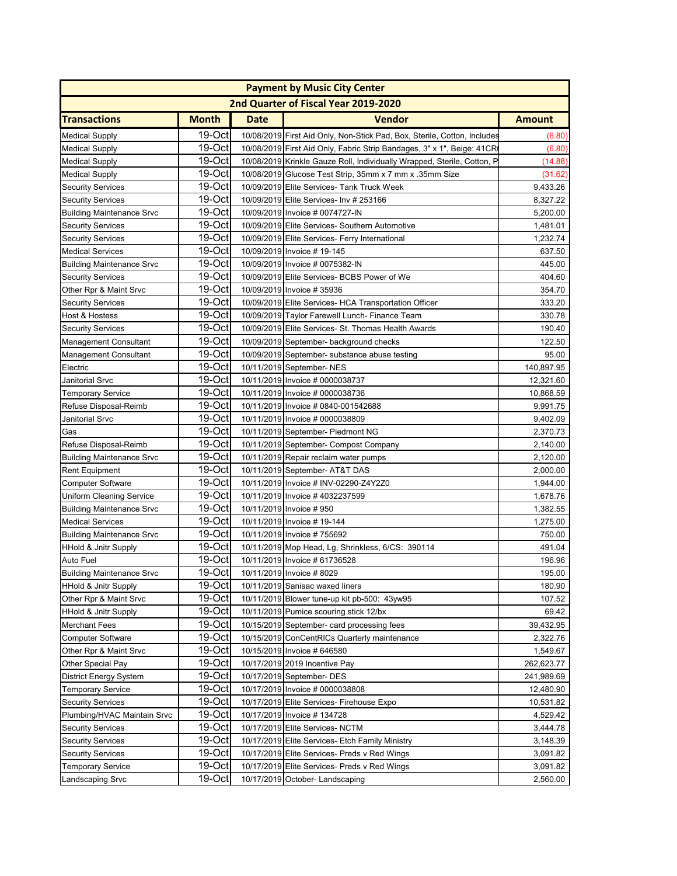| <b>Payment by Music City Center</b> |              |             |                                                                          |               |
|-------------------------------------|--------------|-------------|--------------------------------------------------------------------------|---------------|
|                                     |              |             | 2nd Quarter of Fiscal Year 2019-2020                                     |               |
| <b>Transactions</b>                 | <b>Month</b> | <b>Date</b> | <b>Vendor</b>                                                            | <b>Amount</b> |
| <b>Medical Supply</b>               | 19-Oct       |             | 10/08/2019 First Aid Only, Non-Stick Pad, Box, Sterile, Cotton, Includes | (6.80)        |
| <b>Medical Supply</b>               | 19-Oct       |             | 10/08/2019 First Aid Only, Fabric Strip Bandages, 3" x 1", Beige: 41CR   | (6.80)        |
| <b>Medical Supply</b>               | 19-Oct       |             | 10/08/2019 Krinkle Gauze Roll, Individually Wrapped, Sterile, Cotton, P  | (14.88)       |
| <b>Medical Supply</b>               | 19-Oct       |             | 10/08/2019 Glucose Test Strip, 35mm x 7 mm x .35mm Size                  | (31.62)       |
| <b>Security Services</b>            | 19-Oct       |             | 10/09/2019 Elite Services- Tank Truck Week                               | 9,433.26      |
| <b>Security Services</b>            | 19-Oct       |             | 10/09/2019 Elite Services- Inv # 253166                                  | 8,327.22      |
| <b>Building Maintenance Srvc</b>    | 19-Oct       |             | 10/09/2019 Invoice # 0074727-IN                                          | 5,200.00      |
| <b>Security Services</b>            | 19-Oct       |             | 10/09/2019 Elite Services- Southern Automotive                           | 1,481.01      |
| <b>Security Services</b>            | 19-Oct       |             | 10/09/2019 Elite Services- Ferry International                           | 1,232.74      |
| <b>Medical Services</b>             | 19-Oct       |             | 10/09/2019 Invoice #19-145                                               | 637.50        |
| <b>Building Maintenance Srvc</b>    | 19-Oct       |             | 10/09/2019 Invoice # 0075382-IN                                          | 445.00        |
| <b>Security Services</b>            | 19-Oct       |             | 10/09/2019 Elite Services- BCBS Power of We                              | 404.60        |
| Other Rpr & Maint Srvc              | 19-Oct       |             | 10/09/2019 Invoice #35936                                                | 354.70        |
| <b>Security Services</b>            | 19-Oct       |             | 10/09/2019 Elite Services- HCA Transportation Officer                    | 333.20        |
| Host & Hostess                      | 19-Oct       |             | 10/09/2019 Taylor Farewell Lunch- Finance Team                           | 330.78        |
| <b>Security Services</b>            | 19-Oct       |             | 10/09/2019 Elite Services- St. Thomas Health Awards                      | 190.40        |
| <b>Management Consultant</b>        | 19-Oct       |             | 10/09/2019 September- background checks                                  | 122.50        |
| <b>Management Consultant</b>        | 19-Oct       |             | 10/09/2019 September- substance abuse testing                            | 95.00         |
| Electric                            | 19-Oct       |             | 10/11/2019 September- NES                                                | 140,897.95    |
| Janitorial Srvc                     | $19-Oct$     |             | 10/11/2019 Invoice # 0000038737                                          | 12,321.60     |
| <b>Temporary Service</b>            | 19-Oct       |             | 10/11/2019 Invoice # 0000038736                                          | 10,868.59     |
| Refuse Disposal-Reimb               | 19-Oct       |             | 10/11/2019 Invoice # 0840-001542688                                      | 9,991.75      |
| Janitorial Srvc                     | 19-Oct       |             | 10/11/2019 Invoice # 0000038809                                          | 9,402.09      |
| Gas                                 | 19-Oct       |             | 10/11/2019 September- Piedmont NG                                        | 2,370.73      |
| Refuse Disposal-Reimb               | 19-Oct       |             | 10/11/2019 September- Compost Company                                    | 2,140.00      |
| <b>Building Maintenance Srvc</b>    | 19-Oct       |             | 10/11/2019 Repair reclaim water pumps                                    | 2,120.00      |
| <b>Rent Equipment</b>               | 19-Oct       |             | 10/11/2019 September- AT&T DAS                                           | 2,000.00      |
| <b>Computer Software</b>            | 19-Oct       |             | 10/11/2019 Invoice # INV-02290-Z4Y2Z0                                    | 1,944.00      |
| Uniform Cleaning Service            | 19-Oct       |             | 10/11/2019 Invoice #4032237599                                           | 1,678.76      |
| <b>Building Maintenance Srvc</b>    | 19-Oct       |             | 10/11/2019 Invoice #950                                                  | 1,382.55      |
| <b>Medical Services</b>             | 19-Oct       |             | 10/11/2019 Invoice #19-144                                               | 1,275.00      |
| <b>Building Maintenance Srvc</b>    | 19-Oct       |             | 10/11/2019 Invoice #755692                                               | 750.00        |
| <b>HHold &amp; Jnitr Supply</b>     | 19-Oct       |             | 10/11/2019 Mop Head, Lg, Shrinkless, 6/CS: 390114                        | 491.04        |
| <b>Auto Fuel</b>                    | 19-Oct       |             | 10/11/2019 Invoice # 61736528                                            | 196.96        |
| <b>Building Maintenance Srvc</b>    | $19$ -Octl   |             | 10/11/2019 Invoice #8029                                                 | 195.00        |
| HHold & Jnitr Supply                | 19-Oct       |             | 10/11/2019 Sanisac waxed liners                                          | 180.90        |
| Other Rpr & Maint Srvc              | 19-Oct       |             | 10/11/2019 Blower tune-up kit pb-500: 43yw95                             | 107.52        |
| <b>HHold &amp; Jnitr Supply</b>     | 19-Octl      |             | 10/11/2019 Pumice scouring stick 12/bx                                   | 69.42         |
| <b>Merchant Fees</b>                | 19-Oct       |             | 10/15/2019 September- card processing fees                               | 39,432.95     |
| <b>Computer Software</b>            | 19-Oct       |             | 10/15/2019 ConCentRICs Quarterly maintenance                             | 2,322.76      |
| Other Rpr & Maint Srvc              | 19-Oct       |             | 10/15/2019 Invoice # 646580                                              | 1,549.67      |
| Other Special Pay                   | 19-Oct       |             | 10/17/2019 2019 Incentive Pay                                            | 262,623.77    |
| District Energy System              | 19-Oct       |             | 10/17/2019 September- DES                                                | 241,989.69    |
| <b>Temporary Service</b>            | 19-Oct       |             | 10/17/2019 Invoice # 0000038808                                          | 12,480.90     |
| <b>Security Services</b>            | 19-Oct       |             | 10/17/2019 Elite Services- Firehouse Expo                                | 10,531.82     |
| Plumbing/HVAC Maintain Srvc         | 19-Oct       |             | 10/17/2019 Invoice #134728                                               | 4,529.42      |
| <b>Security Services</b>            | 19-Oct       |             | 10/17/2019 Elite Services-NCTM                                           | 3,444.78      |
| <b>Security Services</b>            | 19-Oct       |             | 10/17/2019 Elite Services- Etch Family Ministry                          | 3,148.39      |
| <b>Security Services</b>            | 19-Oct       |             | 10/17/2019 Elite Services- Preds v Red Wings                             | 3,091.82      |
| <b>Temporary Service</b>            | 19-Oct       |             | 10/17/2019 Elite Services- Preds v Red Wings                             | 3,091.82      |
| Landscaping Srvc                    | 19-Oct       |             | 10/17/2019 October- Landscaping                                          | 2,560.00      |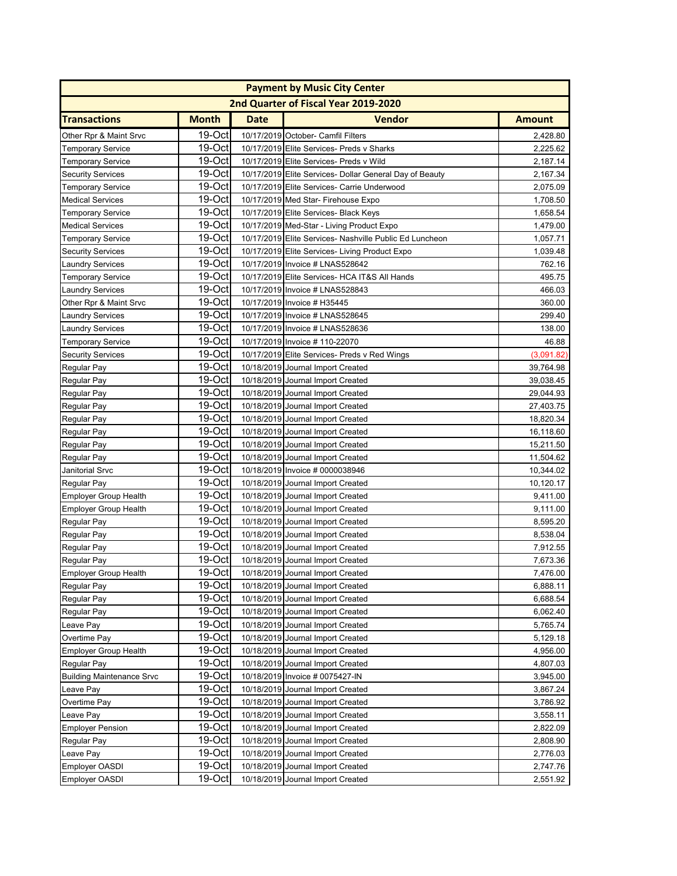| <b>Payment by Music City Center</b> |              |             |                                                         |               |
|-------------------------------------|--------------|-------------|---------------------------------------------------------|---------------|
|                                     |              |             | 2nd Quarter of Fiscal Year 2019-2020                    |               |
| <b>Transactions</b>                 | <b>Month</b> | <b>Date</b> | <b>Vendor</b>                                           | <b>Amount</b> |
| Other Rpr & Maint Srvc              | 19-Oct       |             | 10/17/2019 October- Camfil Filters                      | 2,428.80      |
| <b>Temporary Service</b>            | 19-Oct       |             | 10/17/2019 Elite Services- Preds v Sharks               | 2,225.62      |
| Temporary Service                   | 19-Oct       |             | 10/17/2019 Elite Services- Preds v Wild                 | 2,187.14      |
| <b>Security Services</b>            | 19-Oct       |             | 10/17/2019 Elite Services- Dollar General Day of Beauty | 2,167.34      |
| <b>Temporary Service</b>            | 19-Oct       |             | 10/17/2019 Elite Services- Carrie Underwood             | 2,075.09      |
| <b>Medical Services</b>             | 19-Oct       |             | 10/17/2019 Med Star- Firehouse Expo                     | 1,708.50      |
| <b>Temporary Service</b>            | 19-Oct       |             | 10/17/2019 Elite Services- Black Keys                   | 1,658.54      |
| <b>Medical Services</b>             | 19-Oct       |             | 10/17/2019 Med-Star - Living Product Expo               | 1,479.00      |
| <b>Temporary Service</b>            | 19-Oct       |             | 10/17/2019 Elite Services- Nashville Public Ed Luncheon | 1,057.71      |
| <b>Security Services</b>            | 19-Oct       |             | 10/17/2019 Elite Services- Living Product Expo          | 1,039.48      |
| <b>Laundry Services</b>             | 19-Oct       |             | 10/17/2019 Invoice # LNAS528642                         | 762.16        |
| <b>Temporary Service</b>            | 19-Oct       |             | 10/17/2019 Elite Services- HCA IT&S All Hands           | 495.75        |
| <b>Laundry Services</b>             | 19-Oct       |             | 10/17/2019 Invoice # LNAS528843                         | 466.03        |
| Other Rpr & Maint Srvc              | 19-Oct       |             | 10/17/2019 Invoice # H35445                             | 360.00        |
| <b>Laundry Services</b>             | 19-Oct       |             | 10/17/2019 Invoice # LNAS528645                         | 299.40        |
| <b>Laundry Services</b>             | 19-Oct       |             | 10/17/2019 Invoice # LNAS528636                         | 138.00        |
| <b>Temporary Service</b>            | 19-Oct       |             | 10/17/2019 Invoice # 110-22070                          | 46.88         |
| <b>Security Services</b>            | 19-Oct       |             | 10/17/2019 Elite Services- Preds v Red Wings            | (3,091.82)    |
| Regular Pay                         | 19-Oct       |             | 10/18/2019 Journal Import Created                       | 39,764.98     |
| Regular Pay                         | $19-Oct$     |             | 10/18/2019 Journal Import Created                       | 39,038.45     |
| Regular Pay                         | $19-Oct$     |             | 10/18/2019 Journal Import Created                       | 29,044.93     |
| Regular Pay                         | 19-Oct       |             | 10/18/2019 Journal Import Created                       | 27,403.75     |
| Regular Pay                         | 19-Oct       |             | 10/18/2019 Journal Import Created                       | 18,820.34     |
| Regular Pay                         | 19-Oct       |             | 10/18/2019 Journal Import Created                       | 16,118.60     |
| Regular Pay                         | 19-Oct       |             | 10/18/2019 Journal Import Created                       | 15,211.50     |
| Regular Pay                         | 19-Oct       |             | 10/18/2019 Journal Import Created                       | 11,504.62     |
| Janitorial Srvc                     | 19-Oct       |             | 10/18/2019 Invoice # 0000038946                         | 10,344.02     |
| Regular Pay                         | 19-Oct       |             | 10/18/2019 Journal Import Created                       | 10,120.17     |
| <b>Employer Group Health</b>        | 19-Oct       |             | 10/18/2019 Journal Import Created                       | 9,411.00      |
| <b>Employer Group Health</b>        | 19-Oct       |             | 10/18/2019 Journal Import Created                       | 9,111.00      |
| Regular Pay                         | 19-Oct       |             | 10/18/2019 Journal Import Created                       | 8,595.20      |
| Regular Pay                         | 19-Oct       |             | 10/18/2019 Journal Import Created                       | 8,538.04      |
| <b>Regular Pay</b>                  | 19-Oct       |             | 10/18/2019 Journal Import Created                       | 7,912.55      |
| <b>Regular Pay</b>                  | 19-Oct       |             | 10/18/2019 Journal Import Created                       | 7,673.36      |
| Employer Group Health               | $19$ -Octl   |             | 10/18/2019 Journal Import Created                       | 7,476.00      |
| Regular Pay                         | 19-Oct       |             | 10/18/2019 Journal Import Created                       | 6,888.11      |
| Regular Pay                         | 19-Oct       |             | 10/18/2019 Journal Import Created                       | 6,688.54      |
| Regular Pay                         | $19-Oct$     |             | 10/18/2019 Journal Import Created                       | 6,062.40      |
| Leave Pay                           | 19-Oct       |             | 10/18/2019 Journal Import Created                       | 5,765.74      |
| Overtime Pay                        | 19-Oct       |             | 10/18/2019 Journal Import Created                       | 5,129.18      |
| <b>Employer Group Health</b>        | 19-Oct       |             | 10/18/2019 Journal Import Created                       | 4,956.00      |
| Regular Pay                         | 19-Oct       |             | 10/18/2019 Journal Import Created                       | 4,807.03      |
| <b>Building Maintenance Srvc</b>    | 19-Oct       |             | 10/18/2019 Invoice # 0075427-IN                         | 3,945.00      |
| Leave Pay                           | 19-Oct       |             | 10/18/2019 Journal Import Created                       | 3,867.24      |
| Overtime Pay                        | 19-Oct       |             | 10/18/2019 Journal Import Created                       | 3,786.92      |
| Leave Pay                           | 19-Oct       |             | 10/18/2019 Journal Import Created                       | 3,558.11      |
| <b>Employer Pension</b>             | 19-Oct       |             | 10/18/2019 Journal Import Created                       | 2,822.09      |
| Regular Pay                         | 19-Oct       |             | 10/18/2019 Journal Import Created                       | 2,808.90      |
| Leave Pay                           | 19-Oct       |             | 10/18/2019 Journal Import Created                       | 2,776.03      |
| <b>Employer OASDI</b>               | 19-Oct       |             | 10/18/2019 Journal Import Created                       | 2,747.76      |
| <b>Employer OASDI</b>               | 19-Oct       |             | 10/18/2019 Journal Import Created                       | 2,551.92      |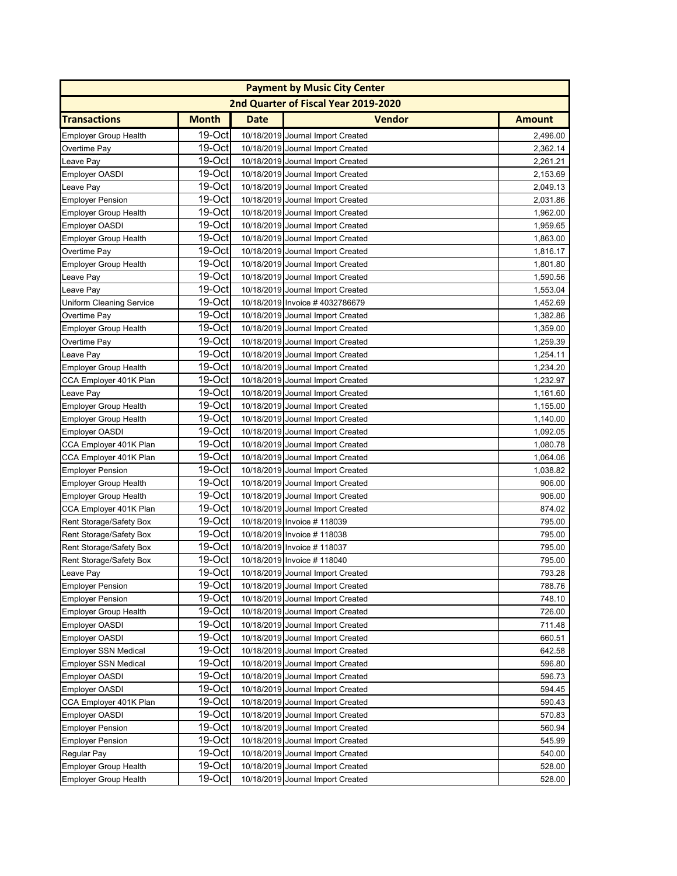| <b>Payment by Music City Center</b> |              |             |                                      |               |
|-------------------------------------|--------------|-------------|--------------------------------------|---------------|
|                                     |              |             | 2nd Quarter of Fiscal Year 2019-2020 |               |
| <b>Transactions</b>                 | <b>Month</b> | <b>Date</b> | <b>Vendor</b>                        | <b>Amount</b> |
| <b>Employer Group Health</b>        | 19-Oct       |             | 10/18/2019 Journal Import Created    | 2.496.00      |
| Overtime Pay                        | 19-Oct       |             | 10/18/2019 Journal Import Created    | 2,362.14      |
| Leave Pay                           | $19-Oct$     |             | 10/18/2019 Journal Import Created    | 2,261.21      |
| <b>Employer OASDI</b>               | 19-Oct       |             | 10/18/2019 Journal Import Created    | 2,153.69      |
| Leave Pay                           | $19-Oct$     |             | 10/18/2019 Journal Import Created    | 2,049.13      |
| <b>Employer Pension</b>             | 19-Oct       |             | 10/18/2019 Journal Import Created    | 2,031.86      |
| <b>Employer Group Health</b>        | 19-Oct       |             | 10/18/2019 Journal Import Created    | 1,962.00      |
| <b>Employer OASDI</b>               | 19-Oct       |             | 10/18/2019 Journal Import Created    | 1,959.65      |
| <b>Employer Group Health</b>        | 19-Oct       |             | 10/18/2019 Journal Import Created    | 1,863.00      |
| Overtime Pay                        | 19-Oct       |             | 10/18/2019 Journal Import Created    | 1,816.17      |
| <b>Employer Group Health</b>        | 19-Oct       |             | 10/18/2019 Journal Import Created    | 1,801.80      |
| Leave Pay                           | 19-Oct       |             | 10/18/2019 Journal Import Created    | 1,590.56      |
| Leave Pay                           | $19-Oct$     |             | 10/18/2019 Journal Import Created    | 1,553.04      |
| Uniform Cleaning Service            | 19-Oct       |             | 10/18/2019 Invoice #4032786679       | 1,452.69      |
| Overtime Pay                        | $19$ -Oct    |             | 10/18/2019 Journal Import Created    | 1,382.86      |
| <b>Employer Group Health</b>        | 19-Oct       |             | 10/18/2019 Journal Import Created    | 1,359.00      |
| Overtime Pay                        | 19-Oct       |             | 10/18/2019 Journal Import Created    | 1,259.39      |
| Leave Pay                           | $19-Oct$     |             | 10/18/2019 Journal Import Created    | 1,254.11      |
| <b>Employer Group Health</b>        | 19-Oct       |             | 10/18/2019 Journal Import Created    | 1,234.20      |
| CCA Employer 401K Plan              | $19-Oct$     |             | 10/18/2019 Journal Import Created    | 1,232.97      |
| Leave Pay                           | $19-Oct$     |             | 10/18/2019 Journal Import Created    | 1,161.60      |
| <b>Employer Group Health</b>        | $19-Oct$     |             | 10/18/2019 Journal Import Created    | 1,155.00      |
| <b>Employer Group Health</b>        | $19-Oct$     |             | 10/18/2019 Journal Import Created    | 1,140.00      |
| <b>Employer OASDI</b>               | 19-Oct       |             | 10/18/2019 Journal Import Created    | 1,092.05      |
| CCA Employer 401K Plan              | 19-Oct       |             | 10/18/2019 Journal Import Created    | 1,080.78      |
| CCA Employer 401K Plan              | 19-Oct       |             | 10/18/2019 Journal Import Created    | 1,064.06      |
| <b>Employer Pension</b>             | 19-Oct       |             | 10/18/2019 Journal Import Created    | 1,038.82      |
| <b>Employer Group Health</b>        | $19-Oct$     |             | 10/18/2019 Journal Import Created    | 906.00        |
| <b>Employer Group Health</b>        | $19-Oct$     |             | 10/18/2019 Journal Import Created    | 906.00        |
| CCA Employer 401K Plan              | $19-Oct$     |             | 10/18/2019 Journal Import Created    | 874.02        |
| Rent Storage/Safety Box             | $19$ -Oct    |             | 10/18/2019 Invoice #118039           | 795.00        |
| Rent Storage/Safety Box             | 19-Oct       |             | 10/18/2019 Invoice #118038           | 795.00        |
| Rent Storage/Safety Box             | $19-Oct$     |             | 10/18/2019 Invoice # 118037          | 795.00        |
| Rent Storage/Safety Box             | 19-Oct       |             | 10/18/2019 Invoice #118040           | 795.00        |
| Leave Pay                           | $19$ -Octl   |             | 10/18/2019 Journal Import Created    | 793.28        |
| <b>Employer Pension</b>             | 19-Oct       |             | 10/18/2019 Journal Import Created    | 788.76        |
| <b>Employer Pension</b>             | 19-Oct       |             | 10/18/2019 Journal Import Created    | 748.10        |
| <b>Employer Group Health</b>        | 19-Octl      |             | 10/18/2019 Journal Import Created    | 726.00        |
| <b>Employer OASDI</b>               | 19-Octl      |             | 10/18/2019 Journal Import Created    | 711.48        |
| <b>Employer OASDI</b>               | $19-Oct$     |             | 10/18/2019 Journal Import Created    | 660.51        |
| <b>Employer SSN Medical</b>         | 19-Oct       |             | 10/18/2019 Journal Import Created    | 642.58        |
| <b>Employer SSN Medical</b>         | 19-Oct       |             | 10/18/2019 Journal Import Created    | 596.80        |
| <b>Employer OASDI</b>               | 19-Oct       |             | 10/18/2019 Journal Import Created    | 596.73        |
| <b>Employer OASDI</b>               | 19-Oct       |             | 10/18/2019 Journal Import Created    | 594.45        |
| CCA Employer 401K Plan              | 19-Oct       |             | 10/18/2019 Journal Import Created    | 590.43        |
| <b>Employer OASDI</b>               | 19-Oct       |             | 10/18/2019 Journal Import Created    | 570.83        |
| <b>Employer Pension</b>             | $19-Oct$     |             | 10/18/2019 Journal Import Created    | 560.94        |
| <b>Employer Pension</b>             | 19-Oct       |             | 10/18/2019 Journal Import Created    | 545.99        |
| Regular Pay                         | 19-Oct       |             | 10/18/2019 Journal Import Created    | 540.00        |
| <b>Employer Group Health</b>        | 19-Oct       |             | 10/18/2019 Journal Import Created    | 528.00        |
| <b>Employer Group Health</b>        | 19-Oct       |             | 10/18/2019 Journal Import Created    | 528.00        |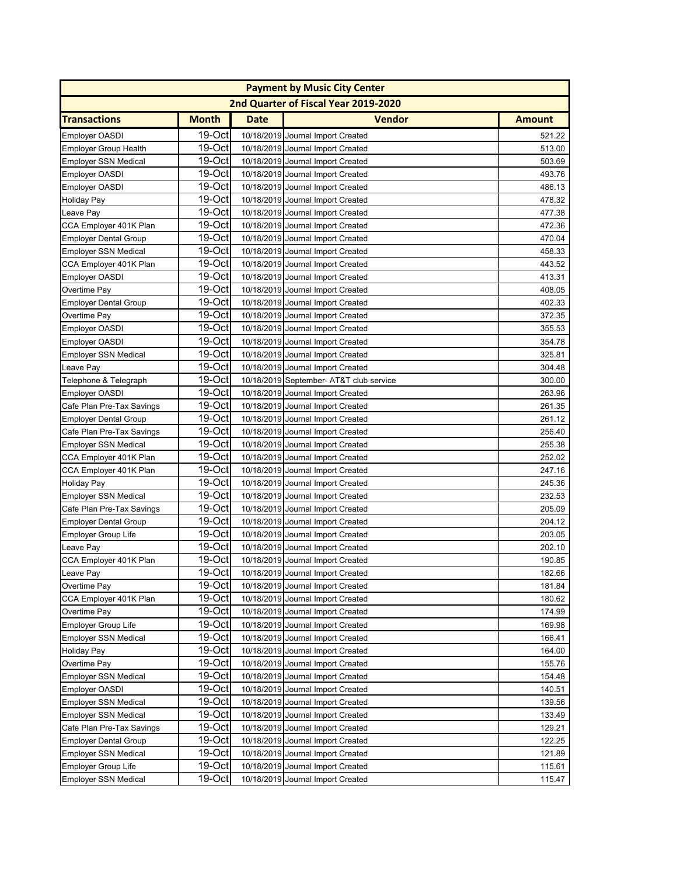| <b>Payment by Music City Center</b> |              |             |                                         |               |
|-------------------------------------|--------------|-------------|-----------------------------------------|---------------|
|                                     |              |             | 2nd Quarter of Fiscal Year 2019-2020    |               |
| <b>Transactions</b>                 | <b>Month</b> | <b>Date</b> | <b>Vendor</b>                           | <b>Amount</b> |
| <b>Employer OASDI</b>               | 19-Oct       |             | 10/18/2019 Journal Import Created       | 521.22        |
| <b>Employer Group Health</b>        | 19-Oct       |             | 10/18/2019 Journal Import Created       | 513.00        |
| <b>Employer SSN Medical</b>         | 19-Oct       |             | 10/18/2019 Journal Import Created       | 503.69        |
| <b>Employer OASDI</b>               | 19-Octl      |             | 10/18/2019 Journal Import Created       | 493.76        |
| <b>Employer OASDI</b>               | 19-Oct       |             | 10/18/2019 Journal Import Created       | 486.13        |
| <b>Holiday Pay</b>                  | 19-Oct       |             | 10/18/2019 Journal Import Created       | 478.32        |
| Leave Pay                           | 19-Oct       |             | 10/18/2019 Journal Import Created       | 477.38        |
| CCA Employer 401K Plan              | 19-Oct       |             | 10/18/2019 Journal Import Created       | 472.36        |
| <b>Employer Dental Group</b>        | 19-Oct       |             | 10/18/2019 Journal Import Created       | 470.04        |
| <b>Employer SSN Medical</b>         | 19-Oct       |             | 10/18/2019 Journal Import Created       | 458.33        |
| CCA Employer 401K Plan              | 19-Oct       |             | 10/18/2019 Journal Import Created       | 443.52        |
| <b>Employer OASDI</b>               | 19-Oct       |             | 10/18/2019 Journal Import Created       | 413.31        |
| Overtime Pay                        | 19-Oct       |             | 10/18/2019 Journal Import Created       | 408.05        |
| <b>Employer Dental Group</b>        | 19-Oct       |             | 10/18/2019 Journal Import Created       | 402.33        |
| Overtime Pay                        | 19-Oct       |             | 10/18/2019 Journal Import Created       | 372.35        |
| <b>Employer OASDI</b>               | 19-Oct       |             | 10/18/2019 Journal Import Created       | 355.53        |
| <b>Employer OASDI</b>               | 19-Oct       |             | 10/18/2019 Journal Import Created       | 354.78        |
| <b>Employer SSN Medical</b>         | 19-Oct       |             | 10/18/2019 Journal Import Created       | 325.81        |
| Leave Pay                           | $19-Oct$     |             | 10/18/2019 Journal Import Created       | 304.48        |
| Telephone & Telegraph               | 19-Oct       |             | 10/18/2019 September- AT&T club service | 300.00        |
| <b>Employer OASDI</b>               | 19-Oct       |             | 10/18/2019 Journal Import Created       | 263.96        |
| Cafe Plan Pre-Tax Savings           | $19-Oct$     |             | 10/18/2019 Journal Import Created       | 261.35        |
| <b>Employer Dental Group</b>        | 19-Oct       |             | 10/18/2019 Journal Import Created       | 261.12        |
| Cafe Plan Pre-Tax Savings           | 19-Oct       |             | 10/18/2019 Journal Import Created       | 256.40        |
| <b>Employer SSN Medical</b>         | 19-Oct       |             | 10/18/2019 Journal Import Created       | 255.38        |
| CCA Employer 401K Plan              | 19-Oct       |             | 10/18/2019 Journal Import Created       | 252.02        |
| CCA Employer 401K Plan              | 19-Oct       |             | 10/18/2019 Journal Import Created       | 247.16        |
| <b>Holiday Pay</b>                  | 19-Oct       |             | 10/18/2019 Journal Import Created       | 245.36        |
| <b>Employer SSN Medical</b>         | 19-Oct       |             | 10/18/2019 Journal Import Created       | 232.53        |
| Cafe Plan Pre-Tax Savings           | 19-Oct       |             | 10/18/2019 Journal Import Created       | 205.09        |
| <b>Employer Dental Group</b>        | 19-Oct       |             | 10/18/2019 Journal Import Created       | 204.12        |
| <b>Employer Group Life</b>          | 19-Oct       |             | 10/18/2019 Journal Import Created       | 203.05        |
| Leave Pay                           | $19-Oct$     |             | 10/18/2019 Journal Import Created       | 202.10        |
| CCA Employer 401K Plan              | 19-Oct       |             | 10/18/2019 Journal Import Created       | 190.85        |
| Leave Pay                           | 19-Oct       |             | 10/18/2019 Journal Import Created       | 182.66        |
| Overtime Pay                        | 19-Oct       |             | 10/18/2019 Journal Import Created       | 181.84        |
| CCA Employer 401K Plan              | 19-Oct       |             | 10/18/2019 Journal Import Created       | 180.62        |
| Overtime Pay                        | $19-Oct$     |             | 10/18/2019 Journal Import Created       | 174.99        |
| <b>Employer Group Life</b>          | 19-Octl      |             | 10/18/2019 Journal Import Created       | 169.98        |
| <b>Employer SSN Medical</b>         | 19-Oct       |             | 10/18/2019 Journal Import Created       | 166.41        |
| Holiday Pay                         | 19-Oct       |             | 10/18/2019 Journal Import Created       | 164.00        |
| Overtime Pay                        | 19-Oct       |             | 10/18/2019 Journal Import Created       | 155.76        |
| <b>Employer SSN Medical</b>         | 19-Oct       |             | 10/18/2019 Journal Import Created       | 154.48        |
| <b>Employer OASDI</b>               | 19-Oct       |             | 10/18/2019 Journal Import Created       | 140.51        |
| <b>Employer SSN Medical</b>         | 19-Oct       |             | 10/18/2019 Journal Import Created       | 139.56        |
| <b>Employer SSN Medical</b>         | 19-Oct       |             | 10/18/2019 Journal Import Created       | 133.49        |
| Cafe Plan Pre-Tax Savings           | 19-Oct       |             | 10/18/2019 Journal Import Created       | 129.21        |
| <b>Employer Dental Group</b>        | $19-Oct$     |             | 10/18/2019 Journal Import Created       | 122.25        |
| <b>Employer SSN Medical</b>         | 19-Oct       |             | 10/18/2019 Journal Import Created       | 121.89        |
| <b>Employer Group Life</b>          | 19-Oct       |             | 10/18/2019 Journal Import Created       | 115.61        |
| <b>Employer SSN Medical</b>         | 19-Oct       |             | 10/18/2019 Journal Import Created       | 115.47        |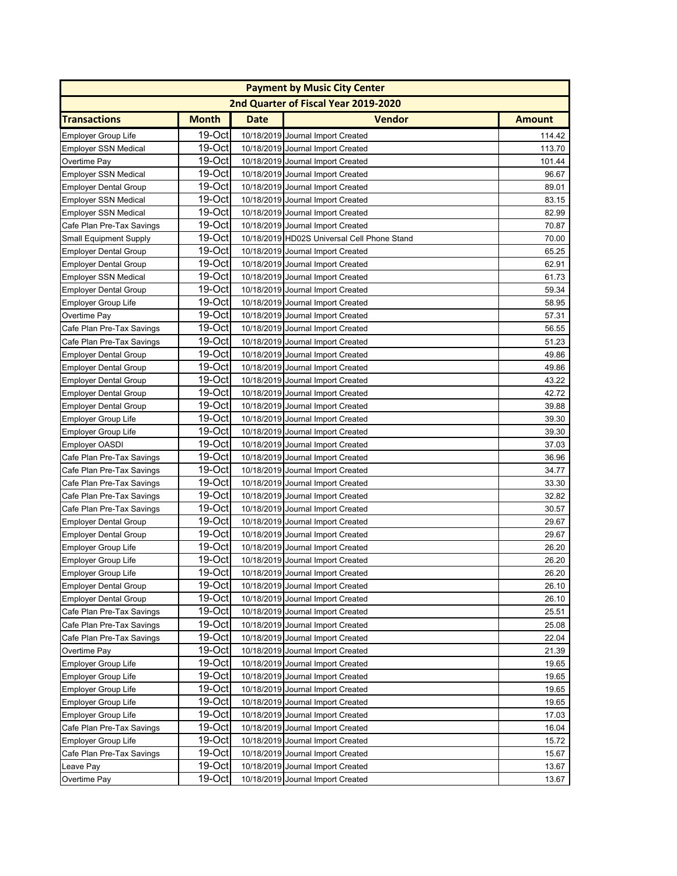| <b>Payment by Music City Center</b> |              |             |                                             |               |
|-------------------------------------|--------------|-------------|---------------------------------------------|---------------|
|                                     |              |             | 2nd Quarter of Fiscal Year 2019-2020        |               |
| <b>Transactions</b>                 | <b>Month</b> | <b>Date</b> | <b>Vendor</b>                               | <b>Amount</b> |
| <b>Employer Group Life</b>          | 19-Oct       |             | 10/18/2019 Journal Import Created           | 114.42        |
| <b>Employer SSN Medical</b>         | 19-Oct       |             | 10/18/2019 Journal Import Created           | 113.70        |
| Overtime Pay                        | 19-Oct       |             | 10/18/2019 Journal Import Created           | 101.44        |
| <b>Employer SSN Medical</b>         | 19-Oct       |             | 10/18/2019 Journal Import Created           | 96.67         |
| <b>Employer Dental Group</b>        | 19-Oct       |             | 10/18/2019 Journal Import Created           | 89.01         |
| <b>Employer SSN Medical</b>         | 19-Oct       |             | 10/18/2019 Journal Import Created           | 83.15         |
| <b>Employer SSN Medical</b>         | 19-Oct       |             | 10/18/2019 Journal Import Created           | 82.99         |
| Cafe Plan Pre-Tax Savings           | 19-Oct       |             | 10/18/2019 Journal Import Created           | 70.87         |
| Small Equipment Supply              | 19-Oct       |             | 10/18/2019 HD02S Universal Cell Phone Stand | 70.00         |
| <b>Employer Dental Group</b>        | 19-Oct       |             | 10/18/2019 Journal Import Created           | 65.25         |
| <b>Employer Dental Group</b>        | 19-Oct       |             | 10/18/2019 Journal Import Created           | 62.91         |
| <b>Employer SSN Medical</b>         | 19-Oct       |             | 10/18/2019 Journal Import Created           | 61.73         |
| <b>Employer Dental Group</b>        | 19-Oct       |             | 10/18/2019 Journal Import Created           | 59.34         |
| <b>Employer Group Life</b>          | 19-Oct       |             | 10/18/2019 Journal Import Created           | 58.95         |
| Overtime Pay                        | 19-Oct       |             | 10/18/2019 Journal Import Created           | 57.31         |
| Cafe Plan Pre-Tax Savings           | 19-Oct       |             | 10/18/2019 Journal Import Created           | 56.55         |
| Cafe Plan Pre-Tax Savings           | 19-Oct       |             | 10/18/2019 Journal Import Created           | 51.23         |
| <b>Employer Dental Group</b>        | 19-Oct       |             | 10/18/2019 Journal Import Created           | 49.86         |
| <b>Employer Dental Group</b>        | 19-Oct       |             | 10/18/2019 Journal Import Created           | 49.86         |
| <b>Employer Dental Group</b>        | 19-Oct       |             | 10/18/2019 Journal Import Created           | 43.22         |
| <b>Employer Dental Group</b>        | 19-Oct       |             | 10/18/2019 Journal Import Created           | 42.72         |
| <b>Employer Dental Group</b>        | 19-Oct       |             | 10/18/2019 Journal Import Created           | 39.88         |
| <b>Employer Group Life</b>          | 19-Oct       |             | 10/18/2019 Journal Import Created           | 39.30         |
| <b>Employer Group Life</b>          | 19-Oct       |             | 10/18/2019 Journal Import Created           | 39.30         |
| Employer OASDI                      | 19-Oct       |             | 10/18/2019 Journal Import Created           | 37.03         |
| Cafe Plan Pre-Tax Savings           | 19-Oct       |             | 10/18/2019 Journal Import Created           | 36.96         |
| Cafe Plan Pre-Tax Savings           | 19-Oct       |             | 10/18/2019 Journal Import Created           | 34.77         |
| Cafe Plan Pre-Tax Savings           | 19-Oct       |             | 10/18/2019 Journal Import Created           | 33.30         |
| Cafe Plan Pre-Tax Savings           | 19-Oct       |             | 10/18/2019 Journal Import Created           | 32.82         |
| Cafe Plan Pre-Tax Savings           | 19-Oct       |             | 10/18/2019 Journal Import Created           | 30.57         |
| <b>Employer Dental Group</b>        | 19-Oct       |             | 10/18/2019 Journal Import Created           | 29.67         |
| <b>Employer Dental Group</b>        | 19-Oct       |             | 10/18/2019 Journal Import Created           | 29.67         |
| <b>Employer Group Life</b>          | 19-Oct       |             | 10/18/2019 Journal Import Created           | 26.20         |
| <b>Employer Group Life</b>          | 19-Oct       |             | 10/18/2019 Journal Import Created           | 26.20         |
| Employer Group Life                 | $19$ -Oct    |             | 10/18/2019 Journal Import Created           | 26.20         |
| <b>Employer Dental Group</b>        | 19-Oct       |             | 10/18/2019 Journal Import Created           | 26.10         |
| <b>Employer Dental Group</b>        | 19-Oct       |             | 10/18/2019 Journal Import Created           | 26.10         |
| Cafe Plan Pre-Tax Savings           | 19-Octl      |             | 10/18/2019 Journal Import Created           | 25.51         |
| Cafe Plan Pre-Tax Savings           | 19-Octl      |             | 10/18/2019 Journal Import Created           | 25.08         |
| Cafe Plan Pre-Tax Savings           | 19-Oct       |             | 10/18/2019 Journal Import Created           | 22.04         |
| Overtime Pay                        | 19-Oct       |             | 10/18/2019 Journal Import Created           | 21.39         |
| Employer Group Life                 | 19-Oct       |             | 10/18/2019 Journal Import Created           | 19.65         |
| Employer Group Life                 | $19-Oct$     |             | 10/18/2019 Journal Import Created           | 19.65         |
| Employer Group Life                 | 19-Oct       |             | 10/18/2019 Journal Import Created           | 19.65         |
| <b>Employer Group Life</b>          | 19-Oct       |             | 10/18/2019 Journal Import Created           | 19.65         |
| Employer Group Life                 | 19-Oct       |             | 10/18/2019 Journal Import Created           | 17.03         |
| Cafe Plan Pre-Tax Savings           | 19-Oct       |             | 10/18/2019 Journal Import Created           | 16.04         |
| Employer Group Life                 | 19-Oct       |             | 10/18/2019 Journal Import Created           | 15.72         |
| Cafe Plan Pre-Tax Savings           | 19-Oct       |             | 10/18/2019 Journal Import Created           | 15.67         |
| Leave Pay                           | 19-Oct       |             | 10/18/2019 Journal Import Created           | 13.67         |
| Overtime Pay                        | 19-Oct       |             | 10/18/2019 Journal Import Created           | 13.67         |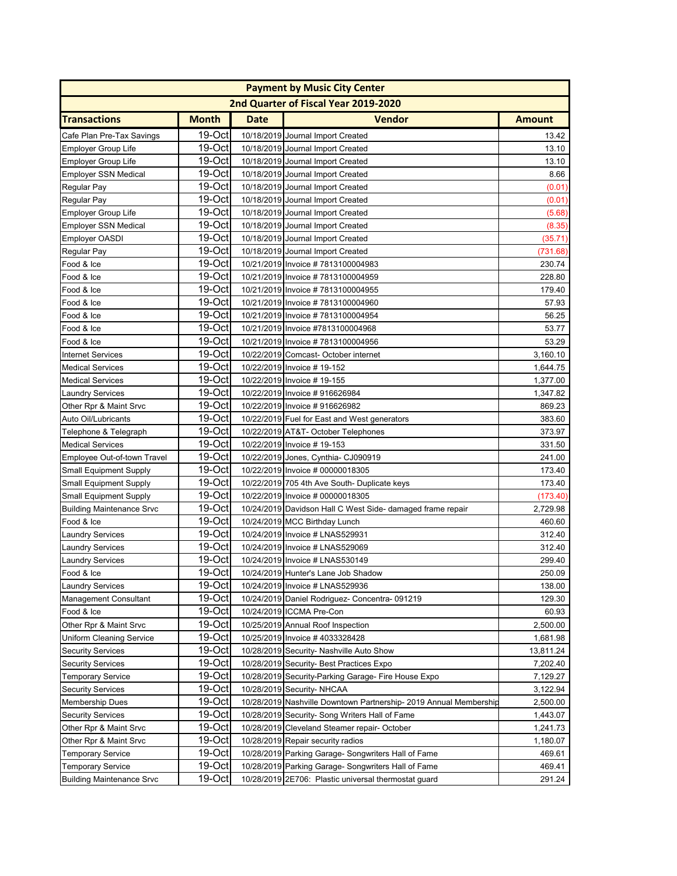| <b>Payment by Music City Center</b> |              |             |                                                                   |               |
|-------------------------------------|--------------|-------------|-------------------------------------------------------------------|---------------|
|                                     |              |             | 2nd Quarter of Fiscal Year 2019-2020                              |               |
| <b>Transactions</b>                 | <b>Month</b> | <b>Date</b> | <b>Vendor</b>                                                     | <b>Amount</b> |
| Cafe Plan Pre-Tax Savings           | 19-Oct       |             | 10/18/2019 Journal Import Created                                 | 13.42         |
| <b>Employer Group Life</b>          | 19-Oct       |             | 10/18/2019 Journal Import Created                                 | 13.10         |
| <b>Employer Group Life</b>          | 19-Oct       |             | 10/18/2019 Journal Import Created                                 | 13.10         |
| <b>Employer SSN Medical</b>         | 19-Octl      |             | 10/18/2019 Journal Import Created                                 | 8.66          |
| Regular Pay                         | 19-Oct       |             | 10/18/2019 Journal Import Created                                 | (0.01)        |
| Regular Pay                         | 19-Oct       |             | 10/18/2019 Journal Import Created                                 | (0.01)        |
| <b>Employer Group Life</b>          | 19-Oct       |             | 10/18/2019 Journal Import Created                                 | (5.68)        |
| <b>Employer SSN Medical</b>         | 19-Oct       |             | 10/18/2019 Journal Import Created                                 | (8.35)        |
| <b>Employer OASDI</b>               | 19-Oct       |             | 10/18/2019 Journal Import Created                                 | (35.71)       |
| Regular Pay                         | 19-Oct       |             | 10/18/2019 Journal Import Created                                 | (731.68)      |
| Food & Ice                          | 19-Oct       |             | 10/21/2019 Invoice #7813100004983                                 | 230.74        |
| Food & Ice                          | 19-Oct       |             | 10/21/2019 Invoice #7813100004959                                 | 228.80        |
| Food & Ice                          | 19-Oct       |             | 10/21/2019 Invoice #7813100004955                                 | 179.40        |
| Food & Ice                          | 19-Oct       |             | 10/21/2019 Invoice #7813100004960                                 | 57.93         |
| Food & Ice                          | 19-Oct       |             | 10/21/2019 Invoice #7813100004954                                 | 56.25         |
| Food & Ice                          | 19-Oct       |             | 10/21/2019 Invoice #7813100004968                                 | 53.77         |
| Food & Ice                          | 19-Oct       |             | 10/21/2019 Invoice #7813100004956                                 | 53.29         |
| <b>Internet Services</b>            | 19-Oct       |             | 10/22/2019 Comcast- October internet                              | 3,160.10      |
| <b>Medical Services</b>             | $19-Oct$     |             | 10/22/2019 Invoice #19-152                                        | 1,644.75      |
| <b>Medical Services</b>             | $19-Oct$     |             | 10/22/2019 Invoice #19-155                                        | 1,377.00      |
| Laundry Services                    | $19-Oct$     |             | 10/22/2019 Invoice #916626984                                     | 1,347.82      |
| Other Rpr & Maint Srvc              | 19-Oct       |             | 10/22/2019 Invoice #916626982                                     | 869.23        |
| Auto Oil/Lubricants                 | 19-Oct       |             | 10/22/2019 Fuel for East and West generators                      | 383.60        |
| Telephone & Telegraph               | 19-Oct       |             | 10/22/2019 AT&T- October Telephones                               | 373.97        |
| <b>Medical Services</b>             | 19-Oct       |             | 10/22/2019 Invoice # 19-153                                       | 331.50        |
| Employee Out-of-town Travel         | 19-Oct       |             | 10/22/2019 Jones, Cynthia- CJ090919                               | 241.00        |
| <b>Small Equipment Supply</b>       | 19-Oct       |             | 10/22/2019 Invoice # 00000018305                                  | 173.40        |
| <b>Small Equipment Supply</b>       | 19-Oct       |             | 10/22/2019 705 4th Ave South- Duplicate keys                      | 173.40        |
| <b>Small Equipment Supply</b>       | 19-Oct       |             | 10/22/2019 Invoice # 00000018305                                  | (173.40)      |
| <b>Building Maintenance Srvc</b>    | 19-Oct       |             | 10/24/2019 Davidson Hall C West Side- damaged frame repair        | 2,729.98      |
| Food & Ice                          | 19-Oct       |             | 10/24/2019 MCC Birthday Lunch                                     | 460.60        |
| <b>Laundry Services</b>             | 19-Oct       |             | 10/24/2019 Invoice # LNAS529931                                   | 312.40        |
| <b>Laundry Services</b>             | 19-Oct       |             | 10/24/2019 Invoice # LNAS529069                                   | 312.40        |
| <b>Laundry Services</b>             | 19-Oct       |             | 10/24/2019 Invoice # LNAS530149                                   | 299.40        |
| Food & Ice                          | $19$ -Octl   |             | 10/24/2019 Hunter's Lane Job Shadow                               | 250.09        |
| <b>Laundry Services</b>             | 19-Oct       |             | 10/24/2019 Invoice # LNAS529936                                   | 138.00        |
| <b>Management Consultant</b>        | 19-Oct       |             | 10/24/2019 Daniel Rodriguez- Concentra- 091219                    | 129.30        |
| Food & Ice                          | $19-Oct$     |             | 10/24/2019 ICCMA Pre-Con                                          | 60.93         |
| Other Rpr & Maint Srvc              | 19-Oct       |             | 10/25/2019 Annual Roof Inspection                                 | 2,500.00      |
| Uniform Cleaning Service            | 19-Oct       |             | 10/25/2019 Invoice #4033328428                                    | 1,681.98      |
| <b>Security Services</b>            | 19-Oct       |             | 10/28/2019 Security- Nashville Auto Show                          | 13,811.24     |
| <b>Security Services</b>            | 19-Oct       |             | 10/28/2019 Security- Best Practices Expo                          | 7,202.40      |
| <b>Temporary Service</b>            | 19-Oct       |             | 10/28/2019 Security-Parking Garage- Fire House Expo               | 7,129.27      |
| <b>Security Services</b>            | 19-Oct       |             | 10/28/2019 Security- NHCAA                                        | 3,122.94      |
| <b>Membership Dues</b>              | 19-Oct       |             | 10/28/2019 Nashville Downtown Partnership- 2019 Annual Membership | 2,500.00      |
| <b>Security Services</b>            | 19-Oct       |             | 10/28/2019 Security- Song Writers Hall of Fame                    | 1,443.07      |
| Other Rpr & Maint Srvc              | 19-Oct       |             | 10/28/2019 Cleveland Steamer repair- October                      | 1,241.73      |
| Other Rpr & Maint Srvc              | 19-Oct       |             | 10/28/2019 Repair security radios                                 | 1,180.07      |
| <b>Temporary Service</b>            | 19-Oct       |             | 10/28/2019 Parking Garage- Songwriters Hall of Fame               | 469.61        |
| <b>Temporary Service</b>            | 19-Oct       |             | 10/28/2019 Parking Garage- Songwriters Hall of Fame               | 469.41        |
| <b>Building Maintenance Srvc</b>    | 19-Oct       |             | 10/28/2019 2E706: Plastic universal thermostat guard              | 291.24        |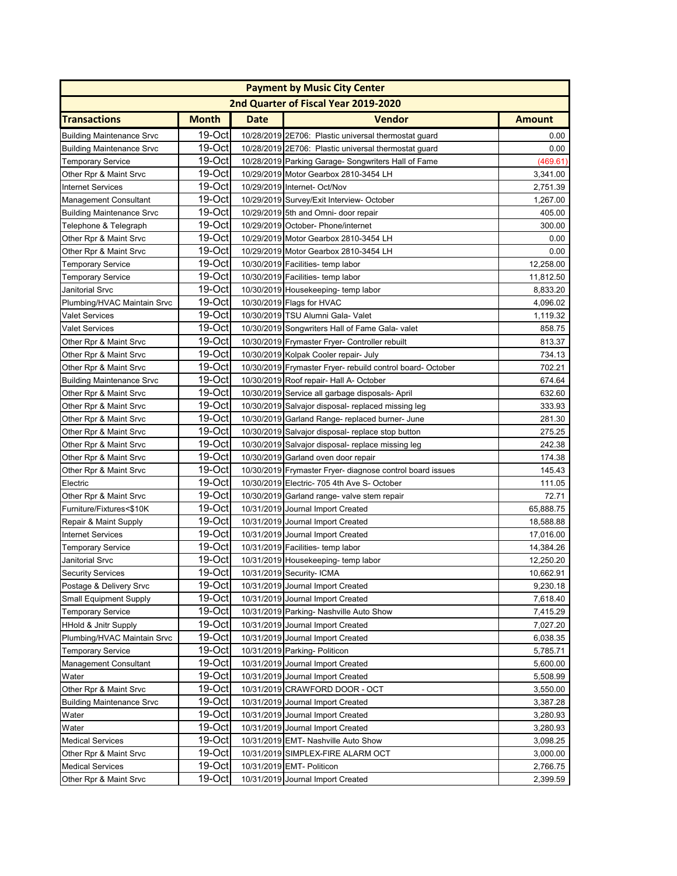| <b>Payment by Music City Center</b> |              |             |                                                            |               |  |  |
|-------------------------------------|--------------|-------------|------------------------------------------------------------|---------------|--|--|
|                                     |              |             | 2nd Quarter of Fiscal Year 2019-2020                       |               |  |  |
| <b>Transactions</b>                 | <b>Month</b> | <b>Date</b> | Vendor                                                     | <b>Amount</b> |  |  |
| <b>Building Maintenance Srvc</b>    | 19-Oct       |             | 10/28/2019 2E706: Plastic universal thermostat guard       | 0.00          |  |  |
| <b>Building Maintenance Srvc</b>    | 19-Oct       |             | 10/28/2019 2E706: Plastic universal thermostat guard       | 0.00          |  |  |
| <b>Temporary Service</b>            | 19-Oct       |             | 10/28/2019 Parking Garage- Songwriters Hall of Fame        | (469.61)      |  |  |
| Other Rpr & Maint Srvc              | 19-Oct       |             | 10/29/2019 Motor Gearbox 2810-3454 LH                      | 3,341.00      |  |  |
| <b>Internet Services</b>            | 19-Oct       |             | 10/29/2019 Internet- Oct/Nov                               | 2,751.39      |  |  |
| Management Consultant               | 19-Oct       |             | 10/29/2019 Survey/Exit Interview- October                  | 1,267.00      |  |  |
| <b>Building Maintenance Srvc</b>    | 19-Oct       |             | 10/29/2019 5th and Omni- door repair                       | 405.00        |  |  |
| Telephone & Telegraph               | 19-Oct       |             | 10/29/2019 October- Phone/internet                         | 300.00        |  |  |
| Other Rpr & Maint Srvc              | 19-Oct       |             | 10/29/2019 Motor Gearbox 2810-3454 LH                      | 0.00          |  |  |
| Other Rpr & Maint Srvc              | 19-Oct       |             | 10/29/2019 Motor Gearbox 2810-3454 LH                      | 0.00          |  |  |
| Temporary Service                   | 19-Oct       |             | 10/30/2019 Facilities- temp labor                          | 12,258.00     |  |  |
| Temporary Service                   | 19-Oct       |             | 10/30/2019 Facilities- temp labor                          | 11,812.50     |  |  |
| Janitorial Srvc                     | 19-Oct       |             | 10/30/2019 Housekeeping- temp labor                        | 8,833.20      |  |  |
| Plumbing/HVAC Maintain Srvc         | 19-Oct       |             | 10/30/2019 Flags for HVAC                                  | 4,096.02      |  |  |
| Valet Services                      | 19-Oct       |             | 10/30/2019 TSU Alumni Gala- Valet                          | 1,119.32      |  |  |
| <b>Valet Services</b>               | 19-Oct       |             | 10/30/2019 Songwriters Hall of Fame Gala- valet            | 858.75        |  |  |
| Other Rpr & Maint Srvc              | 19-Oct       |             | 10/30/2019 Frymaster Fryer- Controller rebuilt             | 813.37        |  |  |
| Other Rpr & Maint Srvc              | 19-Oct       |             | 10/30/2019 Kolpak Cooler repair- July                      | 734.13        |  |  |
| Other Rpr & Maint Srvc              | 19-Oct       |             | 10/30/2019 Frymaster Fryer- rebuild control board- October | 702.21        |  |  |
| <b>Building Maintenance Srvc</b>    | 19-Oct       |             | 10/30/2019 Roof repair- Hall A- October                    | 674.64        |  |  |
| Other Rpr & Maint Srvc              | $19-Oct$     |             | 10/30/2019 Service all garbage disposals-April             | 632.60        |  |  |
| Other Rpr & Maint Srvc              | $19-Oct$     |             | 10/30/2019 Salvajor disposal- replaced missing leg         | 333.93        |  |  |
| Other Rpr & Maint Srvc              | 19-Oct       |             | 10/30/2019 Garland Range- replaced burner- June            | 281.30        |  |  |
| Other Rpr & Maint Srvc              | 19-Oct       |             | 10/30/2019 Salvajor disposal- replace stop button          | 275.25        |  |  |
| Other Rpr & Maint Srvc              | 19-Oct       |             | 10/30/2019 Salvajor disposal- replace missing leg          | 242.38        |  |  |
| Other Rpr & Maint Srvc              | 19-Oct       |             | 10/30/2019 Garland oven door repair                        | 174.38        |  |  |
| Other Rpr & Maint Srvc              | 19-Oct       |             | 10/30/2019 Frymaster Fryer- diagnose control board issues  | 145.43        |  |  |
| Electric                            | 19-Oct       |             | 10/30/2019 Electric- 705 4th Ave S- October                | 111.05        |  |  |
| Other Rpr & Maint Srvc              | 19-Oct       |             | 10/30/2019 Garland range- valve stem repair                | 72.71         |  |  |
| Furniture/Fixtures<\$10K            | 19-Oct       |             | 10/31/2019 Journal Import Created                          | 65,888.75     |  |  |
| Repair & Maint Supply               | 19-Oct       |             | 10/31/2019 Journal Import Created                          | 18,588.88     |  |  |
| <b>Internet Services</b>            | 19-Oct       |             | 10/31/2019 Journal Import Created                          | 17,016.00     |  |  |
| <b>Temporary Service</b>            | 19-Oct       |             | 10/31/2019 Facilities- temp labor                          | 14,384.26     |  |  |
| Janitorial Srvc                     | 19-Oct       |             | 10/31/2019 Housekeeping- temp labor                        | 12,250.20     |  |  |
| <b>Security Services</b>            | 19-Oct       |             | 10/31/2019 Security- ICMA                                  | 10,662.91     |  |  |
| Postage & Delivery Srvc             | $19-Oct$     |             | 10/31/2019 Journal Import Created                          | 9,230.18      |  |  |
| <b>Small Equipment Supply</b>       | $19$ -Oct    |             | 10/31/2019 Journal Import Created                          | 7,618.40      |  |  |
| <b>Temporary Service</b>            | $19-Oct$     |             | 10/31/2019 Parking- Nashville Auto Show                    | 7,415.29      |  |  |
| <b>HHold &amp; Jnitr Supply</b>     | $19-Oct$     |             | 10/31/2019 Journal Import Created                          | 7,027.20      |  |  |
| Plumbing/HVAC Maintain Srvc         | 19-Octl      |             | 10/31/2019 Journal Import Created                          | 6,038.35      |  |  |
| <b>Temporary Service</b>            | $19-Oct$     |             | 10/31/2019 Parking- Politicon                              | 5,785.71      |  |  |
| <b>Management Consultant</b>        | 19-Oct       |             | 10/31/2019 Journal Import Created                          | 5,600.00      |  |  |
| Water                               | $19-Oct$     |             | 10/31/2019 Journal Import Created                          | 5,508.99      |  |  |
| Other Rpr & Maint Srvc              | 19-Oct       |             | 10/31/2019 CRAWFORD DOOR - OCT                             | 3,550.00      |  |  |
| <b>Building Maintenance Srvc</b>    | 19-Oct       |             | 10/31/2019 Journal Import Created                          | 3,387.28      |  |  |
| Water                               | 19-Oct       |             | 10/31/2019 Journal Import Created                          | 3,280.93      |  |  |
| Water                               | 19-Oct       |             | 10/31/2019 Journal Import Created                          | 3,280.93      |  |  |
| <b>Medical Services</b>             | $19-Oct$     |             | 10/31/2019 EMT- Nashville Auto Show                        | 3,098.25      |  |  |
| Other Rpr & Maint Srvc              | 19-Oct       |             | 10/31/2019 SIMPLEX-FIRE ALARM OCT                          | 3,000.00      |  |  |
| <b>Medical Services</b>             | 19-Oct       |             | 10/31/2019 EMT- Politicon                                  | 2,766.75      |  |  |
| Other Rpr & Maint Srvc              | 19-Oct       |             | 10/31/2019 Journal Import Created                          | 2,399.59      |  |  |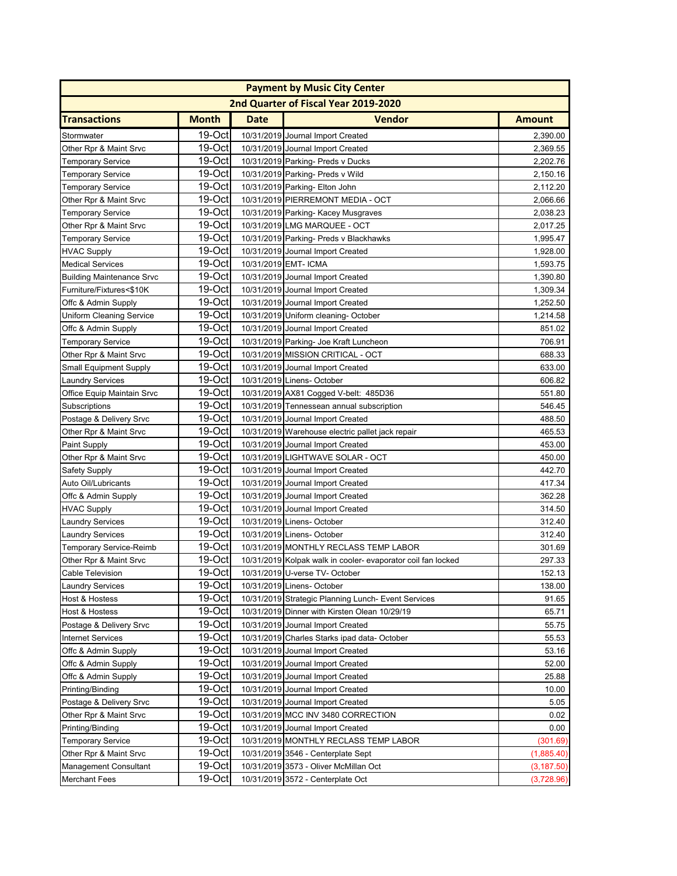| <b>Payment by Music City Center</b> |              |             |                                                              |               |  |  |
|-------------------------------------|--------------|-------------|--------------------------------------------------------------|---------------|--|--|
|                                     |              |             | 2nd Quarter of Fiscal Year 2019-2020                         |               |  |  |
| <b>Transactions</b>                 | <b>Month</b> | <b>Date</b> | Vendor                                                       | <b>Amount</b> |  |  |
| Stormwater                          | 19-Oct       |             | 10/31/2019 Journal Import Created                            | 2,390.00      |  |  |
| Other Rpr & Maint Srvc              | 19-Oct       |             | 10/31/2019 Journal Import Created                            | 2,369.55      |  |  |
| <b>Temporary Service</b>            | 19-Oct       |             | 10/31/2019 Parking- Preds v Ducks                            | 2,202.76      |  |  |
| Temporary Service                   | 19-Oct       |             | 10/31/2019 Parking- Preds v Wild                             | 2,150.16      |  |  |
| <b>Temporary Service</b>            | 19-Oct       |             | 10/31/2019 Parking- Elton John                               | 2,112.20      |  |  |
| Other Rpr & Maint Srvc              | 19-Oct       |             | 10/31/2019 PIERREMONT MEDIA - OCT                            | 2,066.66      |  |  |
| <b>Temporary Service</b>            | 19-Oct       |             | 10/31/2019 Parking- Kacey Musgraves                          | 2,038.23      |  |  |
| Other Rpr & Maint Srvc              | 19-Oct       |             | 10/31/2019 LMG MARQUEE - OCT                                 | 2,017.25      |  |  |
| Temporary Service                   | 19-Oct       |             | 10/31/2019 Parking- Preds v Blackhawks                       | 1,995.47      |  |  |
| <b>HVAC Supply</b>                  | 19-Oct       |             | 10/31/2019 Journal Import Created                            | 1,928.00      |  |  |
| <b>Medical Services</b>             | 19-Oct       |             | 10/31/2019 EMT- ICMA                                         | 1,593.75      |  |  |
| <b>Building Maintenance Srvc</b>    | 19-Oct       |             | 10/31/2019 Journal Import Created                            | 1,390.80      |  |  |
| Furniture/Fixtures<\$10K            | 19-Oct       |             | 10/31/2019 Journal Import Created                            | 1,309.34      |  |  |
| Offc & Admin Supply                 | 19-Oct       |             | 10/31/2019 Journal Import Created                            | 1,252.50      |  |  |
| Uniform Cleaning Service            | 19-Oct       |             | 10/31/2019 Uniform cleaning- October                         | 1,214.58      |  |  |
| Offc & Admin Supply                 | 19-Oct       |             | 10/31/2019 Journal Import Created                            | 851.02        |  |  |
| <b>Temporary Service</b>            | 19-Oct       |             | 10/31/2019 Parking- Joe Kraft Luncheon                       | 706.91        |  |  |
| Other Rpr & Maint Srvc              | 19-Oct       |             | 10/31/2019 MISSION CRITICAL - OCT                            | 688.33        |  |  |
| <b>Small Equipment Supply</b>       | 19-Oct       |             | 10/31/2019 Journal Import Created                            | 633.00        |  |  |
| <b>Laundry Services</b>             | 19-Oct       |             | 10/31/2019 Linens- October                                   | 606.82        |  |  |
| Office Equip Maintain Srvc          | $19-Oct$     |             | 10/31/2019 AX81 Cogged V-belt: 485D36                        | 551.80        |  |  |
| Subscriptions                       | $19-Oct$     |             | 10/31/2019 Tennessean annual subscription                    | 546.45        |  |  |
| Postage & Delivery Srvc             | 19-Oct       |             | 10/31/2019 Journal Import Created                            | 488.50        |  |  |
| Other Rpr & Maint Srvc              | 19-Oct       |             | 10/31/2019 Warehouse electric pallet jack repair             | 465.53        |  |  |
| <b>Paint Supply</b>                 | 19-Oct       |             | 10/31/2019 Journal Import Created                            | 453.00        |  |  |
| Other Rpr & Maint Srvc              | 19-Oct       |             | 10/31/2019 LIGHTWAVE SOLAR - OCT                             | 450.00        |  |  |
| Safety Supply                       | 19-Oct       |             | 10/31/2019 Journal Import Created                            | 442.70        |  |  |
| Auto Oil/Lubricants                 | 19-Oct       |             | 10/31/2019 Journal Import Created                            | 417.34        |  |  |
| Offc & Admin Supply                 | 19-Oct       |             | 10/31/2019 Journal Import Created                            | 362.28        |  |  |
| <b>HVAC Supply</b>                  | 19-Oct       |             | 10/31/2019 Journal Import Created                            | 314.50        |  |  |
| <b>Laundry Services</b>             | 19-Oct       |             | 10/31/2019 Linens- October                                   | 312.40        |  |  |
| <b>Laundry Services</b>             | 19-Oct       |             | 10/31/2019 Linens- October                                   | 312.40        |  |  |
| <b>Temporary Service-Reimb</b>      | 19-Oct       |             | 10/31/2019 MONTHLY RECLASS TEMP LABOR                        | 301.69        |  |  |
| Other Rpr & Maint Srvc              | 19-Oct       |             | 10/31/2019 Kolpak walk in cooler- evaporator coil fan locked | 297.33        |  |  |
| Cable Television                    | 19-Oct       |             | 10/31/2019 U-verse TV- October                               | 152.13        |  |  |
| <b>Laundry Services</b>             | 19-Oct       |             | 10/31/2019 Linens- October                                   | 138.00        |  |  |
| Host & Hostess                      | 19-Oct       |             | 10/31/2019 Strategic Planning Lunch- Event Services          | 91.65         |  |  |
| Host & Hostess                      | 19-Oct       |             | 10/31/2019 Dinner with Kirsten Olean 10/29/19                | 65.71         |  |  |
| Postage & Delivery Srvc             | $19-Oct$     |             | 10/31/2019 Journal Import Created                            | 55.75         |  |  |
| <b>Internet Services</b>            | 19-Oct       |             | 10/31/2019 Charles Starks ipad data-October                  | 55.53         |  |  |
| Offc & Admin Supply                 | $19-Oct$     |             | 10/31/2019 Journal Import Created                            | 53.16         |  |  |
| Offc & Admin Supply                 | 19-Oct       |             | 10/31/2019 Journal Import Created                            | 52.00         |  |  |
| Offc & Admin Supply                 | 19-Oct       |             | 10/31/2019 Journal Import Created                            | 25.88         |  |  |
| Printing/Binding                    | 19-Oct       |             | 10/31/2019 Journal Import Created                            | 10.00         |  |  |
| Postage & Delivery Srvc             | 19-Oct       |             | 10/31/2019 Journal Import Created                            | 5.05          |  |  |
| Other Rpr & Maint Srvc              | 19-Oct       |             | 10/31/2019 MCC INV 3480 CORRECTION                           | 0.02          |  |  |
| Printing/Binding                    | 19-Oct       |             | 10/31/2019 Journal Import Created                            | 0.00          |  |  |
| <b>Temporary Service</b>            | 19-Oct       |             | 10/31/2019 MONTHLY RECLASS TEMP LABOR                        | (301.69)      |  |  |
| Other Rpr & Maint Srvc              | 19-Oct       |             | 10/31/2019 3546 - Centerplate Sept                           | (1,885.40)    |  |  |
| Management Consultant               | 19-Oct       |             | 10/31/2019 3573 - Oliver McMillan Oct                        | (3, 187.50)   |  |  |
| Merchant Fees                       | 19-Oct       |             | 10/31/2019 3572 - Centerplate Oct                            | (3,728.96)    |  |  |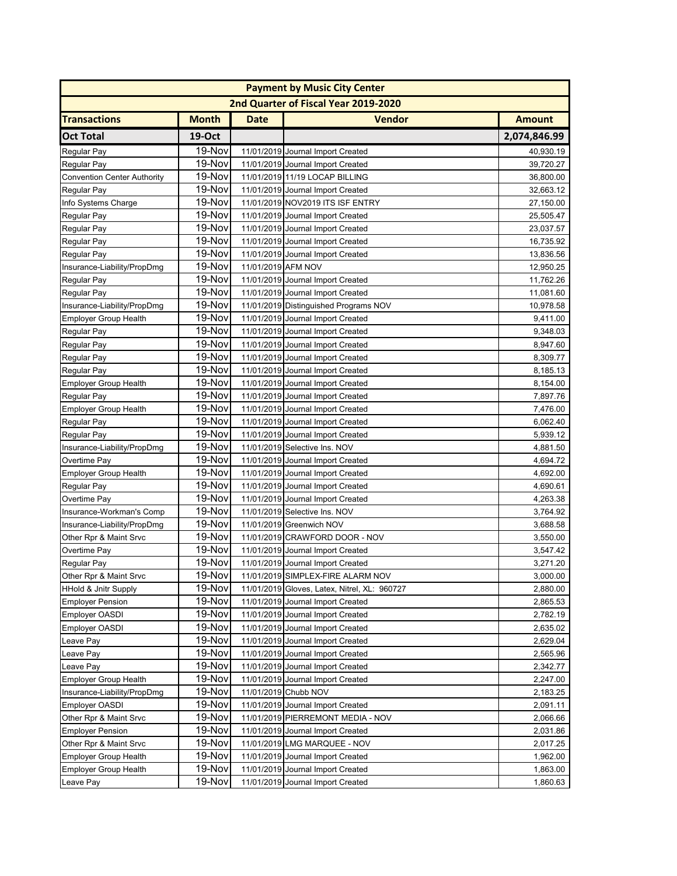|                                    |              |                    | <b>Payment by Music City Center</b>          |               |
|------------------------------------|--------------|--------------------|----------------------------------------------|---------------|
|                                    |              |                    | 2nd Quarter of Fiscal Year 2019-2020         |               |
| <b>Transactions</b>                | <b>Month</b> | <b>Date</b>        | <b>Vendor</b>                                | <b>Amount</b> |
| <b>Oct Total</b>                   | 19-Oct       |                    |                                              | 2,074,846.99  |
| Regular Pay                        | 19-Nov       |                    | 11/01/2019 Journal Import Created            | 40,930.19     |
| Regular Pay                        | 19-Nov       |                    | 11/01/2019 Journal Import Created            | 39,720.27     |
| <b>Convention Center Authority</b> | 19-Nov       |                    | 11/01/2019 11/19 LOCAP BILLING               | 36,800.00     |
| Regular Pay                        | 19-Nov       |                    | 11/01/2019 Journal Import Created            | 32,663.12     |
| Info Systems Charge                | 19-Nov       |                    | 11/01/2019 NOV2019 ITS ISF ENTRY             | 27,150.00     |
| Regular Pay                        | 19-Nov       |                    | 11/01/2019 Journal Import Created            | 25,505.47     |
| Regular Pay                        | 19-Nov       |                    | 11/01/2019 Journal Import Created            | 23,037.57     |
| Regular Pay                        | 19-Nov       |                    | 11/01/2019 Journal Import Created            | 16,735.92     |
| Regular Pay                        | 19-Nov       |                    | 11/01/2019 Journal Import Created            | 13,836.56     |
| Insurance-Liability/PropDmg        | 19-Nov       | 11/01/2019 AFM NOV |                                              | 12,950.25     |
| Regular Pay                        | 19-Nov       |                    | 11/01/2019 Journal Import Created            | 11,762.26     |
| Regular Pay                        | 19-Nov       |                    | 11/01/2019 Journal Import Created            | 11,081.60     |
| Insurance-Liability/PropDmg        | 19-Nov       |                    | 11/01/2019 Distinguished Programs NOV        | 10,978.58     |
| <b>Employer Group Health</b>       | 19-Nov       |                    | 11/01/2019 Journal Import Created            | 9,411.00      |
| Regular Pay                        | 19-Nov       |                    | 11/01/2019 Journal Import Created            | 9,348.03      |
| Regular Pay                        | 19-Nov       |                    | 11/01/2019 Journal Import Created            | 8,947.60      |
| Regular Pay                        | 19-Nov       |                    | 11/01/2019 Journal Import Created            | 8,309.77      |
| Regular Pay                        | 19-Nov       |                    | 11/01/2019 Journal Import Created            | 8,185.13      |
| <b>Employer Group Health</b>       | 19-Nov       |                    | 11/01/2019 Journal Import Created            | 8,154.00      |
| Regular Pay                        | 19-Nov       |                    | 11/01/2019 Journal Import Created            | 7,897.76      |
| <b>Employer Group Health</b>       | 19-Nov       |                    | 11/01/2019 Journal Import Created            | 7,476.00      |
| Regular Pay                        | 19-Nov       |                    | 11/01/2019 Journal Import Created            | 6,062.40      |
| Regular Pay                        | 19-Nov       |                    | 11/01/2019 Journal Import Created            | 5,939.12      |
| Insurance-Liability/PropDmg        | 19-Nov       |                    | 11/01/2019 Selective Ins. NOV                | 4,881.50      |
| Overtime Pay                       | 19-Nov       |                    | 11/01/2019 Journal Import Created            | 4,694.72      |
| <b>Employer Group Health</b>       | 19-Nov       |                    | 11/01/2019 Journal Import Created            | 4,692.00      |
| Regular Pay                        | 19-Nov       |                    | 11/01/2019 Journal Import Created            | 4,690.61      |
| Overtime Pay                       | 19-Nov       |                    | 11/01/2019 Journal Import Created            | 4,263.38      |
| Insurance-Workman's Comp           | 19-Nov       |                    | 11/01/2019 Selective Ins. NOV                | 3,764.92      |
| Insurance-Liability/PropDmg        | 19-Nov       |                    | 11/01/2019 Greenwich NOV                     | 3,688.58      |
| Other Rpr & Maint Srvc             | 19-Nov       |                    | 11/01/2019 CRAWFORD DOOR - NOV               | 3,550.00      |
| Overtime Pay                       | 19-Nov       |                    | 11/01/2019 Journal Import Created            | 3,547.42      |
| Regular Pay                        | 19-Nov       |                    | 11/01/2019 Journal Import Created            | 3,271.20      |
| Other Rpr & Maint Srvc             | 19-Nov       |                    | 11/01/2019 SIMPLEX-FIRE ALARM NOV            | 3,000.00      |
| <b>HHold &amp; Jnitr Supply</b>    | 19-Nov       |                    | 11/01/2019 Gloves, Latex, Nitrel, XL: 960727 | 2,880.00      |
| <b>Employer Pension</b>            | 19-Nov       |                    | 11/01/2019 Journal Import Created            | 2,865.53      |
| Employer OASDI                     | 19-Nov       |                    | 11/01/2019 Journal Import Created            | 2,782.19      |
| Employer OASDI                     | 19-Nov       |                    | 11/01/2019 Journal Import Created            | 2,635.02      |
| Leave Pay                          | 19-Nov       |                    | 11/01/2019 Journal Import Created            | 2,629.04      |
| Leave Pay                          | 19-Nov       |                    | 11/01/2019 Journal Import Created            | 2,565.96      |
| Leave Pay                          | 19-Nov       |                    | 11/01/2019 Journal Import Created            | 2,342.77      |
| Employer Group Health              | 19-Nov       |                    | 11/01/2019 Journal Import Created            | 2,247.00      |
| Insurance-Liability/PropDmg        | 19-Nov       |                    | 11/01/2019 Chubb NOV                         | 2,183.25      |
| Employer OASDI                     | 19-Nov       |                    | 11/01/2019 Journal Import Created            | 2,091.11      |
| Other Rpr & Maint Srvc             | 19-Nov       |                    | 11/01/2019 PIERREMONT MEDIA - NOV            | 2,066.66      |
| <b>Employer Pension</b>            | 19-Nov       |                    | 11/01/2019 Journal Import Created            | 2,031.86      |
| Other Rpr & Maint Srvc             | 19-Nov       |                    | 11/01/2019 LMG MARQUEE - NOV                 | 2,017.25      |
| <b>Employer Group Health</b>       | 19-Nov       |                    | 11/01/2019 Journal Import Created            | 1,962.00      |
| <b>Employer Group Health</b>       | 19-Nov       |                    | 11/01/2019 Journal Import Created            | 1,863.00      |
| Leave Pay                          | 19-Nov       |                    | 11/01/2019 Journal Import Created            | 1,860.63      |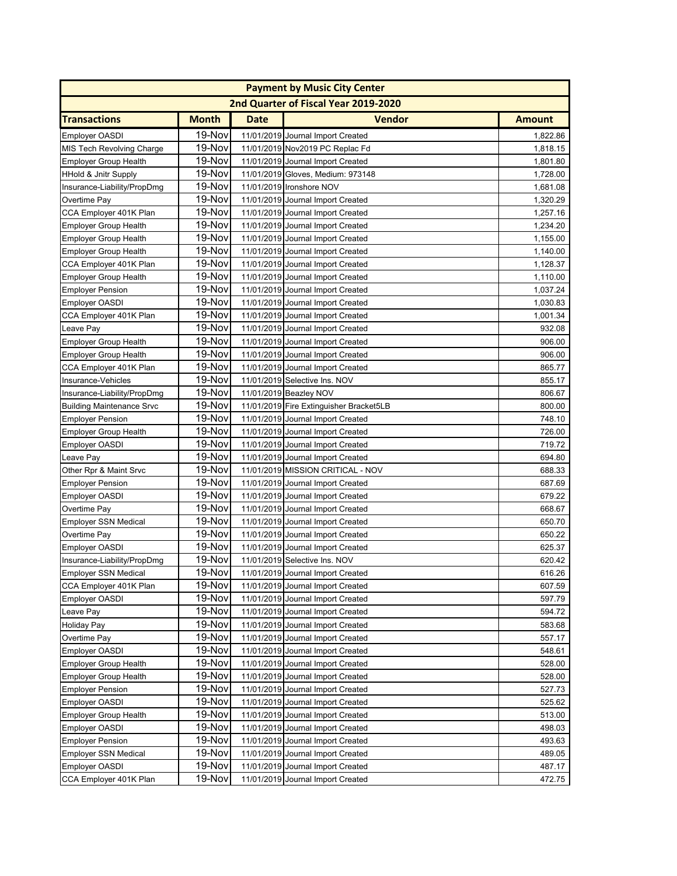|                                  |              |             | <b>Payment by Music City Center</b>     |               |
|----------------------------------|--------------|-------------|-----------------------------------------|---------------|
|                                  |              |             | 2nd Quarter of Fiscal Year 2019-2020    |               |
| <b>Transactions</b>              | <b>Month</b> | <b>Date</b> | <b>Vendor</b>                           | <b>Amount</b> |
| <b>Employer OASDI</b>            | 19-Nov       |             | 11/01/2019 Journal Import Created       | 1,822.86      |
| <b>MIS Tech Revolving Charge</b> | 19-Nov       |             | 11/01/2019 Nov2019 PC Replac Fd         | 1,818.15      |
| <b>Employer Group Health</b>     | 19-Nov       |             | 11/01/2019 Journal Import Created       | 1,801.80      |
| <b>HHold &amp; Jnitr Supply</b>  | 19-Nov       |             | 11/01/2019 Gloves, Medium: 973148       | 1,728.00      |
| Insurance-Liability/PropDmg      | 19-Nov       |             | 11/01/2019 Ironshore NOV                | 1,681.08      |
| Overtime Pay                     | 19-Nov       |             | 11/01/2019 Journal Import Created       | 1,320.29      |
| CCA Employer 401K Plan           | 19-Nov       |             | 11/01/2019 Journal Import Created       | 1,257.16      |
| <b>Employer Group Health</b>     | 19-Nov       |             | 11/01/2019 Journal Import Created       | 1,234.20      |
| <b>Employer Group Health</b>     | 19-Nov       |             | 11/01/2019 Journal Import Created       | 1,155.00      |
| <b>Employer Group Health</b>     | 19-Nov       |             | 11/01/2019 Journal Import Created       | 1,140.00      |
| CCA Employer 401K Plan           | 19-Nov       |             | 11/01/2019 Journal Import Created       | 1,128.37      |
| <b>Employer Group Health</b>     | 19-Nov       |             | 11/01/2019 Journal Import Created       | 1,110.00      |
| <b>Employer Pension</b>          | 19-Nov       |             | 11/01/2019 Journal Import Created       | 1,037.24      |
| Employer OASDI                   | 19-Nov       |             | 11/01/2019 Journal Import Created       | 1,030.83      |
| CCA Employer 401K Plan           | 19-Nov       |             | 11/01/2019 Journal Import Created       | 1,001.34      |
| Leave Pay                        | 19-Nov       |             | 11/01/2019 Journal Import Created       | 932.08        |
| <b>Employer Group Health</b>     | 19-Nov       |             | 11/01/2019 Journal Import Created       | 906.00        |
| <b>Employer Group Health</b>     | 19-Nov       |             | 11/01/2019 Journal Import Created       | 906.00        |
| CCA Employer 401K Plan           | 19-Nov       |             | 11/01/2019 Journal Import Created       | 865.77        |
| Insurance-Vehicles               | 19-Nov       |             | 11/01/2019 Selective Ins. NOV           | 855.17        |
| Insurance-Liability/PropDmg      | 19-Nov       |             | 11/01/2019 Beazley NOV                  | 806.67        |
| <b>Building Maintenance Srvc</b> | 19-Nov       |             | 11/01/2019 Fire Extinguisher Bracket5LB | 800.00        |
| <b>Employer Pension</b>          | 19-Nov       |             | 11/01/2019 Journal Import Created       | 748.10        |
| <b>Employer Group Health</b>     | 19-Nov       |             | 11/01/2019 Journal Import Created       | 726.00        |
| <b>Employer OASDI</b>            | 19-Nov       |             | 11/01/2019 Journal Import Created       | 719.72        |
| Leave Pay                        | 19-Nov       |             | 11/01/2019 Journal Import Created       | 694.80        |
| Other Rpr & Maint Srvc           | 19-Nov       |             | 11/01/2019 MISSION CRITICAL - NOV       | 688.33        |
| <b>Employer Pension</b>          | 19-Nov       |             | 11/01/2019 Journal Import Created       | 687.69        |
| <b>Employer OASDI</b>            | 19-Nov       |             | 11/01/2019 Journal Import Created       | 679.22        |
| Overtime Pay                     | 19-Nov       |             | 11/01/2019 Journal Import Created       | 668.67        |
| <b>Employer SSN Medical</b>      | 19-Nov       |             | 11/01/2019 Journal Import Created       | 650.70        |
| Overtime Pay                     | 19-Nov       |             | 11/01/2019 Journal Import Created       | 650.22        |
| <b>Employer OASDI</b>            | 19-Nov       |             | 11/01/2019 Journal Import Created       | 625.37        |
| Insurance-Liability/PropDmg      | 19-Nov       |             | 11/01/2019 Selective Ins. NOV           | 620.42        |
| Employer SSN Medical             | 19-Nov       |             | 11/01/2019 Journal Import Created       | 616.26        |
| CCA Employer 401K Plan           | 19-Nov       |             | 11/01/2019 Journal Import Created       | 607.59        |
| <b>Employer OASDI</b>            | 19-Nov       |             | 11/01/2019 Journal Import Created       | 597.79        |
| Leave Pay                        | 19-Nov       |             | 11/01/2019 Journal Import Created       | 594.72        |
| <b>Holiday Pay</b>               | 19-Nov       |             | 11/01/2019 Journal Import Created       | 583.68        |
| Overtime Pay                     | 19-Nov       |             | 11/01/2019 Journal Import Created       | 557.17        |
| <b>Employer OASDI</b>            | 19-Nov       |             | 11/01/2019 Journal Import Created       | 548.61        |
| <b>Employer Group Health</b>     | 19-Nov       |             | 11/01/2019 Journal Import Created       | 528.00        |
| <b>Employer Group Health</b>     | 19-Nov       |             | 11/01/2019 Journal Import Created       | 528.00        |
| <b>Employer Pension</b>          | 19-Nov       |             | 11/01/2019 Journal Import Created       | 527.73        |
| <b>Employer OASDI</b>            | 19-Nov       |             | 11/01/2019 Journal Import Created       | 525.62        |
| <b>Employer Group Health</b>     | 19-Nov       |             | 11/01/2019 Journal Import Created       | 513.00        |
| <b>Employer OASDI</b>            | 19-Nov       |             | 11/01/2019 Journal Import Created       | 498.03        |
| <b>Employer Pension</b>          | 19-Nov       |             | 11/01/2019 Journal Import Created       | 493.63        |
| <b>Employer SSN Medical</b>      | 19-Nov       |             | 11/01/2019 Journal Import Created       | 489.05        |
| <b>Employer OASDI</b>            | 19-Nov       |             | 11/01/2019 Journal Import Created       | 487.17        |
| CCA Employer 401K Plan           | 19-Nov       |             | 11/01/2019 Journal Import Created       | 472.75        |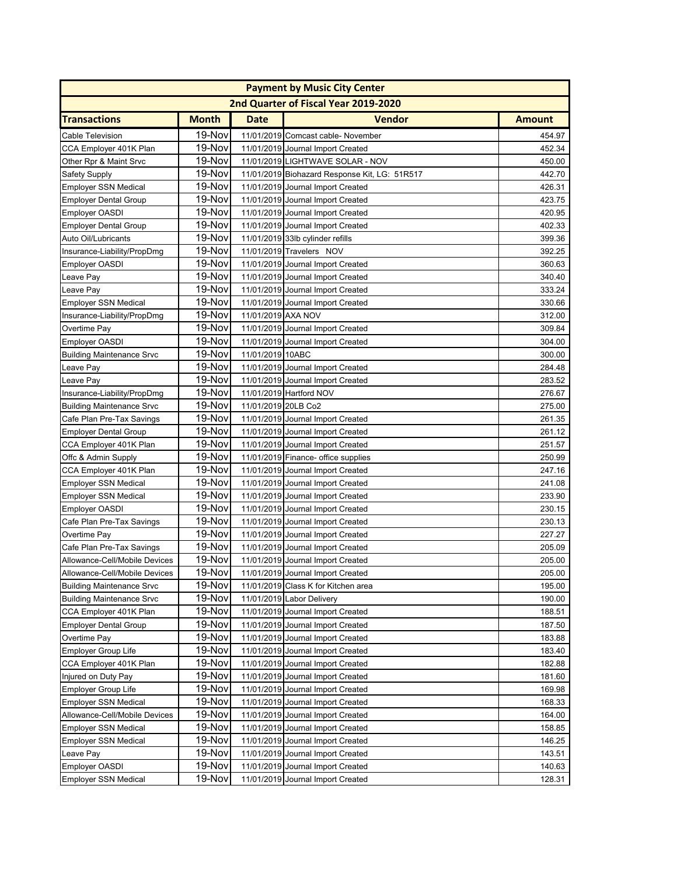|                                  | <b>Payment by Music City Center</b> |                     |                                               |               |  |  |  |
|----------------------------------|-------------------------------------|---------------------|-----------------------------------------------|---------------|--|--|--|
|                                  |                                     |                     | 2nd Quarter of Fiscal Year 2019-2020          |               |  |  |  |
| <b>Transactions</b>              | <b>Month</b>                        | <b>Date</b>         | <b>Vendor</b>                                 | <b>Amount</b> |  |  |  |
| Cable Television                 | 19-Nov                              |                     | 11/01/2019 Comcast cable- November            | 454.97        |  |  |  |
| CCA Employer 401K Plan           | 19-Nov                              |                     | 11/01/2019 Journal Import Created             | 452.34        |  |  |  |
| Other Rpr & Maint Srvc           | 19-Nov                              |                     | 11/01/2019 LIGHTWAVE SOLAR - NOV              | 450.00        |  |  |  |
| <b>Safety Supply</b>             | 19-Nov                              |                     | 11/01/2019 Biohazard Response Kit, LG: 51R517 | 442.70        |  |  |  |
| <b>Employer SSN Medical</b>      | 19-Nov                              |                     | 11/01/2019 Journal Import Created             | 426.31        |  |  |  |
| <b>Employer Dental Group</b>     | 19-Nov                              |                     | 11/01/2019 Journal Import Created             | 423.75        |  |  |  |
| <b>Employer OASDI</b>            | 19-Nov                              |                     | 11/01/2019 Journal Import Created             | 420.95        |  |  |  |
| <b>Employer Dental Group</b>     | 19-Nov                              |                     | 11/01/2019 Journal Import Created             | 402.33        |  |  |  |
| Auto Oil/Lubricants              | 19-Nov                              |                     | 11/01/2019 33lb cylinder refills              | 399.36        |  |  |  |
| Insurance-Liability/PropDmg      | 19-Nov                              |                     | 11/01/2019 Travelers NOV                      | 392.25        |  |  |  |
| <b>Employer OASDI</b>            | 19-Nov                              |                     | 11/01/2019 Journal Import Created             | 360.63        |  |  |  |
| Leave Pay                        | 19-Nov                              |                     | 11/01/2019 Journal Import Created             | 340.40        |  |  |  |
| Leave Pay                        | 19-Nov                              |                     | 11/01/2019 Journal Import Created             | 333.24        |  |  |  |
| Employer SSN Medical             | 19-Nov                              |                     | 11/01/2019 Journal Import Created             | 330.66        |  |  |  |
| Insurance-Liability/PropDmg      | 19-Nov                              | 11/01/2019 AXA NOV  |                                               | 312.00        |  |  |  |
| Overtime Pay                     | 19-Nov                              |                     | 11/01/2019 Journal Import Created             | 309.84        |  |  |  |
| <b>Employer OASDI</b>            | 19-Nov                              |                     | 11/01/2019 Journal Import Created             | 304.00        |  |  |  |
| <b>Building Maintenance Srvc</b> | 19-Nov                              | 11/01/2019 10ABC    |                                               | 300.00        |  |  |  |
| Leave Pay                        | 19-Nov                              |                     | 11/01/2019 Journal Import Created             | 284.48        |  |  |  |
| Leave Pay                        | 19-Nov                              |                     | 11/01/2019 Journal Import Created             | 283.52        |  |  |  |
| Insurance-Liability/PropDmg      | 19-Nov                              |                     | 11/01/2019 Hartford NOV                       | 276.67        |  |  |  |
| <b>Building Maintenance Srvc</b> | 19-Nov                              | 11/01/2019 20LB Co2 |                                               | 275.00        |  |  |  |
| Cafe Plan Pre-Tax Savings        | 19-Nov                              |                     | 11/01/2019 Journal Import Created             | 261.35        |  |  |  |
| <b>Employer Dental Group</b>     | 19-Nov                              |                     | 11/01/2019 Journal Import Created             | 261.12        |  |  |  |
| CCA Employer 401K Plan           | 19-Nov                              |                     | 11/01/2019 Journal Import Created             | 251.57        |  |  |  |
| Offc & Admin Supply              | 19-Nov                              |                     | 11/01/2019 Finance- office supplies           | 250.99        |  |  |  |
| CCA Employer 401K Plan           | 19-Nov                              |                     | 11/01/2019 Journal Import Created             | 247.16        |  |  |  |
| <b>Employer SSN Medical</b>      | 19-Nov                              |                     | 11/01/2019 Journal Import Created             | 241.08        |  |  |  |
| <b>Employer SSN Medical</b>      | 19-Nov                              |                     | 11/01/2019 Journal Import Created             | 233.90        |  |  |  |
| <b>Employer OASDI</b>            | 19-Nov                              |                     | 11/01/2019 Journal Import Created             | 230.15        |  |  |  |
| Cafe Plan Pre-Tax Savings        | 19-Nov                              |                     | 11/01/2019 Journal Import Created             | 230.13        |  |  |  |
| Overtime Pay                     | 19-Nov                              |                     | 11/01/2019 Journal Import Created             | 227.27        |  |  |  |
| Cafe Plan Pre-Tax Savings        | 19-Nov                              |                     | 11/01/2019 Journal Import Created             | 205.09        |  |  |  |
| Allowance-Cell/Mobile Devices    | 19-Nov                              |                     | 11/01/2019 Journal Import Created             | 205.00        |  |  |  |
| Allowance-Cell/Mobile Devices    | <b>19-Nov</b>                       |                     | 11/01/2019 Journal Import Created             | 205.00        |  |  |  |
| <b>Building Maintenance Srvc</b> | 19-Nov                              |                     | 11/01/2019 Class K for Kitchen area           | 195.00        |  |  |  |
| <b>Building Maintenance Srvc</b> | 19-Nov                              |                     | 11/01/2019 Labor Delivery                     | 190.00        |  |  |  |
| CCA Employer 401K Plan           | 19-Nov                              |                     | 11/01/2019 Journal Import Created             | 188.51        |  |  |  |
| <b>Employer Dental Group</b>     | 19-Nov                              |                     | 11/01/2019 Journal Import Created             | 187.50        |  |  |  |
| Overtime Pay                     | 19-Nov                              |                     | 11/01/2019 Journal Import Created             | 183.88        |  |  |  |
| <b>Employer Group Life</b>       | 19-Nov                              |                     | 11/01/2019 Journal Import Created             | 183.40        |  |  |  |
| CCA Employer 401K Plan           | 19-Nov                              |                     | 11/01/2019 Journal Import Created             | 182.88        |  |  |  |
| Injured on Duty Pay              | 19-Nov                              |                     | 11/01/2019 Journal Import Created             | 181.60        |  |  |  |
| <b>Employer Group Life</b>       | 19-Nov                              |                     | 11/01/2019 Journal Import Created             | 169.98        |  |  |  |
| <b>Employer SSN Medical</b>      | 19-Nov                              |                     | 11/01/2019 Journal Import Created             | 168.33        |  |  |  |
| Allowance-Cell/Mobile Devices    | 19-Nov                              |                     | 11/01/2019 Journal Import Created             | 164.00        |  |  |  |
| <b>Employer SSN Medical</b>      | 19-Nov                              |                     | 11/01/2019 Journal Import Created             | 158.85        |  |  |  |
| <b>Employer SSN Medical</b>      | 19-Nov                              |                     | 11/01/2019 Journal Import Created             | 146.25        |  |  |  |
| Leave Pay                        | 19-Nov                              |                     | 11/01/2019 Journal Import Created             | 143.51        |  |  |  |
| <b>Employer OASDI</b>            | 19-Nov                              |                     | 11/01/2019 Journal Import Created             | 140.63        |  |  |  |
| <b>Employer SSN Medical</b>      | 19-Nov                              |                     | 11/01/2019 Journal Import Created             | 128.31        |  |  |  |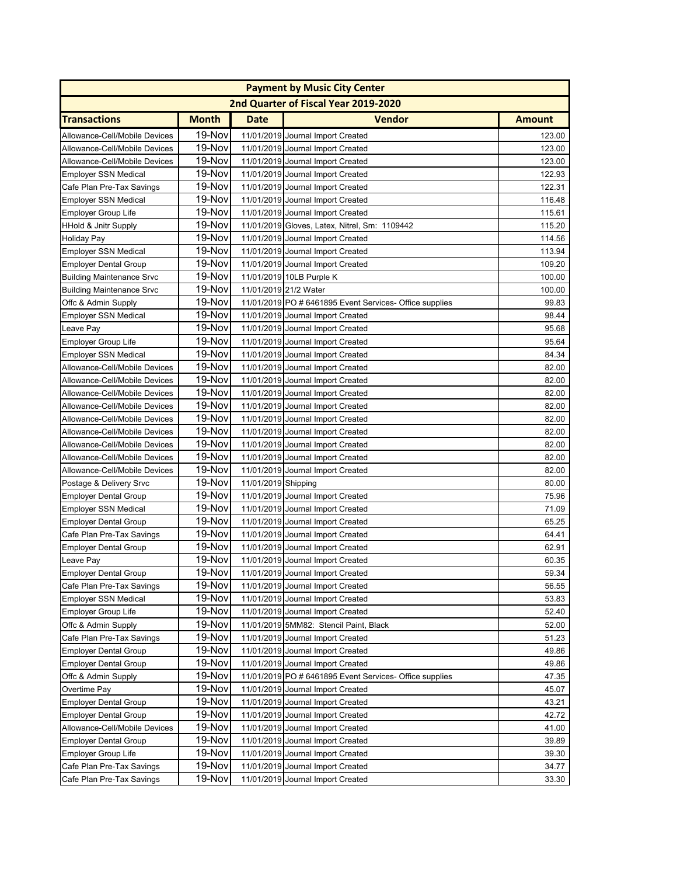| <b>Payment by Music City Center</b> |              |                     |                                                         |               |  |  |
|-------------------------------------|--------------|---------------------|---------------------------------------------------------|---------------|--|--|
|                                     |              |                     | 2nd Quarter of Fiscal Year 2019-2020                    |               |  |  |
| <b>Transactions</b>                 | <b>Month</b> | <b>Date</b>         | <b>Vendor</b>                                           | <b>Amount</b> |  |  |
| Allowance-Cell/Mobile Devices       | 19-Nov       |                     | 11/01/2019 Journal Import Created                       | 123.00        |  |  |
| Allowance-Cell/Mobile Devices       | 19-Nov       |                     | 11/01/2019 Journal Import Created                       | 123.00        |  |  |
| Allowance-Cell/Mobile Devices       | 19-Nov       |                     | 11/01/2019 Journal Import Created                       | 123.00        |  |  |
| <b>Employer SSN Medical</b>         | 19-Nov       |                     | 11/01/2019 Journal Import Created                       | 122.93        |  |  |
| Cafe Plan Pre-Tax Savings           | 19-Nov       |                     | 11/01/2019 Journal Import Created                       | 122.31        |  |  |
| <b>Employer SSN Medical</b>         | 19-Nov       |                     | 11/01/2019 Journal Import Created                       | 116.48        |  |  |
| <b>Employer Group Life</b>          | 19-Nov       |                     | 11/01/2019 Journal Import Created                       | 115.61        |  |  |
| <b>HHold &amp; Jnitr Supply</b>     | 19-Nov       |                     | 11/01/2019 Gloves, Latex, Nitrel, Sm: 1109442           | 115.20        |  |  |
| <b>Holiday Pay</b>                  | 19-Nov       |                     | 11/01/2019 Journal Import Created                       | 114.56        |  |  |
| <b>Employer SSN Medical</b>         | 19-Nov       |                     | 11/01/2019 Journal Import Created                       | 113.94        |  |  |
| <b>Employer Dental Group</b>        | 19-Nov       |                     | 11/01/2019 Journal Import Created                       | 109.20        |  |  |
| <b>Building Maintenance Srvc</b>    | 19-Nov       |                     | 11/01/2019 10LB Purple K                                | 100.00        |  |  |
| <b>Building Maintenance Srvc</b>    | 19-Nov       |                     | 11/01/2019 21/2 Water                                   | 100.00        |  |  |
| Offc & Admin Supply                 | 19-Nov       |                     | 11/01/2019 PO # 6461895 Event Services- Office supplies | 99.83         |  |  |
| <b>Employer SSN Medical</b>         | 19-Nov       |                     | 11/01/2019 Journal Import Created                       | 98.44         |  |  |
| Leave Pay                           | 19-Nov       |                     | 11/01/2019 Journal Import Created                       | 95.68         |  |  |
| <b>Employer Group Life</b>          | 19-Nov       |                     | 11/01/2019 Journal Import Created                       | 95.64         |  |  |
| <b>Employer SSN Medical</b>         | 19-Nov       |                     | 11/01/2019 Journal Import Created                       | 84.34         |  |  |
| Allowance-Cell/Mobile Devices       | 19-Nov       |                     | 11/01/2019 Journal Import Created                       | 82.00         |  |  |
| Allowance-Cell/Mobile Devices       | 19-Nov       |                     | 11/01/2019 Journal Import Created                       | 82.00         |  |  |
| Allowance-Cell/Mobile Devices       | 19-Nov       |                     | 11/01/2019 Journal Import Created                       | 82.00         |  |  |
| Allowance-Cell/Mobile Devices       | 19-Nov       |                     | 11/01/2019 Journal Import Created                       | 82.00         |  |  |
| Allowance-Cell/Mobile Devices       | 19-Nov       |                     | 11/01/2019 Journal Import Created                       | 82.00         |  |  |
| Allowance-Cell/Mobile Devices       | 19-Nov       |                     | 11/01/2019 Journal Import Created                       | 82.00         |  |  |
| Allowance-Cell/Mobile Devices       | 19-Nov       |                     | 11/01/2019 Journal Import Created                       | 82.00         |  |  |
| Allowance-Cell/Mobile Devices       | 19-Nov       |                     | 11/01/2019 Journal Import Created                       | 82.00         |  |  |
| Allowance-Cell/Mobile Devices       | 19-Nov       |                     | 11/01/2019 Journal Import Created                       | 82.00         |  |  |
| Postage & Delivery Srvc             | 19-Nov       | 11/01/2019 Shipping |                                                         | 80.00         |  |  |
| <b>Employer Dental Group</b>        | 19-Nov       |                     | 11/01/2019 Journal Import Created                       | 75.96         |  |  |
| <b>Employer SSN Medical</b>         | 19-Nov       |                     | 11/01/2019 Journal Import Created                       | 71.09         |  |  |
| <b>Employer Dental Group</b>        | 19-Nov       |                     | 11/01/2019 Journal Import Created                       | 65.25         |  |  |
| Cafe Plan Pre-Tax Savings           | 19-Nov       |                     | 11/01/2019 Journal Import Created                       | 64.41         |  |  |
| <b>Employer Dental Group</b>        | 19-Nov       |                     | 11/01/2019 Journal Import Created                       | 62.91         |  |  |
| Leave Pay                           | 19-Nov       |                     | 11/01/2019 Journal Import Created                       | 60.35         |  |  |
| <b>Employer Dental Group</b>        | 19-Nov       |                     | 11/01/2019 Journal Import Created                       | 59.34         |  |  |
| Cafe Plan Pre-Tax Savings           | 19-Nov       |                     | 11/01/2019 Journal Import Created                       | 56.55         |  |  |
| <b>Employer SSN Medical</b>         | 19-Nov       |                     | 11/01/2019 Journal Import Created                       | 53.83         |  |  |
| <b>Employer Group Life</b>          | 19-Nov       |                     | 11/01/2019 Journal Import Created                       | 52.40         |  |  |
| Offc & Admin Supply                 | 19-Nov       |                     | 11/01/2019 5MM82: Stencil Paint, Black                  | 52.00         |  |  |
| Cafe Plan Pre-Tax Savings           | 19-Nov       |                     | 11/01/2019 Journal Import Created                       | 51.23         |  |  |
| <b>Employer Dental Group</b>        | 19-Nov       |                     | 11/01/2019 Journal Import Created                       | 49.86         |  |  |
| <b>Employer Dental Group</b>        | 19-Nov       |                     | 11/01/2019 Journal Import Created                       | 49.86         |  |  |
| Offc & Admin Supply                 | 19-Nov       |                     | 11/01/2019 PO # 6461895 Event Services- Office supplies | 47.35         |  |  |
| Overtime Pay                        | 19-Nov       |                     | 11/01/2019 Journal Import Created                       | 45.07         |  |  |
| <b>Employer Dental Group</b>        | 19-Nov       |                     | 11/01/2019 Journal Import Created                       | 43.21         |  |  |
| <b>Employer Dental Group</b>        | 19-Nov       |                     | 11/01/2019 Journal Import Created                       | 42.72         |  |  |
| Allowance-Cell/Mobile Devices       | 19-Nov       |                     | 11/01/2019 Journal Import Created                       | 41.00         |  |  |
| <b>Employer Dental Group</b>        | 19-Nov       |                     | 11/01/2019 Journal Import Created                       | 39.89         |  |  |
| <b>Employer Group Life</b>          | 19-Nov       |                     | 11/01/2019 Journal Import Created                       | 39.30         |  |  |
| Cafe Plan Pre-Tax Savings           | 19-Nov       |                     | 11/01/2019 Journal Import Created                       | 34.77         |  |  |
| Cafe Plan Pre-Tax Savings           | 19-Nov       |                     | 11/01/2019 Journal Import Created                       | 33.30         |  |  |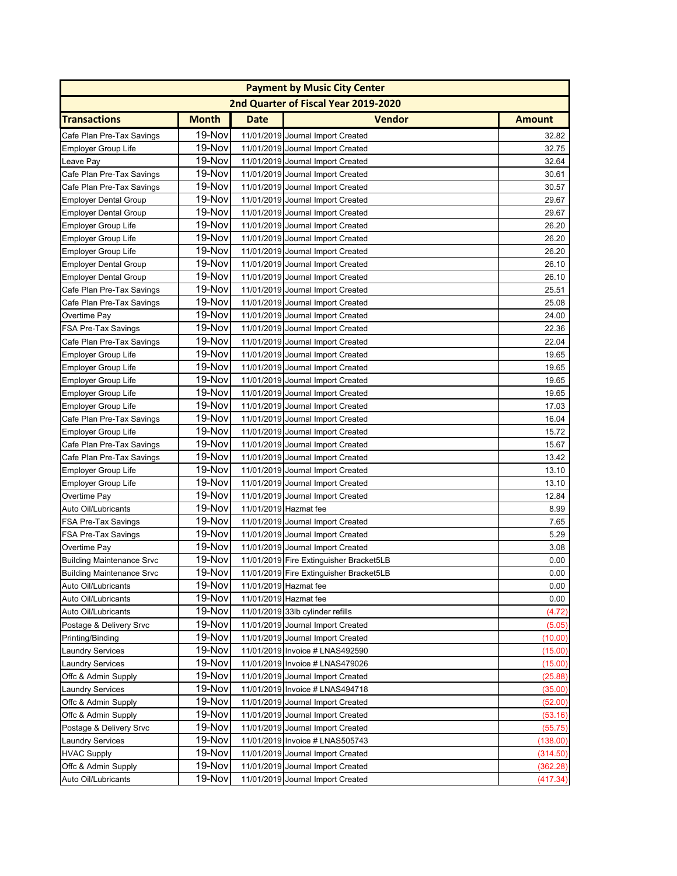|                                  | <b>Payment by Music City Center</b> |             |                                         |               |  |  |  |
|----------------------------------|-------------------------------------|-------------|-----------------------------------------|---------------|--|--|--|
|                                  |                                     |             | 2nd Quarter of Fiscal Year 2019-2020    |               |  |  |  |
| <b>Transactions</b>              | <b>Month</b>                        | <b>Date</b> | <b>Vendor</b>                           | <b>Amount</b> |  |  |  |
| Cafe Plan Pre-Tax Savings        | 19-Nov                              |             | 11/01/2019 Journal Import Created       | 32.82         |  |  |  |
| <b>Employer Group Life</b>       | 19-Nov                              |             | 11/01/2019 Journal Import Created       | 32.75         |  |  |  |
| Leave Pay                        | 19-Nov                              |             | 11/01/2019 Journal Import Created       | 32.64         |  |  |  |
| Cafe Plan Pre-Tax Savings        | 19-Nov                              |             | 11/01/2019 Journal Import Created       | 30.61         |  |  |  |
| Cafe Plan Pre-Tax Savings        | 19-Nov                              |             | 11/01/2019 Journal Import Created       | 30.57         |  |  |  |
| <b>Employer Dental Group</b>     | 19-Nov                              |             | 11/01/2019 Journal Import Created       | 29.67         |  |  |  |
| <b>Employer Dental Group</b>     | 19-Nov                              |             | 11/01/2019 Journal Import Created       | 29.67         |  |  |  |
| <b>Employer Group Life</b>       | 19-Nov                              |             | 11/01/2019 Journal Import Created       | 26.20         |  |  |  |
| <b>Employer Group Life</b>       | 19-Nov                              |             | 11/01/2019 Journal Import Created       | 26.20         |  |  |  |
| Employer Group Life              | 19-Nov                              |             | 11/01/2019 Journal Import Created       | 26.20         |  |  |  |
| <b>Employer Dental Group</b>     | 19-Nov                              |             | 11/01/2019 Journal Import Created       | 26.10         |  |  |  |
| <b>Employer Dental Group</b>     | 19-Nov                              |             | 11/01/2019 Journal Import Created       | 26.10         |  |  |  |
| Cafe Plan Pre-Tax Savings        | 19-Nov                              |             | 11/01/2019 Journal Import Created       | 25.51         |  |  |  |
| Cafe Plan Pre-Tax Savings        | 19-Nov                              |             | 11/01/2019 Journal Import Created       | 25.08         |  |  |  |
| Overtime Pay                     | 19-Nov                              |             | 11/01/2019 Journal Import Created       | 24.00         |  |  |  |
| FSA Pre-Tax Savings              | 19-Nov                              |             | 11/01/2019 Journal Import Created       | 22.36         |  |  |  |
| Cafe Plan Pre-Tax Savings        | 19-Nov                              |             | 11/01/2019 Journal Import Created       | 22.04         |  |  |  |
| <b>Employer Group Life</b>       | 19-Nov                              |             | 11/01/2019 Journal Import Created       | 19.65         |  |  |  |
| <b>Employer Group Life</b>       | 19-Nov                              |             | 11/01/2019 Journal Import Created       | 19.65         |  |  |  |
| <b>Employer Group Life</b>       | 19-Nov                              |             | 11/01/2019 Journal Import Created       | 19.65         |  |  |  |
| <b>Employer Group Life</b>       | 19-Nov                              |             | 11/01/2019 Journal Import Created       | 19.65         |  |  |  |
| <b>Employer Group Life</b>       | 19-Nov                              |             | 11/01/2019 Journal Import Created       | 17.03         |  |  |  |
| Cafe Plan Pre-Tax Savings        | 19-Nov                              |             | 11/01/2019 Journal Import Created       | 16.04         |  |  |  |
| Employer Group Life              | 19-Nov                              |             | 11/01/2019 Journal Import Created       | 15.72         |  |  |  |
| Cafe Plan Pre-Tax Savings        | 19-Nov                              |             | 11/01/2019 Journal Import Created       | 15.67         |  |  |  |
| Cafe Plan Pre-Tax Savings        | 19-Nov                              |             | 11/01/2019 Journal Import Created       | 13.42         |  |  |  |
| <b>Employer Group Life</b>       | 19-Nov                              |             | 11/01/2019 Journal Import Created       | 13.10         |  |  |  |
| Employer Group Life              | 19-Nov                              |             | 11/01/2019 Journal Import Created       | 13.10         |  |  |  |
| Overtime Pay                     | 19-Nov                              |             | 11/01/2019 Journal Import Created       | 12.84         |  |  |  |
| Auto Oil/Lubricants              | 19-Nov                              |             | 11/01/2019 Hazmat fee                   | 8.99          |  |  |  |
| FSA Pre-Tax Savings              | 19-Nov                              |             | 11/01/2019 Journal Import Created       | 7.65          |  |  |  |
| FSA Pre-Tax Savings              | 19-Nov                              |             | 11/01/2019 Journal Import Created       | 5.29          |  |  |  |
| Overtime Pay                     | 19-Nov                              |             | 11/01/2019 Journal Import Created       | 3.08          |  |  |  |
| <b>Building Maintenance Srvc</b> | 19-Nov                              |             | 11/01/2019 Fire Extinguisher Bracket5LB | 0.00          |  |  |  |
| <b>Building Maintenance Srvc</b> | 19-Nov                              |             | 11/01/2019 Fire Extinguisher Bracket5LB | 0.00          |  |  |  |
| Auto Oil/Lubricants              | 19-Nov                              |             | 11/01/2019 Hazmat fee                   | 0.00          |  |  |  |
| Auto Oil/Lubricants              | 19-Nov                              |             | 11/01/2019 Hazmat fee                   | 0.00          |  |  |  |
| Auto Oil/Lubricants              | 19-Nov                              |             | 11/01/2019 33lb cylinder refills        | (4.72)        |  |  |  |
| Postage & Delivery Srvc          | 19-Nov                              |             | 11/01/2019 Journal Import Created       | (5.05)        |  |  |  |
| Printing/Binding                 | 19-Novl                             |             | 11/01/2019 Journal Import Created       | (10.00)       |  |  |  |
| <b>Laundry Services</b>          | 19-Nov                              |             | 11/01/2019 Invoice # LNAS492590         | (15.00)       |  |  |  |
| <b>Laundry Services</b>          | 19-Nov                              |             | 11/01/2019 Invoice # LNAS479026         | (15.00)       |  |  |  |
| Offc & Admin Supply              | 19-Nov                              |             | 11/01/2019 Journal Import Created       | (25.88)       |  |  |  |
| <b>Laundry Services</b>          | 19-Nov                              |             | 11/01/2019 Invoice # LNAS494718         | (35.00)       |  |  |  |
| Offc & Admin Supply              | 19-Nov                              |             | 11/01/2019 Journal Import Created       | (52.00)       |  |  |  |
| Offc & Admin Supply              | 19-Nov                              |             | 11/01/2019 Journal Import Created       | (53.16)       |  |  |  |
| Postage & Delivery Srvc          | 19-Nov                              |             | 11/01/2019 Journal Import Created       | (55.75)       |  |  |  |
| <b>Laundry Services</b>          | 19-Nov                              |             | 11/01/2019 Invoice # LNAS505743         | (138.00)      |  |  |  |
| <b>HVAC Supply</b>               | 19-Nov                              |             | 11/01/2019 Journal Import Created       | (314.50)      |  |  |  |
| Offc & Admin Supply              | 19-Nov                              |             | 11/01/2019 Journal Import Created       | (362.28)      |  |  |  |
| Auto Oil/Lubricants              | 19-Nov                              |             | 11/01/2019 Journal Import Created       | (417.34)      |  |  |  |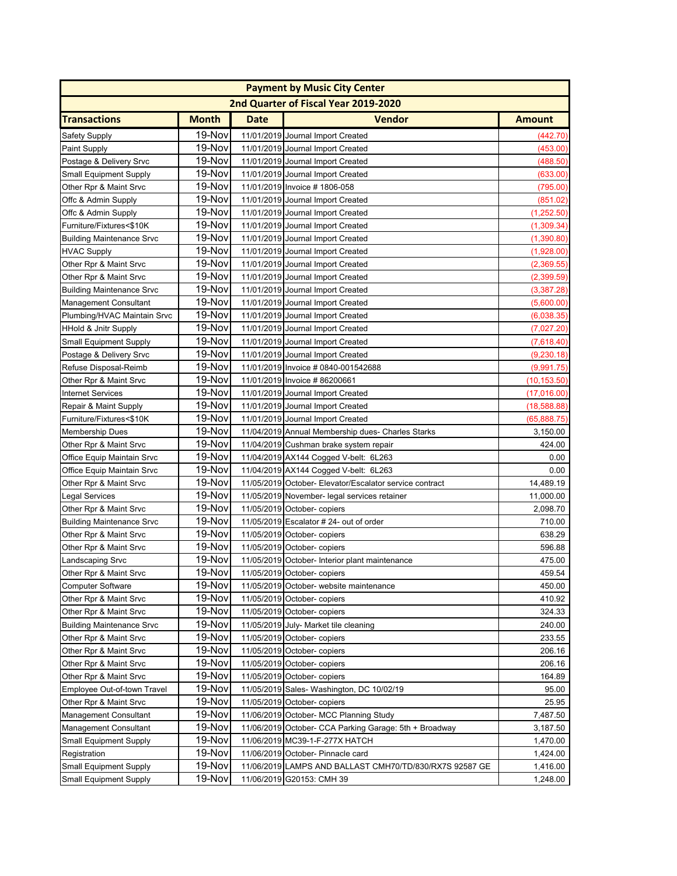| <b>Payment by Music City Center</b> |              |             |                                                         |               |  |  |
|-------------------------------------|--------------|-------------|---------------------------------------------------------|---------------|--|--|
|                                     |              |             | 2nd Quarter of Fiscal Year 2019-2020                    |               |  |  |
| <b>Transactions</b>                 | <b>Month</b> | <b>Date</b> | <b>Vendor</b>                                           | <b>Amount</b> |  |  |
| Safety Supply                       | 19-Nov       |             | 11/01/2019 Journal Import Created                       | (442.70)      |  |  |
| <b>Paint Supply</b>                 | 19-Nov       |             | 11/01/2019 Journal Import Created                       | (453.00)      |  |  |
| Postage & Delivery Srvc             | 19-Nov       |             | 11/01/2019 Journal Import Created                       | (488.50)      |  |  |
| <b>Small Equipment Supply</b>       | 19-Nov       |             | 11/01/2019 Journal Import Created                       | (633.00)      |  |  |
| Other Rpr & Maint Srvc              | 19-Nov       |             | 11/01/2019 Invoice #1806-058                            | (795.00)      |  |  |
| Offc & Admin Supply                 | 19-Nov       |             | 11/01/2019 Journal Import Created                       | (851.02)      |  |  |
| Offc & Admin Supply                 | 19-Nov       |             | 11/01/2019 Journal Import Created                       | (1,252.50)    |  |  |
| Furniture/Fixtures<\$10K            | 19-Nov       |             | 11/01/2019 Journal Import Created                       | (1,309.34)    |  |  |
| <b>Building Maintenance Srvc</b>    | 19-Nov       |             | 11/01/2019 Journal Import Created                       | (1,390.80)    |  |  |
| <b>HVAC Supply</b>                  | 19-Nov       |             | 11/01/2019 Journal Import Created                       | (1,928.00)    |  |  |
| Other Rpr & Maint Srvc              | 19-Nov       |             | 11/01/2019 Journal Import Created                       | (2,369.55)    |  |  |
| Other Rpr & Maint Srvc              | 19-Nov       |             | 11/01/2019 Journal Import Created                       | (2,399.59)    |  |  |
| <b>Building Maintenance Srvc</b>    | 19-Nov       |             | 11/01/2019 Journal Import Created                       | (3,387.28)    |  |  |
| <b>Management Consultant</b>        | 19-Nov       |             | 11/01/2019 Journal Import Created                       | (5,600.00)    |  |  |
| Plumbing/HVAC Maintain Srvc         | 19-Nov       |             | 11/01/2019 Journal Import Created                       | (6,038.35)    |  |  |
| <b>HHold &amp; Jnitr Supply</b>     | 19-Nov       |             | 11/01/2019 Journal Import Created                       | (7,027.20)    |  |  |
| <b>Small Equipment Supply</b>       | 19-Nov       |             | 11/01/2019 Journal Import Created                       | (7,618.40)    |  |  |
| Postage & Delivery Srvc             | 19-Nov       |             | 11/01/2019 Journal Import Created                       | (9,230.18)    |  |  |
| Refuse Disposal-Reimb               | 19-Nov       |             | 11/01/2019 Invoice # 0840-001542688                     | (9,991.75)    |  |  |
| Other Rpr & Maint Srvc              | 19-Nov       |             | 11/01/2019 Invoice #86200661                            | (10, 153.50)  |  |  |
| <b>Internet Services</b>            | 19-Nov       |             | 11/01/2019 Journal Import Created                       | (17,016.00)   |  |  |
| Repair & Maint Supply               | 19-Nov       |             | 11/01/2019 Journal Import Created                       | (18, 588.88)  |  |  |
| Furniture/Fixtures<\$10K            | 19-Nov       |             | 11/01/2019 Journal Import Created                       | (65,888.75)   |  |  |
| <b>Membership Dues</b>              | 19-Nov       |             | 11/04/2019 Annual Membership dues- Charles Starks       | 3,150.00      |  |  |
| Other Rpr & Maint Srvc              | 19-Nov       |             | 11/04/2019 Cushman brake system repair                  | 424.00        |  |  |
| Office Equip Maintain Srvc          | 19-Nov       |             | 11/04/2019 AX144 Cogged V-belt: 6L263                   | 0.00          |  |  |
| Office Equip Maintain Srvc          | 19-Nov       |             | 11/04/2019 AX144 Cogged V-belt: 6L263                   | 0.00          |  |  |
| Other Rpr & Maint Srvc              | 19-Nov       |             | 11/05/2019 October- Elevator/Escalator service contract | 14,489.19     |  |  |
| Legal Services                      | 19-Nov       |             | 11/05/2019 November- legal services retainer            | 11,000.00     |  |  |
| Other Rpr & Maint Srvc              | 19-Nov       |             | 11/05/2019 October- copiers                             | 2,098.70      |  |  |
| <b>Building Maintenance Srvc</b>    | 19-Nov       |             | 11/05/2019 Escalator # 24- out of order                 | 710.00        |  |  |
| Other Rpr & Maint Srvc              | 19-Nov       |             | 11/05/2019 October-copiers                              | 638.29        |  |  |
| Other Rpr & Maint Srvc              | 19-Nov       |             | 11/05/2019 October- copiers                             | 596.88        |  |  |
| Landscaping Srvc                    | 19-Nov       |             | 11/05/2019 October- Interior plant maintenance          | 475.00        |  |  |
| Other Rpr & Maint Srvc              | 19-Nov       |             | 11/05/2019 October- copiers                             | 459.54        |  |  |
| <b>Computer Software</b>            | 19-Nov       |             | 11/05/2019 October- website maintenance                 | 450.00        |  |  |
| Other Rpr & Maint Srvc              | 19-Nov       |             | 11/05/2019 October- copiers                             | 410.92        |  |  |
| Other Rpr & Maint Srvc              | 19-Nov       |             | 11/05/2019 October- copiers                             | 324.33        |  |  |
| <b>Building Maintenance Srvc</b>    | 19-Nov       |             | 11/05/2019 July- Market tile cleaning                   | 240.00        |  |  |
| Other Rpr & Maint Srvc              | 19-Nov       |             | 11/05/2019 October- copiers                             | 233.55        |  |  |
| Other Rpr & Maint Srvc              | 19-Nov       |             | 11/05/2019 October- copiers                             | 206.16        |  |  |
| Other Rpr & Maint Srvc              | 19-Nov       |             | 11/05/2019 October- copiers                             | 206.16        |  |  |
| Other Rpr & Maint Srvc              | 19-Nov       |             | 11/05/2019 October- copiers                             | 164.89        |  |  |
| Employee Out-of-town Travel         | 19-Nov       |             | 11/05/2019 Sales- Washington, DC 10/02/19               | 95.00         |  |  |
| Other Rpr & Maint Srvc              | 19-Nov       |             | 11/05/2019 October- copiers                             | 25.95         |  |  |
| <b>Management Consultant</b>        | 19-Nov       |             | 11/06/2019 October- MCC Planning Study                  | 7,487.50      |  |  |
| Management Consultant               | 19-Nov       |             | 11/06/2019 October- CCA Parking Garage: 5th + Broadway  | 3,187.50      |  |  |
| <b>Small Equipment Supply</b>       | 19-Nov       |             | 11/06/2019 MC39-1-F-277X HATCH                          | 1,470.00      |  |  |
| Registration                        | 19-Nov       |             | 11/06/2019 October- Pinnacle card                       | 1,424.00      |  |  |
| <b>Small Equipment Supply</b>       | 19-Nov       |             | 11/06/2019 LAMPS AND BALLAST CMH70/TD/830/RX7S 92587 GE | 1,416.00      |  |  |
| <b>Small Equipment Supply</b>       | 19-Nov       |             | 11/06/2019 G20153: CMH 39                               | 1,248.00      |  |  |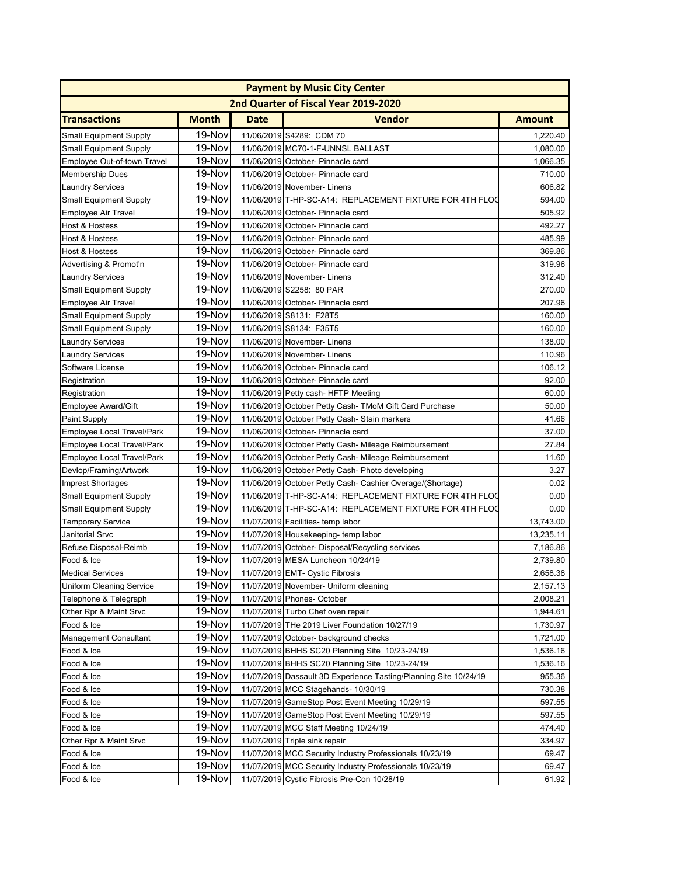| <b>Payment by Music City Center</b> |              |             |                                                                  |               |  |
|-------------------------------------|--------------|-------------|------------------------------------------------------------------|---------------|--|
|                                     |              |             | 2nd Quarter of Fiscal Year 2019-2020                             |               |  |
| <b>Transactions</b>                 | <b>Month</b> | <b>Date</b> | <b>Vendor</b>                                                    | <b>Amount</b> |  |
| <b>Small Equipment Supply</b>       | 19-Nov       |             | 11/06/2019 S4289: CDM 70                                         | 1,220.40      |  |
| <b>Small Equipment Supply</b>       | 19-Nov       |             | 11/06/2019 MC70-1-F-UNNSL BALLAST                                | 1,080.00      |  |
| Employee Out-of-town Travel         | 19-Nov       |             | 11/06/2019 October- Pinnacle card                                | 1,066.35      |  |
| <b>Membership Dues</b>              | 19-Nov       |             | 11/06/2019 October- Pinnacle card                                | 710.00        |  |
| <b>Laundry Services</b>             | 19-Nov       |             | 11/06/2019 November- Linens                                      | 606.82        |  |
| <b>Small Equipment Supply</b>       | 19-Nov       |             | 11/06/2019 T-HP-SC-A14: REPLACEMENT FIXTURE FOR 4TH FLOO         | 594.00        |  |
| <b>Employee Air Travel</b>          | 19-Nov       |             | 11/06/2019 October- Pinnacle card                                | 505.92        |  |
| <b>Host &amp; Hostess</b>           | 19-Nov       |             | 11/06/2019 October- Pinnacle card                                | 492.27        |  |
| <b>Host &amp; Hostess</b>           | 19-Nov       |             | 11/06/2019 October- Pinnacle card                                | 485.99        |  |
| Host & Hostess                      | 19-Nov       |             | 11/06/2019 October- Pinnacle card                                | 369.86        |  |
| Advertising & Promot'n              | 19-Nov       |             | 11/06/2019 October- Pinnacle card                                | 319.96        |  |
| <b>Laundry Services</b>             | 19-Nov       |             | 11/06/2019 November- Linens                                      | 312.40        |  |
| <b>Small Equipment Supply</b>       | 19-Nov       |             | 11/06/2019 S2258: 80 PAR                                         | 270.00        |  |
| Employee Air Travel                 | 19-Nov       |             | 11/06/2019 October- Pinnacle card                                | 207.96        |  |
| <b>Small Equipment Supply</b>       | 19-Nov       |             | 11/06/2019 S8131: F28T5                                          | 160.00        |  |
| <b>Small Equipment Supply</b>       | 19-Nov       |             | 11/06/2019 S8134: F35T5                                          | 160.00        |  |
| <b>Laundry Services</b>             | 19-Nov       |             | 11/06/2019 November- Linens                                      | 138.00        |  |
| <b>Laundry Services</b>             | 19-Nov       |             | 11/06/2019 November- Linens                                      | 110.96        |  |
| Software License                    | 19-Nov       |             | 11/06/2019 October- Pinnacle card                                | 106.12        |  |
| Registration                        | 19-Nov       |             | 11/06/2019 October- Pinnacle card                                | 92.00         |  |
| Registration                        | 19-Nov       |             | 11/06/2019 Petty cash- HFTP Meeting                              | 60.00         |  |
| <b>Employee Award/Gift</b>          | 19-Nov       |             | 11/06/2019 October Petty Cash- TMoM Gift Card Purchase           | 50.00         |  |
| <b>Paint Supply</b>                 | 19-Nov       |             | 11/06/2019 October Petty Cash-Stain markers                      | 41.66         |  |
| Employee Local Travel/Park          | 19-Nov       |             | 11/06/2019 October- Pinnacle card                                | 37.00         |  |
| Employee Local Travel/Park          | 19-Nov       |             | 11/06/2019 October Petty Cash- Mileage Reimbursement             | 27.84         |  |
| Employee Local Travel/Park          | 19-Nov       |             | 11/06/2019 October Petty Cash- Mileage Reimbursement             | 11.60         |  |
| Devlop/Framing/Artwork              | 19-Nov       |             | 11/06/2019 October Petty Cash- Photo developing                  | 3.27          |  |
| <b>Imprest Shortages</b>            | 19-Nov       |             | 11/06/2019 October Petty Cash- Cashier Overage/(Shortage)        | 0.02          |  |
| <b>Small Equipment Supply</b>       | 19-Nov       |             | 11/06/2019 T-HP-SC-A14: REPLACEMENT FIXTURE FOR 4TH FLOC         | 0.00          |  |
| <b>Small Equipment Supply</b>       | 19-Nov       |             | 11/06/2019 T-HP-SC-A14: REPLACEMENT FIXTURE FOR 4TH FLOO         | 0.00          |  |
| <b>Temporary Service</b>            | 19-Nov       |             | 11/07/2019 Facilities- temp labor                                | 13,743.00     |  |
| Janitorial Srvc                     | 19-Nov       |             | 11/07/2019 Housekeeping- temp labor                              | 13,235.11     |  |
| Refuse Disposal-Reimb               | 19-Nov       |             | 11/07/2019 October- Disposal/Recycling services                  | 7,186.86      |  |
| Food & Ice                          | 19-Nov       |             | 11/07/2019 MESA Luncheon 10/24/19                                | 2,739.80      |  |
| <b>Medical Services</b>             | $19-Nov$     |             | 11/07/2019 EMT- Cystic Fibrosis                                  | 2,658.38      |  |
| Uniform Cleaning Service            | 19-Nov       |             | 11/07/2019 November- Uniform cleaning                            | 2,157.13      |  |
| Telephone & Telegraph               | 19-Nov       |             | 11/07/2019 Phones- October                                       | 2,008.21      |  |
| Other Rpr & Maint Srvc              | 19-Nov       |             | 11/07/2019 Turbo Chef oven repair                                | 1,944.61      |  |
| Food & Ice                          | 19-Nov       |             | 11/07/2019 THe 2019 Liver Foundation 10/27/19                    | 1,730.97      |  |
| <b>Management Consultant</b>        | 19-Nov       |             | 11/07/2019 October- background checks                            | 1,721.00      |  |
| Food & Ice                          | 19-Nov       |             | 11/07/2019 BHHS SC20 Planning Site 10/23-24/19                   | 1,536.16      |  |
| Food & Ice                          | 19-Nov       |             | 11/07/2019 BHHS SC20 Planning Site 10/23-24/19                   | 1,536.16      |  |
| Food & Ice                          | 19-Nov       |             | 11/07/2019 Dassault 3D Experience Tasting/Planning Site 10/24/19 | 955.36        |  |
| Food & Ice                          | 19-Nov       |             | 11/07/2019 MCC Stagehands- 10/30/19                              | 730.38        |  |
| Food & Ice                          | 19-Nov       |             | 11/07/2019 GameStop Post Event Meeting 10/29/19                  | 597.55        |  |
| Food & Ice                          | 19-Nov       |             | 11/07/2019 GameStop Post Event Meeting 10/29/19                  | 597.55        |  |
| Food & Ice                          | 19-Nov       |             | 11/07/2019 MCC Staff Meeting 10/24/19                            | 474.40        |  |
| Other Rpr & Maint Srvc              | 19-Nov       |             | 11/07/2019 Triple sink repair                                    | 334.97        |  |
| Food & Ice                          | 19-Nov       |             | 11/07/2019 MCC Security Industry Professionals 10/23/19          | 69.47         |  |
| Food & Ice                          | 19-Nov       |             | 11/07/2019 MCC Security Industry Professionals 10/23/19          | 69.47         |  |
| Food & Ice                          | 19-Nov       |             | 11/07/2019 Cystic Fibrosis Pre-Con 10/28/19                      | 61.92         |  |
|                                     |              |             |                                                                  |               |  |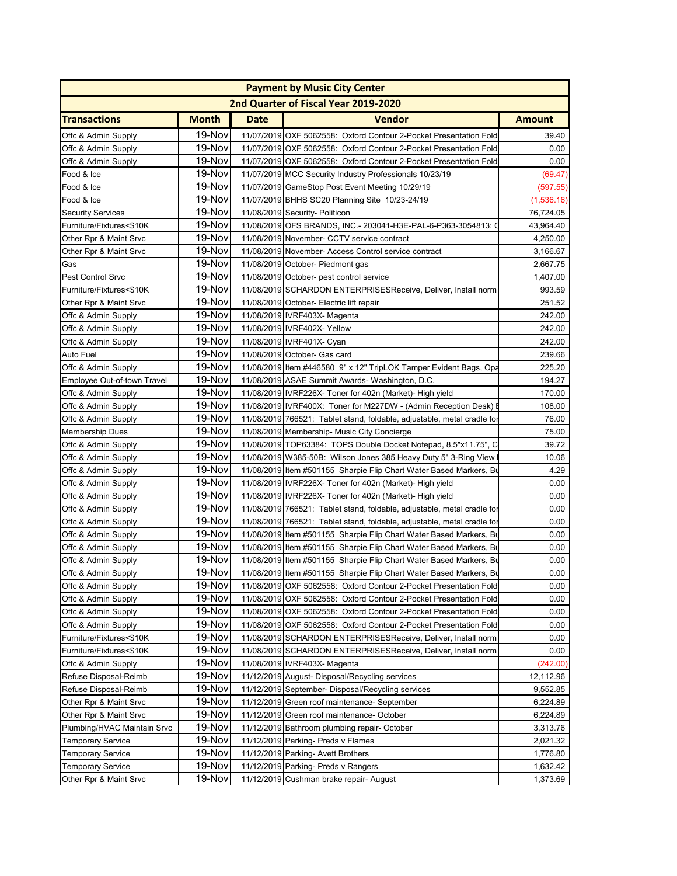| <b>Payment by Music City Center</b>  |              |      |                                                                         |               |  |  |  |
|--------------------------------------|--------------|------|-------------------------------------------------------------------------|---------------|--|--|--|
| 2nd Quarter of Fiscal Year 2019-2020 |              |      |                                                                         |               |  |  |  |
| <b>Transactions</b>                  | <b>Month</b> | Date | <b>Vendor</b>                                                           | <b>Amount</b> |  |  |  |
| Offc & Admin Supply                  | 19-Nov       |      | 11/07/2019 OXF 5062558: Oxford Contour 2-Pocket Presentation Fold       | 39.40         |  |  |  |
| Offc & Admin Supply                  | 19-Nov       |      | 11/07/2019 OXF 5062558: Oxford Contour 2-Pocket Presentation Fold       | 0.00          |  |  |  |
| Offc & Admin Supply                  | 19-Nov       |      | 11/07/2019 OXF 5062558: Oxford Contour 2-Pocket Presentation Fold       | 0.00          |  |  |  |
| Food & Ice                           | 19-Nov       |      | 11/07/2019 MCC Security Industry Professionals 10/23/19                 | (69.47)       |  |  |  |
| Food & Ice                           | 19-Nov       |      | 11/07/2019 GameStop Post Event Meeting 10/29/19                         | (597.55)      |  |  |  |
| Food & Ice                           | 19-Nov       |      | 11/07/2019 BHHS SC20 Planning Site 10/23-24/19                          | (1,536.16)    |  |  |  |
| <b>Security Services</b>             | 19-Nov       |      | 11/08/2019 Security- Politicon                                          | 76,724.05     |  |  |  |
| Furniture/Fixtures<\$10K             | 19-Nov       |      | 11/08/2019 OFS BRANDS, INC.- 203041-H3E-PAL-6-P363-3054813:             | 43,964.40     |  |  |  |
| Other Rpr & Maint Srvc               | 19-Nov       |      | 11/08/2019 November- CCTV service contract                              | 4,250.00      |  |  |  |
| Other Rpr & Maint Srvc               | 19-Nov       |      | 11/08/2019 November- Access Control service contract                    | 3,166.67      |  |  |  |
| Gas                                  | 19-Nov       |      | 11/08/2019 October- Piedmont gas                                        | 2,667.75      |  |  |  |
| Pest Control Srvc                    | 19-Nov       |      | 11/08/2019 October- pest control service                                | 1,407.00      |  |  |  |
|                                      | 19-Nov       |      |                                                                         | 993.59        |  |  |  |
| Furniture/Fixtures<\$10K             | 19-Nov       |      | 11/08/2019 SCHARDON ENTERPRISESReceive, Deliver, Install norm           | 251.52        |  |  |  |
| Other Rpr & Maint Srvc               | 19-Nov       |      | 11/08/2019 October- Electric lift repair                                |               |  |  |  |
| Offc & Admin Supply                  |              |      | 11/08/2019 IVRF403X- Magenta                                            | 242.00        |  |  |  |
| Offc & Admin Supply                  | 19-Nov       |      | 11/08/2019 IVRF402X- Yellow                                             | 242.00        |  |  |  |
| Offc & Admin Supply                  | 19-Nov       |      | 11/08/2019 IVRF401X- Cyan                                               | 242.00        |  |  |  |
| Auto Fuel                            | 19-Nov       |      | 11/08/2019 October- Gas card                                            | 239.66        |  |  |  |
| Offc & Admin Supply                  | 19-Nov       |      | 11/08/2019 Item #446580 9" x 12" TripLOK Tamper Evident Bags, Opa       | 225.20        |  |  |  |
| Employee Out-of-town Travel          | 19-Nov       |      | 11/08/2019 ASAE Summit Awards- Washington, D.C.                         | 194.27        |  |  |  |
| Offc & Admin Supply                  | 19-Nov       |      | 11/08/2019 IVRF226X- Toner for 402n (Market)- High yield                | 170.00        |  |  |  |
| Offc & Admin Supply                  | 19-Nov       |      | 11/08/2019 IVRF400X: Toner for M227DW - (Admin Reception Desk) I        | 108.00        |  |  |  |
| Offc & Admin Supply                  | 19-Nov       |      | 11/08/2019 766521: Tablet stand, foldable, adjustable, metal cradle for | 76.00         |  |  |  |
| <b>Membership Dues</b>               | 19-Nov       |      | 11/08/2019 Membership- Music City Concierge                             | 75.00         |  |  |  |
| Offc & Admin Supply                  | 19-Nov       |      | 11/08/2019 TOP63384: TOPS Double Docket Notepad, 8.5"x11.75", C         | 39.72         |  |  |  |
| Offc & Admin Supply                  | 19-Nov       |      | 11/08/2019 W385-50B: Wilson Jones 385 Heavy Duty 5" 3-Ring View         | 10.06         |  |  |  |
| Offc & Admin Supply                  | 19-Nov       |      | 11/08/2019 Item #501155 Sharpie Flip Chart Water Based Markers, Bu      | 4.29          |  |  |  |
| Offc & Admin Supply                  | 19-Nov       |      | 11/08/2019 IVRF226X- Toner for 402n (Market)- High yield                | 0.00          |  |  |  |
| Offc & Admin Supply                  | 19-Nov       |      | 11/08/2019 IVRF226X- Toner for 402n (Market)- High yield                | 0.00          |  |  |  |
| Offc & Admin Supply                  | 19-Nov       |      | 11/08/2019 766521: Tablet stand, foldable, adjustable, metal cradle for | 0.00          |  |  |  |
| Offc & Admin Supply                  | 19-Nov       |      | 11/08/2019 766521: Tablet stand, foldable, adjustable, metal cradle fo  | 0.00          |  |  |  |
| Offc & Admin Supply                  | 19-Nov       |      | 11/08/2019 Item #501155 Sharpie Flip Chart Water Based Markers, Bu      | 0.00          |  |  |  |
| Offc & Admin Supply                  | 19-Nov       |      | 11/08/2019 Item #501155 Sharpie Flip Chart Water Based Markers, Bu      | 0.00          |  |  |  |
| Offc & Admin Supply                  | 19-Nov       |      | 11/08/2019 Item #501155 Sharpie Flip Chart Water Based Markers, Bu      | 0.00          |  |  |  |
| Offc & Admin Supply                  | 19-Nov       |      | 11/08/2019 Item #501155 Sharpie Flip Chart Water Based Markers, Bu      | 0.00          |  |  |  |
| Offc & Admin Supply                  | 19-Nov       |      | 11/08/2019 OXF 5062558: Oxford Contour 2-Pocket Presentation Fold       | 0.00          |  |  |  |
| Offc & Admin Supply                  | 19-Nov       |      | 11/08/2019 OXF 5062558: Oxford Contour 2-Pocket Presentation Fold       | 0.00          |  |  |  |
| Offc & Admin Supply                  | 19-Nov       |      | 11/08/2019 OXF 5062558: Oxford Contour 2-Pocket Presentation Fold       | 0.00          |  |  |  |
| Offc & Admin Supply                  | 19-Nov       |      | 11/08/2019 OXF 5062558: Oxford Contour 2-Pocket Presentation Fold       | 0.00          |  |  |  |
| Furniture/Fixtures<\$10K             | 19-Nov       |      | 11/08/2019 SCHARDON ENTERPRISESReceive, Deliver, Install norm           | 0.00          |  |  |  |
| Furniture/Fixtures<\$10K             | 19-Nov       |      | 11/08/2019 SCHARDON ENTERPRISESReceive, Deliver, Install norm           | 0.00          |  |  |  |
| Offc & Admin Supply                  | 19-Nov       |      | 11/08/2019 IVRF403X- Magenta                                            | (242.00)      |  |  |  |
| Refuse Disposal-Reimb                | 19-Nov       |      | 11/12/2019 August- Disposal/Recycling services                          | 12,112.96     |  |  |  |
| Refuse Disposal-Reimb                | 19-Nov       |      | 11/12/2019 September- Disposal/Recycling services                       | 9,552.85      |  |  |  |
| Other Rpr & Maint Srvc               | 19-Nov       |      | 11/12/2019 Green roof maintenance- September                            | 6,224.89      |  |  |  |
| Other Rpr & Maint Srvc               | 19-Nov       |      | 11/12/2019 Green roof maintenance- October                              | 6,224.89      |  |  |  |
| Plumbing/HVAC Maintain Srvc          | 19-Nov       |      | 11/12/2019 Bathroom plumbing repair- October                            | 3,313.76      |  |  |  |
|                                      | 19-Nov       |      | 11/12/2019 Parking- Preds v Flames                                      | 2,021.32      |  |  |  |
| <b>Temporary Service</b>             | 19-Nov       |      |                                                                         |               |  |  |  |
| <b>Temporary Service</b>             |              |      | 11/12/2019 Parking- Avett Brothers                                      | 1,776.80      |  |  |  |
| <b>Temporary Service</b>             | 19-Nov       |      | 11/12/2019 Parking- Preds v Rangers                                     | 1,632.42      |  |  |  |
| Other Rpr & Maint Srvc               | 19-Nov       |      | 11/12/2019 Cushman brake repair- August                                 | 1,373.69      |  |  |  |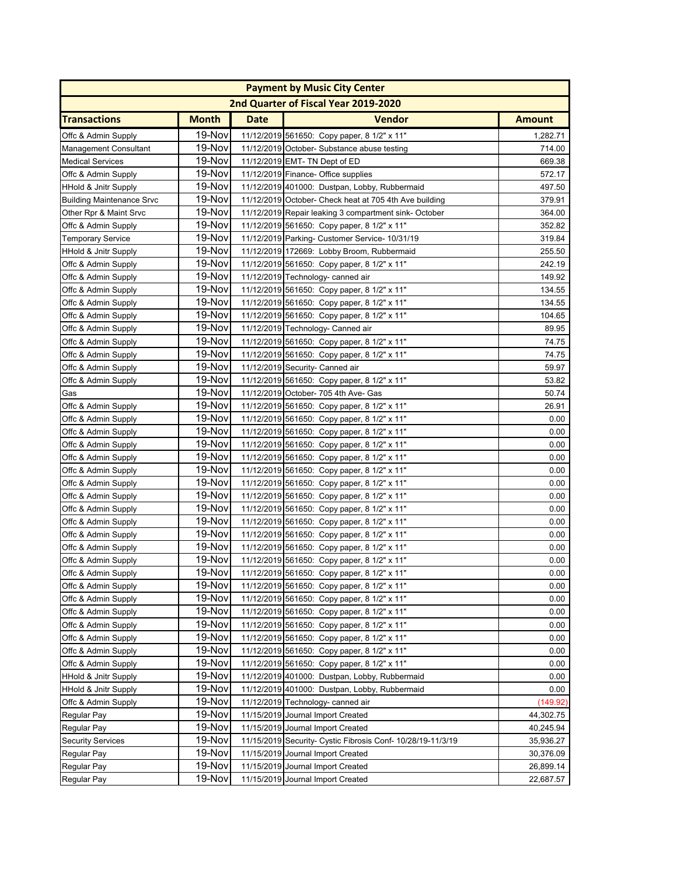| <b>Payment by Music City Center</b> |              |      |                                                             |               |  |  |
|-------------------------------------|--------------|------|-------------------------------------------------------------|---------------|--|--|
|                                     |              |      | 2nd Quarter of Fiscal Year 2019-2020                        |               |  |  |
| <b>Transactions</b>                 | <b>Month</b> | Date | <b>Vendor</b>                                               | <b>Amount</b> |  |  |
| Offc & Admin Supply                 | 19-Nov       |      | 11/12/2019 561650: Copy paper, 8 1/2" x 11"                 | 1,282.71      |  |  |
| <b>Management Consultant</b>        | 19-Nov       |      | 11/12/2019 October- Substance abuse testing                 | 714.00        |  |  |
| <b>Medical Services</b>             | 19-Nov       |      | 11/12/2019 EMT- TN Dept of ED                               | 669.38        |  |  |
| Offc & Admin Supply                 | 19-Nov       |      | 11/12/2019 Finance- Office supplies                         | 572.17        |  |  |
| <b>HHold &amp; Jnitr Supply</b>     | 19-Nov       |      | 11/12/2019 401000: Dustpan, Lobby, Rubbermaid               | 497.50        |  |  |
| <b>Building Maintenance Srvc</b>    | 19-Nov       |      | 11/12/2019 October- Check heat at 705 4th Ave building      | 379.91        |  |  |
| Other Rpr & Maint Srvc              | 19-Nov       |      | 11/12/2019 Repair leaking 3 compartment sink-October        | 364.00        |  |  |
| Offc & Admin Supply                 | 19-Nov       |      | 11/12/2019 561650: Copy paper, 8 1/2" x 11"                 | 352.82        |  |  |
| <b>Temporary Service</b>            | 19-Nov       |      | 11/12/2019 Parking- Customer Service- 10/31/19              | 319.84        |  |  |
| HHold & Jnitr Supply                | 19-Nov       |      | 11/12/2019 172669: Lobby Broom, Rubbermaid                  | 255.50        |  |  |
| Offc & Admin Supply                 | 19-Nov       |      | 11/12/2019 561650: Copy paper, 8 1/2" x 11"                 | 242.19        |  |  |
| Offc & Admin Supply                 | 19-Nov       |      | 11/12/2019 Technology- canned air                           | 149.92        |  |  |
| Offc & Admin Supply                 | 19-Nov       |      | 11/12/2019 561650: Copy paper, 8 1/2" x 11"                 | 134.55        |  |  |
| Offc & Admin Supply                 | 19-Nov       |      | 11/12/2019 561650: Copy paper, 8 1/2" x 11"                 | 134.55        |  |  |
| Offc & Admin Supply                 | 19-Nov       |      | 11/12/2019 561650: Copy paper, 8 1/2" x 11"                 | 104.65        |  |  |
| Offc & Admin Supply                 | 19-Nov       |      | 11/12/2019 Technology- Canned air                           | 89.95         |  |  |
| Offc & Admin Supply                 | 19-Nov       |      | 11/12/2019 561650: Copy paper, 8 1/2" x 11"                 | 74.75         |  |  |
| Offc & Admin Supply                 | 19-Nov       |      | 11/12/2019 561650: Copy paper, 8 1/2" x 11"                 | 74.75         |  |  |
| Offc & Admin Supply                 | 19-Nov       |      | 11/12/2019 Security- Canned air                             | 59.97         |  |  |
| Offc & Admin Supply                 | 19-Nov       |      | 11/12/2019 561650: Copy paper, 8 1/2" x 11"                 | 53.82         |  |  |
| Gas                                 | 19-Nov       |      | 11/12/2019 October- 705 4th Ave- Gas                        | 50.74         |  |  |
| Offc & Admin Supply                 | 19-Nov       |      | 11/12/2019 561650: Copy paper, 8 1/2" x 11"                 | 26.91         |  |  |
| Offc & Admin Supply                 | 19-Nov       |      | 11/12/2019 561650: Copy paper, 8 1/2" x 11"                 | 0.00          |  |  |
| Offc & Admin Supply                 | 19-Nov       |      | 11/12/2019 561650: Copy paper, 8 1/2" x 11"                 | 0.00          |  |  |
| Offc & Admin Supply                 | 19-Nov       |      | 11/12/2019 561650: Copy paper, 8 1/2" x 11"                 | 0.00          |  |  |
| Offc & Admin Supply                 | 19-Nov       |      | 11/12/2019 561650: Copy paper, 8 1/2" x 11"                 | 0.00          |  |  |
| Offc & Admin Supply                 | 19-Nov       |      | 11/12/2019 561650: Copy paper, 8 1/2" x 11"                 | 0.00          |  |  |
| Offc & Admin Supply                 | 19-Nov       |      | 11/12/2019 561650: Copy paper, 8 1/2" x 11"                 | 0.00          |  |  |
| Offc & Admin Supply                 | 19-Nov       |      | 11/12/2019 561650: Copy paper, 8 1/2" x 11"                 | 0.00          |  |  |
| Offc & Admin Supply                 | 19-Nov       |      | 11/12/2019 561650: Copy paper, 8 1/2" x 11"                 | 0.00          |  |  |
| Offc & Admin Supply                 | 19-Nov       |      | 11/12/2019 561650: Copy paper, 8 1/2" x 11"                 | 0.00          |  |  |
| Offc & Admin Supply                 | 19-Nov       |      | 11/12/2019 561650: Copy paper, 8 1/2" x 11"                 | 0.00          |  |  |
| Offc & Admin Supply                 | 19-Nov       |      | 11/12/2019 561650: Copy paper, 8 1/2" x 11"                 | 0.00          |  |  |
| Offc & Admin Supply                 | 19-Nov       |      | 11/12/2019 561650: Copy paper, 8 1/2" x 11"                 | 0.00          |  |  |
| Offc & Admin Supply                 | 19-Nov       |      | 11/12/2019 561650: Copy paper, 8 1/2" x 11"                 | 0.00          |  |  |
| Offc & Admin Supply                 | 19-Nov       |      | 11/12/2019 561650: Copy paper, 8 1/2" x 11"                 | 0.00          |  |  |
| Offc & Admin Supply                 | 19-Nov       |      | 11/12/2019 561650: Copy paper, 8 1/2" x 11"                 | 0.00          |  |  |
| Offc & Admin Supply                 | 19-Nov       |      | 11/12/2019 561650: Copy paper, 8 1/2" x 11"                 | 0.00          |  |  |
| Offc & Admin Supply                 | 19-Nov       |      | 11/12/2019 561650: Copy paper, 8 1/2" x 11"                 | 0.00          |  |  |
| Offc & Admin Supply                 | 19-Nov       |      | 11/12/2019 561650: Copy paper, 8 1/2" x 11"                 | 0.00          |  |  |
| Offc & Admin Supply                 | 19-Nov       |      | 11/12/2019 561650: Copy paper, 8 1/2" x 11"                 | 0.00          |  |  |
| Offc & Admin Supply                 | 19-Nov       |      | 11/12/2019 561650: Copy paper, 8 1/2" x 11"                 | 0.00          |  |  |
| HHold & Jnitr Supply                | 19-Nov       |      | 11/12/2019 401000: Dustpan, Lobby, Rubbermaid               | 0.00          |  |  |
| <b>HHold &amp; Jnitr Supply</b>     | 19-Nov       |      | 11/12/2019 401000: Dustpan, Lobby, Rubbermaid               | 0.00          |  |  |
| Offc & Admin Supply                 | 19-Nov       |      | 11/12/2019 Technology- canned air                           | (149.92)      |  |  |
| Regular Pay                         | 19-Nov       |      | 11/15/2019 Journal Import Created                           | 44,302.75     |  |  |
| Regular Pay                         | 19-Nov       |      | 11/15/2019 Journal Import Created                           | 40,245.94     |  |  |
| <b>Security Services</b>            | 19-Nov       |      | 11/15/2019 Security- Cystic Fibrosis Conf- 10/28/19-11/3/19 | 35,936.27     |  |  |
| Regular Pay                         | 19-Nov       |      | 11/15/2019 Journal Import Created                           | 30,376.09     |  |  |
| Regular Pay                         | 19-Nov       |      | 11/15/2019 Journal Import Created                           | 26,899.14     |  |  |
| Regular Pay                         | 19-Nov       |      | 11/15/2019 Journal Import Created                           | 22,687.57     |  |  |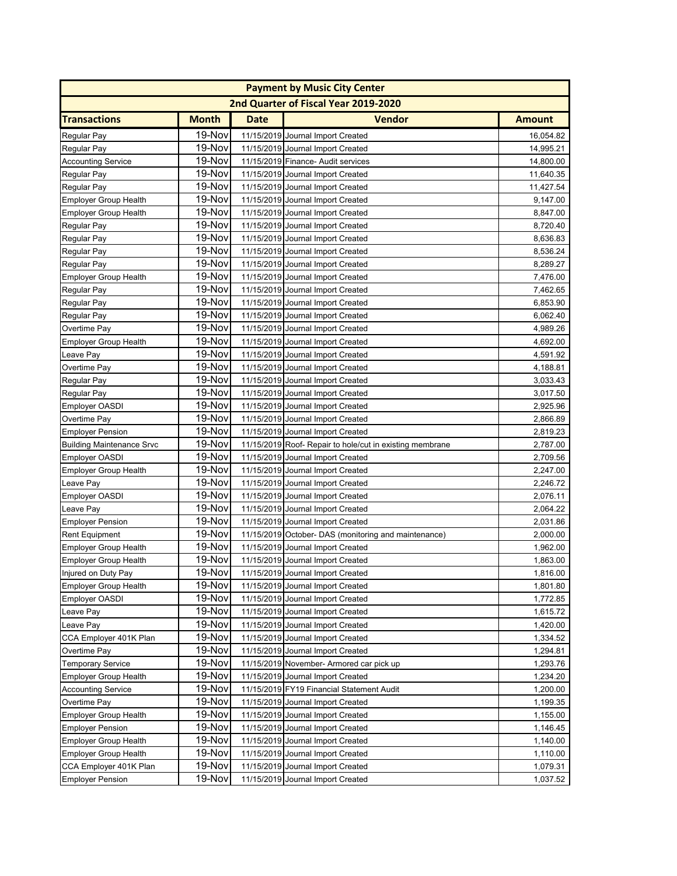| <b>Payment by Music City Center</b> |              |             |                                                          |               |  |  |
|-------------------------------------|--------------|-------------|----------------------------------------------------------|---------------|--|--|
|                                     |              |             | 2nd Quarter of Fiscal Year 2019-2020                     |               |  |  |
| <b>Transactions</b>                 | <b>Month</b> | <b>Date</b> | <b>Vendor</b>                                            | <b>Amount</b> |  |  |
| Regular Pay                         | 19-Nov       |             | 11/15/2019 Journal Import Created                        | 16,054.82     |  |  |
| Regular Pay                         | 19-Nov       |             | 11/15/2019 Journal Import Created                        | 14.995.21     |  |  |
| <b>Accounting Service</b>           | 19-Nov       |             | 11/15/2019 Finance- Audit services                       | 14,800.00     |  |  |
| Regular Pay                         | 19-Nov       |             | 11/15/2019 Journal Import Created                        | 11,640.35     |  |  |
| <b>Regular Pay</b>                  | 19-Nov       |             | 11/15/2019 Journal Import Created                        | 11,427.54     |  |  |
| <b>Employer Group Health</b>        | 19-Nov       |             | 11/15/2019 Journal Import Created                        | 9,147.00      |  |  |
| <b>Employer Group Health</b>        | 19-Nov       |             | 11/15/2019 Journal Import Created                        | 8,847.00      |  |  |
| Regular Pay                         | 19-Nov       |             | 11/15/2019 Journal Import Created                        | 8,720.40      |  |  |
| Regular Pay                         | 19-Nov       |             | 11/15/2019 Journal Import Created                        | 8,636.83      |  |  |
| Regular Pay                         | 19-Nov       |             | 11/15/2019 Journal Import Created                        | 8,536.24      |  |  |
| Regular Pay                         | 19-Nov       |             | 11/15/2019 Journal Import Created                        | 8,289.27      |  |  |
| <b>Employer Group Health</b>        | 19-Nov       |             | 11/15/2019 Journal Import Created                        | 7,476.00      |  |  |
| Regular Pay                         | 19-Nov       |             | 11/15/2019 Journal Import Created                        | 7,462.65      |  |  |
| Regular Pay                         | 19-Nov       |             | 11/15/2019 Journal Import Created                        | 6,853.90      |  |  |
| Regular Pay                         | 19-Nov       |             | 11/15/2019 Journal Import Created                        | 6,062.40      |  |  |
| Overtime Pay                        | 19-Nov       |             | 11/15/2019 Journal Import Created                        | 4,989.26      |  |  |
| <b>Employer Group Health</b>        | 19-Nov       |             | 11/15/2019 Journal Import Created                        | 4,692.00      |  |  |
| Leave Pay                           | 19-Nov       |             | 11/15/2019 Journal Import Created                        | 4,591.92      |  |  |
| Overtime Pay                        | 19-Nov       |             | 11/15/2019 Journal Import Created                        | 4,188.81      |  |  |
| Regular Pay                         | 19-Nov       |             | 11/15/2019 Journal Import Created                        | 3,033.43      |  |  |
| Regular Pay                         | 19-Nov       |             | 11/15/2019 Journal Import Created                        | 3,017.50      |  |  |
| <b>Employer OASDI</b>               | 19-Nov       |             | 11/15/2019 Journal Import Created                        | 2,925.96      |  |  |
| Overtime Pay                        | 19-Nov       |             | 11/15/2019 Journal Import Created                        | 2,866.89      |  |  |
| <b>Employer Pension</b>             | 19-Nov       |             | 11/15/2019 Journal Import Created                        | 2,819.23      |  |  |
| <b>Building Maintenance Srvc</b>    | 19-Nov       |             | 11/15/2019 Roof- Repair to hole/cut in existing membrane | 2,787.00      |  |  |
| <b>Employer OASDI</b>               | 19-Nov       |             | 11/15/2019 Journal Import Created                        | 2,709.56      |  |  |
| Employer Group Health               | 19-Nov       |             | 11/15/2019 Journal Import Created                        | 2,247.00      |  |  |
| Leave Pay                           | 19-Nov       |             | 11/15/2019 Journal Import Created                        | 2,246.72      |  |  |
| <b>Employer OASDI</b>               | 19-Nov       |             | 11/15/2019 Journal Import Created                        | 2,076.11      |  |  |
| Leave Pay                           | 19-Nov       |             | 11/15/2019 Journal Import Created                        | 2,064.22      |  |  |
| <b>Employer Pension</b>             | 19-Nov       |             | 11/15/2019 Journal Import Created                        | 2,031.86      |  |  |
| <b>Rent Equipment</b>               | 19-Nov       |             | 11/15/2019 October- DAS (monitoring and maintenance)     | 2,000.00      |  |  |
| <b>Employer Group Health</b>        | 19-Nov       |             | 11/15/2019 Journal Import Created                        | 1,962.00      |  |  |
| <b>Employer Group Health</b>        | 19-Nov       |             | 11/15/2019 Journal Import Created                        | 1,863.00      |  |  |
| Injured on Duty Pay                 | 19-Nov       |             | 11/15/2019 Journal Import Created                        | 1,816.00      |  |  |
| <b>Employer Group Health</b>        | 19-Nov       |             | 11/15/2019 Journal Import Created                        | 1,801.80      |  |  |
| <b>Employer OASDI</b>               | 19-Nov       |             | 11/15/2019 Journal Import Created                        | 1,772.85      |  |  |
| Leave Pay                           | 19-Nov       |             | 11/15/2019 Journal Import Created                        | 1,615.72      |  |  |
| Leave Pay                           | 19-Nov       |             | 11/15/2019 Journal Import Created                        | 1,420.00      |  |  |
| CCA Employer 401K Plan              | 19-Nov       |             | 11/15/2019 Journal Import Created                        | 1,334.52      |  |  |
| Overtime Pay                        | 19-Nov       |             | 11/15/2019 Journal Import Created                        | 1,294.81      |  |  |
| <b>Temporary Service</b>            | 19-Nov       |             | 11/15/2019 November- Armored car pick up                 | 1,293.76      |  |  |
| <b>Employer Group Health</b>        | 19-Nov       |             | 11/15/2019 Journal Import Created                        | 1,234.20      |  |  |
| <b>Accounting Service</b>           | 19-Nov       |             | 11/15/2019 FY19 Financial Statement Audit                | 1,200.00      |  |  |
| Overtime Pay                        | 19-Nov       |             | 11/15/2019 Journal Import Created                        | 1,199.35      |  |  |
| <b>Employer Group Health</b>        | 19-Nov       |             | 11/15/2019 Journal Import Created                        | 1,155.00      |  |  |
| <b>Employer Pension</b>             | 19-Nov       |             | 11/15/2019 Journal Import Created                        | 1,146.45      |  |  |
| <b>Employer Group Health</b>        | 19-Nov       |             | 11/15/2019 Journal Import Created                        | 1,140.00      |  |  |
| <b>Employer Group Health</b>        | 19-Nov       |             | 11/15/2019 Journal Import Created                        | 1,110.00      |  |  |
| CCA Employer 401K Plan              | 19-Nov       |             | 11/15/2019 Journal Import Created                        | 1,079.31      |  |  |
| <b>Employer Pension</b>             | 19-Nov       |             | 11/15/2019 Journal Import Created                        | 1,037.52      |  |  |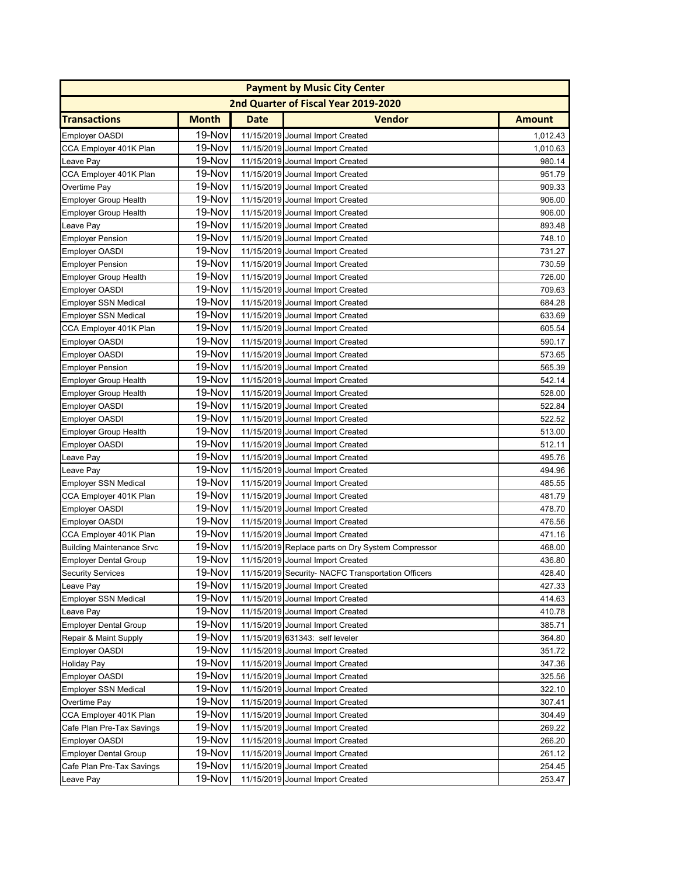|                                  |              |      | <b>Payment by Music City Center</b>                |               |
|----------------------------------|--------------|------|----------------------------------------------------|---------------|
|                                  |              |      | 2nd Quarter of Fiscal Year 2019-2020               |               |
| <b>Transactions</b>              | <b>Month</b> | Date | <b>Vendor</b>                                      | <b>Amount</b> |
| <b>Employer OASDI</b>            | 19-Nov       |      | 11/15/2019 Journal Import Created                  | 1,012.43      |
| CCA Employer 401K Plan           | 19-Nov       |      | 11/15/2019 Journal Import Created                  | 1,010.63      |
| Leave Pay                        | 19-Nov       |      | 11/15/2019 Journal Import Created                  | 980.14        |
| CCA Employer 401K Plan           | 19-Nov       |      | 11/15/2019 Journal Import Created                  | 951.79        |
| Overtime Pay                     | 19-Nov       |      | 11/15/2019 Journal Import Created                  | 909.33        |
| <b>Employer Group Health</b>     | 19-Nov       |      | 11/15/2019 Journal Import Created                  | 906.00        |
| <b>Employer Group Health</b>     | 19-Nov       |      | 11/15/2019 Journal Import Created                  | 906.00        |
| Leave Pay                        | 19-Nov       |      | 11/15/2019 Journal Import Created                  | 893.48        |
| <b>Employer Pension</b>          | 19-Nov       |      | 11/15/2019 Journal Import Created                  | 748.10        |
| <b>Employer OASDI</b>            | 19-Nov       |      | 11/15/2019 Journal Import Created                  | 731.27        |
| <b>Employer Pension</b>          | 19-Nov       |      | 11/15/2019 Journal Import Created                  | 730.59        |
| <b>Employer Group Health</b>     | 19-Nov       |      | 11/15/2019 Journal Import Created                  | 726.00        |
| <b>Employer OASDI</b>            | 19-Nov       |      | 11/15/2019 Journal Import Created                  | 709.63        |
| <b>Employer SSN Medical</b>      | 19-Nov       |      | 11/15/2019 Journal Import Created                  | 684.28        |
| <b>Employer SSN Medical</b>      | 19-Nov       |      | 11/15/2019 Journal Import Created                  | 633.69        |
| CCA Employer 401K Plan           | 19-Nov       |      | 11/15/2019 Journal Import Created                  | 605.54        |
| <b>Employer OASDI</b>            | 19-Nov       |      | 11/15/2019 Journal Import Created                  | 590.17        |
| <b>Employer OASDI</b>            | 19-Nov       |      | 11/15/2019 Journal Import Created                  | 573.65        |
| <b>Employer Pension</b>          | 19-Nov       |      | 11/15/2019 Journal Import Created                  | 565.39        |
| <b>Employer Group Health</b>     | 19-Nov       |      | 11/15/2019 Journal Import Created                  | 542.14        |
| <b>Employer Group Health</b>     | 19-Nov       |      | 11/15/2019 Journal Import Created                  | 528.00        |
| <b>Employer OASDI</b>            | 19-Nov       |      | 11/15/2019 Journal Import Created                  | 522.84        |
| Employer OASDI                   | 19-Nov       |      | 11/15/2019 Journal Import Created                  | 522.52        |
| <b>Employer Group Health</b>     | 19-Nov       |      | 11/15/2019 Journal Import Created                  | 513.00        |
| <b>Employer OASDI</b>            | 19-Nov       |      | 11/15/2019 Journal Import Created                  | 512.11        |
| Leave Pay                        | 19-Nov       |      | 11/15/2019 Journal Import Created                  | 495.76        |
| Leave Pay                        | 19-Nov       |      | 11/15/2019 Journal Import Created                  | 494.96        |
| <b>Employer SSN Medical</b>      | 19-Nov       |      | 11/15/2019 Journal Import Created                  | 485.55        |
| CCA Employer 401K Plan           | 19-Nov       |      | 11/15/2019 Journal Import Created                  | 481.79        |
| <b>Employer OASDI</b>            | 19-Nov       |      | 11/15/2019 Journal Import Created                  | 478.70        |
| <b>Employer OASDI</b>            | 19-Nov       |      | 11/15/2019 Journal Import Created                  | 476.56        |
| CCA Employer 401K Plan           | 19-Nov       |      | 11/15/2019 Journal Import Created                  | 471.16        |
| <b>Building Maintenance Srvc</b> | 19-Nov       |      | 11/15/2019 Replace parts on Dry System Compressor  | 468.00        |
| <b>Employer Dental Group</b>     | 19-Nov       |      | 11/15/2019 Journal Import Created                  | 436.80        |
| <b>Security Services</b>         | 19-Nov       |      | 11/15/2019 Security- NACFC Transportation Officers | 428.40        |
| Leave Pay                        | 19-Nov       |      | 11/15/2019 Journal Import Created                  | 427.33        |
| <b>Employer SSN Medical</b>      | 19-Nov       |      | 11/15/2019 Journal Import Created                  | 414.63        |
| Leave Pay                        | 19-Nov       |      | 11/15/2019 Journal Import Created                  | 410.78        |
| <b>Employer Dental Group</b>     | 19-Nov       |      | 11/15/2019 Journal Import Created                  | 385.71        |
| Repair & Maint Supply            | 19-Nov       |      | 11/15/2019 631343: self leveler                    | 364.80        |
| <b>Employer OASDI</b>            | 19-Nov       |      | 11/15/2019 Journal Import Created                  | 351.72        |
| Holiday Pay                      | 19-Nov       |      | 11/15/2019 Journal Import Created                  | 347.36        |
| <b>Employer OASDI</b>            | 19-Nov       |      | 11/15/2019 Journal Import Created                  | 325.56        |
| <b>Employer SSN Medical</b>      | 19-Nov       |      | 11/15/2019 Journal Import Created                  | 322.10        |
| Overtime Pay                     | 19-Nov       |      | 11/15/2019 Journal Import Created                  | 307.41        |
| CCA Employer 401K Plan           | 19-Nov       |      | 11/15/2019 Journal Import Created                  | 304.49        |
| Cafe Plan Pre-Tax Savings        | 19-Nov       |      | 11/15/2019 Journal Import Created                  | 269.22        |
| <b>Employer OASDI</b>            | 19-Nov       |      | 11/15/2019 Journal Import Created                  | 266.20        |
| <b>Employer Dental Group</b>     | 19-Nov       |      | 11/15/2019 Journal Import Created                  | 261.12        |
| Cafe Plan Pre-Tax Savings        | 19-Nov       |      | 11/15/2019 Journal Import Created                  | 254.45        |
| Leave Pay                        | 19-Nov       |      | 11/15/2019 Journal Import Created                  | 253.47        |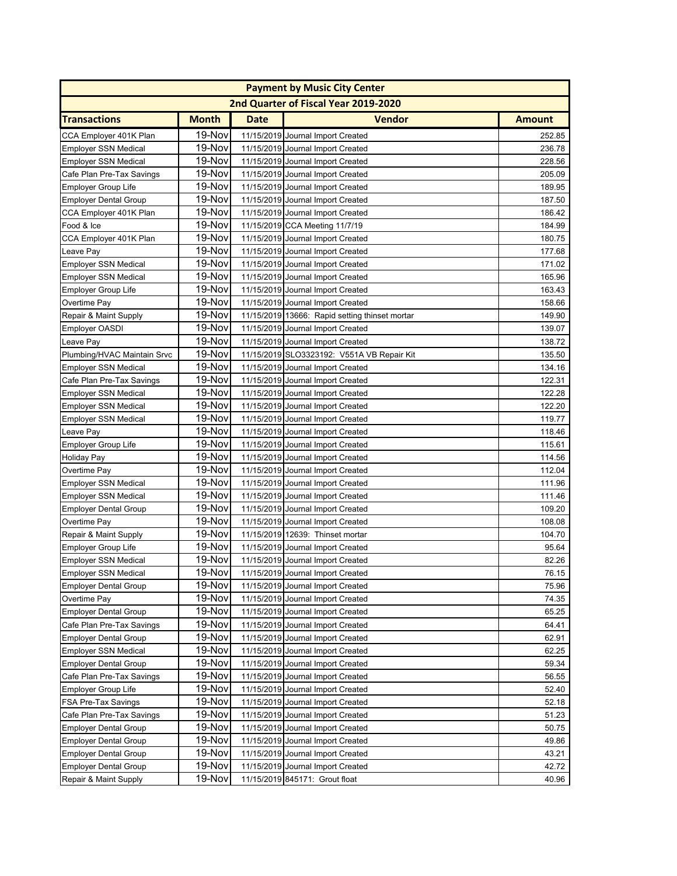|                              |              |      | <b>Payment by Music City Center</b>            |               |
|------------------------------|--------------|------|------------------------------------------------|---------------|
|                              |              |      | 2nd Quarter of Fiscal Year 2019-2020           |               |
| <b>Transactions</b>          | <b>Month</b> | Date | <b>Vendor</b>                                  | <b>Amount</b> |
| CCA Employer 401K Plan       | 19-Nov       |      | 11/15/2019 Journal Import Created              | 252.85        |
| <b>Employer SSN Medical</b>  | 19-Nov       |      | 11/15/2019 Journal Import Created              | 236.78        |
| <b>Employer SSN Medical</b>  | 19-Nov       |      | 11/15/2019 Journal Import Created              | 228.56        |
| Cafe Plan Pre-Tax Savings    | 19-Nov       |      | 11/15/2019 Journal Import Created              | 205.09        |
| <b>Employer Group Life</b>   | 19-Nov       |      | 11/15/2019 Journal Import Created              | 189.95        |
| <b>Employer Dental Group</b> | 19-Nov       |      | 11/15/2019 Journal Import Created              | 187.50        |
| CCA Employer 401K Plan       | 19-Nov       |      | 11/15/2019 Journal Import Created              | 186.42        |
| Food & Ice                   | 19-Nov       |      | 11/15/2019 CCA Meeting 11/7/19                 | 184.99        |
| CCA Employer 401K Plan       | 19-Nov       |      | 11/15/2019 Journal Import Created              | 180.75        |
| Leave Pay                    | 19-Nov       |      | 11/15/2019 Journal Import Created              | 177.68        |
| <b>Employer SSN Medical</b>  | 19-Nov       |      | 11/15/2019 Journal Import Created              | 171.02        |
| <b>Employer SSN Medical</b>  | 19-Nov       |      | 11/15/2019 Journal Import Created              | 165.96        |
| <b>Employer Group Life</b>   | 19-Nov       |      | 11/15/2019 Journal Import Created              | 163.43        |
| Overtime Pay                 | 19-Nov       |      | 11/15/2019 Journal Import Created              | 158.66        |
| Repair & Maint Supply        | 19-Nov       |      | 11/15/2019 13666: Rapid setting thinset mortar | 149.90        |
| <b>Employer OASDI</b>        | 19-Nov       |      | 11/15/2019 Journal Import Created              | 139.07        |
| Leave Pay                    | 19-Nov       |      | 11/15/2019 Journal Import Created              | 138.72        |
| Plumbing/HVAC Maintain Srvc  | 19-Nov       |      | 11/15/2019 SLO3323192: V551A VB Repair Kit     | 135.50        |
| <b>Employer SSN Medical</b>  | 19-Nov       |      | 11/15/2019 Journal Import Created              | 134.16        |
| Cafe Plan Pre-Tax Savings    | 19-Nov       |      | 11/15/2019 Journal Import Created              | 122.31        |
| <b>Employer SSN Medical</b>  | 19-Nov       |      | 11/15/2019 Journal Import Created              | 122.28        |
| <b>Employer SSN Medical</b>  | 19-Nov       |      | 11/15/2019 Journal Import Created              | 122.20        |
| <b>Employer SSN Medical</b>  | 19-Nov       |      | 11/15/2019 Journal Import Created              | 119.77        |
| Leave Pay                    | 19-Nov       |      | 11/15/2019 Journal Import Created              | 118.46        |
| <b>Employer Group Life</b>   | 19-Nov       |      | 11/15/2019 Journal Import Created              | 115.61        |
| Holiday Pay                  | 19-Nov       |      | 11/15/2019 Journal Import Created              | 114.56        |
| Overtime Pay                 | 19-Nov       |      | 11/15/2019 Journal Import Created              | 112.04        |
| <b>Employer SSN Medical</b>  | 19-Nov       |      | 11/15/2019 Journal Import Created              | 111.96        |
| <b>Employer SSN Medical</b>  | 19-Nov       |      | 11/15/2019 Journal Import Created              | 111.46        |
| <b>Employer Dental Group</b> | 19-Nov       |      | 11/15/2019 Journal Import Created              | 109.20        |
| Overtime Pay                 | 19-Nov       |      | 11/15/2019 Journal Import Created              | 108.08        |
| Repair & Maint Supply        | 19-Nov       |      | 11/15/2019 12639: Thinset mortar               | 104.70        |
| <b>Employer Group Life</b>   | 19-Nov       |      | 11/15/2019 Journal Import Created              | 95.64         |
| <b>Employer SSN Medical</b>  | 19-Nov       |      | 11/15/2019 Journal Import Created              | 82.26         |
| Employer SSN Medical         | 19-Nov       |      | 11/15/2019 Journal Import Created              | 76.15         |
| <b>Employer Dental Group</b> | 19-Nov       |      | 11/15/2019 Journal Import Created              | 75.96         |
| Overtime Pay                 | 19-Nov       |      | 11/15/2019 Journal Import Created              | 74.35         |
| <b>Employer Dental Group</b> | 19-Nov       |      | 11/15/2019 Journal Import Created              | 65.25         |
| Cafe Plan Pre-Tax Savings    | 19-Nov       |      | 11/15/2019 Journal Import Created              | 64.41         |
| <b>Employer Dental Group</b> | 19-Nov       |      | 11/15/2019 Journal Import Created              | 62.91         |
| <b>Employer SSN Medical</b>  | 19-Nov       |      | 11/15/2019 Journal Import Created              | 62.25         |
| <b>Employer Dental Group</b> | 19-Nov       |      | 11/15/2019 Journal Import Created              | 59.34         |
| Cafe Plan Pre-Tax Savings    | 19-Nov       |      | 11/15/2019 Journal Import Created              | 56.55         |
| <b>Employer Group Life</b>   | 19-Nov       |      | 11/15/2019 Journal Import Created              | 52.40         |
| FSA Pre-Tax Savings          | 19-Nov       |      | 11/15/2019 Journal Import Created              | 52.18         |
| Cafe Plan Pre-Tax Savings    | 19-Nov       |      | 11/15/2019 Journal Import Created              | 51.23         |
| <b>Employer Dental Group</b> | 19-Nov       |      | 11/15/2019 Journal Import Created              | 50.75         |
| <b>Employer Dental Group</b> | 19-Nov       |      | 11/15/2019 Journal Import Created              | 49.86         |
| <b>Employer Dental Group</b> | 19-Nov       |      | 11/15/2019 Journal Import Created              | 43.21         |
| <b>Employer Dental Group</b> | 19-Nov       |      | 11/15/2019 Journal Import Created              | 42.72         |
| Repair & Maint Supply        | 19-Nov       |      | 11/15/2019 845171: Grout float                 | 40.96         |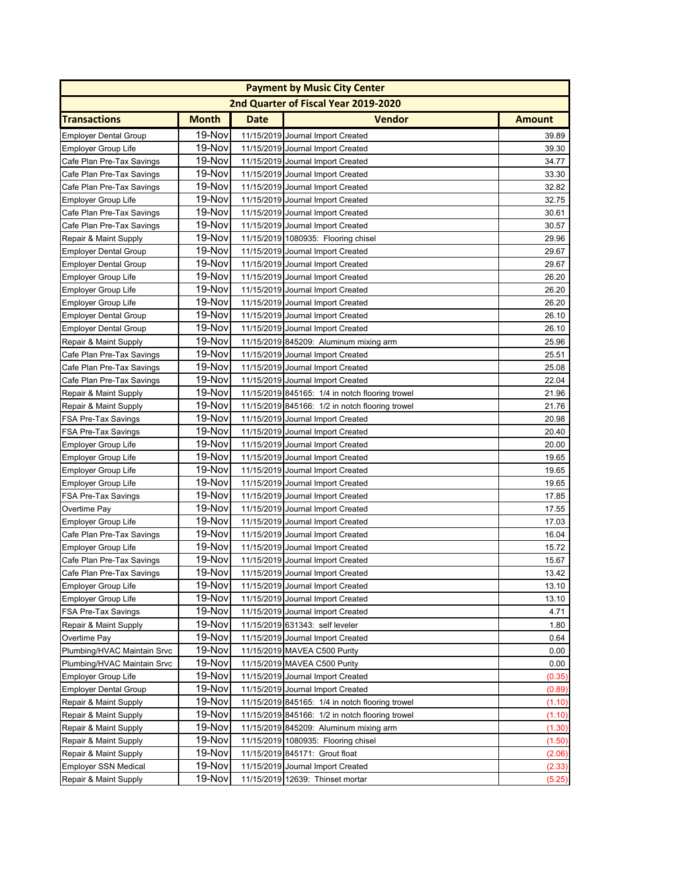|                              |              |             | <b>Payment by Music City Center</b>             |               |
|------------------------------|--------------|-------------|-------------------------------------------------|---------------|
|                              |              |             | 2nd Quarter of Fiscal Year 2019-2020            |               |
| <b>Transactions</b>          | <b>Month</b> | <b>Date</b> | <b>Vendor</b>                                   | <b>Amount</b> |
| <b>Employer Dental Group</b> | 19-Nov       |             | 11/15/2019 Journal Import Created               | 39.89         |
| <b>Employer Group Life</b>   | 19-Nov       |             | 11/15/2019 Journal Import Created               | 39.30         |
| Cafe Plan Pre-Tax Savings    | 19-Nov       |             | 11/15/2019 Journal Import Created               | 34.77         |
| Cafe Plan Pre-Tax Savings    | 19-Nov       |             | 11/15/2019 Journal Import Created               | 33.30         |
| Cafe Plan Pre-Tax Savings    | 19-Nov       |             | 11/15/2019 Journal Import Created               | 32.82         |
| Employer Group Life          | 19-Nov       |             | 11/15/2019 Journal Import Created               | 32.75         |
| Cafe Plan Pre-Tax Savings    | 19-Nov       |             | 11/15/2019 Journal Import Created               | 30.61         |
| Cafe Plan Pre-Tax Savings    | 19-Nov       |             | 11/15/2019 Journal Import Created               | 30.57         |
| Repair & Maint Supply        | 19-Nov       |             | 11/15/2019 1080935: Flooring chisel             | 29.96         |
| <b>Employer Dental Group</b> | 19-Nov       |             | 11/15/2019 Journal Import Created               | 29.67         |
| <b>Employer Dental Group</b> | 19-Nov       |             | 11/15/2019 Journal Import Created               | 29.67         |
| <b>Employer Group Life</b>   | 19-Nov       |             | 11/15/2019 Journal Import Created               | 26.20         |
| <b>Employer Group Life</b>   | 19-Nov       |             | 11/15/2019 Journal Import Created               | 26.20         |
| <b>Employer Group Life</b>   | 19-Nov       |             | 11/15/2019 Journal Import Created               | 26.20         |
| <b>Employer Dental Group</b> | 19-Nov       |             | 11/15/2019 Journal Import Created               | 26.10         |
| <b>Employer Dental Group</b> | 19-Nov       |             | 11/15/2019 Journal Import Created               | 26.10         |
| Repair & Maint Supply        | 19-Nov       |             | 11/15/2019 845209: Aluminum mixing arm          | 25.96         |
| Cafe Plan Pre-Tax Savings    | 19-Nov       |             | 11/15/2019 Journal Import Created               | 25.51         |
| Cafe Plan Pre-Tax Savings    | 19-Nov       |             | 11/15/2019 Journal Import Created               | 25.08         |
| Cafe Plan Pre-Tax Savings    | 19-Nov       |             | 11/15/2019 Journal Import Created               | 22.04         |
| Repair & Maint Supply        | 19-Nov       |             | 11/15/2019 845165: 1/4 in notch flooring trowel | 21.96         |
| Repair & Maint Supply        | 19-Nov       |             | 11/15/2019 845166: 1/2 in notch flooring trowel | 21.76         |
| FSA Pre-Tax Savings          | 19-Nov       |             | 11/15/2019 Journal Import Created               | 20.98         |
| FSA Pre-Tax Savings          | 19-Nov       |             | 11/15/2019 Journal Import Created               | 20.40         |
| <b>Employer Group Life</b>   | 19-Nov       |             | 11/15/2019 Journal Import Created               | 20.00         |
| Employer Group Life          | 19-Nov       |             | 11/15/2019 Journal Import Created               | 19.65         |
| Employer Group Life          | 19-Nov       |             | 11/15/2019 Journal Import Created               | 19.65         |
| Employer Group Life          | 19-Nov       |             | 11/15/2019 Journal Import Created               | 19.65         |
| FSA Pre-Tax Savings          | 19-Nov       |             | 11/15/2019 Journal Import Created               | 17.85         |
| Overtime Pay                 | 19-Nov       |             | 11/15/2019 Journal Import Created               | 17.55         |
| Employer Group Life          | 19-Nov       |             | 11/15/2019 Journal Import Created               | 17.03         |
| Cafe Plan Pre-Tax Savings    | 19-Nov       |             | 11/15/2019 Journal Import Created               | 16.04         |
| <b>Employer Group Life</b>   | 19-Nov       |             | 11/15/2019 Journal Import Created               | 15.72         |
| Cafe Plan Pre-Tax Savings    | 19-Nov       |             | 11/15/2019 Journal Import Created               | 15.67         |
| Cafe Plan Pre-Tax Savings    | 19-Nov       |             | 11/15/2019 Journal Import Created               | 13.42         |
| Employer Group Life          | 19-Nov       |             | 11/15/2019 Journal Import Created               | 13.10         |
| Employer Group Life          | 19-Nov       |             | 11/15/2019 Journal Import Created               | 13.10         |
| FSA Pre-Tax Savings          | 19-Nov       |             | 11/15/2019 Journal Import Created               | 4.71          |
| Repair & Maint Supply        | 19-Nov       |             | 11/15/2019 631343: self leveler                 | 1.80          |
| Overtime Pay                 | 19-Nov       |             | 11/15/2019 Journal Import Created               | 0.64          |
| Plumbing/HVAC Maintain Srvc  | 19-Nov       |             | 11/15/2019 MAVEA C500 Purity                    | 0.00          |
| Plumbing/HVAC Maintain Srvc  | 19-Nov       |             | 11/15/2019 MAVEA C500 Purity                    | 0.00          |
| Employer Group Life          | 19-Nov       |             | 11/15/2019 Journal Import Created               | (0.35)        |
| <b>Employer Dental Group</b> | 19-Nov       |             | 11/15/2019 Journal Import Created               | (0.89)        |
| Repair & Maint Supply        | 19-Nov       |             | 11/15/2019 845165: 1/4 in notch flooring trowel | (1.10)        |
| Repair & Maint Supply        | 19-Nov       |             | 11/15/2019 845166: 1/2 in notch flooring trowel | (1.10)        |
| Repair & Maint Supply        | 19-Nov       |             | 11/15/2019 845209: Aluminum mixing arm          | (1.30)        |
| Repair & Maint Supply        | 19-Nov       |             | 11/15/2019 1080935: Flooring chisel             | (1.50)        |
| Repair & Maint Supply        | 19-Nov       |             | 11/15/2019 845171: Grout float                  | (2.06)        |
| <b>Employer SSN Medical</b>  | 19-Nov       |             | 11/15/2019 Journal Import Created               | (2.33)        |
| Repair & Maint Supply        | 19-Nov       |             | 11/15/2019 12639: Thinset mortar                | (5.25)        |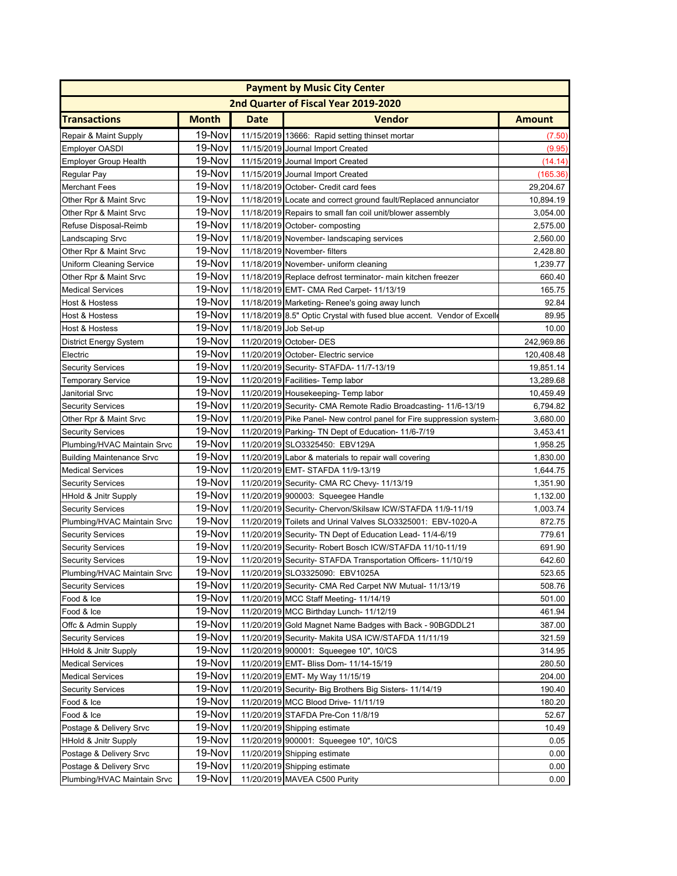|                                  |              |                       | <b>Payment by Music City Center</b>                                     |                      |
|----------------------------------|--------------|-----------------------|-------------------------------------------------------------------------|----------------------|
|                                  |              |                       | 2nd Quarter of Fiscal Year 2019-2020                                    |                      |
| <b>Transactions</b>              | <b>Month</b> | Date                  | <b>Vendor</b>                                                           | <b>Amount</b>        |
| Repair & Maint Supply            | 19-Nov       |                       | 11/15/2019 13666: Rapid setting thinset mortar                          | (7.50)               |
| Employer OASDI                   | 19-Nov       |                       | 11/15/2019 Journal Import Created                                       | (9.95)               |
| <b>Employer Group Health</b>     | 19-Nov       |                       | 11/15/2019 Journal Import Created                                       | (14.14)              |
| Regular Pay                      | 19-Nov       |                       | 11/15/2019 Journal Import Created                                       | (165.36)             |
| <b>Merchant Fees</b>             | 19-Nov       |                       | 11/18/2019 October- Credit card fees                                    | 29,204.67            |
| Other Rpr & Maint Srvc           | 19-Nov       |                       | 11/18/2019 Locate and correct ground fault/Replaced annunciator         | 10,894.19            |
| Other Rpr & Maint Srvc           | 19-Nov       |                       | 11/18/2019 Repairs to small fan coil unit/blower assembly               | 3,054.00             |
| Refuse Disposal-Reimb            | 19-Nov       |                       | 11/18/2019 October-composting                                           | 2,575.00             |
| Landscaping Srvc                 | 19-Nov       |                       | 11/18/2019 November-landscaping services                                | 2,560.00             |
| Other Rpr & Maint Srvc           | 19-Nov       |                       | 11/18/2019 November- filters                                            | 2,428.80             |
| Uniform Cleaning Service         | 19-Nov       |                       | 11/18/2019 November- uniform cleaning                                   | 1,239.77             |
| Other Rpr & Maint Srvc           | 19-Nov       |                       | 11/18/2019 Replace defrost terminator- main kitchen freezer             | 660.40               |
| <b>Medical Services</b>          | 19-Nov       |                       | 11/18/2019 EMT- CMA Red Carpet- 11/13/19                                | 165.75               |
| Host & Hostess                   | 19-Nov       |                       | 11/18/2019 Marketing- Renee's going away lunch                          | 92.84                |
| Host & Hostess                   | 19-Nov       |                       | 11/18/2019 8.5" Optic Crystal with fused blue accent. Vendor of Excelle | 89.95                |
| Host & Hostess                   | 19-Nov       | 11/18/2019 Job Set-up |                                                                         | 10.00                |
| District Energy System           | 19-Nov       |                       | 11/20/2019 October- DES                                                 | 242,969.86           |
| Electric                         | 19-Nov       |                       | 11/20/2019 October- Electric service                                    | 120,408.48           |
| <b>Security Services</b>         | 19-Nov       |                       | 11/20/2019 Security- STAFDA- 11/7-13/19                                 | 19,851.14            |
| <b>Temporary Service</b>         | 19-Nov       |                       | 11/20/2019 Facilities- Temp labor                                       | 13,289.68            |
| Janitorial Srvc                  | 19-Nov       |                       | 11/20/2019 Housekeeping- Temp labor                                     | 10,459.49            |
| <b>Security Services</b>         | 19-Nov       |                       |                                                                         |                      |
|                                  | 19-Nov       |                       | 11/20/2019 Security- CMA Remote Radio Broadcasting-11/6-13/19           | 6,794.82<br>3,680.00 |
| Other Rpr & Maint Srvc           | 19-Nov       |                       | 11/20/2019 Pike Panel- New control panel for Fire suppression system-   |                      |
| <b>Security Services</b>         | 19-Nov       |                       | 11/20/2019 Parking- TN Dept of Education- 11/6-7/19                     | 3,453.41             |
| Plumbing/HVAC Maintain Srvc      | 19-Nov       |                       | 11/20/2019 SLO3325450: EBV129A                                          | 1,958.25             |
| <b>Building Maintenance Srvc</b> | 19-Nov       |                       | 11/20/2019 Labor & materials to repair wall covering                    | 1,830.00             |
| <b>Medical Services</b>          |              |                       | 11/20/2019 EMT- STAFDA 11/9-13/19                                       | 1,644.75             |
| <b>Security Services</b>         | 19-Nov       |                       | 11/20/2019 Security- CMA RC Chevy- 11/13/19                             | 1,351.90             |
| <b>HHold &amp; Jnitr Supply</b>  | 19-Nov       |                       | 11/20/2019 900003: Squeegee Handle                                      | 1,132.00             |
| <b>Security Services</b>         | 19-Nov       |                       | 11/20/2019 Security- Chervon/Skilsaw ICW/STAFDA 11/9-11/19              | 1,003.74             |
| Plumbing/HVAC Maintain Srvc      | 19-Nov       |                       | 11/20/2019 Toilets and Urinal Valves SLO3325001: EBV-1020-A             | 872.75               |
| <b>Security Services</b>         | 19-Nov       |                       | 11/20/2019 Security- TN Dept of Education Lead-11/4-6/19                | 779.61               |
| <b>Security Services</b>         | 19-Nov       |                       | 11/20/2019 Security- Robert Bosch ICW/STAFDA 11/10-11/19                | 691.90               |
| <b>Security Services</b>         | 19-Nov       |                       | 11/20/2019 Security- STAFDA Transportation Officers- 11/10/19           | 642.60               |
| Plumbing/HVAC Maintain Srvc      | 19-Nov       |                       | 11/20/2019 SLO3325090: EBV1025A                                         | 523.65               |
| <b>Security Services</b>         | 19-Nov       |                       | 11/20/2019 Security- CMA Red Carpet NW Mutual- 11/13/19                 | 508.76               |
| Food & Ice                       | 19-Nov       |                       | 11/20/2019 MCC Staff Meeting- 11/14/19                                  | 501.00               |
| Food & Ice                       | 19-Nov       |                       | 11/20/2019 MCC Birthday Lunch- 11/12/19                                 | 461.94               |
| Offc & Admin Supply              | 19-Nov       |                       | 11/20/2019 Gold Magnet Name Badges with Back - 90BGDDL21                | 387.00               |
| <b>Security Services</b>         | 19-Nov       |                       | 11/20/2019 Security- Makita USA ICW/STAFDA 11/11/19                     | 321.59               |
| <b>HHold &amp; Jnitr Supply</b>  | 19-Nov       |                       | 11/20/2019 900001: Squeegee 10", 10/CS                                  | 314.95               |
| <b>Medical Services</b>          | 19-Nov       |                       | 11/20/2019 EMT- Bliss Dom- 11/14-15/19                                  | 280.50               |
| <b>Medical Services</b>          | 19-Nov       |                       | 11/20/2019 EMT- My Way 11/15/19                                         | 204.00               |
| <b>Security Services</b>         | 19-Nov       |                       | 11/20/2019 Security- Big Brothers Big Sisters- 11/14/19                 | 190.40               |
| Food & Ice                       | 19-Nov       |                       | 11/20/2019 MCC Blood Drive- 11/11/19                                    | 180.20               |
| Food & Ice                       | 19-Nov       |                       | 11/20/2019 STAFDA Pre-Con 11/8/19                                       | 52.67                |
| Postage & Delivery Srvc          | 19-Nov       |                       | 11/20/2019 Shipping estimate                                            | 10.49                |
| HHold & Jnitr Supply             | 19-Nov       |                       | 11/20/2019 900001: Squeegee 10", 10/CS                                  | 0.05                 |
| Postage & Delivery Srvc          | 19-Nov       |                       | 11/20/2019 Shipping estimate                                            | 0.00                 |
| Postage & Delivery Srvc          | 19-Nov       |                       | 11/20/2019 Shipping estimate                                            | 0.00                 |
| Plumbing/HVAC Maintain Srvc      | 19-Nov       |                       | 11/20/2019 MAVEA C500 Purity                                            | 0.00                 |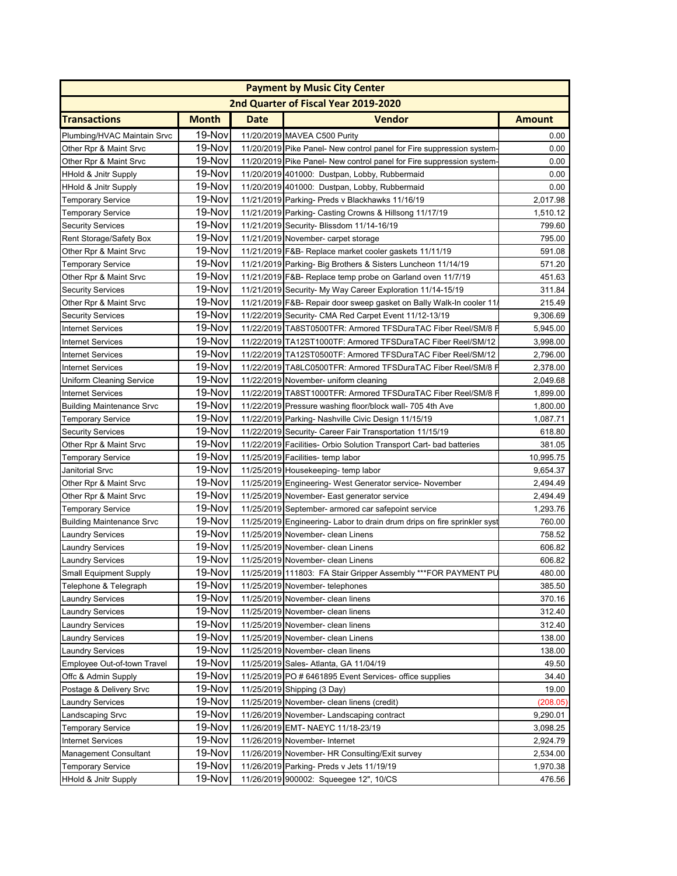|                                  |              |             | <b>Payment by Music City Center</b>                                      |               |
|----------------------------------|--------------|-------------|--------------------------------------------------------------------------|---------------|
|                                  |              |             | 2nd Quarter of Fiscal Year 2019-2020                                     |               |
| <b>Transactions</b>              | <b>Month</b> | <b>Date</b> | <b>Vendor</b>                                                            | <b>Amount</b> |
| Plumbing/HVAC Maintain Srvc      | 19-Nov       |             | 11/20/2019 MAVEA C500 Purity                                             | 0.00          |
| Other Rpr & Maint Srvc           | 19-Nov       |             | 11/20/2019 Pike Panel- New control panel for Fire suppression system     | 0.00          |
| Other Rpr & Maint Srvc           | 19-Nov       |             | 11/20/2019 Pike Panel- New control panel for Fire suppression system     | 0.00          |
| <b>HHold &amp; Jnitr Supply</b>  | 19-Nov       |             | 11/20/2019 401000: Dustpan, Lobby, Rubbermaid                            | 0.00          |
| <b>HHold &amp; Jnitr Supply</b>  | 19-Nov       |             | 11/20/2019 401000: Dustpan, Lobby, Rubbermaid                            | 0.00          |
| <b>Temporary Service</b>         | 19-Nov       |             | 11/21/2019 Parking- Preds v Blackhawks 11/16/19                          | 2,017.98      |
| <b>Temporary Service</b>         | 19-Nov       |             | 11/21/2019 Parking- Casting Crowns & Hillsong 11/17/19                   | 1,510.12      |
| <b>Security Services</b>         | 19-Nov       |             | 11/21/2019 Security- Blissdom 11/14-16/19                                | 799.60        |
| Rent Storage/Safety Box          | 19-Nov       |             | 11/21/2019 November- carpet storage                                      | 795.00        |
| Other Rpr & Maint Srvc           | 19-Nov       |             | 11/21/2019 F&B- Replace market cooler gaskets 11/11/19                   | 591.08        |
| <b>Temporary Service</b>         | 19-Nov       |             | 11/21/2019 Parking- Big Brothers & Sisters Luncheon 11/14/19             | 571.20        |
| Other Rpr & Maint Srvc           | 19-Nov       |             | 11/21/2019 F&B- Replace temp probe on Garland oven 11/7/19               | 451.63        |
| <b>Security Services</b>         | 19-Nov       |             | 11/21/2019 Security- My Way Career Exploration 11/14-15/19               | 311.84        |
| Other Rpr & Maint Srvc           | 19-Nov       |             | 11/21/2019 F&B- Repair door sweep gasket on Bally Walk-In cooler 11      | 215.49        |
| <b>Security Services</b>         | 19-Nov       |             | 11/22/2019 Security- CMA Red Carpet Event 11/12-13/19                    | 9,306.69      |
| <b>Internet Services</b>         | 19-Nov       |             | 11/22/2019 TA8ST0500TFR: Armored TFSDuraTAC Fiber Reel/SM/8 F            | 5,945.00      |
| <b>Internet Services</b>         | 19-Nov       |             | 11/22/2019 TA12ST1000TF: Armored TFSDuraTAC Fiber Reel/SM/12             | 3,998.00      |
| <b>Internet Services</b>         | 19-Nov       |             | 11/22/2019 TA12ST0500TF: Armored TFSDuraTAC Fiber Reel/SM/12             | 2,796.00      |
| <b>Internet Services</b>         | 19-Nov       |             | 11/22/2019 TA8LC0500TFR: Armored TFSDuraTAC Fiber Reel/SM/8 F            | 2,378.00      |
| <b>Uniform Cleaning Service</b>  | 19-Nov       |             | 11/22/2019 November- uniform cleaning                                    | 2,049.68      |
| <b>Internet Services</b>         | 19-Nov       |             | 11/22/2019 TA8ST1000TFR: Armored TFSDuraTAC Fiber Reel/SM/8 F            | 1,899.00      |
| <b>Building Maintenance Srvc</b> | 19-Nov       |             | 11/22/2019 Pressure washing floor/block wall- 705 4th Ave                | 1,800.00      |
| <b>Temporary Service</b>         | 19-Nov       |             | 11/22/2019 Parking- Nashville Civic Design 11/15/19                      | 1,087.71      |
| <b>Security Services</b>         | 19-Nov       |             | 11/22/2019 Security- Career Fair Transportation 11/15/19                 | 618.80        |
| Other Rpr & Maint Srvc           | 19-Nov       |             | 11/22/2019 Facilities- Orbio Solution Transport Cart- bad batteries      | 381.05        |
| <b>Temporary Service</b>         | 19-Nov       |             | 11/25/2019 Facilities- temp labor                                        | 10,995.75     |
| Janitorial Srvc                  | 19-Nov       |             | 11/25/2019 Housekeeping-temp labor                                       | 9,654.37      |
| Other Rpr & Maint Srvc           | 19-Nov       |             | 11/25/2019 Engineering- West Generator service- November                 | 2,494.49      |
| Other Rpr & Maint Srvc           | 19-Nov       |             | 11/25/2019 November- East generator service                              | 2,494.49      |
| <b>Temporary Service</b>         | 19-Nov       |             | 11/25/2019 September- armored car safepoint service                      | 1,293.76      |
| <b>Building Maintenance Srvc</b> | 19-Nov       |             | 11/25/2019 Engineering- Labor to drain drum drips on fire sprinkler syst | 760.00        |
| <b>Laundry Services</b>          | 19-Nov       |             | 11/25/2019 November- clean Linens                                        | 758.52        |
| <b>Laundry Services</b>          | 19-Nov       |             | 11/25/2019 November- clean Linens                                        | 606.82        |
| <b>Laundry Services</b>          | 19-Nov       |             | 11/25/2019 November- clean Linens                                        | 606.82        |
| Small Equipment Supply           | 19-Nov       |             | 11/25/2019 111803: FA Stair Gripper Assembly *** FOR PAYMENT PL          | 480.00        |
| Telephone & Telegraph            | 19-Nov       |             | 11/25/2019 November- telephones                                          | 385.50        |
| <b>Laundry Services</b>          | 19-Nov       |             | 11/25/2019 November- clean linens                                        | 370.16        |
| <b>Laundry Services</b>          | 19-Nov       |             | 11/25/2019 November- clean linens                                        | 312.40        |
| <b>Laundry Services</b>          | 19-Nov       |             | 11/25/2019 November- clean linens                                        | 312.40        |
| <b>Laundry Services</b>          | 19-Nov       |             | 11/25/2019 November- clean Linens                                        | 138.00        |
| <b>Laundry Services</b>          | 19-Nov       |             | 11/25/2019 November- clean linens                                        | 138.00        |
| Employee Out-of-town Travel      | 19-Nov       |             | 11/25/2019 Sales- Atlanta, GA 11/04/19                                   | 49.50         |
| Offc & Admin Supply              | 19-Nov       |             | 11/25/2019 PO # 6461895 Event Services- office supplies                  | 34.40         |
| Postage & Delivery Srvc          | 19-Nov       |             | 11/25/2019 Shipping (3 Day)                                              | 19.00         |
| <b>Laundry Services</b>          | 19-Nov       |             | 11/25/2019 November- clean linens (credit)                               | (208.05)      |
| Landscaping Srvc                 | 19-Nov       |             | 11/26/2019 November- Landscaping contract                                | 9,290.01      |
| <b>Temporary Service</b>         | 19-Nov       |             | 11/26/2019 EMT- NAEYC 11/18-23/19                                        | 3,098.25      |
| <b>Internet Services</b>         | 19-Nov       |             | 11/26/2019 November- Internet                                            | 2,924.79      |
| <b>Management Consultant</b>     | 19-Nov       |             | 11/26/2019 November- HR Consulting/Exit survey                           | 2,534.00      |
| <b>Temporary Service</b>         | 19-Nov       |             | 11/26/2019 Parking- Preds v Jets 11/19/19                                | 1,970.38      |
| <b>HHold &amp; Jnitr Supply</b>  | 19-Nov       |             | 11/26/2019 900002: Squeegee 12", 10/CS                                   | 476.56        |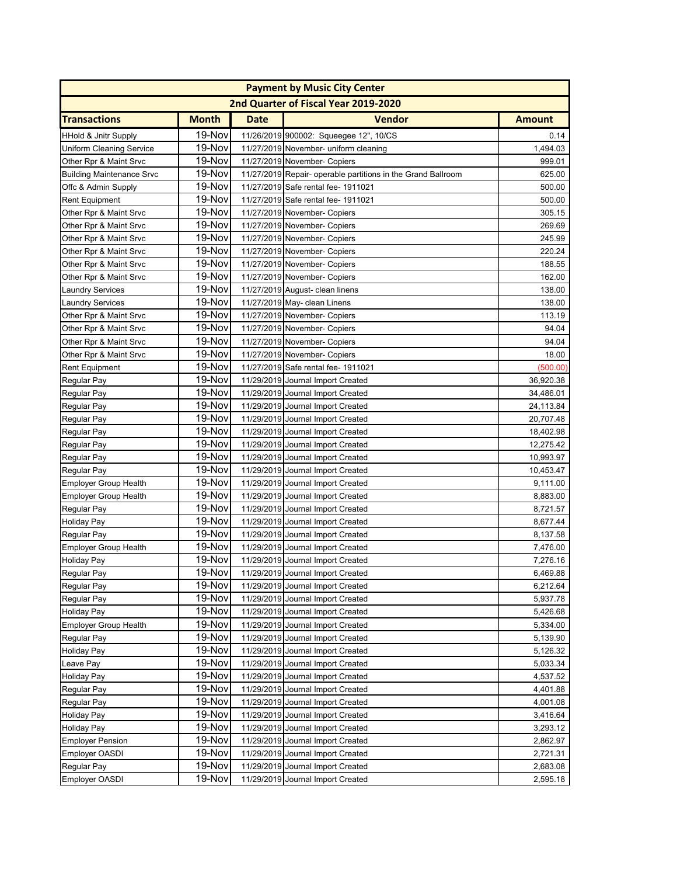|                                  |              |             | <b>Payment by Music City Center</b>                          |               |
|----------------------------------|--------------|-------------|--------------------------------------------------------------|---------------|
|                                  |              |             | 2nd Quarter of Fiscal Year 2019-2020                         |               |
| <b>Transactions</b>              | <b>Month</b> | <b>Date</b> | <b>Vendor</b>                                                | <b>Amount</b> |
| <b>HHold &amp; Jnitr Supply</b>  | 19-Nov       |             | 11/26/2019 900002: Squeegee 12", 10/CS                       | 0.14          |
| <b>Uniform Cleaning Service</b>  | 19-Nov       |             | 11/27/2019 November- uniform cleaning                        | 1,494.03      |
| Other Rpr & Maint Srvc           | 19-Nov       |             | 11/27/2019 November- Copiers                                 | 999.01        |
| <b>Building Maintenance Srvc</b> | 19-Nov       |             | 11/27/2019 Repair- operable partitions in the Grand Ballroom | 625.00        |
| Offc & Admin Supply              | 19-Nov       |             | 11/27/2019 Safe rental fee- 1911021                          | 500.00        |
| <b>Rent Equipment</b>            | 19-Nov       |             | 11/27/2019 Safe rental fee- 1911021                          | 500.00        |
| Other Rpr & Maint Srvc           | 19-Nov       |             | 11/27/2019 November- Copiers                                 | 305.15        |
| Other Rpr & Maint Srvc           | 19-Nov       |             | 11/27/2019 November- Copiers                                 | 269.69        |
| Other Rpr & Maint Srvc           | 19-Nov       |             | 11/27/2019 November- Copiers                                 | 245.99        |
| Other Rpr & Maint Srvc           | 19-Nov       |             | 11/27/2019 November- Copiers                                 | 220.24        |
| Other Rpr & Maint Srvc           | 19-Nov       |             | 11/27/2019 November- Copiers                                 | 188.55        |
| Other Rpr & Maint Srvc           | 19-Nov       |             | 11/27/2019 November- Copiers                                 | 162.00        |
| <b>Laundry Services</b>          | 19-Nov       |             | 11/27/2019 August- clean linens                              | 138.00        |
| <b>Laundry Services</b>          | 19-Nov       |             | 11/27/2019 May- clean Linens                                 | 138.00        |
| Other Rpr & Maint Srvc           | 19-Nov       |             | 11/27/2019 November- Copiers                                 | 113.19        |
| Other Rpr & Maint Srvc           | 19-Nov       |             | 11/27/2019 November- Copiers                                 | 94.04         |
| Other Rpr & Maint Srvc           | 19-Nov       |             | 11/27/2019 November- Copiers                                 | 94.04         |
| Other Rpr & Maint Srvc           | 19-Nov       |             | 11/27/2019 November- Copiers                                 | 18.00         |
| <b>Rent Equipment</b>            | 19-Nov       |             | 11/27/2019 Safe rental fee- 1911021                          | (500.00)      |
| Regular Pay                      | 19-Nov       |             | 11/29/2019 Journal Import Created                            | 36,920.38     |
| Regular Pay                      | 19-Nov       |             | 11/29/2019 Journal Import Created                            | 34,486.01     |
| Regular Pay                      | 19-Nov       |             | 11/29/2019 Journal Import Created                            | 24,113.84     |
| Regular Pay                      | 19-Nov       |             | 11/29/2019 Journal Import Created                            | 20,707.48     |
| Regular Pay                      | 19-Nov       |             | 11/29/2019 Journal Import Created                            | 18,402.98     |
| Regular Pay                      | 19-Nov       |             | 11/29/2019 Journal Import Created                            | 12,275.42     |
| Regular Pay                      | 19-Nov       |             | 11/29/2019 Journal Import Created                            | 10,993.97     |
| Regular Pay                      | 19-Nov       |             | 11/29/2019 Journal Import Created                            | 10,453.47     |
| <b>Employer Group Health</b>     | 19-Nov       |             | 11/29/2019 Journal Import Created                            | 9,111.00      |
| <b>Employer Group Health</b>     | 19-Nov       |             | 11/29/2019 Journal Import Created                            | 8,883.00      |
| Regular Pay                      | 19-Nov       |             | 11/29/2019 Journal Import Created                            | 8,721.57      |
| <b>Holiday Pay</b>               | 19-Nov       |             | 11/29/2019 Journal Import Created                            | 8,677.44      |
| Regular Pay                      | 19-Nov       |             | 11/29/2019 Journal Import Created                            | 8,137.58      |
| <b>Employer Group Health</b>     | 19-Nov       |             | 11/29/2019 Journal Import Created                            | 7,476.00      |
| <b>Holiday Pay</b>               | 19-Nov       |             | 11/29/2019 Journal Import Created                            | 7,276.16      |
| Regular Pay                      | 19-Nov       |             | 11/29/2019 Journal Import Created                            | 6,469.88      |
| Regular Pay                      | 19-Nov       |             | 11/29/2019 Journal Import Created                            | 6,212.64      |
| <b>Regular Pay</b>               | 19-Nov       |             | 11/29/2019 Journal Import Created                            | 5,937.78      |
| <b>Holiday Pay</b>               | 19-Nov       |             | 11/29/2019 Journal Import Created                            | 5,426.68      |
| <b>Employer Group Health</b>     | 19-Nov       |             | 11/29/2019 Journal Import Created                            | 5,334.00      |
| Regular Pay                      | 19-Nov       |             | 11/29/2019 Journal Import Created                            | 5,139.90      |
| <b>Holiday Pay</b>               | 19-Nov       |             | 11/29/2019 Journal Import Created                            | 5,126.32      |
| Leave Pay                        | 19-Nov       |             | 11/29/2019 Journal Import Created                            | 5,033.34      |
| <b>Holiday Pay</b>               | 19-Nov       |             | 11/29/2019 Journal Import Created                            | 4,537.52      |
| Regular Pay                      | 19-Nov       |             | 11/29/2019 Journal Import Created                            | 4,401.88      |
| Regular Pay                      | 19-Nov       |             | 11/29/2019 Journal Import Created                            | 4,001.08      |
| <b>Holiday Pay</b>               | 19-Nov       |             | 11/29/2019 Journal Import Created                            | 3,416.64      |
| <b>Holiday Pay</b>               | 19-Nov       |             | 11/29/2019 Journal Import Created                            | 3,293.12      |
| <b>Employer Pension</b>          | 19-Nov       |             | 11/29/2019 Journal Import Created                            | 2,862.97      |
| <b>Employer OASDI</b>            | 19-Nov       |             | 11/29/2019 Journal Import Created                            | 2,721.31      |
| Regular Pay                      | 19-Nov       |             | 11/29/2019 Journal Import Created                            | 2,683.08      |
| Employer OASDI                   | 19-Nov       |             | 11/29/2019 Journal Import Created                            | 2,595.18      |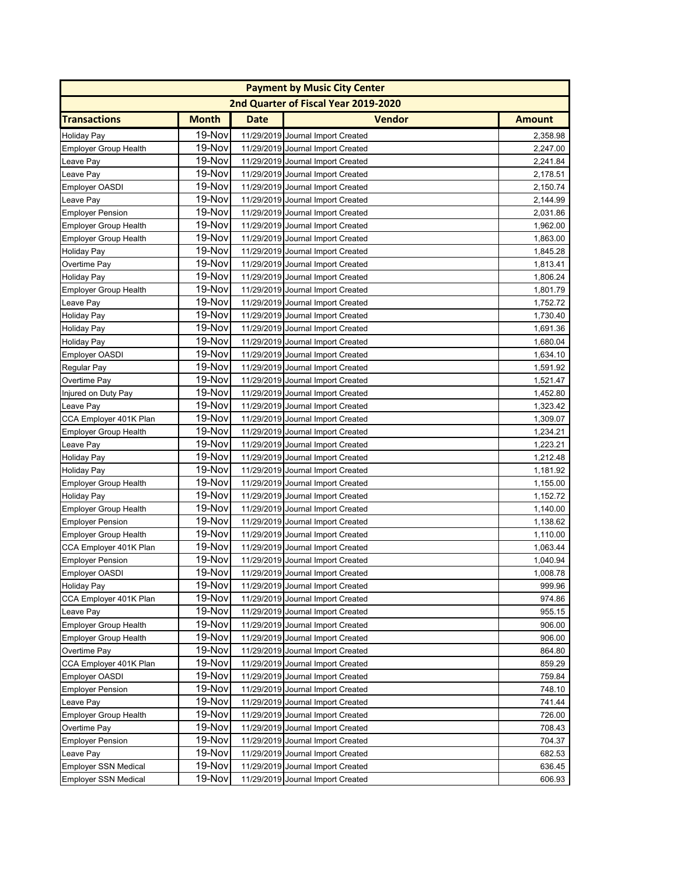|                              |              |             | <b>Payment by Music City Center</b>  |               |
|------------------------------|--------------|-------------|--------------------------------------|---------------|
|                              |              |             | 2nd Quarter of Fiscal Year 2019-2020 |               |
| <b>Transactions</b>          | <b>Month</b> | <b>Date</b> | <b>Vendor</b>                        | <b>Amount</b> |
| <b>Holiday Pay</b>           | 19-Nov       |             | 11/29/2019 Journal Import Created    | 2,358.98      |
| <b>Employer Group Health</b> | 19-Nov       |             | 11/29/2019 Journal Import Created    | 2,247.00      |
| Leave Pay                    | 19-Nov       |             | 11/29/2019 Journal Import Created    | 2,241.84      |
| Leave Pay                    | 19-Nov       |             | 11/29/2019 Journal Import Created    | 2,178.51      |
| <b>Employer OASDI</b>        | 19-Nov       |             | 11/29/2019 Journal Import Created    | 2,150.74      |
| Leave Pay                    | 19-Nov       |             | 11/29/2019 Journal Import Created    | 2,144.99      |
| <b>Employer Pension</b>      | 19-Nov       |             | 11/29/2019 Journal Import Created    | 2,031.86      |
| <b>Employer Group Health</b> | 19-Nov       |             | 11/29/2019 Journal Import Created    | 1,962.00      |
| <b>Employer Group Health</b> | 19-Nov       |             | 11/29/2019 Journal Import Created    | 1,863.00      |
| <b>Holiday Pay</b>           | 19-Nov       |             | 11/29/2019 Journal Import Created    | 1,845.28      |
| Overtime Pay                 | 19-Nov       |             | 11/29/2019 Journal Import Created    | 1,813.41      |
| <b>Holiday Pay</b>           | 19-Nov       |             | 11/29/2019 Journal Import Created    | 1,806.24      |
| <b>Employer Group Health</b> | 19-Nov       |             | 11/29/2019 Journal Import Created    | 1,801.79      |
| Leave Pay                    | 19-Nov       |             | 11/29/2019 Journal Import Created    | 1,752.72      |
| <b>Holiday Pay</b>           | 19-Nov       |             | 11/29/2019 Journal Import Created    | 1,730.40      |
| <b>Holiday Pay</b>           | 19-Nov       |             | 11/29/2019 Journal Import Created    | 1,691.36      |
| Holiday Pay                  | 19-Nov       |             | 11/29/2019 Journal Import Created    | 1,680.04      |
| <b>Employer OASDI</b>        | 19-Nov       |             | 11/29/2019 Journal Import Created    | 1,634.10      |
| Regular Pay                  | 19-Nov       |             | 11/29/2019 Journal Import Created    | 1,591.92      |
| Overtime Pay                 | 19-Nov       |             | 11/29/2019 Journal Import Created    | 1,521.47      |
| Injured on Duty Pay          | 19-Nov       |             | 11/29/2019 Journal Import Created    | 1,452.80      |
| Leave Pay                    | 19-Nov       |             | 11/29/2019 Journal Import Created    | 1,323.42      |
| CCA Employer 401K Plan       | 19-Nov       |             | 11/29/2019 Journal Import Created    | 1,309.07      |
| <b>Employer Group Health</b> | 19-Nov       |             | 11/29/2019 Journal Import Created    | 1,234.21      |
| Leave Pay                    | 19-Nov       |             | 11/29/2019 Journal Import Created    | 1,223.21      |
| <b>Holiday Pay</b>           | 19-Nov       |             | 11/29/2019 Journal Import Created    | 1,212.48      |
| <b>Holiday Pay</b>           | 19-Nov       |             | 11/29/2019 Journal Import Created    | 1,181.92      |
| <b>Employer Group Health</b> | 19-Nov       |             | 11/29/2019 Journal Import Created    | 1,155.00      |
| <b>Holiday Pay</b>           | 19-Nov       |             | 11/29/2019 Journal Import Created    | 1,152.72      |
| <b>Employer Group Health</b> | 19-Nov       |             | 11/29/2019 Journal Import Created    | 1,140.00      |
| <b>Employer Pension</b>      | 19-Nov       |             | 11/29/2019 Journal Import Created    | 1,138.62      |
| <b>Employer Group Health</b> | 19-Nov       |             | 11/29/2019 Journal Import Created    | 1,110.00      |
| CCA Employer 401K Plan       | 19-Nov       |             | 11/29/2019 Journal Import Created    | 1,063.44      |
| <b>Employer Pension</b>      | 19-Nov       |             | 11/29/2019 Journal Import Created    | 1,040.94      |
| Employer OASDI               | 19-Nov       |             | 11/29/2019 Journal Import Created    | 1,008.78      |
| Holiday Pay                  | 19-Nov       |             | 11/29/2019 Journal Import Created    | 999.96        |
| CCA Employer 401K Plan       | 19-Nov       |             | 11/29/2019 Journal Import Created    | 974.86        |
| Leave Pay                    | 19-Nov       |             | 11/29/2019 Journal Import Created    | 955.15        |
| <b>Employer Group Health</b> | 19-Nov       |             | 11/29/2019 Journal Import Created    | 906.00        |
| <b>Employer Group Health</b> | 19-Nov       |             | 11/29/2019 Journal Import Created    | 906.00        |
| Overtime Pay                 | 19-Nov       |             | 11/29/2019 Journal Import Created    | 864.80        |
| CCA Employer 401K Plan       | 19-Nov       |             | 11/29/2019 Journal Import Created    | 859.29        |
| <b>Employer OASDI</b>        | 19-Nov       |             | 11/29/2019 Journal Import Created    | 759.84        |
| <b>Employer Pension</b>      | 19-Nov       |             | 11/29/2019 Journal Import Created    | 748.10        |
| Leave Pay                    | 19-Nov       |             | 11/29/2019 Journal Import Created    | 741.44        |
| <b>Employer Group Health</b> | 19-Nov       |             | 11/29/2019 Journal Import Created    | 726.00        |
| Overtime Pay                 | 19-Nov       |             | 11/29/2019 Journal Import Created    | 708.43        |
| <b>Employer Pension</b>      | 19-Nov       |             | 11/29/2019 Journal Import Created    | 704.37        |
| Leave Pay                    | 19-Nov       |             | 11/29/2019 Journal Import Created    | 682.53        |
| <b>Employer SSN Medical</b>  | 19-Nov       |             | 11/29/2019 Journal Import Created    | 636.45        |
| <b>Employer SSN Medical</b>  | 19-Nov       |             | 11/29/2019 Journal Import Created    | 606.93        |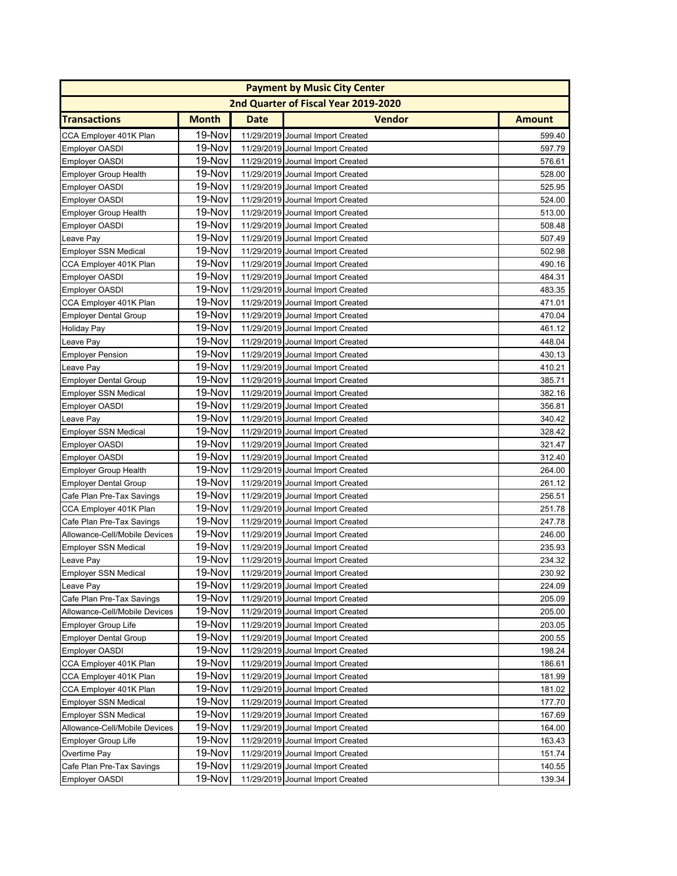|                               |              |             | <b>Payment by Music City Center</b>  |               |
|-------------------------------|--------------|-------------|--------------------------------------|---------------|
|                               |              |             | 2nd Quarter of Fiscal Year 2019-2020 |               |
| <b>Transactions</b>           | <b>Month</b> | <b>Date</b> | <b>Vendor</b>                        | <b>Amount</b> |
| CCA Employer 401K Plan        | 19-Nov       |             | 11/29/2019 Journal Import Created    | 599.40        |
| <b>Employer OASDI</b>         | 19-Nov       |             | 11/29/2019 Journal Import Created    | 597.79        |
| <b>Employer OASDI</b>         | 19-Nov       |             | 11/29/2019 Journal Import Created    | 576.61        |
| <b>Employer Group Health</b>  | 19-Nov       |             | 11/29/2019 Journal Import Created    | 528.00        |
| <b>Employer OASDI</b>         | 19-Nov       |             | 11/29/2019 Journal Import Created    | 525.95        |
| <b>Employer OASDI</b>         | 19-Nov       |             | 11/29/2019 Journal Import Created    | 524.00        |
| <b>Employer Group Health</b>  | 19-Nov       |             | 11/29/2019 Journal Import Created    | 513.00        |
| <b>Employer OASDI</b>         | 19-Nov       |             | 11/29/2019 Journal Import Created    | 508.48        |
| Leave Pay                     | 19-Nov       |             | 11/29/2019 Journal Import Created    | 507.49        |
| <b>Employer SSN Medical</b>   | 19-Nov       |             | 11/29/2019 Journal Import Created    | 502.98        |
| CCA Employer 401K Plan        | 19-Nov       |             | 11/29/2019 Journal Import Created    | 490.16        |
| <b>Employer OASDI</b>         | 19-Nov       |             | 11/29/2019 Journal Import Created    | 484.31        |
| <b>Employer OASDI</b>         | 19-Nov       |             | 11/29/2019 Journal Import Created    | 483.35        |
| CCA Employer 401K Plan        | 19-Nov       |             | 11/29/2019 Journal Import Created    | 471.01        |
| <b>Employer Dental Group</b>  | 19-Nov       |             | 11/29/2019 Journal Import Created    | 470.04        |
| <b>Holiday Pay</b>            | 19-Nov       |             | 11/29/2019 Journal Import Created    | 461.12        |
| Leave Pay                     | 19-Nov       |             | 11/29/2019 Journal Import Created    | 448.04        |
| <b>Employer Pension</b>       | 19-Nov       |             | 11/29/2019 Journal Import Created    | 430.13        |
| Leave Pay                     | 19-Nov       |             | 11/29/2019 Journal Import Created    | 410.21        |
| <b>Employer Dental Group</b>  | 19-Nov       |             | 11/29/2019 Journal Import Created    | 385.71        |
| <b>Employer SSN Medical</b>   | 19-Nov       |             | 11/29/2019 Journal Import Created    | 382.16        |
| <b>Employer OASDI</b>         | 19-Nov       |             | 11/29/2019 Journal Import Created    | 356.81        |
| Leave Pay                     | 19-Nov       |             | 11/29/2019 Journal Import Created    | 340.42        |
| <b>Employer SSN Medical</b>   | 19-Nov       |             | 11/29/2019 Journal Import Created    | 328.42        |
| <b>Employer OASDI</b>         | 19-Nov       |             | 11/29/2019 Journal Import Created    | 321.47        |
| <b>Employer OASDI</b>         | 19-Nov       |             | 11/29/2019 Journal Import Created    | 312.40        |
| <b>Employer Group Health</b>  | 19-Nov       |             | 11/29/2019 Journal Import Created    | 264.00        |
| <b>Employer Dental Group</b>  | 19-Nov       |             | 11/29/2019 Journal Import Created    | 261.12        |
| Cafe Plan Pre-Tax Savings     | 19-Nov       |             | 11/29/2019 Journal Import Created    | 256.51        |
| CCA Employer 401K Plan        | 19-Nov       |             | 11/29/2019 Journal Import Created    | 251.78        |
| Cafe Plan Pre-Tax Savings     | 19-Nov       |             | 11/29/2019 Journal Import Created    | 247.78        |
| Allowance-Cell/Mobile Devices | 19-Nov       |             | 11/29/2019 Journal Import Created    | 246.00        |
| <b>Employer SSN Medical</b>   | 19-Nov       |             | 11/29/2019 Journal Import Created    | 235.93        |
| Leave Pay                     | 19-Nov       |             | 11/29/2019 Journal Import Created    | 234.32        |
| Employer SSN Medical          | 19-Nov       |             | 11/29/2019 Journal Import Created    | 230.92        |
| Leave Pay                     | 19-Nov       |             | 11/29/2019 Journal Import Created    | 224.09        |
| Cafe Plan Pre-Tax Savings     | 19-Nov       |             | 11/29/2019 Journal Import Created    | 205.09        |
| Allowance-Cell/Mobile Devices | 19-Nov       |             | 11/29/2019 Journal Import Created    | 205.00        |
| <b>Employer Group Life</b>    | 19-Nov       |             | 11/29/2019 Journal Import Created    | 203.05        |
| <b>Employer Dental Group</b>  | 19-Nov       |             | 11/29/2019 Journal Import Created    | 200.55        |
| <b>Employer OASDI</b>         | 19-Nov       |             | 11/29/2019 Journal Import Created    | 198.24        |
| CCA Employer 401K Plan        | 19-Nov       |             | 11/29/2019 Journal Import Created    | 186.61        |
| CCA Employer 401K Plan        | 19-Nov       |             | 11/29/2019 Journal Import Created    | 181.99        |
| CCA Employer 401K Plan        | 19-Nov       |             | 11/29/2019 Journal Import Created    | 181.02        |
| <b>Employer SSN Medical</b>   | 19-Nov       |             | 11/29/2019 Journal Import Created    | 177.70        |
| <b>Employer SSN Medical</b>   | 19-Nov       |             | 11/29/2019 Journal Import Created    | 167.69        |
| Allowance-Cell/Mobile Devices | 19-Nov       |             | 11/29/2019 Journal Import Created    | 164.00        |
| <b>Employer Group Life</b>    | 19-Nov       |             | 11/29/2019 Journal Import Created    | 163.43        |
| Overtime Pay                  | 19-Nov       |             | 11/29/2019 Journal Import Created    | 151.74        |
| Cafe Plan Pre-Tax Savings     | 19-Nov       |             | 11/29/2019 Journal Import Created    | 140.55        |
| <b>Employer OASDI</b>         | 19-Nov       |             | 11/29/2019 Journal Import Created    | 139.34        |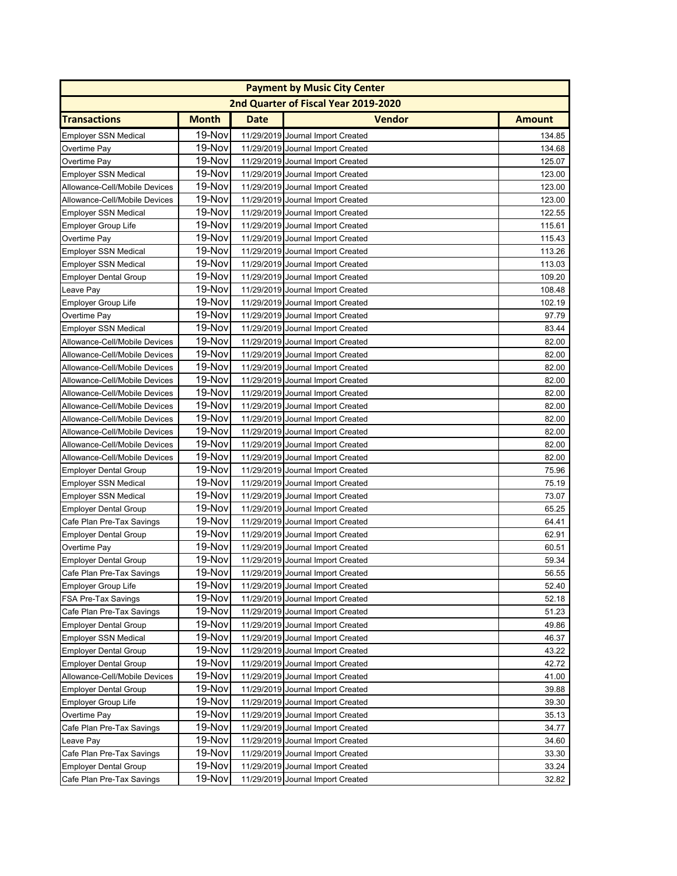|                               |              |             | <b>Payment by Music City Center</b>  |               |
|-------------------------------|--------------|-------------|--------------------------------------|---------------|
|                               |              |             | 2nd Quarter of Fiscal Year 2019-2020 |               |
| <b>Transactions</b>           | <b>Month</b> | <b>Date</b> | <b>Vendor</b>                        | <b>Amount</b> |
| <b>Employer SSN Medical</b>   | 19-Nov       |             | 11/29/2019 Journal Import Created    | 134.85        |
| Overtime Pay                  | 19-Nov       |             | 11/29/2019 Journal Import Created    | 134.68        |
| Overtime Pay                  | 19-Nov       |             | 11/29/2019 Journal Import Created    | 125.07        |
| <b>Employer SSN Medical</b>   | 19-Nov       |             | 11/29/2019 Journal Import Created    | 123.00        |
| Allowance-Cell/Mobile Devices | 19-Nov       |             | 11/29/2019 Journal Import Created    | 123.00        |
| Allowance-Cell/Mobile Devices | 19-Nov       |             | 11/29/2019 Journal Import Created    | 123.00        |
| <b>Employer SSN Medical</b>   | 19-Nov       |             | 11/29/2019 Journal Import Created    | 122.55        |
| <b>Employer Group Life</b>    | 19-Nov       |             | 11/29/2019 Journal Import Created    | 115.61        |
| Overtime Pay                  | 19-Nov       |             | 11/29/2019 Journal Import Created    | 115.43        |
| <b>Employer SSN Medical</b>   | 19-Nov       |             | 11/29/2019 Journal Import Created    | 113.26        |
| <b>Employer SSN Medical</b>   | 19-Nov       |             | 11/29/2019 Journal Import Created    | 113.03        |
| <b>Employer Dental Group</b>  | 19-Nov       |             | 11/29/2019 Journal Import Created    | 109.20        |
| Leave Pay                     | 19-Nov       |             | 11/29/2019 Journal Import Created    | 108.48        |
| <b>Employer Group Life</b>    | 19-Nov       |             | 11/29/2019 Journal Import Created    | 102.19        |
| Overtime Pay                  | 19-Nov       |             | 11/29/2019 Journal Import Created    | 97.79         |
| <b>Employer SSN Medical</b>   | 19-Nov       |             | 11/29/2019 Journal Import Created    | 83.44         |
| Allowance-Cell/Mobile Devices | 19-Nov       |             | 11/29/2019 Journal Import Created    | 82.00         |
| Allowance-Cell/Mobile Devices | 19-Nov       |             | 11/29/2019 Journal Import Created    | 82.00         |
| Allowance-Cell/Mobile Devices | 19-Nov       |             | 11/29/2019 Journal Import Created    | 82.00         |
| Allowance-Cell/Mobile Devices | 19-Nov       |             | 11/29/2019 Journal Import Created    | 82.00         |
| Allowance-Cell/Mobile Devices | 19-Nov       |             | 11/29/2019 Journal Import Created    | 82.00         |
| Allowance-Cell/Mobile Devices | 19-Nov       |             | 11/29/2019 Journal Import Created    | 82.00         |
| Allowance-Cell/Mobile Devices | 19-Nov       |             | 11/29/2019 Journal Import Created    | 82.00         |
| Allowance-Cell/Mobile Devices | 19-Nov       |             | 11/29/2019 Journal Import Created    | 82.00         |
| Allowance-Cell/Mobile Devices | 19-Nov       |             | 11/29/2019 Journal Import Created    | 82.00         |
| Allowance-Cell/Mobile Devices | 19-Nov       |             | 11/29/2019 Journal Import Created    | 82.00         |
| <b>Employer Dental Group</b>  | 19-Nov       |             | 11/29/2019 Journal Import Created    | 75.96         |
| <b>Employer SSN Medical</b>   | 19-Nov       |             | 11/29/2019 Journal Import Created    | 75.19         |
| <b>Employer SSN Medical</b>   | 19-Nov       |             | 11/29/2019 Journal Import Created    | 73.07         |
| <b>Employer Dental Group</b>  | 19-Nov       |             | 11/29/2019 Journal Import Created    | 65.25         |
| Cafe Plan Pre-Tax Savings     | 19-Nov       |             | 11/29/2019 Journal Import Created    | 64.41         |
| <b>Employer Dental Group</b>  | 19-Nov       |             | 11/29/2019 Journal Import Created    | 62.91         |
| Overtime Pay                  | 19-Nov       |             | 11/29/2019 Journal Import Created    | 60.51         |
| <b>Employer Dental Group</b>  | 19-Nov       |             | 11/29/2019 Journal Import Created    | 59.34         |
| Cafe Plan Pre-Tax Savings     | 19-Nov       |             | 11/29/2019 Journal Import Created    | 56.55         |
| <b>Employer Group Life</b>    | 19-Nov       |             | 11/29/2019 Journal Import Created    | 52.40         |
| <b>FSA Pre-Tax Savings</b>    | 19-Nov       |             | 11/29/2019 Journal Import Created    | 52.18         |
| Cafe Plan Pre-Tax Savings     | 19-Nov       |             | 11/29/2019 Journal Import Created    | 51.23         |
| <b>Employer Dental Group</b>  | 19-Nov       |             | 11/29/2019 Journal Import Created    | 49.86         |
| <b>Employer SSN Medical</b>   | 19-Nov       |             | 11/29/2019 Journal Import Created    | 46.37         |
| <b>Employer Dental Group</b>  | 19-Nov       |             | 11/29/2019 Journal Import Created    | 43.22         |
| <b>Employer Dental Group</b>  | 19-Nov       |             | 11/29/2019 Journal Import Created    | 42.72         |
| Allowance-Cell/Mobile Devices | 19-Nov       |             | 11/29/2019 Journal Import Created    | 41.00         |
| <b>Employer Dental Group</b>  | 19-Nov       |             | 11/29/2019 Journal Import Created    | 39.88         |
| <b>Employer Group Life</b>    | 19-Nov       |             | 11/29/2019 Journal Import Created    | 39.30         |
| Overtime Pay                  | 19-Nov       |             | 11/29/2019 Journal Import Created    | 35.13         |
| Cafe Plan Pre-Tax Savings     | 19-Nov       |             | 11/29/2019 Journal Import Created    | 34.77         |
| Leave Pay                     | 19-Nov       |             | 11/29/2019 Journal Import Created    | 34.60         |
| Cafe Plan Pre-Tax Savings     | 19-Nov       |             | 11/29/2019 Journal Import Created    | 33.30         |
| <b>Employer Dental Group</b>  | 19-Nov       |             | 11/29/2019 Journal Import Created    | 33.24         |
| Cafe Plan Pre-Tax Savings     | 19-Nov       |             | 11/29/2019 Journal Import Created    | 32.82         |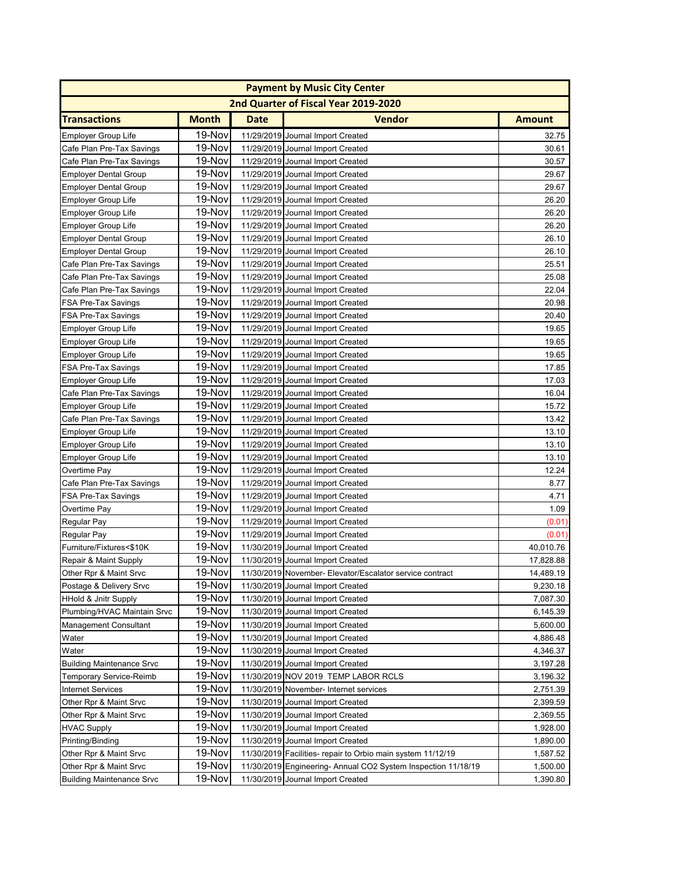|                                  |              |      | <b>Payment by Music City Center</b>                           |               |
|----------------------------------|--------------|------|---------------------------------------------------------------|---------------|
|                                  |              |      | 2nd Quarter of Fiscal Year 2019-2020                          |               |
| <b>Transactions</b>              | <b>Month</b> | Date | <b>Vendor</b>                                                 | <b>Amount</b> |
| <b>Employer Group Life</b>       | 19-Nov       |      | 11/29/2019 Journal Import Created                             | 32.75         |
| Cafe Plan Pre-Tax Savings        | 19-Nov       |      | 11/29/2019 Journal Import Created                             | 30.61         |
| Cafe Plan Pre-Tax Savings        | 19-Nov       |      | 11/29/2019 Journal Import Created                             | 30.57         |
| <b>Employer Dental Group</b>     | 19-Nov       |      | 11/29/2019 Journal Import Created                             | 29.67         |
| <b>Employer Dental Group</b>     | 19-Nov       |      | 11/29/2019 Journal Import Created                             | 29.67         |
| <b>Employer Group Life</b>       | 19-Nov       |      | 11/29/2019 Journal Import Created                             | 26.20         |
| <b>Employer Group Life</b>       | 19-Nov       |      | 11/29/2019 Journal Import Created                             | 26.20         |
| <b>Employer Group Life</b>       | 19-Nov       |      | 11/29/2019 Journal Import Created                             | 26.20         |
| <b>Employer Dental Group</b>     | 19-Nov       |      | 11/29/2019 Journal Import Created                             | 26.10         |
| <b>Employer Dental Group</b>     | 19-Nov       |      | 11/29/2019 Journal Import Created                             | 26.10         |
| Cafe Plan Pre-Tax Savings        | 19-Nov       |      | 11/29/2019 Journal Import Created                             | 25.51         |
| Cafe Plan Pre-Tax Savings        | 19-Nov       |      | 11/29/2019 Journal Import Created                             | 25.08         |
| Cafe Plan Pre-Tax Savings        | 19-Nov       |      | 11/29/2019 Journal Import Created                             | 22.04         |
| <b>FSA Pre-Tax Savings</b>       | 19-Nov       |      | 11/29/2019 Journal Import Created                             | 20.98         |
| <b>FSA Pre-Tax Savings</b>       | 19-Nov       |      | 11/29/2019 Journal Import Created                             | 20.40         |
| <b>Employer Group Life</b>       | 19-Nov       |      | 11/29/2019 Journal Import Created                             | 19.65         |
| <b>Employer Group Life</b>       | 19-Nov       |      | 11/29/2019 Journal Import Created                             | 19.65         |
| <b>Employer Group Life</b>       | 19-Nov       |      | 11/29/2019 Journal Import Created                             | 19.65         |
| <b>FSA Pre-Tax Savings</b>       | 19-Nov       |      | 11/29/2019 Journal Import Created                             | 17.85         |
| <b>Employer Group Life</b>       | 19-Nov       |      | 11/29/2019 Journal Import Created                             | 17.03         |
| Cafe Plan Pre-Tax Savings        | 19-Nov       |      | 11/29/2019 Journal Import Created                             | 16.04         |
| <b>Employer Group Life</b>       | 19-Nov       |      | 11/29/2019 Journal Import Created                             | 15.72         |
| Cafe Plan Pre-Tax Savings        | 19-Nov       |      | 11/29/2019 Journal Import Created                             | 13.42         |
| <b>Employer Group Life</b>       | 19-Nov       |      | 11/29/2019 Journal Import Created                             | 13.10         |
| <b>Employer Group Life</b>       | 19-Nov       |      | 11/29/2019 Journal Import Created                             | 13.10         |
| <b>Employer Group Life</b>       | 19-Nov       |      | 11/29/2019 Journal Import Created                             | 13.10         |
| Overtime Pay                     | 19-Nov       |      | 11/29/2019 Journal Import Created                             | 12.24         |
| Cafe Plan Pre-Tax Savings        | 19-Nov       |      | 11/29/2019 Journal Import Created                             | 8.77          |
| FSA Pre-Tax Savings              | 19-Nov       |      | 11/29/2019 Journal Import Created                             | 4.71          |
| Overtime Pay                     | 19-Nov       |      | 11/29/2019 Journal Import Created                             | 1.09          |
| Regular Pay                      | 19-Nov       |      | 11/29/2019 Journal Import Created                             | (0.01)        |
| Regular Pay                      | 19-Nov       |      | 11/29/2019 Journal Import Created                             | (0.01)        |
| Furniture/Fixtures<\$10K         | 19-Nov       |      | 11/30/2019 Journal Import Created                             | 40,010.76     |
| Repair & Maint Supply            | 19-Nov       |      | 11/30/2019 Journal Import Created                             | 17,828.88     |
| Other Rpr & Maint Srvc           | 19-Nov       |      | 11/30/2019 November- Elevator/Escalator service contract      | 14,489.19     |
| Postage & Delivery Srvc          | 19-Nov       |      | 11/30/2019 Journal Import Created                             | 9,230.18      |
| <b>HHold &amp; Jnitr Supply</b>  | 19-Nov       |      | 11/30/2019 Journal Import Created                             | 7,087.30      |
| Plumbing/HVAC Maintain Srvc      | 19-Nov       |      | 11/30/2019 Journal Import Created                             | 6,145.39      |
| <b>Management Consultant</b>     | 19-Nov       |      | 11/30/2019 Journal Import Created                             | 5,600.00      |
| Water                            | 19-Nov       |      | 11/30/2019 Journal Import Created                             | 4,886.48      |
| Water                            | 19-Nov       |      | 11/30/2019 Journal Import Created                             | 4,346.37      |
| <b>Building Maintenance Srvc</b> | 19-Nov       |      | 11/30/2019 Journal Import Created                             | 3,197.28      |
| <b>Temporary Service-Reimb</b>   | 19-Nov       |      | 11/30/2019 NOV 2019 TEMP LABOR RCLS                           | 3,196.32      |
| <b>Internet Services</b>         | 19-Nov       |      | 11/30/2019 November- Internet services                        | 2,751.39      |
| Other Rpr & Maint Srvc           | 19-Nov       |      | 11/30/2019 Journal Import Created                             | 2,399.59      |
| Other Rpr & Maint Srvc           | 19-Nov       |      | 11/30/2019 Journal Import Created                             | 2,369.55      |
| <b>HVAC Supply</b>               | 19-Nov       |      | 11/30/2019 Journal Import Created                             | 1,928.00      |
| Printing/Binding                 | 19-Nov       |      | 11/30/2019 Journal Import Created                             | 1,890.00      |
| Other Rpr & Maint Srvc           | 19-Nov       |      | 11/30/2019 Facilities- repair to Orbio main system 11/12/19   | 1,587.52      |
| Other Rpr & Maint Srvc           | 19-Nov       |      | 11/30/2019 Engineering- Annual CO2 System Inspection 11/18/19 | 1,500.00      |
| <b>Building Maintenance Srvc</b> | 19-Nov       |      | 11/30/2019 Journal Import Created                             | 1,390.80      |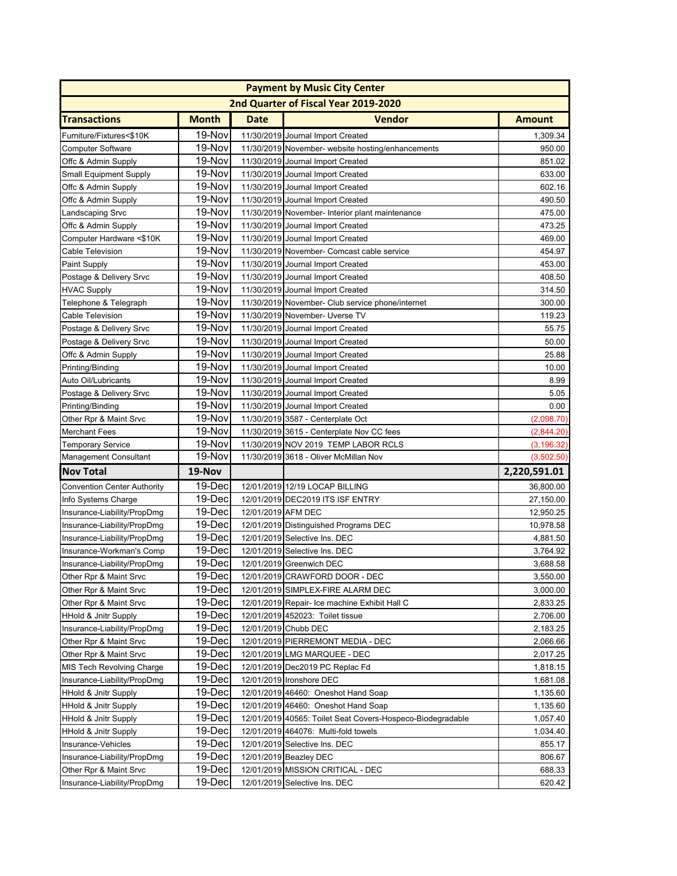|                                    |              |                    | <b>Payment by Music City Center</b>                        |               |
|------------------------------------|--------------|--------------------|------------------------------------------------------------|---------------|
|                                    |              |                    | 2nd Quarter of Fiscal Year 2019-2020                       |               |
| <b>Transactions</b>                | <b>Month</b> | <b>Date</b>        | <b>Vendor</b>                                              | <b>Amount</b> |
| Furniture/Fixtures<\$10K           | 19-Nov       |                    | 11/30/2019 Journal Import Created                          | 1,309.34      |
| <b>Computer Software</b>           | 19-Nov       |                    | 11/30/2019 November- website hosting/enhancements          | 950.00        |
| Offc & Admin Supply                | 19-Nov       |                    | 11/30/2019 Journal Import Created                          | 851.02        |
| <b>Small Equipment Supply</b>      | 19-Nov       |                    | 11/30/2019 Journal Import Created                          | 633.00        |
| Offc & Admin Supply                | 19-Nov       |                    | 11/30/2019 Journal Import Created                          | 602.16        |
| Offc & Admin Supply                | 19-Nov       |                    | 11/30/2019 Journal Import Created                          | 490.50        |
| Landscaping Srvc                   | 19-Nov       |                    | 11/30/2019 November- Interior plant maintenance            | 475.00        |
| Offc & Admin Supply                | 19-Nov       |                    | 11/30/2019 Journal Import Created                          | 473.25        |
| Computer Hardware <\$10K           | 19-Nov       |                    | 11/30/2019 Journal Import Created                          | 469.00        |
| Cable Television                   | 19-Nov       |                    | 11/30/2019 November- Comcast cable service                 | 454.97        |
| Paint Supply                       | 19-Nov       |                    | 11/30/2019 Journal Import Created                          | 453.00        |
| Postage & Delivery Srvc            | 19-Nov       |                    | 11/30/2019 Journal Import Created                          | 408.50        |
| <b>HVAC Supply</b>                 | 19-Nov       |                    | 11/30/2019 Journal Import Created                          | 314.50        |
| Telephone & Telegraph              | 19-Nov       |                    | 11/30/2019 November- Club service phone/internet           | 300.00        |
| <b>Cable Television</b>            | 19-Nov       |                    | 11/30/2019 November- Uverse TV                             | 119.23        |
| Postage & Delivery Srvc            | 19-Nov       |                    | 11/30/2019 Journal Import Created                          | 55.75         |
| Postage & Delivery Srvc            | 19-Nov       |                    | 11/30/2019 Journal Import Created                          | 50.00         |
| Offc & Admin Supply                | 19-Nov       |                    | 11/30/2019 Journal Import Created                          | 25.88         |
| Printing/Binding                   | 19-Nov       |                    | 11/30/2019 Journal Import Created                          | 10.00         |
| Auto Oil/Lubricants                | 19-Nov       |                    | 11/30/2019 Journal Import Created                          | 8.99          |
| Postage & Delivery Srvc            | 19-Nov       |                    | 11/30/2019 Journal Import Created                          | 5.05          |
| Printing/Binding                   | 19-Nov       |                    | 11/30/2019 Journal Import Created                          | 0.00          |
| Other Rpr & Maint Srvc             | 19-Nov       |                    | 11/30/2019 3587 - Centerplate Oct                          | (2,098.70)    |
| <b>Merchant Fees</b>               | 19-Nov       |                    | 11/30/2019 3615 - Centerplate Nov CC fees                  | (2,844.20)    |
| <b>Temporary Service</b>           | 19-Nov       |                    | 11/30/2019 NOV 2019 TEMP LABOR RCLS                        | (3, 196.32)   |
| <b>Management Consultant</b>       | 19-Nov       |                    | 11/30/2019 3618 - Oliver McMillan Nov                      | (3,502.50)    |
| <b>Nov Total</b>                   | 19-Nov       |                    |                                                            | 2,220,591.01  |
| <b>Convention Center Authority</b> | 19-Dec       |                    | 12/01/2019 12/19 LOCAP BILLING                             | 36,800.00     |
| Info Systems Charge                | 19-Dec       |                    | 12/01/2019 DEC2019 ITS ISF ENTRY                           | 27,150.00     |
| Insurance-Liability/PropDmg        | 19-Dec       | 12/01/2019 AFM DEC |                                                            | 12,950.25     |
| Insurance-Liability/PropDmg        | 19-Dec       |                    | 12/01/2019 Distinguished Programs DEC                      | 10,978.58     |
| Insurance-Liability/PropDmg        | 19-Dec       |                    | 12/01/2019 Selective Ins. DEC                              | 4,881.50      |
| Insurance-Workman's Comp           | 19-Dec       |                    | 12/01/2019 Selective Ins. DEC                              | 3,764.92      |
| Insurance-Liability/PropDmg        | 19-Dec       |                    | 12/01/2019 Greenwich DEC                                   | 3,688.58      |
| Other Rpr & Maint Srvc             | 19-Dec       |                    | 12/01/2019 CRAWFORD DOOR - DEC                             | 3,550.00      |
| Other Rpr & Maint Srvc             | 19-Dec       |                    | 12/01/2019 SIMPLEX-FIRE ALARM DEC                          | 3,000.00      |
| Other Rpr & Maint Srvc             | 19-Dec       |                    | 12/01/2019 Repair- Ice machine Exhibit Hall C              | 2,833.25      |
| <b>HHold &amp; Jnitr Supply</b>    | 19-Dec       |                    | 12/01/2019 452023: Toilet tissue                           | 2,706.00      |
| Insurance-Liability/PropDmg        | 19-Dec       |                    | 12/01/2019 Chubb DEC                                       | 2,183.25      |
| Other Rpr & Maint Srvc             | 19-Dec       |                    | 12/01/2019 PIERREMONT MEDIA - DEC                          | 2,066.66      |
| Other Rpr & Maint Srvc             | 19-Dec       |                    | 12/01/2019 LMG MARQUEE - DEC                               | 2,017.25      |
| MIS Tech Revolving Charge          | 19-Dec       |                    | 12/01/2019 Dec2019 PC Replac Fd                            | 1,818.15      |
| Insurance-Liability/PropDmg        | 19-Dec       |                    | 12/01/2019 Ironshore DEC                                   | 1,681.08      |
| <b>HHold &amp; Jnitr Supply</b>    | 19-Dec       |                    | 12/01/2019 46460: Oneshot Hand Soap                        | 1,135.60      |
| <b>HHold &amp; Jnitr Supply</b>    | 19-Dec       |                    | 12/01/2019 46460: Oneshot Hand Soap                        | 1,135.60      |
| <b>HHold &amp; Jnitr Supply</b>    | 19-Dec       |                    | 12/01/2019 40565: Toilet Seat Covers-Hospeco-Biodegradable | 1,057.40      |
| <b>HHold &amp; Jnitr Supply</b>    | 19-Dec       |                    | 12/01/2019 464076: Multi-fold towels                       | 1,034.40      |
| Insurance-Vehicles                 | 19-Dec       |                    | 12/01/2019 Selective Ins. DEC                              | 855.17        |
| Insurance-Liability/PropDmg        | 19-Dec       |                    | 12/01/2019 Beazley DEC                                     | 806.67        |
| Other Rpr & Maint Srvc             | 19-Dec       |                    | 12/01/2019 MISSION CRITICAL - DEC                          | 688.33        |
| Insurance-Liability/PropDmg        | 19-Dec       |                    | 12/01/2019 Selective Ins. DEC                              | 620.42        |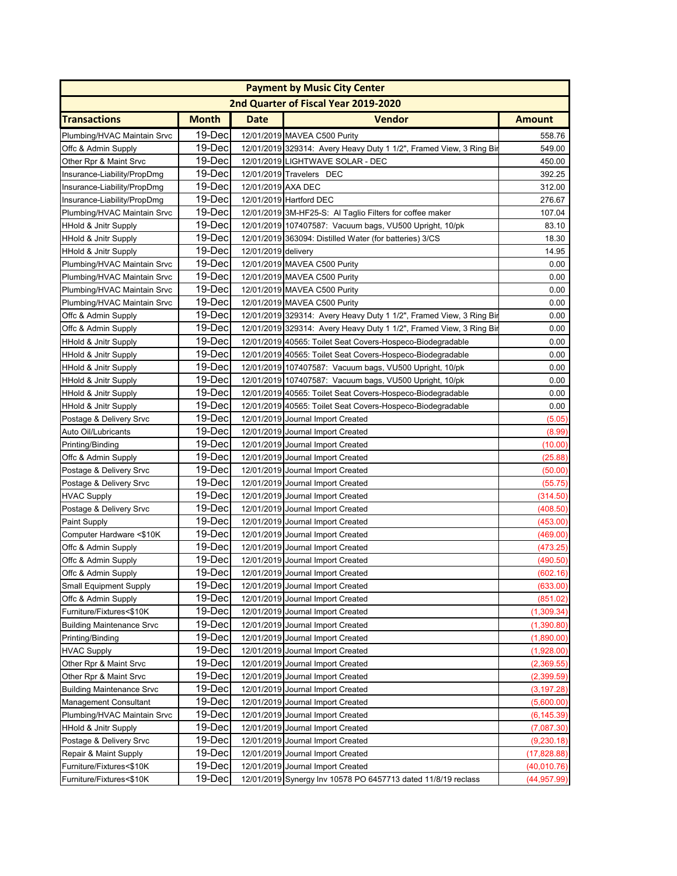| 2nd Quarter of Fiscal Year 2019-2020<br><b>Month</b><br><b>Date</b><br><b>Vendor</b><br><b>Amount</b><br>19-Dec<br>12/01/2019 MAVEA C500 Purity<br>558.76<br>19-Dec<br>12/01/2019 329314: Avery Heavy Duty 1 1/2", Framed View, 3 Ring Bir<br>549.00<br>19-Dec<br>12/01/2019 LIGHTWAVE SOLAR - DEC<br>450.00<br>19-Dec<br>12/01/2019 Travelers DEC<br>392.25<br>Insurance-Liability/PropDmg<br>19-Dec<br>12/01/2019 AXA DEC<br>312.00<br>Insurance-Liability/PropDmg<br>19-Dec<br>12/01/2019 Hartford DEC<br>276.67<br>Insurance-Liability/PropDmg<br>19-Dec<br>12/01/2019 3M-HF25-S: Al Taglio Filters for coffee maker<br>107.04<br>19-Dec<br>12/01/2019 107407587: Vacuum bags, VU500 Upright, 10/pk<br>83.10<br>19-Dec<br>12/01/2019 363094: Distilled Water (for batteries) 3/CS<br>18.30<br>19-Dec<br>12/01/2019 delivery<br>14.95<br><b>HHold &amp; Jnitr Supply</b><br>19-Dec<br>0.00<br>Plumbing/HVAC Maintain Srvc<br>12/01/2019 MAVEA C500 Purity<br>19-Dec<br>12/01/2019 MAVEA C500 Purity<br>0.00<br>Plumbing/HVAC Maintain Srvc<br>19-Dec<br>12/01/2019 MAVEA C500 Purity<br>0.00<br>Plumbing/HVAC Maintain Srvc<br>19-Dec<br>Plumbing/HVAC Maintain Srvc<br>0.00<br>12/01/2019 MAVEA C500 Purity<br>19-Dec<br>0.00<br>12/01/2019 329314: Avery Heavy Duty 1 1/2", Framed View, 3 Ring Bir<br>Offc & Admin Supply<br>19-Dec<br>0.00<br>Offc & Admin Supply<br>12/01/2019 329314: Avery Heavy Duty 1 1/2", Framed View, 3 Ring Bir<br>19-Dec<br>HHold & Jnitr Supply<br>12/01/2019 40565: Toilet Seat Covers-Hospeco-Biodegradable<br>0.00<br>19-Dec<br>HHold & Jnitr Supply<br>12/01/2019 40565: Toilet Seat Covers-Hospeco-Biodegradable<br>0.00<br>19-Dec<br>HHold & Jnitr Supply<br>12/01/2019 107407587: Vacuum bags, VU500 Upright, 10/pk<br>0.00<br>19-Dec<br><b>HHold &amp; Jnitr Supply</b><br>12/01/2019 107407587: Vacuum bags, VU500 Upright, 10/pk<br>0.00<br>19-Dec<br>0.00<br><b>HHold &amp; Jnitr Supply</b><br>12/01/2019 40565: Toilet Seat Covers-Hospeco-Biodegradable<br>19-Dec<br>0.00<br><b>HHold &amp; Jnitr Supply</b><br>12/01/2019 40565: Toilet Seat Covers-Hospeco-Biodegradable<br>19-Dec<br>Postage & Delivery Srvc<br>12/01/2019 Journal Import Created<br>(5.05)<br>19-Dec<br>Auto Oil/Lubricants<br>12/01/2019 Journal Import Created<br>(8.99)<br>19-Dec<br>Printing/Binding<br>12/01/2019 Journal Import Created<br>(10.00)<br>19-Dec<br>12/01/2019 Journal Import Created<br>(25.88)<br>Offc & Admin Supply<br>19-Dec<br>12/01/2019 Journal Import Created<br>Postage & Delivery Srvc<br>(50.00)<br>19-Dec<br>12/01/2019 Journal Import Created<br>Postage & Delivery Srvc<br>(55.75)<br>19-Dec<br>12/01/2019 Journal Import Created<br><b>HVAC Supply</b><br>(314.50<br>19-Dec<br>12/01/2019 Journal Import Created<br>(408.50)<br>Postage & Delivery Srvc<br>19-Dec<br>12/01/2019 Journal Import Created<br>(453.00)<br>Paint Supply<br>19-Dec<br>Computer Hardware <\$10K<br>12/01/2019 Journal Import Created<br>(469.00)<br>19-Dec<br>Offc & Admin Supply<br>12/01/2019 Journal Import Created<br>(473.25)<br>Offc & Admin Supply<br>19-Dec<br>12/01/2019 Journal Import Created<br>(490.50)<br>19-Dec<br>Offc & Admin Supply<br>12/01/2019 Journal Import Created<br>(602.16)<br>Small Equipment Supply<br>19-Dec<br>12/01/2019 Journal Import Created<br>(633.00)<br>19-Dec<br>Offc & Admin Supply<br>12/01/2019 Journal Import Created<br>(851.02)<br>Furniture/Fixtures<\$10K<br>19-Dec<br>12/01/2019 Journal Import Created<br>(1,309.34)<br>19-Dec<br><b>Building Maintenance Srvc</b><br>12/01/2019 Journal Import Created<br>(1,390.80)<br>19-Dec<br><b>Printing/Binding</b><br>12/01/2019 Journal Import Created<br>(1,890.00)<br>19-Dec<br><b>HVAC Supply</b><br>12/01/2019 Journal Import Created<br>(1,928.00)<br>19-Dec<br>Other Rpr & Maint Srvc<br>12/01/2019 Journal Import Created<br>(2,369.55)<br>19-Dec<br>(2, 399.59)<br>Other Rpr & Maint Srvc<br>12/01/2019 Journal Import Created<br>19-Dec<br>12/01/2019 Journal Import Created<br><b>Building Maintenance Srvc</b><br>(3, 197.28)<br>19-Dec<br><b>Management Consultant</b><br>12/01/2019 Journal Import Created<br>(5,600.00)<br>19-Dec<br>Plumbing/HVAC Maintain Srvc<br>12/01/2019 Journal Import Created<br>(6, 145.39)<br>19-Dec<br>12/01/2019 Journal Import Created<br><b>HHold &amp; Jnitr Supply</b><br>(7,087.30)<br>19-Dec<br>Postage & Delivery Srvc<br>12/01/2019 Journal Import Created<br>(9, 230.18)<br>19-Dec<br>Repair & Maint Supply<br>12/01/2019 Journal Import Created<br>(17, 828.88)<br>Furniture/Fixtures<\$10K<br>19-Dec<br>12/01/2019 Journal Import Created<br>(40,010.76)<br>12/01/2019 Synergy Inv 10578 PO 6457713 dated 11/8/19 reclass |                                 |        | <b>Payment by Music City Center</b> |              |
|----------------------------------------------------------------------------------------------------------------------------------------------------------------------------------------------------------------------------------------------------------------------------------------------------------------------------------------------------------------------------------------------------------------------------------------------------------------------------------------------------------------------------------------------------------------------------------------------------------------------------------------------------------------------------------------------------------------------------------------------------------------------------------------------------------------------------------------------------------------------------------------------------------------------------------------------------------------------------------------------------------------------------------------------------------------------------------------------------------------------------------------------------------------------------------------------------------------------------------------------------------------------------------------------------------------------------------------------------------------------------------------------------------------------------------------------------------------------------------------------------------------------------------------------------------------------------------------------------------------------------------------------------------------------------------------------------------------------------------------------------------------------------------------------------------------------------------------------------------------------------------------------------------------------------------------------------------------------------------------------------------------------------------------------------------------------------------------------------------------------------------------------------------------------------------------------------------------------------------------------------------------------------------------------------------------------------------------------------------------------------------------------------------------------------------------------------------------------------------------------------------------------------------------------------------------------------------------------------------------------------------------------------------------------------------------------------------------------------------------------------------------------------------------------------------------------------------------------------------------------------------------------------------------------------------------------------------------------------------------------------------------------------------------------------------------------------------------------------------------------------------------------------------------------------------------------------------------------------------------------------------------------------------------------------------------------------------------------------------------------------------------------------------------------------------------------------------------------------------------------------------------------------------------------------------------------------------------------------------------------------------------------------------------------------------------------------------------------------------------------------------------------------------------------------------------------------------------------------------------------------------------------------------------------------------------------------------------------------------------------------------------------------------------------------------------------------------------------------------------------------------------------------------------------------------------------------------------------------------------------------------------------------------------------------------------------------------------------------------------------------------------------------------------------------------------------------------------------------------------------------------------------------------------------------------------------------------------------------------------------------------------------------------------------------------------------------------|---------------------------------|--------|-------------------------------------|--------------|
|                                                                                                                                                                                                                                                                                                                                                                                                                                                                                                                                                                                                                                                                                                                                                                                                                                                                                                                                                                                                                                                                                                                                                                                                                                                                                                                                                                                                                                                                                                                                                                                                                                                                                                                                                                                                                                                                                                                                                                                                                                                                                                                                                                                                                                                                                                                                                                                                                                                                                                                                                                                                                                                                                                                                                                                                                                                                                                                                                                                                                                                                                                                                                                                                                                                                                                                                                                                                                                                                                                                                                                                                                                                                                                                                                                                                                                                                                                                                                                                                                                                                                                                                                                                                                                                                                                                                                                                                                                                                                                                                                                                                                                                                                                          |                                 |        |                                     |              |
|                                                                                                                                                                                                                                                                                                                                                                                                                                                                                                                                                                                                                                                                                                                                                                                                                                                                                                                                                                                                                                                                                                                                                                                                                                                                                                                                                                                                                                                                                                                                                                                                                                                                                                                                                                                                                                                                                                                                                                                                                                                                                                                                                                                                                                                                                                                                                                                                                                                                                                                                                                                                                                                                                                                                                                                                                                                                                                                                                                                                                                                                                                                                                                                                                                                                                                                                                                                                                                                                                                                                                                                                                                                                                                                                                                                                                                                                                                                                                                                                                                                                                                                                                                                                                                                                                                                                                                                                                                                                                                                                                                                                                                                                                                          | <b>Transactions</b>             |        |                                     |              |
|                                                                                                                                                                                                                                                                                                                                                                                                                                                                                                                                                                                                                                                                                                                                                                                                                                                                                                                                                                                                                                                                                                                                                                                                                                                                                                                                                                                                                                                                                                                                                                                                                                                                                                                                                                                                                                                                                                                                                                                                                                                                                                                                                                                                                                                                                                                                                                                                                                                                                                                                                                                                                                                                                                                                                                                                                                                                                                                                                                                                                                                                                                                                                                                                                                                                                                                                                                                                                                                                                                                                                                                                                                                                                                                                                                                                                                                                                                                                                                                                                                                                                                                                                                                                                                                                                                                                                                                                                                                                                                                                                                                                                                                                                                          | Plumbing/HVAC Maintain Srvc     |        |                                     |              |
|                                                                                                                                                                                                                                                                                                                                                                                                                                                                                                                                                                                                                                                                                                                                                                                                                                                                                                                                                                                                                                                                                                                                                                                                                                                                                                                                                                                                                                                                                                                                                                                                                                                                                                                                                                                                                                                                                                                                                                                                                                                                                                                                                                                                                                                                                                                                                                                                                                                                                                                                                                                                                                                                                                                                                                                                                                                                                                                                                                                                                                                                                                                                                                                                                                                                                                                                                                                                                                                                                                                                                                                                                                                                                                                                                                                                                                                                                                                                                                                                                                                                                                                                                                                                                                                                                                                                                                                                                                                                                                                                                                                                                                                                                                          | Offc & Admin Supply             |        |                                     |              |
|                                                                                                                                                                                                                                                                                                                                                                                                                                                                                                                                                                                                                                                                                                                                                                                                                                                                                                                                                                                                                                                                                                                                                                                                                                                                                                                                                                                                                                                                                                                                                                                                                                                                                                                                                                                                                                                                                                                                                                                                                                                                                                                                                                                                                                                                                                                                                                                                                                                                                                                                                                                                                                                                                                                                                                                                                                                                                                                                                                                                                                                                                                                                                                                                                                                                                                                                                                                                                                                                                                                                                                                                                                                                                                                                                                                                                                                                                                                                                                                                                                                                                                                                                                                                                                                                                                                                                                                                                                                                                                                                                                                                                                                                                                          | Other Rpr & Maint Srvc          |        |                                     |              |
|                                                                                                                                                                                                                                                                                                                                                                                                                                                                                                                                                                                                                                                                                                                                                                                                                                                                                                                                                                                                                                                                                                                                                                                                                                                                                                                                                                                                                                                                                                                                                                                                                                                                                                                                                                                                                                                                                                                                                                                                                                                                                                                                                                                                                                                                                                                                                                                                                                                                                                                                                                                                                                                                                                                                                                                                                                                                                                                                                                                                                                                                                                                                                                                                                                                                                                                                                                                                                                                                                                                                                                                                                                                                                                                                                                                                                                                                                                                                                                                                                                                                                                                                                                                                                                                                                                                                                                                                                                                                                                                                                                                                                                                                                                          |                                 |        |                                     |              |
|                                                                                                                                                                                                                                                                                                                                                                                                                                                                                                                                                                                                                                                                                                                                                                                                                                                                                                                                                                                                                                                                                                                                                                                                                                                                                                                                                                                                                                                                                                                                                                                                                                                                                                                                                                                                                                                                                                                                                                                                                                                                                                                                                                                                                                                                                                                                                                                                                                                                                                                                                                                                                                                                                                                                                                                                                                                                                                                                                                                                                                                                                                                                                                                                                                                                                                                                                                                                                                                                                                                                                                                                                                                                                                                                                                                                                                                                                                                                                                                                                                                                                                                                                                                                                                                                                                                                                                                                                                                                                                                                                                                                                                                                                                          |                                 |        |                                     |              |
|                                                                                                                                                                                                                                                                                                                                                                                                                                                                                                                                                                                                                                                                                                                                                                                                                                                                                                                                                                                                                                                                                                                                                                                                                                                                                                                                                                                                                                                                                                                                                                                                                                                                                                                                                                                                                                                                                                                                                                                                                                                                                                                                                                                                                                                                                                                                                                                                                                                                                                                                                                                                                                                                                                                                                                                                                                                                                                                                                                                                                                                                                                                                                                                                                                                                                                                                                                                                                                                                                                                                                                                                                                                                                                                                                                                                                                                                                                                                                                                                                                                                                                                                                                                                                                                                                                                                                                                                                                                                                                                                                                                                                                                                                                          |                                 |        |                                     |              |
|                                                                                                                                                                                                                                                                                                                                                                                                                                                                                                                                                                                                                                                                                                                                                                                                                                                                                                                                                                                                                                                                                                                                                                                                                                                                                                                                                                                                                                                                                                                                                                                                                                                                                                                                                                                                                                                                                                                                                                                                                                                                                                                                                                                                                                                                                                                                                                                                                                                                                                                                                                                                                                                                                                                                                                                                                                                                                                                                                                                                                                                                                                                                                                                                                                                                                                                                                                                                                                                                                                                                                                                                                                                                                                                                                                                                                                                                                                                                                                                                                                                                                                                                                                                                                                                                                                                                                                                                                                                                                                                                                                                                                                                                                                          | Plumbing/HVAC Maintain Srvc     |        |                                     |              |
|                                                                                                                                                                                                                                                                                                                                                                                                                                                                                                                                                                                                                                                                                                                                                                                                                                                                                                                                                                                                                                                                                                                                                                                                                                                                                                                                                                                                                                                                                                                                                                                                                                                                                                                                                                                                                                                                                                                                                                                                                                                                                                                                                                                                                                                                                                                                                                                                                                                                                                                                                                                                                                                                                                                                                                                                                                                                                                                                                                                                                                                                                                                                                                                                                                                                                                                                                                                                                                                                                                                                                                                                                                                                                                                                                                                                                                                                                                                                                                                                                                                                                                                                                                                                                                                                                                                                                                                                                                                                                                                                                                                                                                                                                                          | <b>HHold &amp; Jnitr Supply</b> |        |                                     |              |
|                                                                                                                                                                                                                                                                                                                                                                                                                                                                                                                                                                                                                                                                                                                                                                                                                                                                                                                                                                                                                                                                                                                                                                                                                                                                                                                                                                                                                                                                                                                                                                                                                                                                                                                                                                                                                                                                                                                                                                                                                                                                                                                                                                                                                                                                                                                                                                                                                                                                                                                                                                                                                                                                                                                                                                                                                                                                                                                                                                                                                                                                                                                                                                                                                                                                                                                                                                                                                                                                                                                                                                                                                                                                                                                                                                                                                                                                                                                                                                                                                                                                                                                                                                                                                                                                                                                                                                                                                                                                                                                                                                                                                                                                                                          | <b>HHold &amp; Jnitr Supply</b> |        |                                     |              |
|                                                                                                                                                                                                                                                                                                                                                                                                                                                                                                                                                                                                                                                                                                                                                                                                                                                                                                                                                                                                                                                                                                                                                                                                                                                                                                                                                                                                                                                                                                                                                                                                                                                                                                                                                                                                                                                                                                                                                                                                                                                                                                                                                                                                                                                                                                                                                                                                                                                                                                                                                                                                                                                                                                                                                                                                                                                                                                                                                                                                                                                                                                                                                                                                                                                                                                                                                                                                                                                                                                                                                                                                                                                                                                                                                                                                                                                                                                                                                                                                                                                                                                                                                                                                                                                                                                                                                                                                                                                                                                                                                                                                                                                                                                          |                                 |        |                                     |              |
|                                                                                                                                                                                                                                                                                                                                                                                                                                                                                                                                                                                                                                                                                                                                                                                                                                                                                                                                                                                                                                                                                                                                                                                                                                                                                                                                                                                                                                                                                                                                                                                                                                                                                                                                                                                                                                                                                                                                                                                                                                                                                                                                                                                                                                                                                                                                                                                                                                                                                                                                                                                                                                                                                                                                                                                                                                                                                                                                                                                                                                                                                                                                                                                                                                                                                                                                                                                                                                                                                                                                                                                                                                                                                                                                                                                                                                                                                                                                                                                                                                                                                                                                                                                                                                                                                                                                                                                                                                                                                                                                                                                                                                                                                                          |                                 |        |                                     |              |
|                                                                                                                                                                                                                                                                                                                                                                                                                                                                                                                                                                                                                                                                                                                                                                                                                                                                                                                                                                                                                                                                                                                                                                                                                                                                                                                                                                                                                                                                                                                                                                                                                                                                                                                                                                                                                                                                                                                                                                                                                                                                                                                                                                                                                                                                                                                                                                                                                                                                                                                                                                                                                                                                                                                                                                                                                                                                                                                                                                                                                                                                                                                                                                                                                                                                                                                                                                                                                                                                                                                                                                                                                                                                                                                                                                                                                                                                                                                                                                                                                                                                                                                                                                                                                                                                                                                                                                                                                                                                                                                                                                                                                                                                                                          |                                 |        |                                     |              |
|                                                                                                                                                                                                                                                                                                                                                                                                                                                                                                                                                                                                                                                                                                                                                                                                                                                                                                                                                                                                                                                                                                                                                                                                                                                                                                                                                                                                                                                                                                                                                                                                                                                                                                                                                                                                                                                                                                                                                                                                                                                                                                                                                                                                                                                                                                                                                                                                                                                                                                                                                                                                                                                                                                                                                                                                                                                                                                                                                                                                                                                                                                                                                                                                                                                                                                                                                                                                                                                                                                                                                                                                                                                                                                                                                                                                                                                                                                                                                                                                                                                                                                                                                                                                                                                                                                                                                                                                                                                                                                                                                                                                                                                                                                          |                                 |        |                                     |              |
|                                                                                                                                                                                                                                                                                                                                                                                                                                                                                                                                                                                                                                                                                                                                                                                                                                                                                                                                                                                                                                                                                                                                                                                                                                                                                                                                                                                                                                                                                                                                                                                                                                                                                                                                                                                                                                                                                                                                                                                                                                                                                                                                                                                                                                                                                                                                                                                                                                                                                                                                                                                                                                                                                                                                                                                                                                                                                                                                                                                                                                                                                                                                                                                                                                                                                                                                                                                                                                                                                                                                                                                                                                                                                                                                                                                                                                                                                                                                                                                                                                                                                                                                                                                                                                                                                                                                                                                                                                                                                                                                                                                                                                                                                                          |                                 |        |                                     |              |
|                                                                                                                                                                                                                                                                                                                                                                                                                                                                                                                                                                                                                                                                                                                                                                                                                                                                                                                                                                                                                                                                                                                                                                                                                                                                                                                                                                                                                                                                                                                                                                                                                                                                                                                                                                                                                                                                                                                                                                                                                                                                                                                                                                                                                                                                                                                                                                                                                                                                                                                                                                                                                                                                                                                                                                                                                                                                                                                                                                                                                                                                                                                                                                                                                                                                                                                                                                                                                                                                                                                                                                                                                                                                                                                                                                                                                                                                                                                                                                                                                                                                                                                                                                                                                                                                                                                                                                                                                                                                                                                                                                                                                                                                                                          |                                 |        |                                     |              |
|                                                                                                                                                                                                                                                                                                                                                                                                                                                                                                                                                                                                                                                                                                                                                                                                                                                                                                                                                                                                                                                                                                                                                                                                                                                                                                                                                                                                                                                                                                                                                                                                                                                                                                                                                                                                                                                                                                                                                                                                                                                                                                                                                                                                                                                                                                                                                                                                                                                                                                                                                                                                                                                                                                                                                                                                                                                                                                                                                                                                                                                                                                                                                                                                                                                                                                                                                                                                                                                                                                                                                                                                                                                                                                                                                                                                                                                                                                                                                                                                                                                                                                                                                                                                                                                                                                                                                                                                                                                                                                                                                                                                                                                                                                          |                                 |        |                                     |              |
|                                                                                                                                                                                                                                                                                                                                                                                                                                                                                                                                                                                                                                                                                                                                                                                                                                                                                                                                                                                                                                                                                                                                                                                                                                                                                                                                                                                                                                                                                                                                                                                                                                                                                                                                                                                                                                                                                                                                                                                                                                                                                                                                                                                                                                                                                                                                                                                                                                                                                                                                                                                                                                                                                                                                                                                                                                                                                                                                                                                                                                                                                                                                                                                                                                                                                                                                                                                                                                                                                                                                                                                                                                                                                                                                                                                                                                                                                                                                                                                                                                                                                                                                                                                                                                                                                                                                                                                                                                                                                                                                                                                                                                                                                                          |                                 |        |                                     |              |
|                                                                                                                                                                                                                                                                                                                                                                                                                                                                                                                                                                                                                                                                                                                                                                                                                                                                                                                                                                                                                                                                                                                                                                                                                                                                                                                                                                                                                                                                                                                                                                                                                                                                                                                                                                                                                                                                                                                                                                                                                                                                                                                                                                                                                                                                                                                                                                                                                                                                                                                                                                                                                                                                                                                                                                                                                                                                                                                                                                                                                                                                                                                                                                                                                                                                                                                                                                                                                                                                                                                                                                                                                                                                                                                                                                                                                                                                                                                                                                                                                                                                                                                                                                                                                                                                                                                                                                                                                                                                                                                                                                                                                                                                                                          |                                 |        |                                     |              |
|                                                                                                                                                                                                                                                                                                                                                                                                                                                                                                                                                                                                                                                                                                                                                                                                                                                                                                                                                                                                                                                                                                                                                                                                                                                                                                                                                                                                                                                                                                                                                                                                                                                                                                                                                                                                                                                                                                                                                                                                                                                                                                                                                                                                                                                                                                                                                                                                                                                                                                                                                                                                                                                                                                                                                                                                                                                                                                                                                                                                                                                                                                                                                                                                                                                                                                                                                                                                                                                                                                                                                                                                                                                                                                                                                                                                                                                                                                                                                                                                                                                                                                                                                                                                                                                                                                                                                                                                                                                                                                                                                                                                                                                                                                          |                                 |        |                                     |              |
|                                                                                                                                                                                                                                                                                                                                                                                                                                                                                                                                                                                                                                                                                                                                                                                                                                                                                                                                                                                                                                                                                                                                                                                                                                                                                                                                                                                                                                                                                                                                                                                                                                                                                                                                                                                                                                                                                                                                                                                                                                                                                                                                                                                                                                                                                                                                                                                                                                                                                                                                                                                                                                                                                                                                                                                                                                                                                                                                                                                                                                                                                                                                                                                                                                                                                                                                                                                                                                                                                                                                                                                                                                                                                                                                                                                                                                                                                                                                                                                                                                                                                                                                                                                                                                                                                                                                                                                                                                                                                                                                                                                                                                                                                                          |                                 |        |                                     |              |
|                                                                                                                                                                                                                                                                                                                                                                                                                                                                                                                                                                                                                                                                                                                                                                                                                                                                                                                                                                                                                                                                                                                                                                                                                                                                                                                                                                                                                                                                                                                                                                                                                                                                                                                                                                                                                                                                                                                                                                                                                                                                                                                                                                                                                                                                                                                                                                                                                                                                                                                                                                                                                                                                                                                                                                                                                                                                                                                                                                                                                                                                                                                                                                                                                                                                                                                                                                                                                                                                                                                                                                                                                                                                                                                                                                                                                                                                                                                                                                                                                                                                                                                                                                                                                                                                                                                                                                                                                                                                                                                                                                                                                                                                                                          |                                 |        |                                     |              |
|                                                                                                                                                                                                                                                                                                                                                                                                                                                                                                                                                                                                                                                                                                                                                                                                                                                                                                                                                                                                                                                                                                                                                                                                                                                                                                                                                                                                                                                                                                                                                                                                                                                                                                                                                                                                                                                                                                                                                                                                                                                                                                                                                                                                                                                                                                                                                                                                                                                                                                                                                                                                                                                                                                                                                                                                                                                                                                                                                                                                                                                                                                                                                                                                                                                                                                                                                                                                                                                                                                                                                                                                                                                                                                                                                                                                                                                                                                                                                                                                                                                                                                                                                                                                                                                                                                                                                                                                                                                                                                                                                                                                                                                                                                          |                                 |        |                                     |              |
|                                                                                                                                                                                                                                                                                                                                                                                                                                                                                                                                                                                                                                                                                                                                                                                                                                                                                                                                                                                                                                                                                                                                                                                                                                                                                                                                                                                                                                                                                                                                                                                                                                                                                                                                                                                                                                                                                                                                                                                                                                                                                                                                                                                                                                                                                                                                                                                                                                                                                                                                                                                                                                                                                                                                                                                                                                                                                                                                                                                                                                                                                                                                                                                                                                                                                                                                                                                                                                                                                                                                                                                                                                                                                                                                                                                                                                                                                                                                                                                                                                                                                                                                                                                                                                                                                                                                                                                                                                                                                                                                                                                                                                                                                                          |                                 |        |                                     |              |
|                                                                                                                                                                                                                                                                                                                                                                                                                                                                                                                                                                                                                                                                                                                                                                                                                                                                                                                                                                                                                                                                                                                                                                                                                                                                                                                                                                                                                                                                                                                                                                                                                                                                                                                                                                                                                                                                                                                                                                                                                                                                                                                                                                                                                                                                                                                                                                                                                                                                                                                                                                                                                                                                                                                                                                                                                                                                                                                                                                                                                                                                                                                                                                                                                                                                                                                                                                                                                                                                                                                                                                                                                                                                                                                                                                                                                                                                                                                                                                                                                                                                                                                                                                                                                                                                                                                                                                                                                                                                                                                                                                                                                                                                                                          |                                 |        |                                     |              |
|                                                                                                                                                                                                                                                                                                                                                                                                                                                                                                                                                                                                                                                                                                                                                                                                                                                                                                                                                                                                                                                                                                                                                                                                                                                                                                                                                                                                                                                                                                                                                                                                                                                                                                                                                                                                                                                                                                                                                                                                                                                                                                                                                                                                                                                                                                                                                                                                                                                                                                                                                                                                                                                                                                                                                                                                                                                                                                                                                                                                                                                                                                                                                                                                                                                                                                                                                                                                                                                                                                                                                                                                                                                                                                                                                                                                                                                                                                                                                                                                                                                                                                                                                                                                                                                                                                                                                                                                                                                                                                                                                                                                                                                                                                          |                                 |        |                                     |              |
|                                                                                                                                                                                                                                                                                                                                                                                                                                                                                                                                                                                                                                                                                                                                                                                                                                                                                                                                                                                                                                                                                                                                                                                                                                                                                                                                                                                                                                                                                                                                                                                                                                                                                                                                                                                                                                                                                                                                                                                                                                                                                                                                                                                                                                                                                                                                                                                                                                                                                                                                                                                                                                                                                                                                                                                                                                                                                                                                                                                                                                                                                                                                                                                                                                                                                                                                                                                                                                                                                                                                                                                                                                                                                                                                                                                                                                                                                                                                                                                                                                                                                                                                                                                                                                                                                                                                                                                                                                                                                                                                                                                                                                                                                                          |                                 |        |                                     |              |
|                                                                                                                                                                                                                                                                                                                                                                                                                                                                                                                                                                                                                                                                                                                                                                                                                                                                                                                                                                                                                                                                                                                                                                                                                                                                                                                                                                                                                                                                                                                                                                                                                                                                                                                                                                                                                                                                                                                                                                                                                                                                                                                                                                                                                                                                                                                                                                                                                                                                                                                                                                                                                                                                                                                                                                                                                                                                                                                                                                                                                                                                                                                                                                                                                                                                                                                                                                                                                                                                                                                                                                                                                                                                                                                                                                                                                                                                                                                                                                                                                                                                                                                                                                                                                                                                                                                                                                                                                                                                                                                                                                                                                                                                                                          |                                 |        |                                     |              |
|                                                                                                                                                                                                                                                                                                                                                                                                                                                                                                                                                                                                                                                                                                                                                                                                                                                                                                                                                                                                                                                                                                                                                                                                                                                                                                                                                                                                                                                                                                                                                                                                                                                                                                                                                                                                                                                                                                                                                                                                                                                                                                                                                                                                                                                                                                                                                                                                                                                                                                                                                                                                                                                                                                                                                                                                                                                                                                                                                                                                                                                                                                                                                                                                                                                                                                                                                                                                                                                                                                                                                                                                                                                                                                                                                                                                                                                                                                                                                                                                                                                                                                                                                                                                                                                                                                                                                                                                                                                                                                                                                                                                                                                                                                          |                                 |        |                                     |              |
|                                                                                                                                                                                                                                                                                                                                                                                                                                                                                                                                                                                                                                                                                                                                                                                                                                                                                                                                                                                                                                                                                                                                                                                                                                                                                                                                                                                                                                                                                                                                                                                                                                                                                                                                                                                                                                                                                                                                                                                                                                                                                                                                                                                                                                                                                                                                                                                                                                                                                                                                                                                                                                                                                                                                                                                                                                                                                                                                                                                                                                                                                                                                                                                                                                                                                                                                                                                                                                                                                                                                                                                                                                                                                                                                                                                                                                                                                                                                                                                                                                                                                                                                                                                                                                                                                                                                                                                                                                                                                                                                                                                                                                                                                                          |                                 |        |                                     |              |
|                                                                                                                                                                                                                                                                                                                                                                                                                                                                                                                                                                                                                                                                                                                                                                                                                                                                                                                                                                                                                                                                                                                                                                                                                                                                                                                                                                                                                                                                                                                                                                                                                                                                                                                                                                                                                                                                                                                                                                                                                                                                                                                                                                                                                                                                                                                                                                                                                                                                                                                                                                                                                                                                                                                                                                                                                                                                                                                                                                                                                                                                                                                                                                                                                                                                                                                                                                                                                                                                                                                                                                                                                                                                                                                                                                                                                                                                                                                                                                                                                                                                                                                                                                                                                                                                                                                                                                                                                                                                                                                                                                                                                                                                                                          |                                 |        |                                     |              |
|                                                                                                                                                                                                                                                                                                                                                                                                                                                                                                                                                                                                                                                                                                                                                                                                                                                                                                                                                                                                                                                                                                                                                                                                                                                                                                                                                                                                                                                                                                                                                                                                                                                                                                                                                                                                                                                                                                                                                                                                                                                                                                                                                                                                                                                                                                                                                                                                                                                                                                                                                                                                                                                                                                                                                                                                                                                                                                                                                                                                                                                                                                                                                                                                                                                                                                                                                                                                                                                                                                                                                                                                                                                                                                                                                                                                                                                                                                                                                                                                                                                                                                                                                                                                                                                                                                                                                                                                                                                                                                                                                                                                                                                                                                          |                                 |        |                                     |              |
|                                                                                                                                                                                                                                                                                                                                                                                                                                                                                                                                                                                                                                                                                                                                                                                                                                                                                                                                                                                                                                                                                                                                                                                                                                                                                                                                                                                                                                                                                                                                                                                                                                                                                                                                                                                                                                                                                                                                                                                                                                                                                                                                                                                                                                                                                                                                                                                                                                                                                                                                                                                                                                                                                                                                                                                                                                                                                                                                                                                                                                                                                                                                                                                                                                                                                                                                                                                                                                                                                                                                                                                                                                                                                                                                                                                                                                                                                                                                                                                                                                                                                                                                                                                                                                                                                                                                                                                                                                                                                                                                                                                                                                                                                                          |                                 |        |                                     |              |
|                                                                                                                                                                                                                                                                                                                                                                                                                                                                                                                                                                                                                                                                                                                                                                                                                                                                                                                                                                                                                                                                                                                                                                                                                                                                                                                                                                                                                                                                                                                                                                                                                                                                                                                                                                                                                                                                                                                                                                                                                                                                                                                                                                                                                                                                                                                                                                                                                                                                                                                                                                                                                                                                                                                                                                                                                                                                                                                                                                                                                                                                                                                                                                                                                                                                                                                                                                                                                                                                                                                                                                                                                                                                                                                                                                                                                                                                                                                                                                                                                                                                                                                                                                                                                                                                                                                                                                                                                                                                                                                                                                                                                                                                                                          |                                 |        |                                     |              |
|                                                                                                                                                                                                                                                                                                                                                                                                                                                                                                                                                                                                                                                                                                                                                                                                                                                                                                                                                                                                                                                                                                                                                                                                                                                                                                                                                                                                                                                                                                                                                                                                                                                                                                                                                                                                                                                                                                                                                                                                                                                                                                                                                                                                                                                                                                                                                                                                                                                                                                                                                                                                                                                                                                                                                                                                                                                                                                                                                                                                                                                                                                                                                                                                                                                                                                                                                                                                                                                                                                                                                                                                                                                                                                                                                                                                                                                                                                                                                                                                                                                                                                                                                                                                                                                                                                                                                                                                                                                                                                                                                                                                                                                                                                          |                                 |        |                                     |              |
|                                                                                                                                                                                                                                                                                                                                                                                                                                                                                                                                                                                                                                                                                                                                                                                                                                                                                                                                                                                                                                                                                                                                                                                                                                                                                                                                                                                                                                                                                                                                                                                                                                                                                                                                                                                                                                                                                                                                                                                                                                                                                                                                                                                                                                                                                                                                                                                                                                                                                                                                                                                                                                                                                                                                                                                                                                                                                                                                                                                                                                                                                                                                                                                                                                                                                                                                                                                                                                                                                                                                                                                                                                                                                                                                                                                                                                                                                                                                                                                                                                                                                                                                                                                                                                                                                                                                                                                                                                                                                                                                                                                                                                                                                                          |                                 |        |                                     |              |
|                                                                                                                                                                                                                                                                                                                                                                                                                                                                                                                                                                                                                                                                                                                                                                                                                                                                                                                                                                                                                                                                                                                                                                                                                                                                                                                                                                                                                                                                                                                                                                                                                                                                                                                                                                                                                                                                                                                                                                                                                                                                                                                                                                                                                                                                                                                                                                                                                                                                                                                                                                                                                                                                                                                                                                                                                                                                                                                                                                                                                                                                                                                                                                                                                                                                                                                                                                                                                                                                                                                                                                                                                                                                                                                                                                                                                                                                                                                                                                                                                                                                                                                                                                                                                                                                                                                                                                                                                                                                                                                                                                                                                                                                                                          |                                 |        |                                     |              |
|                                                                                                                                                                                                                                                                                                                                                                                                                                                                                                                                                                                                                                                                                                                                                                                                                                                                                                                                                                                                                                                                                                                                                                                                                                                                                                                                                                                                                                                                                                                                                                                                                                                                                                                                                                                                                                                                                                                                                                                                                                                                                                                                                                                                                                                                                                                                                                                                                                                                                                                                                                                                                                                                                                                                                                                                                                                                                                                                                                                                                                                                                                                                                                                                                                                                                                                                                                                                                                                                                                                                                                                                                                                                                                                                                                                                                                                                                                                                                                                                                                                                                                                                                                                                                                                                                                                                                                                                                                                                                                                                                                                                                                                                                                          |                                 |        |                                     |              |
|                                                                                                                                                                                                                                                                                                                                                                                                                                                                                                                                                                                                                                                                                                                                                                                                                                                                                                                                                                                                                                                                                                                                                                                                                                                                                                                                                                                                                                                                                                                                                                                                                                                                                                                                                                                                                                                                                                                                                                                                                                                                                                                                                                                                                                                                                                                                                                                                                                                                                                                                                                                                                                                                                                                                                                                                                                                                                                                                                                                                                                                                                                                                                                                                                                                                                                                                                                                                                                                                                                                                                                                                                                                                                                                                                                                                                                                                                                                                                                                                                                                                                                                                                                                                                                                                                                                                                                                                                                                                                                                                                                                                                                                                                                          |                                 |        |                                     |              |
|                                                                                                                                                                                                                                                                                                                                                                                                                                                                                                                                                                                                                                                                                                                                                                                                                                                                                                                                                                                                                                                                                                                                                                                                                                                                                                                                                                                                                                                                                                                                                                                                                                                                                                                                                                                                                                                                                                                                                                                                                                                                                                                                                                                                                                                                                                                                                                                                                                                                                                                                                                                                                                                                                                                                                                                                                                                                                                                                                                                                                                                                                                                                                                                                                                                                                                                                                                                                                                                                                                                                                                                                                                                                                                                                                                                                                                                                                                                                                                                                                                                                                                                                                                                                                                                                                                                                                                                                                                                                                                                                                                                                                                                                                                          |                                 |        |                                     |              |
|                                                                                                                                                                                                                                                                                                                                                                                                                                                                                                                                                                                                                                                                                                                                                                                                                                                                                                                                                                                                                                                                                                                                                                                                                                                                                                                                                                                                                                                                                                                                                                                                                                                                                                                                                                                                                                                                                                                                                                                                                                                                                                                                                                                                                                                                                                                                                                                                                                                                                                                                                                                                                                                                                                                                                                                                                                                                                                                                                                                                                                                                                                                                                                                                                                                                                                                                                                                                                                                                                                                                                                                                                                                                                                                                                                                                                                                                                                                                                                                                                                                                                                                                                                                                                                                                                                                                                                                                                                                                                                                                                                                                                                                                                                          |                                 |        |                                     |              |
|                                                                                                                                                                                                                                                                                                                                                                                                                                                                                                                                                                                                                                                                                                                                                                                                                                                                                                                                                                                                                                                                                                                                                                                                                                                                                                                                                                                                                                                                                                                                                                                                                                                                                                                                                                                                                                                                                                                                                                                                                                                                                                                                                                                                                                                                                                                                                                                                                                                                                                                                                                                                                                                                                                                                                                                                                                                                                                                                                                                                                                                                                                                                                                                                                                                                                                                                                                                                                                                                                                                                                                                                                                                                                                                                                                                                                                                                                                                                                                                                                                                                                                                                                                                                                                                                                                                                                                                                                                                                                                                                                                                                                                                                                                          |                                 |        |                                     |              |
|                                                                                                                                                                                                                                                                                                                                                                                                                                                                                                                                                                                                                                                                                                                                                                                                                                                                                                                                                                                                                                                                                                                                                                                                                                                                                                                                                                                                                                                                                                                                                                                                                                                                                                                                                                                                                                                                                                                                                                                                                                                                                                                                                                                                                                                                                                                                                                                                                                                                                                                                                                                                                                                                                                                                                                                                                                                                                                                                                                                                                                                                                                                                                                                                                                                                                                                                                                                                                                                                                                                                                                                                                                                                                                                                                                                                                                                                                                                                                                                                                                                                                                                                                                                                                                                                                                                                                                                                                                                                                                                                                                                                                                                                                                          |                                 |        |                                     |              |
|                                                                                                                                                                                                                                                                                                                                                                                                                                                                                                                                                                                                                                                                                                                                                                                                                                                                                                                                                                                                                                                                                                                                                                                                                                                                                                                                                                                                                                                                                                                                                                                                                                                                                                                                                                                                                                                                                                                                                                                                                                                                                                                                                                                                                                                                                                                                                                                                                                                                                                                                                                                                                                                                                                                                                                                                                                                                                                                                                                                                                                                                                                                                                                                                                                                                                                                                                                                                                                                                                                                                                                                                                                                                                                                                                                                                                                                                                                                                                                                                                                                                                                                                                                                                                                                                                                                                                                                                                                                                                                                                                                                                                                                                                                          |                                 |        |                                     |              |
|                                                                                                                                                                                                                                                                                                                                                                                                                                                                                                                                                                                                                                                                                                                                                                                                                                                                                                                                                                                                                                                                                                                                                                                                                                                                                                                                                                                                                                                                                                                                                                                                                                                                                                                                                                                                                                                                                                                                                                                                                                                                                                                                                                                                                                                                                                                                                                                                                                                                                                                                                                                                                                                                                                                                                                                                                                                                                                                                                                                                                                                                                                                                                                                                                                                                                                                                                                                                                                                                                                                                                                                                                                                                                                                                                                                                                                                                                                                                                                                                                                                                                                                                                                                                                                                                                                                                                                                                                                                                                                                                                                                                                                                                                                          |                                 |        |                                     |              |
|                                                                                                                                                                                                                                                                                                                                                                                                                                                                                                                                                                                                                                                                                                                                                                                                                                                                                                                                                                                                                                                                                                                                                                                                                                                                                                                                                                                                                                                                                                                                                                                                                                                                                                                                                                                                                                                                                                                                                                                                                                                                                                                                                                                                                                                                                                                                                                                                                                                                                                                                                                                                                                                                                                                                                                                                                                                                                                                                                                                                                                                                                                                                                                                                                                                                                                                                                                                                                                                                                                                                                                                                                                                                                                                                                                                                                                                                                                                                                                                                                                                                                                                                                                                                                                                                                                                                                                                                                                                                                                                                                                                                                                                                                                          |                                 |        |                                     |              |
|                                                                                                                                                                                                                                                                                                                                                                                                                                                                                                                                                                                                                                                                                                                                                                                                                                                                                                                                                                                                                                                                                                                                                                                                                                                                                                                                                                                                                                                                                                                                                                                                                                                                                                                                                                                                                                                                                                                                                                                                                                                                                                                                                                                                                                                                                                                                                                                                                                                                                                                                                                                                                                                                                                                                                                                                                                                                                                                                                                                                                                                                                                                                                                                                                                                                                                                                                                                                                                                                                                                                                                                                                                                                                                                                                                                                                                                                                                                                                                                                                                                                                                                                                                                                                                                                                                                                                                                                                                                                                                                                                                                                                                                                                                          |                                 |        |                                     |              |
|                                                                                                                                                                                                                                                                                                                                                                                                                                                                                                                                                                                                                                                                                                                                                                                                                                                                                                                                                                                                                                                                                                                                                                                                                                                                                                                                                                                                                                                                                                                                                                                                                                                                                                                                                                                                                                                                                                                                                                                                                                                                                                                                                                                                                                                                                                                                                                                                                                                                                                                                                                                                                                                                                                                                                                                                                                                                                                                                                                                                                                                                                                                                                                                                                                                                                                                                                                                                                                                                                                                                                                                                                                                                                                                                                                                                                                                                                                                                                                                                                                                                                                                                                                                                                                                                                                                                                                                                                                                                                                                                                                                                                                                                                                          |                                 |        |                                     |              |
|                                                                                                                                                                                                                                                                                                                                                                                                                                                                                                                                                                                                                                                                                                                                                                                                                                                                                                                                                                                                                                                                                                                                                                                                                                                                                                                                                                                                                                                                                                                                                                                                                                                                                                                                                                                                                                                                                                                                                                                                                                                                                                                                                                                                                                                                                                                                                                                                                                                                                                                                                                                                                                                                                                                                                                                                                                                                                                                                                                                                                                                                                                                                                                                                                                                                                                                                                                                                                                                                                                                                                                                                                                                                                                                                                                                                                                                                                                                                                                                                                                                                                                                                                                                                                                                                                                                                                                                                                                                                                                                                                                                                                                                                                                          |                                 |        |                                     |              |
|                                                                                                                                                                                                                                                                                                                                                                                                                                                                                                                                                                                                                                                                                                                                                                                                                                                                                                                                                                                                                                                                                                                                                                                                                                                                                                                                                                                                                                                                                                                                                                                                                                                                                                                                                                                                                                                                                                                                                                                                                                                                                                                                                                                                                                                                                                                                                                                                                                                                                                                                                                                                                                                                                                                                                                                                                                                                                                                                                                                                                                                                                                                                                                                                                                                                                                                                                                                                                                                                                                                                                                                                                                                                                                                                                                                                                                                                                                                                                                                                                                                                                                                                                                                                                                                                                                                                                                                                                                                                                                                                                                                                                                                                                                          |                                 |        |                                     |              |
|                                                                                                                                                                                                                                                                                                                                                                                                                                                                                                                                                                                                                                                                                                                                                                                                                                                                                                                                                                                                                                                                                                                                                                                                                                                                                                                                                                                                                                                                                                                                                                                                                                                                                                                                                                                                                                                                                                                                                                                                                                                                                                                                                                                                                                                                                                                                                                                                                                                                                                                                                                                                                                                                                                                                                                                                                                                                                                                                                                                                                                                                                                                                                                                                                                                                                                                                                                                                                                                                                                                                                                                                                                                                                                                                                                                                                                                                                                                                                                                                                                                                                                                                                                                                                                                                                                                                                                                                                                                                                                                                                                                                                                                                                                          |                                 |        |                                     |              |
|                                                                                                                                                                                                                                                                                                                                                                                                                                                                                                                                                                                                                                                                                                                                                                                                                                                                                                                                                                                                                                                                                                                                                                                                                                                                                                                                                                                                                                                                                                                                                                                                                                                                                                                                                                                                                                                                                                                                                                                                                                                                                                                                                                                                                                                                                                                                                                                                                                                                                                                                                                                                                                                                                                                                                                                                                                                                                                                                                                                                                                                                                                                                                                                                                                                                                                                                                                                                                                                                                                                                                                                                                                                                                                                                                                                                                                                                                                                                                                                                                                                                                                                                                                                                                                                                                                                                                                                                                                                                                                                                                                                                                                                                                                          | Furniture/Fixtures<\$10K        | 19-Dec |                                     | (44, 957.99) |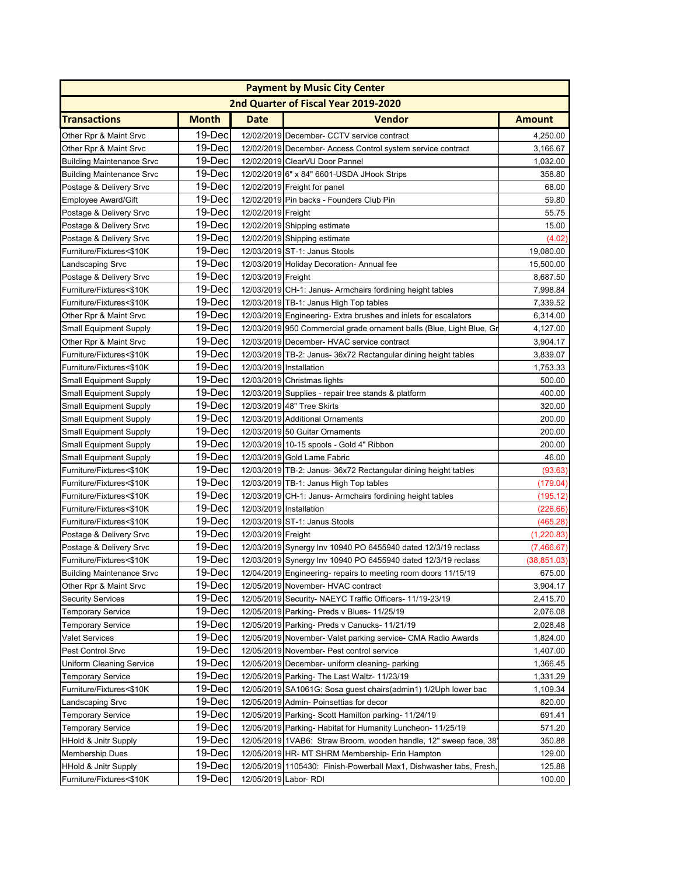| <b>Payment by Music City Center</b> |                  |                    |                                                                      |               |  |  |
|-------------------------------------|------------------|--------------------|----------------------------------------------------------------------|---------------|--|--|
|                                     |                  |                    | 2nd Quarter of Fiscal Year 2019-2020                                 |               |  |  |
| <b>Transactions</b>                 | <b>Month</b>     | <b>Date</b>        | <b>Vendor</b>                                                        | <b>Amount</b> |  |  |
| Other Rpr & Maint Srvc              | 19-Dec           |                    | 12/02/2019 December- CCTV service contract                           | 4,250.00      |  |  |
| Other Rpr & Maint Srvc              | 19-Dec           |                    | 12/02/2019 December- Access Control system service contract          | 3,166.67      |  |  |
| <b>Building Maintenance Srvc</b>    | 19-Dec           |                    | 12/02/2019 ClearVU Door Pannel                                       | 1,032.00      |  |  |
| <b>Building Maintenance Srvc</b>    | 19-Dec           |                    | 12/02/2019 6" x 84" 6601-USDA JHook Strips                           | 358.80        |  |  |
| Postage & Delivery Srvc             | 19-Dec           |                    | 12/02/2019 Freight for panel                                         | 68.00         |  |  |
| Employee Award/Gift                 | 19-Dec           |                    | 12/02/2019 Pin backs - Founders Club Pin                             | 59.80         |  |  |
| Postage & Delivery Srvc             | 19-Dec           | 12/02/2019 Freight |                                                                      | 55.75         |  |  |
| Postage & Delivery Srvc             | 19-Dec           |                    | 12/02/2019 Shipping estimate                                         | 15.00         |  |  |
| Postage & Delivery Srvc             | 19-Dec           |                    | 12/02/2019 Shipping estimate                                         | (4.02)        |  |  |
| Furniture/Fixtures<\$10K            | 19-Dec           |                    | 12/03/2019 ST-1: Janus Stools                                        | 19,080.00     |  |  |
| Landscaping Srvc                    | 19-Dec           |                    | 12/03/2019 Holiday Decoration- Annual fee                            | 15,500.00     |  |  |
| Postage & Delivery Srvc             | 19-Dec           | 12/03/2019 Freight |                                                                      | 8,687.50      |  |  |
| Furniture/Fixtures<\$10K            | 19-Dec           |                    | 12/03/2019 CH-1: Janus- Armchairs fordining height tables            | 7,998.84      |  |  |
| Furniture/Fixtures<\$10K            | 19-Dec           |                    | 12/03/2019 TB-1: Janus High Top tables                               | 7,339.52      |  |  |
| Other Rpr & Maint Srvc              | 19-Dec           |                    | 12/03/2019 Engineering- Extra brushes and inlets for escalators      | 6,314.00      |  |  |
| <b>Small Equipment Supply</b>       | 19-Dec           |                    | 12/03/2019 950 Commercial grade ornament balls (Blue, Light Blue, Gr | 4,127.00      |  |  |
| Other Rpr & Maint Srvc              | 19-Dec           |                    | 12/03/2019 December- HVAC service contract                           | 3,904.17      |  |  |
| Furniture/Fixtures<\$10K            | 19-Dec           |                    | 12/03/2019 TB-2: Janus- 36x72 Rectangular dining height tables       | 3,839.07      |  |  |
| Furniture/Fixtures<\$10K            | 19-Dec           |                    | 12/03/2019 Installation                                              | 1,753.33      |  |  |
| <b>Small Equipment Supply</b>       | 19-Dec           |                    | 12/03/2019 Christmas lights                                          | 500.00        |  |  |
|                                     | 19-Dec           |                    | 12/03/2019 Supplies - repair tree stands & platform                  | 400.00        |  |  |
| <b>Small Equipment Supply</b>       | 19-Dec           |                    | 12/03/2019 48" Tree Skirts                                           |               |  |  |
| <b>Small Equipment Supply</b>       | 19-Dec           |                    |                                                                      | 320.00        |  |  |
| Small Equipment Supply              | 19-Dec           |                    | 12/03/2019 Additional Ornaments                                      | 200.00        |  |  |
| Small Equipment Supply              |                  |                    | 12/03/2019 50 Guitar Ornaments                                       | 200.00        |  |  |
| <b>Small Equipment Supply</b>       | 19-Dec<br>19-Dec |                    | 12/03/2019 10-15 spools - Gold 4" Ribbon                             | 200.00        |  |  |
| <b>Small Equipment Supply</b>       | 19-Dec           |                    | 12/03/2019 Gold Lame Fabric                                          | 46.00         |  |  |
| Furniture/Fixtures<\$10K            | 19-Dec           |                    | 12/03/2019 TB-2: Janus- 36x72 Rectangular dining height tables       | (93.63)       |  |  |
| Furniture/Fixtures<\$10K            |                  |                    | 12/03/2019 TB-1: Janus High Top tables                               | (179.04)      |  |  |
| Furniture/Fixtures<\$10K            | 19-Dec<br>19-Dec |                    | 12/03/2019 CH-1: Janus- Armchairs fordining height tables            | (195.12)      |  |  |
| Furniture/Fixtures<\$10K            |                  |                    | 12/03/2019 Installation                                              | (226.66)      |  |  |
| Furniture/Fixtures<\$10K            | 19-Dec           |                    | 12/03/2019 ST-1: Janus Stools                                        | (465.28)      |  |  |
| Postage & Delivery Srvc             | 19-Dec           | 12/03/2019 Freight |                                                                      | (1, 220.83)   |  |  |
| Postage & Delivery Srvc             | 19-Dec           |                    | 12/03/2019 Synergy Inv 10940 PO 6455940 dated 12/3/19 reclass        | (7,466.67)    |  |  |
| Furniture/Fixtures<\$10K            | 19-Dec           |                    | 12/03/2019 Synergy Inv 10940 PO 6455940 dated 12/3/19 reclass        | (38, 851.03)  |  |  |
| <b>Building Maintenance Srvc</b>    | 19-Dec           |                    | 12/04/2019 Engineering- repairs to meeting room doors 11/15/19       | 675.00        |  |  |
| Other Rpr & Maint Srvc              | 19-Dec           |                    | 12/05/2019 November- HVAC contract                                   | 3,904.17      |  |  |
| <b>Security Services</b>            | 19-Dec           |                    | 12/05/2019 Security- NAEYC Traffic Officers- 11/19-23/19             | 2,415.70      |  |  |
| <b>Temporary Service</b>            | 19-Dec           |                    | 12/05/2019 Parking- Preds v Blues- 11/25/19                          | 2,076.08      |  |  |
| Temporary Service                   | 19-Dec           |                    | 12/05/2019 Parking- Preds v Canucks- 11/21/19                        | 2,028.48      |  |  |
| Valet Services                      | 19-Dec           |                    | 12/05/2019 November- Valet parking service- CMA Radio Awards         | 1,824.00      |  |  |
| Pest Control Srvc                   | 19-Dec           |                    | 12/05/2019 November- Pest control service                            | 1,407.00      |  |  |
| <b>Uniform Cleaning Service</b>     | 19-Dec           |                    | 12/05/2019 December- uniform cleaning- parking                       | 1,366.45      |  |  |
| Temporary Service                   | 19-Dec           |                    | 12/05/2019 Parking- The Last Waltz- 11/23/19                         | 1,331.29      |  |  |
| Furniture/Fixtures<\$10K            | 19-Dec           |                    | 12/05/2019 SA1061G: Sosa guest chairs (admin1) 1/2Uph lower bac      | 1,109.34      |  |  |
| Landscaping Srvc                    | 19-Dec           |                    | 12/05/2019 Admin- Poinsettias for decor                              | 820.00        |  |  |
| <b>Temporary Service</b>            | 19-Dec           |                    | 12/05/2019 Parking- Scott Hamilton parking-11/24/19                  | 691.41        |  |  |
| <b>Temporary Service</b>            | 19-Dec           |                    | 12/05/2019 Parking- Habitat for Humanity Luncheon- 11/25/19          | 571.20        |  |  |
| <b>HHold &amp; Jnitr Supply</b>     | 19-Dec           |                    | 12/05/2019 1VAB6: Straw Broom, wooden handle, 12" sweep face, 38"    | 350.88        |  |  |
| <b>Membership Dues</b>              | 19-Dec           |                    | 12/05/2019 HR- MT SHRM Membership- Erin Hampton                      | 129.00        |  |  |
| <b>HHold &amp; Jnitr Supply</b>     | 19-Dec           |                    | 12/05/2019 1105430: Finish-Powerball Max1, Dishwasher tabs, Fresh,   | 125.88        |  |  |
| Furniture/Fixtures<\$10K            | 19-Dec           |                    | 12/05/2019 Labor-RDI                                                 | 100.00        |  |  |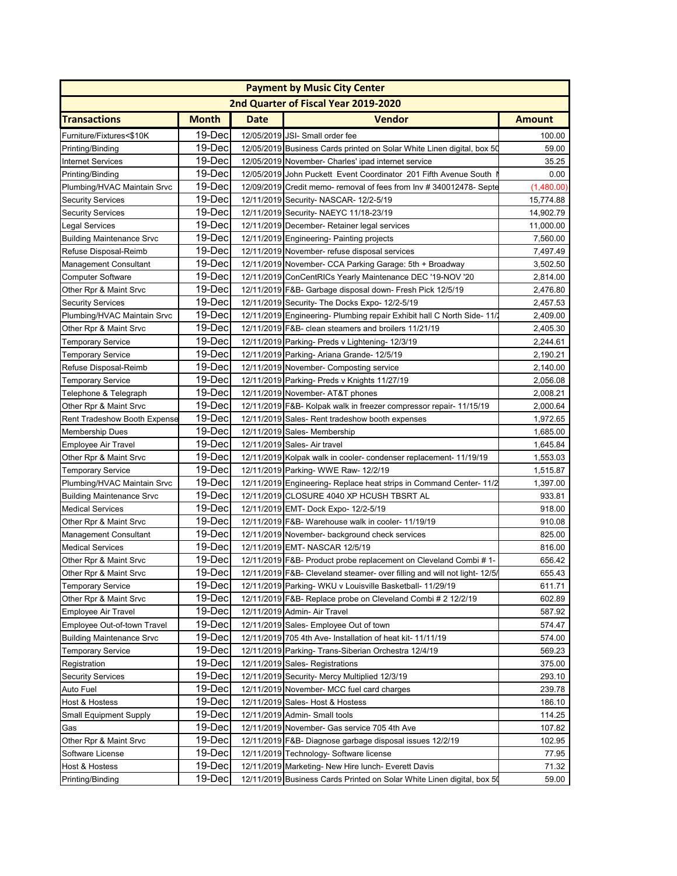| <b>Payment by Music City Center</b>               |              |             |                                                                           |                      |  |
|---------------------------------------------------|--------------|-------------|---------------------------------------------------------------------------|----------------------|--|
| 2nd Quarter of Fiscal Year 2019-2020              |              |             |                                                                           |                      |  |
| <b>Transactions</b>                               | <b>Month</b> | <b>Date</b> | <b>Vendor</b>                                                             | <b>Amount</b>        |  |
| Furniture/Fixtures<\$10K                          | 19-Dec       | 12/05/2019  | JSI- Small order fee                                                      | 100.00               |  |
| Printing/Binding                                  | 19-Dec       |             | 12/05/2019 Business Cards printed on Solar White Linen digital, box 50    | 59.00                |  |
| <b>Internet Services</b>                          | 19-Dec       |             | 12/05/2019 November- Charles' ipad internet service                       | 35.25                |  |
| Printing/Binding                                  | 19-Dec       |             | 12/05/2019 John Puckett Event Coordinator 201 Fifth Avenue South          | 0.00                 |  |
| Plumbing/HVAC Maintain Srvc                       | 19-Dec       |             | 12/09/2019 Credit memo- removal of fees from Inv # 340012478- Septe       | (1,480.00)           |  |
| <b>Security Services</b>                          | 19-Dec       |             | 12/11/2019 Security- NASCAR- 12/2-5/19                                    | 15,774.88            |  |
|                                                   | 19-Dec       |             | 12/11/2019 Security- NAEYC 11/18-23/19                                    | 14,902.79            |  |
| <b>Security Services</b><br><b>Legal Services</b> | 19-Dec       |             | 12/11/2019 December- Retainer legal services                              | 11,000.00            |  |
| <b>Building Maintenance Srvc</b>                  | 19-Dec       |             | 12/11/2019 Engineering- Painting projects                                 | 7,560.00             |  |
|                                                   | 19-Dec       |             |                                                                           |                      |  |
| Refuse Disposal-Reimb                             | 19-Dec       |             | 12/11/2019 November- refuse disposal services                             | 7,497.49<br>3,502.50 |  |
| Management Consultant                             |              |             | 12/11/2019 November- CCA Parking Garage: 5th + Broadway                   |                      |  |
| <b>Computer Software</b>                          | 19-Dec       |             | 12/11/2019 ConCentRICs Yearly Maintenance DEC '19-NOV '20                 | 2,814.00             |  |
| Other Rpr & Maint Srvc                            | 19-Dec       |             | 12/11/2019 F&B- Garbage disposal down- Fresh Pick 12/5/19                 | 2,476.80             |  |
| <b>Security Services</b>                          | 19-Dec       |             | 12/11/2019 Security- The Docks Expo- 12/2-5/19                            | 2,457.53             |  |
| Plumbing/HVAC Maintain Srvc                       | 19-Dec       |             | 12/11/2019 Engineering- Plumbing repair Exhibit hall C North Side-11/     | 2,409.00             |  |
| Other Rpr & Maint Srvc                            | 19-Dec       |             | 12/11/2019 F&B- clean steamers and broilers 11/21/19                      | 2,405.30             |  |
| <b>Temporary Service</b>                          | 19-Dec       |             | 12/11/2019 Parking- Preds v Lightening- 12/3/19                           | 2,244.61             |  |
| <b>Temporary Service</b>                          | 19-Dec       |             | 12/11/2019 Parking- Ariana Grande- 12/5/19                                | 2,190.21             |  |
| Refuse Disposal-Reimb                             | 19-Dec       |             | 12/11/2019 November- Composting service                                   | 2,140.00             |  |
| <b>Temporary Service</b>                          | 19-Dec       |             | 12/11/2019 Parking- Preds v Knights 11/27/19                              | 2,056.08             |  |
| Telephone & Telegraph                             | 19-Dec       |             | 12/11/2019 November- AT&T phones                                          | 2,008.21             |  |
| Other Rpr & Maint Srvc                            | 19-Dec       |             | 12/11/2019 F&B- Kolpak walk in freezer compressor repair- 11/15/19        | 2,000.64             |  |
| Rent Tradeshow Booth Expense                      | 19-Dec       |             | 12/11/2019 Sales- Rent tradeshow booth expenses                           | 1,972.65             |  |
| <b>Membership Dues</b>                            | 19-Dec       |             | 12/11/2019 Sales- Membership                                              | 1,685.00             |  |
| Employee Air Travel                               | 19-Dec       |             | 12/11/2019 Sales- Air travel                                              | 1,645.84             |  |
| Other Rpr & Maint Srvc                            | 19-Dec       |             | 12/11/2019 Kolpak walk in cooler- condenser replacement- 11/19/19         | 1,553.03             |  |
| <b>Temporary Service</b>                          | 19-Dec       |             | 12/11/2019 Parking- WWE Raw- 12/2/19                                      | 1,515.87             |  |
| Plumbing/HVAC Maintain Srvc                       | 19-Dec       |             | 12/11/2019 Engineering- Replace heat strips in Command Center- 11/2       | 1,397.00             |  |
| <b>Building Maintenance Srvc</b>                  | 19-Dec       |             | 12/11/2019 CLOSURE 4040 XP HCUSH TBSRT AL                                 | 933.81               |  |
| <b>Medical Services</b>                           | 19-Dec       |             | 12/11/2019 EMT- Dock Expo- 12/2-5/19                                      | 918.00               |  |
| Other Rpr & Maint Srvc                            | 19-Dec       |             | 12/11/2019 F&B- Warehouse walk in cooler-11/19/19                         | 910.08               |  |
| <b>Management Consultant</b>                      | 19-Dec       |             | 12/11/2019 November- background check services                            | 825.00               |  |
| <b>Medical Services</b>                           | 19-Dec       |             | 12/11/2019 EMT- NASCAR 12/5/19                                            | 816.00               |  |
| Other Rpr & Maint Srvc                            | 19-Dec       |             | 12/11/2019 F&B- Product probe replacement on Cleveland Combi # 1          | 656.42               |  |
| Other Rpr & Maint Srvc                            | 19-Dec       |             | 12/11/2019 F&B- Cleveland steamer- over filling and will not light- 12/5/ | 655.43               |  |
| <b>Temporary Service</b>                          | 19-Dec       |             | 12/11/2019 Parking-WKU v Louisville Basketball-11/29/19                   | 611.71               |  |
| Other Rpr & Maint Srvc                            | $19-Dec$     |             | 12/11/2019 F&B- Replace probe on Cleveland Combi # 2 12/2/19              | 602.89               |  |
|                                                   | 19-Dec       |             |                                                                           |                      |  |
| Employee Air Travel                               |              |             | 12/11/2019 Admin- Air Travel                                              | 587.92               |  |
| Employee Out-of-town Travel                       | 19-Dec       |             | 12/11/2019 Sales- Employee Out of town                                    | 574.47               |  |
| <b>Building Maintenance Srvc</b>                  | 19-Dec       |             | 12/11/2019 705 4th Ave- Installation of heat kit-11/11/19                 | 574.00               |  |
| <b>Temporary Service</b>                          | 19-Dec       |             | 12/11/2019 Parking- Trans-Siberian Orchestra 12/4/19                      | 569.23               |  |
| Registration                                      | 19-Dec       |             | 12/11/2019 Sales-Registrations                                            | 375.00               |  |
| <b>Security Services</b>                          | 19-Dec       |             | 12/11/2019 Security- Mercy Multiplied 12/3/19                             | 293.10               |  |
| Auto Fuel                                         | 19-Dec       |             | 12/11/2019 November- MCC fuel card charges                                | 239.78               |  |
| Host & Hostess                                    | 19-Dec       |             | 12/11/2019 Sales- Host & Hostess                                          | 186.10               |  |
| <b>Small Equipment Supply</b>                     | 19-Dec       |             | 12/11/2019 Admin- Small tools                                             | 114.25               |  |
| Gas                                               | 19-Dec       |             | 12/11/2019 November- Gas service 705 4th Ave                              | 107.82               |  |
| Other Rpr & Maint Srvc                            | 19-Dec       |             | 12/11/2019 F&B- Diagnose garbage disposal issues 12/2/19                  | 102.95               |  |
| Software License                                  | 19-Dec       |             | 12/11/2019 Technology- Software license                                   | 77.95                |  |
| Host & Hostess                                    | 19-Dec       |             | 12/11/2019 Marketing- New Hire lunch- Everett Davis                       | 71.32                |  |
| Printing/Binding                                  | 19-Dec       |             | 12/11/2019 Business Cards Printed on Solar White Linen digital, box 50    | 59.00                |  |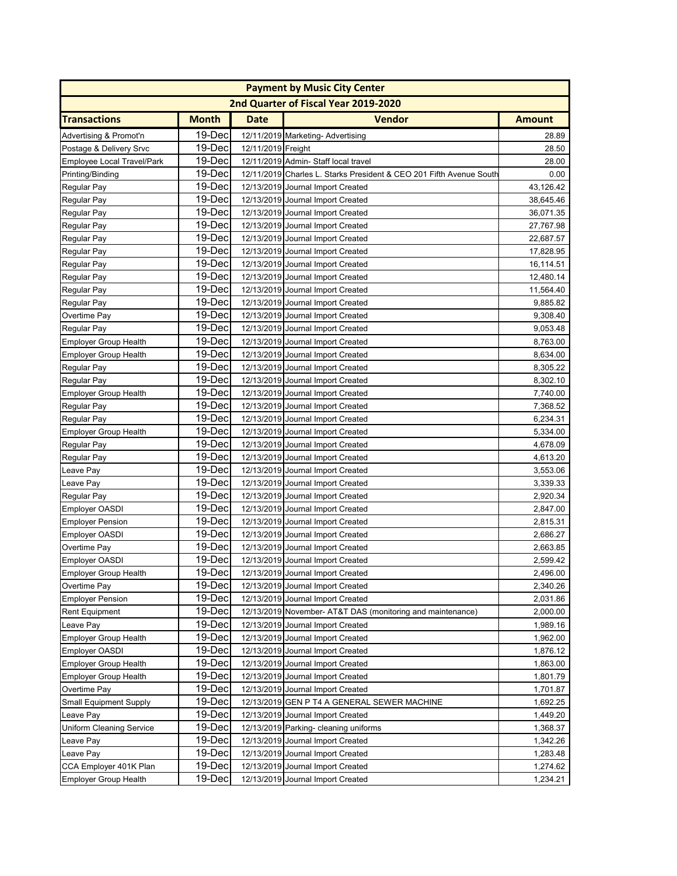| <b>Payment by Music City Center</b>  |              |                    |                                                                     |                      |  |
|--------------------------------------|--------------|--------------------|---------------------------------------------------------------------|----------------------|--|
| 2nd Quarter of Fiscal Year 2019-2020 |              |                    |                                                                     |                      |  |
| <b>Transactions</b>                  | <b>Month</b> | Date               | <b>Vendor</b>                                                       | <b>Amount</b>        |  |
| Advertising & Promot'n               | 19-Dec       |                    | 12/11/2019 Marketing- Advertising                                   | 28.89                |  |
| Postage & Delivery Srvc              | 19-Dec       | 12/11/2019 Freight |                                                                     | 28.50                |  |
| Employee Local Travel/Park           | 19-Dec       |                    | 12/11/2019 Admin- Staff local travel                                | 28.00                |  |
| Printing/Binding                     | 19-Dec       |                    | 12/11/2019 Charles L. Starks President & CEO 201 Fifth Avenue South | 0.00                 |  |
| Regular Pay                          | 19-Dec       |                    | 12/13/2019 Journal Import Created                                   | 43,126.42            |  |
| Regular Pay                          | 19-Dec       |                    | 12/13/2019 Journal Import Created                                   | 38,645.46            |  |
| Regular Pay                          | 19-Dec       |                    | 12/13/2019 Journal Import Created                                   | 36,071.35            |  |
| Regular Pay                          | 19-Dec       |                    | 12/13/2019 Journal Import Created                                   | 27,767.98            |  |
| Regular Pay                          | 19-Dec       |                    | 12/13/2019 Journal Import Created                                   | 22,687.57            |  |
| Regular Pay                          | 19-Dec       |                    | 12/13/2019 Journal Import Created                                   | 17,828.95            |  |
| Regular Pay                          | 19-Dec       |                    | 12/13/2019 Journal Import Created                                   | 16,114.51            |  |
| Regular Pay                          | 19-Dec       |                    | 12/13/2019 Journal Import Created                                   | 12,480.14            |  |
| Regular Pay                          | 19-Dec       |                    | 12/13/2019 Journal Import Created                                   | 11,564.40            |  |
| Regular Pay                          | 19-Dec       |                    | 12/13/2019 Journal Import Created                                   | 9,885.82             |  |
| Overtime Pay                         | 19-Dec       |                    | 12/13/2019 Journal Import Created                                   | 9,308.40             |  |
| Regular Pay                          | 19-Dec       |                    | 12/13/2019 Journal Import Created                                   | 9,053.48             |  |
| <b>Employer Group Health</b>         | 19-Dec       |                    | 12/13/2019 Journal Import Created                                   | 8,763.00             |  |
| <b>Employer Group Health</b>         | 19-Dec       |                    | 12/13/2019 Journal Import Created                                   | 8,634.00             |  |
| Regular Pay                          | 19-Dec       |                    | 12/13/2019 Journal Import Created                                   | 8,305.22             |  |
| Regular Pay                          | 19-Dec       |                    | 12/13/2019 Journal Import Created                                   | 8,302.10             |  |
| Employer Group Health                | 19-Dec       |                    | 12/13/2019 Journal Import Created                                   | 7,740.00             |  |
| Regular Pay                          | 19-Dec       |                    | 12/13/2019 Journal Import Created                                   | 7,368.52             |  |
| Regular Pay                          | 19-Dec       |                    | 12/13/2019 Journal Import Created                                   | 6,234.31             |  |
| Employer Group Health                | 19-Dec       |                    | 12/13/2019 Journal Import Created                                   | 5,334.00             |  |
|                                      | 19-Dec       |                    | 12/13/2019 Journal Import Created                                   | 4,678.09             |  |
| Regular Pay<br>Regular Pay           | 19-Dec       |                    | 12/13/2019 Journal Import Created                                   | 4,613.20             |  |
|                                      | 19-Dec       |                    | 12/13/2019 Journal Import Created                                   | 3,553.06             |  |
| Leave Pay                            | 19-Dec       |                    |                                                                     |                      |  |
| Leave Pay                            | 19-Dec       |                    | 12/13/2019 Journal Import Created                                   | 3,339.33<br>2,920.34 |  |
| Regular Pay                          | 19-Dec       |                    | 12/13/2019 Journal Import Created                                   |                      |  |
| <b>Employer OASDI</b>                |              |                    | 12/13/2019 Journal Import Created                                   | 2,847.00             |  |
| <b>Employer Pension</b>              | 19-Dec       |                    | 12/13/2019 Journal Import Created                                   | 2,815.31             |  |
| Employer OASDI                       | 19-Dec       |                    | 12/13/2019 Journal Import Created                                   | 2,686.27             |  |
| Overtime Pay                         | 19-Dec       |                    | 12/13/2019 Journal Import Created                                   | 2,663.85             |  |
| Employer OASDI                       | 19-Dec       |                    | 12/13/2019 Journal Import Created                                   | 2,599.42             |  |
| <b>Employer Group Health</b>         | 19-Dec       |                    | 12/13/2019 Journal Import Created                                   | 2,496.00             |  |
| Overtime Pay                         | $19-Dec$     |                    | 12/13/2019 Journal Import Created                                   | 2,340.26             |  |
| <b>Employer Pension</b>              | 19-Dec       |                    | 12/13/2019 Journal Import Created                                   | 2,031.86             |  |
| <b>Rent Equipment</b>                | 19-Dec       |                    | 12/13/2019 November- AT&T DAS (monitoring and maintenance)          | 2,000.00             |  |
| Leave Pay                            | 19-Dec       |                    | 12/13/2019 Journal Import Created                                   | 1,989.16             |  |
| Employer Group Health                | 19-Dec       |                    | 12/13/2019 Journal Import Created                                   | 1,962.00             |  |
| Employer OASDI                       | 19-Dec       |                    | 12/13/2019 Journal Import Created                                   | 1,876.12             |  |
| <b>Employer Group Health</b>         | 19-Dec       |                    | 12/13/2019 Journal Import Created                                   | 1,863.00             |  |
| <b>Employer Group Health</b>         | 19-Dec       |                    | 12/13/2019 Journal Import Created                                   | 1,801.79             |  |
| Overtime Pay                         | 19-Dec       |                    | 12/13/2019 Journal Import Created                                   | 1,701.87             |  |
| Small Equipment Supply               | 19-Dec       |                    | 12/13/2019 GEN P T4 A GENERAL SEWER MACHINE                         | 1,692.25             |  |
| Leave Pay                            | 19-Dec       |                    | 12/13/2019 Journal Import Created                                   | 1,449.20             |  |
| <b>Uniform Cleaning Service</b>      | 19-Dec       |                    | 12/13/2019 Parking- cleaning uniforms                               | 1,368.37             |  |
| Leave Pay                            | 19-Dec       |                    | 12/13/2019 Journal Import Created                                   | 1,342.26             |  |
| Leave Pay                            | 19-Dec       |                    | 12/13/2019 Journal Import Created                                   | 1,283.48             |  |
| CCA Employer 401K Plan               | 19-Dec       |                    | 12/13/2019 Journal Import Created                                   | 1,274.62             |  |
| Employer Group Health                | 19-Dec       |                    | 12/13/2019 Journal Import Created                                   | 1,234.21             |  |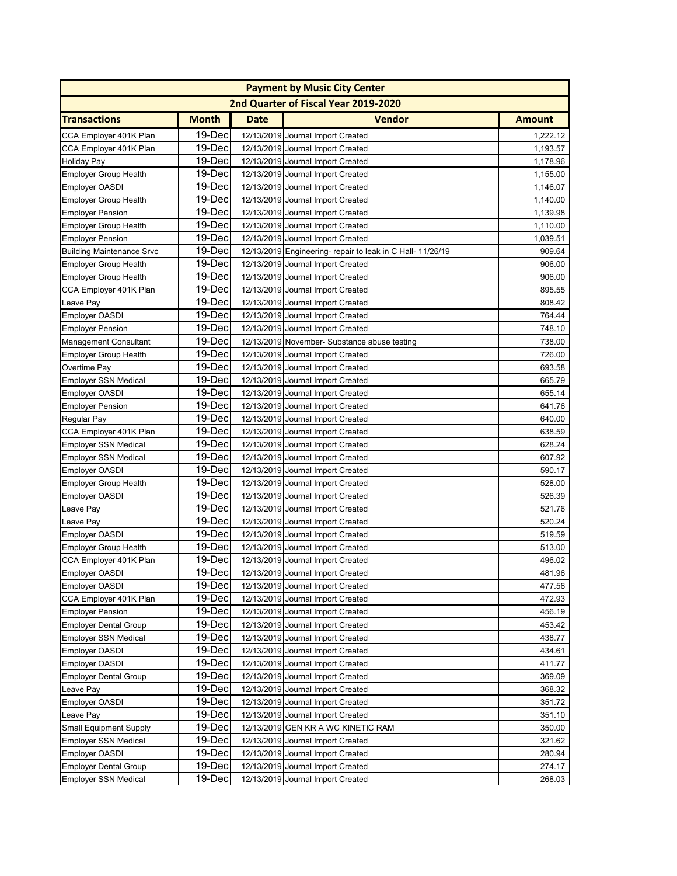| <b>Payment by Music City Center</b> |              |             |                                                            |               |  |
|-------------------------------------|--------------|-------------|------------------------------------------------------------|---------------|--|
|                                     |              |             | 2nd Quarter of Fiscal Year 2019-2020                       |               |  |
| <b>Transactions</b>                 | <b>Month</b> | <b>Date</b> | <b>Vendor</b>                                              | <b>Amount</b> |  |
| CCA Employer 401K Plan              | 19-Dec       |             | 12/13/2019 Journal Import Created                          | 1,222.12      |  |
| CCA Employer 401K Plan              | 19-Dec       |             | 12/13/2019 Journal Import Created                          | 1,193.57      |  |
| <b>Holiday Pay</b>                  | 19-Dec       |             | 12/13/2019 Journal Import Created                          | 1,178.96      |  |
| <b>Employer Group Health</b>        | 19-Dec       |             | 12/13/2019 Journal Import Created                          | 1,155.00      |  |
| <b>Employer OASDI</b>               | 19-Dec       |             | 12/13/2019 Journal Import Created                          | 1,146.07      |  |
| <b>Employer Group Health</b>        | 19-Dec       |             | 12/13/2019 Journal Import Created                          | 1,140.00      |  |
| <b>Employer Pension</b>             | 19-Dec       |             | 12/13/2019 Journal Import Created                          | 1,139.98      |  |
| <b>Employer Group Health</b>        | 19-Dec       |             | 12/13/2019 Journal Import Created                          | 1,110.00      |  |
| <b>Employer Pension</b>             | 19-Dec       |             | 12/13/2019 Journal Import Created                          | 1,039.51      |  |
| <b>Building Maintenance Srvc</b>    | 19-Dec       |             | 12/13/2019 Engineering- repair to leak in C Hall- 11/26/19 | 909.64        |  |
| <b>Employer Group Health</b>        | 19-Dec       |             | 12/13/2019 Journal Import Created                          | 906.00        |  |
| <b>Employer Group Health</b>        | 19-Dec       |             | 12/13/2019 Journal Import Created                          | 906.00        |  |
| CCA Employer 401K Plan              | 19-Dec       |             | 12/13/2019 Journal Import Created                          | 895.55        |  |
| Leave Pay                           | 19-Dec       |             | 12/13/2019 Journal Import Created                          | 808.42        |  |
| <b>Employer OASDI</b>               | 19-Dec       |             | 12/13/2019 Journal Import Created                          | 764.44        |  |
| <b>Employer Pension</b>             | 19-Dec       |             | 12/13/2019 Journal Import Created                          | 748.10        |  |
| <b>Management Consultant</b>        | 19-Dec       |             | 12/13/2019 November- Substance abuse testing               | 738.00        |  |
| <b>Employer Group Health</b>        | 19-Dec       |             | 12/13/2019 Journal Import Created                          | 726.00        |  |
| Overtime Pay                        | 19-Dec       |             | 12/13/2019 Journal Import Created                          | 693.58        |  |
| <b>Employer SSN Medical</b>         | 19-Dec       |             | 12/13/2019 Journal Import Created                          | 665.79        |  |
| <b>Employer OASDI</b>               | 19-Dec       |             | 12/13/2019 Journal Import Created                          | 655.14        |  |
| <b>Employer Pension</b>             | 19-Dec       |             | 12/13/2019 Journal Import Created                          | 641.76        |  |
| Regular Pay                         | 19-Dec       |             | 12/13/2019 Journal Import Created                          | 640.00        |  |
| CCA Employer 401K Plan              | 19-Dec       |             | 12/13/2019 Journal Import Created                          | 638.59        |  |
| <b>Employer SSN Medical</b>         | 19-Dec       |             | 12/13/2019 Journal Import Created                          | 628.24        |  |
| <b>Employer SSN Medical</b>         | 19-Dec       |             | 12/13/2019 Journal Import Created                          | 607.92        |  |
| <b>Employer OASDI</b>               | 19-Dec       |             | 12/13/2019 Journal Import Created                          | 590.17        |  |
| <b>Employer Group Health</b>        | 19-Dec       |             | 12/13/2019 Journal Import Created                          | 528.00        |  |
| <b>Employer OASDI</b>               | 19-Dec       |             | 12/13/2019 Journal Import Created                          | 526.39        |  |
| Leave Pay                           | 19-Dec       |             | 12/13/2019 Journal Import Created                          | 521.76        |  |
| Leave Pay                           | 19-Dec       |             | 12/13/2019 Journal Import Created                          | 520.24        |  |
| <b>Employer OASDI</b>               | 19-Dec       |             | 12/13/2019 Journal Import Created                          | 519.59        |  |
| <b>Employer Group Health</b>        | 19-Dec       |             | 12/13/2019 Journal Import Created                          | 513.00        |  |
| CCA Employer 401K Plan              | 19-Dec       |             | 12/13/2019 Journal Import Created                          | 496.02        |  |
| Employer OASDI                      | 19-Decl      |             | 12/13/2019 Journal Import Created                          | 481.96        |  |
| Employer OASDI                      | 19-Dec       |             | 12/13/2019 Journal Import Created                          | 477.56        |  |
| CCA Employer 401K Plan              | 19-Dec       |             | 12/13/2019 Journal Import Created                          | 472.93        |  |
| <b>Employer Pension</b>             | 19-Dec       |             | 12/13/2019 Journal Import Created                          | 456.19        |  |
| <b>Employer Dental Group</b>        | 19-Dec       |             | 12/13/2019 Journal Import Created                          | 453.42        |  |
| <b>Employer SSN Medical</b>         | 19-Dec       |             | 12/13/2019 Journal Import Created                          | 438.77        |  |
| <b>Employer OASDI</b>               | 19-Dec       |             | 12/13/2019 Journal Import Created                          | 434.61        |  |
| <b>Employer OASDI</b>               | 19-Dec       |             | 12/13/2019 Journal Import Created                          | 411.77        |  |
| <b>Employer Dental Group</b>        | 19-Dec       |             | 12/13/2019 Journal Import Created                          | 369.09        |  |
| Leave Pay                           | 19-Dec       |             | 12/13/2019 Journal Import Created                          | 368.32        |  |
| <b>Employer OASDI</b>               | 19-Dec       |             | 12/13/2019 Journal Import Created                          | 351.72        |  |
| Leave Pay                           | 19-Dec       |             | 12/13/2019 Journal Import Created                          | 351.10        |  |
| <b>Small Equipment Supply</b>       | 19-Dec       |             | 12/13/2019 GEN KR A WC KINETIC RAM                         | 350.00        |  |
| <b>Employer SSN Medical</b>         | 19-Dec       |             | 12/13/2019 Journal Import Created                          | 321.62        |  |
| <b>Employer OASDI</b>               | 19-Dec       |             | 12/13/2019 Journal Import Created                          | 280.94        |  |
| <b>Employer Dental Group</b>        | 19-Dec       |             | 12/13/2019 Journal Import Created                          | 274.17        |  |
| <b>Employer SSN Medical</b>         | 19-Dec       |             | 12/13/2019 Journal Import Created                          | 268.03        |  |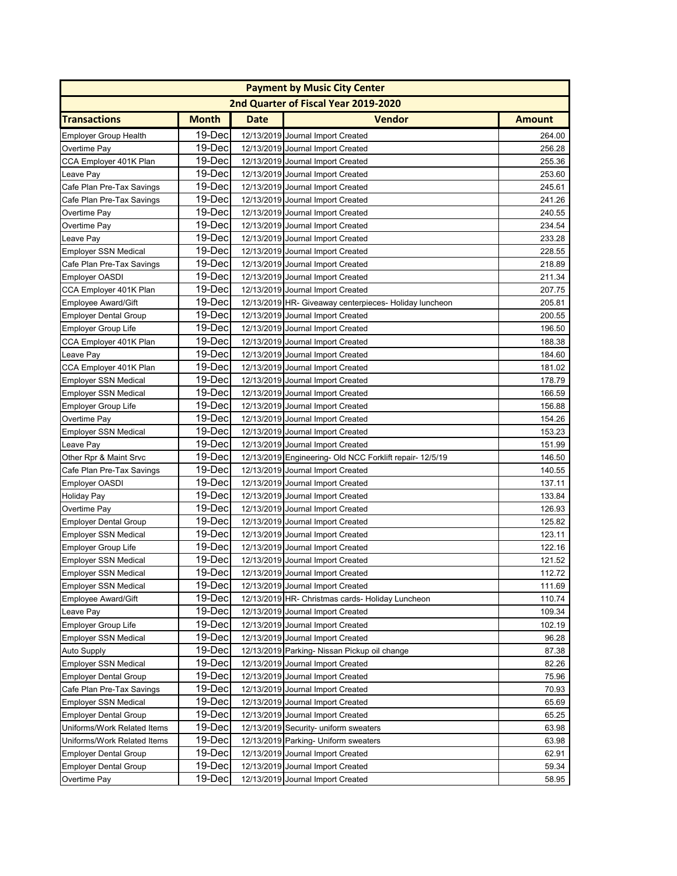| <b>Payment by Music City Center</b> |              |             |                                                         |               |  |
|-------------------------------------|--------------|-------------|---------------------------------------------------------|---------------|--|
|                                     |              |             | 2nd Quarter of Fiscal Year 2019-2020                    |               |  |
| <b>Transactions</b>                 | <b>Month</b> | <b>Date</b> | <b>Vendor</b>                                           | <b>Amount</b> |  |
| <b>Employer Group Health</b>        | 19-Dec       |             | 12/13/2019 Journal Import Created                       | 264.00        |  |
| Overtime Pay                        | 19-Dec       |             | 12/13/2019 Journal Import Created                       | 256.28        |  |
| CCA Employer 401K Plan              | 19-Dec       |             | 12/13/2019 Journal Import Created                       | 255.36        |  |
| Leave Pay                           | 19-Dec       |             | 12/13/2019 Journal Import Created                       | 253.60        |  |
| Cafe Plan Pre-Tax Savings           | 19-Dec       |             | 12/13/2019 Journal Import Created                       | 245.61        |  |
| Cafe Plan Pre-Tax Savings           | 19-Dec       |             | 12/13/2019 Journal Import Created                       | 241.26        |  |
| Overtime Pay                        | 19-Dec       |             | 12/13/2019 Journal Import Created                       | 240.55        |  |
| Overtime Pay                        | 19-Dec       |             | 12/13/2019 Journal Import Created                       | 234.54        |  |
| Leave Pay                           | 19-Dec       |             | 12/13/2019 Journal Import Created                       | 233.28        |  |
| <b>Employer SSN Medical</b>         | 19-Dec       |             | 12/13/2019 Journal Import Created                       | 228.55        |  |
| Cafe Plan Pre-Tax Savings           | 19-Dec       |             | 12/13/2019 Journal Import Created                       | 218.89        |  |
| Employer OASDI                      | 19-Dec       |             | 12/13/2019 Journal Import Created                       | 211.34        |  |
| CCA Employer 401K Plan              | 19-Dec       |             | 12/13/2019 Journal Import Created                       | 207.75        |  |
| <b>Employee Award/Gift</b>          | 19-Dec       |             | 12/13/2019 HR- Giveaway centerpieces- Holiday luncheon  | 205.81        |  |
| <b>Employer Dental Group</b>        | 19-Dec       |             | 12/13/2019 Journal Import Created                       | 200.55        |  |
| <b>Employer Group Life</b>          | 19-Dec       |             | 12/13/2019 Journal Import Created                       | 196.50        |  |
| CCA Employer 401K Plan              | 19-Dec       |             | 12/13/2019 Journal Import Created                       | 188.38        |  |
| Leave Pay                           | 19-Dec       |             | 12/13/2019 Journal Import Created                       | 184.60        |  |
| CCA Employer 401K Plan              | 19-Dec       |             | 12/13/2019 Journal Import Created                       | 181.02        |  |
| <b>Employer SSN Medical</b>         | 19-Dec       |             | 12/13/2019 Journal Import Created                       | 178.79        |  |
| <b>Employer SSN Medical</b>         | 19-Dec       |             | 12/13/2019 Journal Import Created                       | 166.59        |  |
| <b>Employer Group Life</b>          | 19-Dec       |             | 12/13/2019 Journal Import Created                       | 156.88        |  |
| Overtime Pay                        | 19-Dec       |             | 12/13/2019 Journal Import Created                       | 154.26        |  |
| <b>Employer SSN Medical</b>         | 19-Dec       |             | 12/13/2019 Journal Import Created                       | 153.23        |  |
| Leave Pay                           | 19-Dec       |             | 12/13/2019 Journal Import Created                       | 151.99        |  |
| Other Rpr & Maint Srvc              | 19-Dec       |             | 12/13/2019 Engineering- Old NCC Forklift repair-12/5/19 | 146.50        |  |
| Cafe Plan Pre-Tax Savings           | 19-Dec       |             | 12/13/2019 Journal Import Created                       | 140.55        |  |
| Employer OASDI                      | 19-Dec       |             | 12/13/2019 Journal Import Created                       | 137.11        |  |
| <b>Holiday Pay</b>                  | 19-Dec       |             | 12/13/2019 Journal Import Created                       | 133.84        |  |
| Overtime Pay                        | 19-Dec       |             | 12/13/2019 Journal Import Created                       | 126.93        |  |
| <b>Employer Dental Group</b>        | 19-Dec       |             | 12/13/2019 Journal Import Created                       | 125.82        |  |
| <b>Employer SSN Medical</b>         | 19-Dec       |             | 12/13/2019 Journal Import Created                       | 123.11        |  |
| Employer Group Life                 | 19-Dec       |             | 12/13/2019 Journal Import Created                       | 122.16        |  |
| <b>Employer SSN Medical</b>         | 19-Dec       |             | 12/13/2019 Journal Import Created                       | 121.52        |  |
| Employer SSN Medical                | 19-Dec       |             | 12/13/2019 Journal Import Created                       | 112.72        |  |
| <b>Employer SSN Medical</b>         | 19-Dec       |             | 12/13/2019 Journal Import Created                       | 111.69        |  |
| Employee Award/Gift                 | 19-Dec       |             | 12/13/2019 HR- Christmas cards- Holiday Luncheon        | 110.74        |  |
| Leave Pay                           | 19-Dec       |             | 12/13/2019 Journal Import Created                       | 109.34        |  |
| <b>Employer Group Life</b>          | 19-Dec       |             | 12/13/2019 Journal Import Created                       | 102.19        |  |
| <b>Employer SSN Medical</b>         | 19-Dec       |             | 12/13/2019 Journal Import Created                       | 96.28         |  |
| Auto Supply                         | 19-Dec       |             | 12/13/2019 Parking- Nissan Pickup oil change            | 87.38         |  |
| <b>Employer SSN Medical</b>         | 19-Dec       |             | 12/13/2019 Journal Import Created                       | 82.26         |  |
| Employer Dental Group               | 19-Dec       |             | 12/13/2019 Journal Import Created                       | 75.96         |  |
| Cafe Plan Pre-Tax Savings           | 19-Dec       |             | 12/13/2019 Journal Import Created                       | 70.93         |  |
| <b>Employer SSN Medical</b>         | 19-Dec       |             | 12/13/2019 Journal Import Created                       | 65.69         |  |
| <b>Employer Dental Group</b>        | 19-Dec       |             | 12/13/2019 Journal Import Created                       | 65.25         |  |
| Uniforms/Work Related Items         | 19-Dec       |             | 12/13/2019 Security- uniform sweaters                   | 63.98         |  |
| Uniforms/Work Related Items         | 19-Dec       |             | 12/13/2019 Parking- Uniform sweaters                    | 63.98         |  |
| <b>Employer Dental Group</b>        | 19-Dec       |             | 12/13/2019 Journal Import Created                       | 62.91         |  |
| <b>Employer Dental Group</b>        | 19-Dec       |             | 12/13/2019 Journal Import Created                       | 59.34         |  |
| Overtime Pay                        | 19-Dec       |             | 12/13/2019 Journal Import Created                       | 58.95         |  |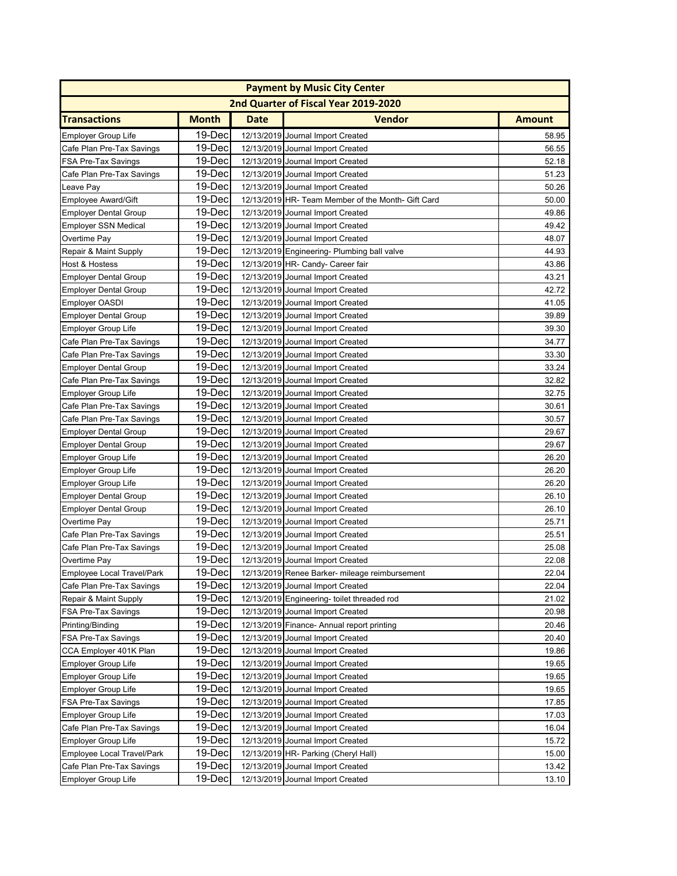|                              | <b>Payment by Music City Center</b> |             |                                                    |               |  |  |
|------------------------------|-------------------------------------|-------------|----------------------------------------------------|---------------|--|--|
|                              |                                     |             | 2nd Quarter of Fiscal Year 2019-2020               |               |  |  |
| <b>Transactions</b>          | <b>Month</b>                        | <b>Date</b> | <b>Vendor</b>                                      | <b>Amount</b> |  |  |
| <b>Employer Group Life</b>   | 19-Dec                              |             | 12/13/2019 Journal Import Created                  | 58.95         |  |  |
| Cafe Plan Pre-Tax Savings    | 19-Dec                              |             | 12/13/2019 Journal Import Created                  | 56.55         |  |  |
| FSA Pre-Tax Savings          | 19-Dec                              |             | 12/13/2019 Journal Import Created                  | 52.18         |  |  |
| Cafe Plan Pre-Tax Savings    | 19-Dec                              |             | 12/13/2019 Journal Import Created                  | 51.23         |  |  |
| Leave Pay                    | 19-Dec                              |             | 12/13/2019 Journal Import Created                  | 50.26         |  |  |
| Employee Award/Gift          | 19-Dec                              |             | 12/13/2019 HR- Team Member of the Month- Gift Card | 50.00         |  |  |
| <b>Employer Dental Group</b> | 19-Dec                              |             | 12/13/2019 Journal Import Created                  | 49.86         |  |  |
| Employer SSN Medical         | 19-Dec                              |             | 12/13/2019 Journal Import Created                  | 49.42         |  |  |
| Overtime Pay                 | 19-Dec                              |             | 12/13/2019 Journal Import Created                  | 48.07         |  |  |
| Repair & Maint Supply        | 19-Dec                              |             | 12/13/2019 Engineering- Plumbing ball valve        | 44.93         |  |  |
| Host & Hostess               | 19-Dec                              |             | 12/13/2019 HR- Candy- Career fair                  | 43.86         |  |  |
| <b>Employer Dental Group</b> | 19-Dec                              |             | 12/13/2019 Journal Import Created                  | 43.21         |  |  |
| <b>Employer Dental Group</b> | 19-Dec                              |             | 12/13/2019 Journal Import Created                  | 42.72         |  |  |
| Employer OASDI               | 19-Dec                              |             | 12/13/2019 Journal Import Created                  | 41.05         |  |  |
| <b>Employer Dental Group</b> | 19-Dec                              |             | 12/13/2019 Journal Import Created                  | 39.89         |  |  |
| <b>Employer Group Life</b>   | 19-Dec                              |             | 12/13/2019 Journal Import Created                  | 39.30         |  |  |
| Cafe Plan Pre-Tax Savings    | 19-Dec                              |             | 12/13/2019 Journal Import Created                  | 34.77         |  |  |
| Cafe Plan Pre-Tax Savings    | 19-Dec                              |             | 12/13/2019 Journal Import Created                  | 33.30         |  |  |
| <b>Employer Dental Group</b> | 19-Dec                              |             | 12/13/2019 Journal Import Created                  | 33.24         |  |  |
| Cafe Plan Pre-Tax Savings    | 19-Dec                              |             | 12/13/2019 Journal Import Created                  | 32.82         |  |  |
| <b>Employer Group Life</b>   | 19-Dec                              |             | 12/13/2019 Journal Import Created                  | 32.75         |  |  |
| Cafe Plan Pre-Tax Savings    | 19-Dec                              |             | 12/13/2019 Journal Import Created                  | 30.61         |  |  |
| Cafe Plan Pre-Tax Savings    | 19-Dec                              |             | 12/13/2019 Journal Import Created                  | 30.57         |  |  |
| <b>Employer Dental Group</b> | 19-Dec                              |             | 12/13/2019 Journal Import Created                  | 29.67         |  |  |
| <b>Employer Dental Group</b> | 19-Dec                              |             | 12/13/2019 Journal Import Created                  | 29.67         |  |  |
| <b>Employer Group Life</b>   | 19-Dec                              |             | 12/13/2019 Journal Import Created                  | 26.20         |  |  |
| Employer Group Life          | 19-Dec                              |             | 12/13/2019 Journal Import Created                  | 26.20         |  |  |
| <b>Employer Group Life</b>   | 19-Dec                              |             | 12/13/2019 Journal Import Created                  | 26.20         |  |  |
| <b>Employer Dental Group</b> | 19-Dec                              |             | 12/13/2019 Journal Import Created                  | 26.10         |  |  |
| <b>Employer Dental Group</b> | 19-Dec                              |             | 12/13/2019 Journal Import Created                  | 26.10         |  |  |
| Overtime Pay                 | 19-Dec                              |             | 12/13/2019 Journal Import Created                  | 25.71         |  |  |
| Cafe Plan Pre-Tax Savings    | 19-Dec                              |             | 12/13/2019 Journal Import Created                  | 25.51         |  |  |
| Cafe Plan Pre-Tax Savings    | 19-Dec                              |             | 12/13/2019 Journal Import Created                  | 25.08         |  |  |
| Overtime Pay                 | 19-Dec                              |             | 12/13/2019 Journal Import Created                  | 22.08         |  |  |
| Employee Local Travel/Park   | 19-Dec                              |             | 12/13/2019 Renee Barker- mileage reimbursement     | 22.04         |  |  |
| Cafe Plan Pre-Tax Savings    | 19-Dec                              |             | 12/13/2019 Journal Import Created                  | 22.04         |  |  |
| Repair & Maint Supply        | 19-Dec                              |             | 12/13/2019 Engineering- toilet threaded rod        | 21.02         |  |  |
| <b>FSA Pre-Tax Savings</b>   | 19-Dec                              |             | 12/13/2019 Journal Import Created                  | 20.98         |  |  |
| Printing/Binding             | 19-Dec                              |             | 12/13/2019 Finance- Annual report printing         | 20.46         |  |  |
| FSA Pre-Tax Savings          | 19-Dec                              |             | 12/13/2019 Journal Import Created                  | 20.40         |  |  |
| CCA Employer 401K Plan       | 19-Dec                              |             | 12/13/2019 Journal Import Created                  | 19.86         |  |  |
| <b>Employer Group Life</b>   | 19-Dec                              |             | 12/13/2019 Journal Import Created                  | 19.65         |  |  |
| Employer Group Life          | 19-Dec                              |             | 12/13/2019 Journal Import Created                  | 19.65         |  |  |
| Employer Group Life          | 19-Dec                              |             | 12/13/2019 Journal Import Created                  | 19.65         |  |  |
| FSA Pre-Tax Savings          | 19-Dec                              |             | 12/13/2019 Journal Import Created                  | 17.85         |  |  |
| <b>Employer Group Life</b>   | 19-Dec                              |             | 12/13/2019 Journal Import Created                  | 17.03         |  |  |
| Cafe Plan Pre-Tax Savings    | 19-Dec                              |             | 12/13/2019 Journal Import Created                  | 16.04         |  |  |
| <b>Employer Group Life</b>   | 19-Dec                              |             | 12/13/2019 Journal Import Created                  | 15.72         |  |  |
| Employee Local Travel/Park   | 19-Dec                              |             | 12/13/2019 HR- Parking (Cheryl Hall)               | 15.00         |  |  |
| Cafe Plan Pre-Tax Savings    | 19-Dec                              |             | 12/13/2019 Journal Import Created                  | 13.42         |  |  |
| Employer Group Life          | 19-Dec                              |             | 12/13/2019 Journal Import Created                  | 13.10         |  |  |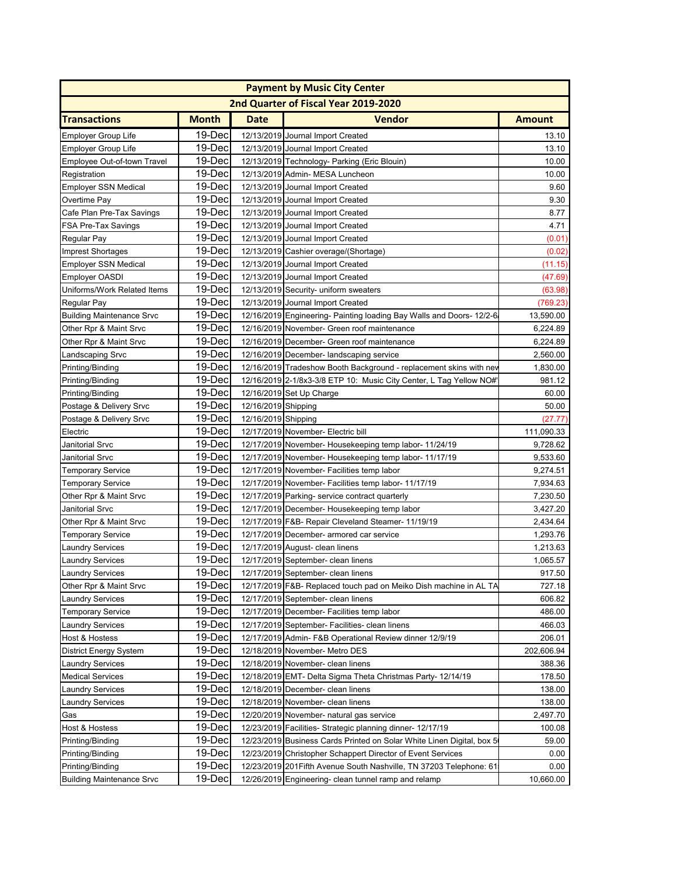| <b>Payment by Music City Center</b>  |              |                     |                                                                       |               |  |  |
|--------------------------------------|--------------|---------------------|-----------------------------------------------------------------------|---------------|--|--|
| 2nd Quarter of Fiscal Year 2019-2020 |              |                     |                                                                       |               |  |  |
| <b>Transactions</b>                  | <b>Month</b> | Date                | Vendor                                                                | <b>Amount</b> |  |  |
| Employer Group Life                  | 19-Dec       |                     | 12/13/2019 Journal Import Created                                     | 13.10         |  |  |
| Employer Group Life                  | 19-Dec       |                     | 12/13/2019 Journal Import Created                                     | 13.10         |  |  |
| Employee Out-of-town Travel          | 19-Dec       |                     | 12/13/2019 Technology- Parking (Eric Blouin)                          | 10.00         |  |  |
| Registration                         | 19-Dec       |                     | 12/13/2019 Admin- MESA Luncheon                                       | 10.00         |  |  |
| <b>Employer SSN Medical</b>          | 19-Dec       |                     | 12/13/2019 Journal Import Created                                     | 9.60          |  |  |
| Overtime Pay                         | 19-Dec       |                     | 12/13/2019 Journal Import Created                                     | 9.30          |  |  |
| Cafe Plan Pre-Tax Savings            | 19-Dec       |                     | 12/13/2019 Journal Import Created                                     | 8.77          |  |  |
| FSA Pre-Tax Savings                  | 19-Dec       |                     | 12/13/2019 Journal Import Created                                     | 4.71          |  |  |
| Regular Pay                          | 19-Dec       |                     | 12/13/2019 Journal Import Created                                     | (0.01)        |  |  |
| <b>Imprest Shortages</b>             | 19-Dec       |                     | 12/13/2019 Cashier overage/(Shortage)                                 | (0.02)        |  |  |
| <b>Employer SSN Medical</b>          | 19-Dec       |                     | 12/13/2019 Journal Import Created                                     | (11.15)       |  |  |
|                                      | 19-Dec       |                     | 12/13/2019 Journal Import Created                                     | (47.69)       |  |  |
| Employer OASDI                       | 19-Dec       |                     | 12/13/2019 Security- uniform sweaters                                 |               |  |  |
| Uniforms/Work Related Items          | 19-Dec       |                     |                                                                       | (63.98)       |  |  |
| Regular Pay                          |              |                     | 12/13/2019 Journal Import Created                                     | (769.23       |  |  |
| <b>Building Maintenance Srvc</b>     | 19-Dec       |                     | 12/16/2019 Engineering- Painting loading Bay Walls and Doors- 12/2-6  | 13,590.00     |  |  |
| Other Rpr & Maint Srvc               | 19-Dec       |                     | 12/16/2019 November- Green roof maintenance                           | 6,224.89      |  |  |
| Other Rpr & Maint Srvc               | 19-Dec       |                     | 12/16/2019 December- Green roof maintenance                           | 6,224.89      |  |  |
| Landscaping Srvc                     | 19-Dec       |                     | 12/16/2019 December- landscaping service                              | 2,560.00      |  |  |
| Printing/Binding                     | 19-Dec       |                     | 12/16/2019 Tradeshow Booth Background - replacement skins with nev    | 1,830.00      |  |  |
| Printing/Binding                     | 19-Dec       |                     | 12/16/2019 2-1/8x3-3/8 ETP 10: Music City Center, L Tag Yellow NO#'   | 981.12        |  |  |
| Printing/Binding                     | 19-Dec       |                     | 12/16/2019 Set Up Charge                                              | 60.00         |  |  |
| Postage & Delivery Srvc              | 19-Dec       | 12/16/2019 Shipping |                                                                       | 50.00         |  |  |
| Postage & Delivery Srvc              | 19-Dec       | 12/16/2019 Shipping |                                                                       | (27.77)       |  |  |
| Electric                             | 19-Dec       |                     | 12/17/2019 November- Electric bill                                    | 111,090.33    |  |  |
| Janitorial Srvc                      | 19-Dec       |                     | 12/17/2019 November- Housekeeping temp labor-11/24/19                 | 9,728.62      |  |  |
| Janitorial Srvc                      | 19-Dec       |                     | 12/17/2019 November- Housekeeping temp labor- 11/17/19                | 9,533.60      |  |  |
| <b>Temporary Service</b>             | 19-Dec       |                     | 12/17/2019 November- Facilities temp labor                            | 9,274.51      |  |  |
| <b>Temporary Service</b>             | 19-Dec       |                     | 12/17/2019 November- Facilities temp labor- 11/17/19                  | 7,934.63      |  |  |
| Other Rpr & Maint Srvc               | 19-Dec       |                     | 12/17/2019 Parking- service contract quarterly                        | 7,230.50      |  |  |
| Janitorial Srvc                      | 19-Dec       |                     | 12/17/2019 December- Housekeeping temp labor                          | 3,427.20      |  |  |
| Other Rpr & Maint Srvc               | 19-Dec       |                     | 12/17/2019 F&B- Repair Cleveland Steamer- 11/19/19                    | 2,434.64      |  |  |
| <b>Temporary Service</b>             | 19-Dec       |                     | 12/17/2019 December- armored car service                              | 1,293.76      |  |  |
| <b>Laundry Services</b>              | 19-Dec       |                     | 12/17/2019 August- clean linens                                       | 1,213.63      |  |  |
| <b>Laundry Services</b>              | 19-Dec       |                     | 12/17/2019 September- clean linens                                    | 1,065.57      |  |  |
| <b>Laundry Services</b>              | 19-Dec       |                     | 12/17/2019 September- clean linens                                    | 917.50        |  |  |
| Other Rpr & Maint Srvc               | 19-Dec       |                     | 12/17/2019 F&B- Replaced touch pad on Meiko Dish machine in AL TA     | 727.18        |  |  |
| <b>Laundry Services</b>              | 19-Dec       |                     | 12/17/2019 September- clean linens                                    | 606.82        |  |  |
|                                      | 19-Dec       |                     |                                                                       |               |  |  |
| <b>Temporary Service</b>             |              |                     | 12/17/2019 December- Facilities temp labor                            | 486.00        |  |  |
| <b>Laundry Services</b>              | 19-Dec       |                     | 12/17/2019 September- Facilities- clean linens                        | 466.03        |  |  |
| Host & Hostess                       | 19-Dec       |                     | 12/17/2019 Admin- F&B Operational Review dinner 12/9/19               | 206.01        |  |  |
| District Energy System               | 19-Dec       |                     | 12/18/2019 November- Metro DES                                        | 202,606.94    |  |  |
| <b>Laundry Services</b>              | 19-Dec       |                     | 12/18/2019 November- clean linens                                     | 388.36        |  |  |
| <b>Medical Services</b>              | 19-Dec       |                     | 12/18/2019 EMT- Delta Sigma Theta Christmas Party-12/14/19            | 178.50        |  |  |
| <b>Laundry Services</b>              | 19-Dec       |                     | 12/18/2019 December- clean linens                                     | 138.00        |  |  |
| <b>Laundry Services</b>              | 19-Dec       |                     | 12/18/2019 November- clean linens                                     | 138.00        |  |  |
| Gas                                  | 19-Dec       |                     | 12/20/2019 November- natural gas service                              | 2,497.70      |  |  |
| Host & Hostess                       | 19-Dec       |                     | 12/23/2019 Facilities- Strategic planning dinner- 12/17/19            | 100.08        |  |  |
| Printing/Binding                     | 19-Dec       |                     | 12/23/2019 Business Cards Printed on Solar White Linen Digital, box 5 | 59.00         |  |  |
| Printing/Binding                     | 19-Dec       |                     | 12/23/2019 Christopher Schappert Director of Event Services           | 0.00          |  |  |
| Printing/Binding                     | 19-Dec       |                     | 12/23/2019 201 Fifth Avenue South Nashville, TN 37203 Telephone: 61   | 0.00          |  |  |
| <b>Building Maintenance Srvc</b>     | 19-Dec       |                     | 12/26/2019 Engineering- clean tunnel ramp and relamp                  | 10,660.00     |  |  |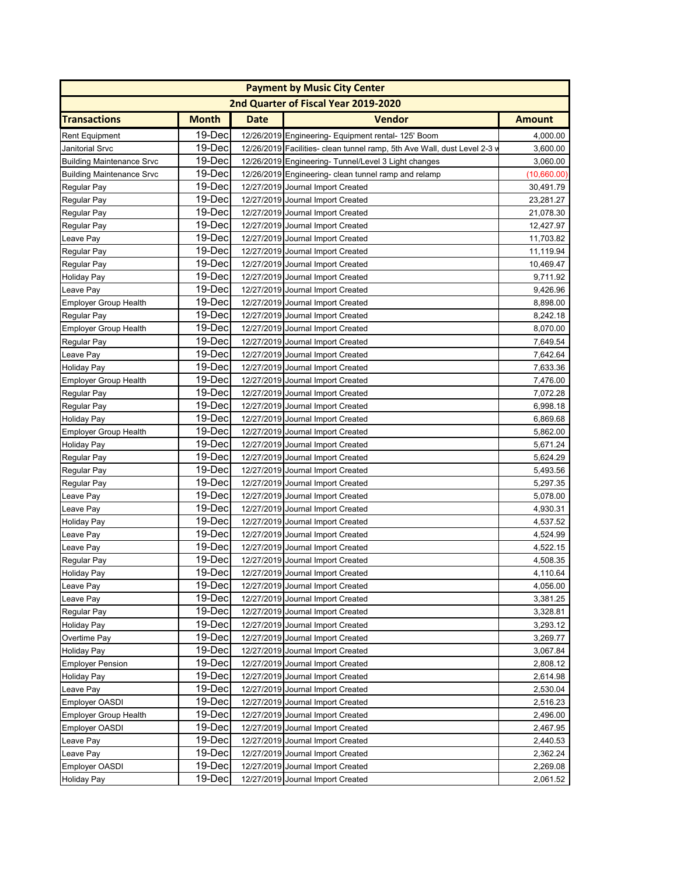|                                  | <b>Payment by Music City Center</b> |             |                                                                          |               |  |  |
|----------------------------------|-------------------------------------|-------------|--------------------------------------------------------------------------|---------------|--|--|
|                                  |                                     |             | 2nd Quarter of Fiscal Year 2019-2020                                     |               |  |  |
| <b>Transactions</b>              | <b>Month</b>                        | <b>Date</b> | <b>Vendor</b>                                                            | <b>Amount</b> |  |  |
| <b>Rent Equipment</b>            | 19-Dec                              |             | 12/26/2019 Engineering- Equipment rental- 125' Boom                      | 4,000.00      |  |  |
| <b>Janitorial Srvc</b>           | 19-Dec                              |             | 12/26/2019 Facilities- clean tunnel ramp, 5th Ave Wall, dust Level 2-3 v | 3,600.00      |  |  |
| <b>Building Maintenance Srvc</b> | 19-Dec                              |             | 12/26/2019 Engineering- Tunnel/Level 3 Light changes                     | 3,060.00      |  |  |
| <b>Building Maintenance Srvc</b> | 19-Dec                              |             | 12/26/2019 Engineering- clean tunnel ramp and relamp                     | (10,660.00)   |  |  |
| Regular Pay                      | 19-Dec                              |             | 12/27/2019 Journal Import Created                                        | 30,491.79     |  |  |
| <b>Regular Pay</b>               | 19-Dec                              |             | 12/27/2019 Journal Import Created                                        | 23,281.27     |  |  |
| Regular Pay                      | 19-Dec                              |             | 12/27/2019 Journal Import Created                                        | 21,078.30     |  |  |
| Regular Pay                      | 19-Dec                              |             | 12/27/2019 Journal Import Created                                        | 12,427.97     |  |  |
| Leave Pay                        | 19-Dec                              |             | 12/27/2019 Journal Import Created                                        | 11,703.82     |  |  |
| Regular Pay                      | 19-Dec                              |             | 12/27/2019 Journal Import Created                                        | 11,119.94     |  |  |
| Regular Pay                      | 19-Dec                              |             | 12/27/2019 Journal Import Created                                        | 10,469.47     |  |  |
| <b>Holiday Pay</b>               | 19-Dec                              |             | 12/27/2019 Journal Import Created                                        | 9,711.92      |  |  |
| Leave Pay                        | 19-Dec                              |             | 12/27/2019 Journal Import Created                                        | 9,426.96      |  |  |
| <b>Employer Group Health</b>     | 19-Dec                              |             | 12/27/2019 Journal Import Created                                        | 8,898.00      |  |  |
| Regular Pay                      | 19-Dec                              |             | 12/27/2019 Journal Import Created                                        | 8,242.18      |  |  |
| <b>Employer Group Health</b>     | 19-Dec                              |             | 12/27/2019 Journal Import Created                                        | 8,070.00      |  |  |
| Regular Pay                      | 19-Dec                              |             | 12/27/2019 Journal Import Created                                        | 7,649.54      |  |  |
| Leave Pay                        | 19-Dec                              |             | 12/27/2019 Journal Import Created                                        | 7,642.64      |  |  |
| <b>Holiday Pay</b>               | 19-Dec                              |             | 12/27/2019 Journal Import Created                                        | 7,633.36      |  |  |
| <b>Employer Group Health</b>     | 19-Dec                              |             | 12/27/2019 Journal Import Created                                        | 7,476.00      |  |  |
| Regular Pay                      | 19-Dec                              |             | 12/27/2019 Journal Import Created                                        | 7,072.28      |  |  |
| Regular Pay                      | 19-Dec                              |             | 12/27/2019 Journal Import Created                                        | 6,998.18      |  |  |
| <b>Holiday Pay</b>               | 19-Dec                              |             | 12/27/2019 Journal Import Created                                        | 6,869.68      |  |  |
| <b>Employer Group Health</b>     | 19-Dec                              |             | 12/27/2019 Journal Import Created                                        | 5,862.00      |  |  |
| <b>Holiday Pay</b>               | 19-Dec                              |             | 12/27/2019 Journal Import Created                                        | 5,671.24      |  |  |
| Regular Pay                      | 19-Dec                              |             | 12/27/2019 Journal Import Created                                        | 5,624.29      |  |  |
| Regular Pay                      | 19-Dec                              |             | 12/27/2019 Journal Import Created                                        | 5,493.56      |  |  |
| Regular Pay                      | 19-Dec                              |             | 12/27/2019 Journal Import Created                                        | 5,297.35      |  |  |
| Leave Pay                        | 19-Dec                              |             | 12/27/2019 Journal Import Created                                        | 5,078.00      |  |  |
| Leave Pay                        | 19-Dec                              |             | 12/27/2019 Journal Import Created                                        | 4,930.31      |  |  |
| <b>Holiday Pay</b>               | 19-Dec                              |             | 12/27/2019 Journal Import Created                                        | 4,537.52      |  |  |
| Leave Pay                        | 19-Dec                              |             | 12/27/2019 Journal Import Created                                        | 4,524.99      |  |  |
| Leave Pay                        | 19-Dec                              |             | 12/27/2019 Journal Import Created                                        | 4,522.15      |  |  |
| Regular Pay                      | 19-Dec                              |             | 12/27/2019 Journal Import Created                                        | 4,508.35      |  |  |
| <b>Holiday Pay</b>               | 19-Decl                             |             | 12/27/2019 Journal Import Created                                        | 4,110.64      |  |  |
| Leave Pay                        | 19-Dec                              |             | 12/27/2019 Journal Import Created                                        | 4,056.00      |  |  |
| Leave Pay                        | 19-Dec                              |             | 12/27/2019 Journal Import Created                                        | 3,381.25      |  |  |
| Regular Pay                      | 19-Dec                              |             | 12/27/2019 Journal Import Created                                        | 3,328.81      |  |  |
| <b>Holiday Pay</b>               | 19-Dec                              |             | 12/27/2019 Journal Import Created                                        | 3,293.12      |  |  |
| Overtime Pay                     | 19-Dec                              |             | 12/27/2019 Journal Import Created                                        | 3,269.77      |  |  |
| <b>Holiday Pay</b>               | 19-Dec                              |             | 12/27/2019 Journal Import Created                                        | 3,067.84      |  |  |
| <b>Employer Pension</b>          | 19-Dec                              |             | 12/27/2019 Journal Import Created                                        | 2,808.12      |  |  |
| <b>Holiday Pay</b>               | 19-Dec                              |             | 12/27/2019 Journal Import Created                                        | 2,614.98      |  |  |
| Leave Pay                        | 19-Dec                              |             | 12/27/2019 Journal Import Created                                        | 2,530.04      |  |  |
| <b>Employer OASDI</b>            | 19-Dec                              |             | 12/27/2019 Journal Import Created                                        | 2,516.23      |  |  |
| <b>Employer Group Health</b>     | 19-Dec                              |             | 12/27/2019 Journal Import Created                                        | 2,496.00      |  |  |
| <b>Employer OASDI</b>            | 19-Dec                              |             | 12/27/2019 Journal Import Created                                        | 2,467.95      |  |  |
| Leave Pay                        | 19-Dec                              |             | 12/27/2019 Journal Import Created                                        | 2,440.53      |  |  |
| Leave Pay                        | 19-Dec                              |             | 12/27/2019 Journal Import Created                                        | 2,362.24      |  |  |
| <b>Employer OASDI</b>            | 19-Dec                              |             | 12/27/2019 Journal Import Created                                        | 2,269.08      |  |  |
| <b>Holiday Pay</b>               | 19-Dec                              |             | 12/27/2019 Journal Import Created                                        | 2,061.52      |  |  |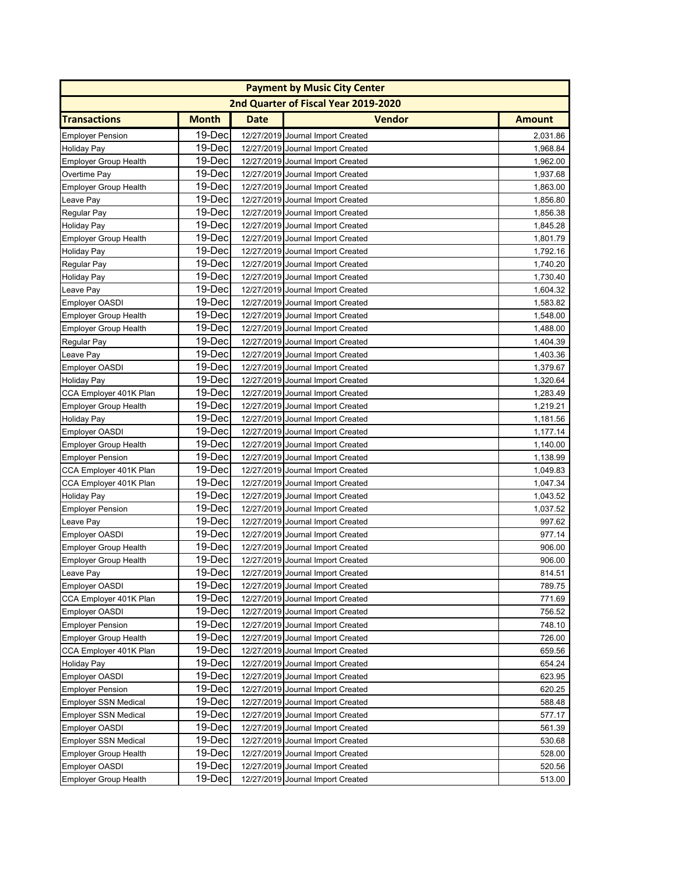|                              |              |             | <b>Payment by Music City Center</b>  |               |
|------------------------------|--------------|-------------|--------------------------------------|---------------|
|                              |              |             | 2nd Quarter of Fiscal Year 2019-2020 |               |
| <b>Transactions</b>          | <b>Month</b> | <b>Date</b> | <b>Vendor</b>                        | <b>Amount</b> |
| <b>Employer Pension</b>      | 19-Dec       |             | 12/27/2019 Journal Import Created    | 2,031.86      |
| <b>Holiday Pay</b>           | 19-Dec       |             | 12/27/2019 Journal Import Created    | 1,968.84      |
| <b>Employer Group Health</b> | 19-Dec       |             | 12/27/2019 Journal Import Created    | 1,962.00      |
| Overtime Pay                 | 19-Dec       |             | 12/27/2019 Journal Import Created    | 1,937.68      |
| <b>Employer Group Health</b> | 19-Dec       |             | 12/27/2019 Journal Import Created    | 1,863.00      |
| Leave Pay                    | 19-Dec       |             | 12/27/2019 Journal Import Created    | 1,856.80      |
| Regular Pay                  | 19-Dec       |             | 12/27/2019 Journal Import Created    | 1,856.38      |
| <b>Holiday Pay</b>           | 19-Dec       |             | 12/27/2019 Journal Import Created    | 1,845.28      |
| <b>Employer Group Health</b> | 19-Dec       |             | 12/27/2019 Journal Import Created    | 1,801.79      |
| <b>Holiday Pay</b>           | 19-Dec       |             | 12/27/2019 Journal Import Created    | 1,792.16      |
| Regular Pay                  | 19-Dec       |             | 12/27/2019 Journal Import Created    | 1,740.20      |
| <b>Holiday Pay</b>           | 19-Dec       |             | 12/27/2019 Journal Import Created    | 1,730.40      |
| Leave Pay                    | 19-Dec       |             | 12/27/2019 Journal Import Created    | 1,604.32      |
| <b>Employer OASDI</b>        | 19-Dec       |             | 12/27/2019 Journal Import Created    | 1,583.82      |
| <b>Employer Group Health</b> | 19-Dec       |             | 12/27/2019 Journal Import Created    | 1,548.00      |
| <b>Employer Group Health</b> | 19-Dec       |             | 12/27/2019 Journal Import Created    | 1,488.00      |
| Regular Pay                  | 19-Dec       |             | 12/27/2019 Journal Import Created    | 1,404.39      |
| Leave Pay                    | 19-Dec       |             | 12/27/2019 Journal Import Created    | 1,403.36      |
| <b>Employer OASDI</b>        | 19-Dec       |             | 12/27/2019 Journal Import Created    | 1,379.67      |
| <b>Holiday Pay</b>           | 19-Dec       |             | 12/27/2019 Journal Import Created    | 1,320.64      |
| CCA Employer 401K Plan       | 19-Dec       |             | 12/27/2019 Journal Import Created    | 1,283.49      |
| <b>Employer Group Health</b> | 19-Dec       |             | 12/27/2019 Journal Import Created    | 1,219.21      |
| <b>Holiday Pay</b>           | 19-Dec       |             | 12/27/2019 Journal Import Created    | 1,181.56      |
| <b>Employer OASDI</b>        | 19-Dec       |             | 12/27/2019 Journal Import Created    | 1,177.14      |
| <b>Employer Group Health</b> | 19-Dec       |             | 12/27/2019 Journal Import Created    | 1,140.00      |
| <b>Employer Pension</b>      | 19-Dec       |             | 12/27/2019 Journal Import Created    | 1,138.99      |
| CCA Employer 401K Plan       | 19-Dec       |             | 12/27/2019 Journal Import Created    | 1,049.83      |
| CCA Employer 401K Plan       | 19-Dec       |             | 12/27/2019 Journal Import Created    | 1,047.34      |
| <b>Holiday Pay</b>           | 19-Dec       |             | 12/27/2019 Journal Import Created    | 1,043.52      |
| <b>Employer Pension</b>      | 19-Dec       |             | 12/27/2019 Journal Import Created    | 1,037.52      |
| Leave Pay                    | 19-Dec       |             | 12/27/2019 Journal Import Created    | 997.62        |
| <b>Employer OASDI</b>        | 19-Dec       |             | 12/27/2019 Journal Import Created    | 977.14        |
| <b>Employer Group Health</b> | 19-Dec       |             | 12/27/2019 Journal Import Created    | 906.00        |
| <b>Employer Group Health</b> | 19-Dec       |             | 12/27/2019 Journal Import Created    | 906.00        |
| Leave Pay                    | 19-Decl      |             | 12/27/2019 Journal Import Created    | 814.51        |
| Employer OASDI               | 19-Dec       |             | 12/27/2019 Journal Import Created    | 789.75        |
| CCA Employer 401K Plan       | 19-Dec       |             | 12/27/2019 Journal Import Created    | 771.69        |
| Employer OASDI               | 19-Dec       |             | 12/27/2019 Journal Import Created    | 756.52        |
| <b>Employer Pension</b>      | 19-Dec       |             | 12/27/2019 Journal Import Created    | 748.10        |
| <b>Employer Group Health</b> | 19-Dec       |             | 12/27/2019 Journal Import Created    | 726.00        |
| CCA Employer 401K Plan       | 19-Dec       |             | 12/27/2019 Journal Import Created    | 659.56        |
| Holiday Pay                  | 19-Dec       |             | 12/27/2019 Journal Import Created    | 654.24        |
| Employer OASDI               | 19-Dec       |             | 12/27/2019 Journal Import Created    | 623.95        |
| <b>Employer Pension</b>      | 19-Dec       |             | 12/27/2019 Journal Import Created    | 620.25        |
| <b>Employer SSN Medical</b>  | 19-Dec       |             | 12/27/2019 Journal Import Created    | 588.48        |
| <b>Employer SSN Medical</b>  | 19-Dec       |             | 12/27/2019 Journal Import Created    | 577.17        |
| <b>Employer OASDI</b>        | 19-Dec       |             | 12/27/2019 Journal Import Created    | 561.39        |
| <b>Employer SSN Medical</b>  | 19-Dec       |             | 12/27/2019 Journal Import Created    | 530.68        |
| <b>Employer Group Health</b> | 19-Dec       |             | 12/27/2019 Journal Import Created    | 528.00        |
| <b>Employer OASDI</b>        | 19-Dec       |             | 12/27/2019 Journal Import Created    | 520.56        |
| <b>Employer Group Health</b> | 19-Dec       |             | 12/27/2019 Journal Import Created    | 513.00        |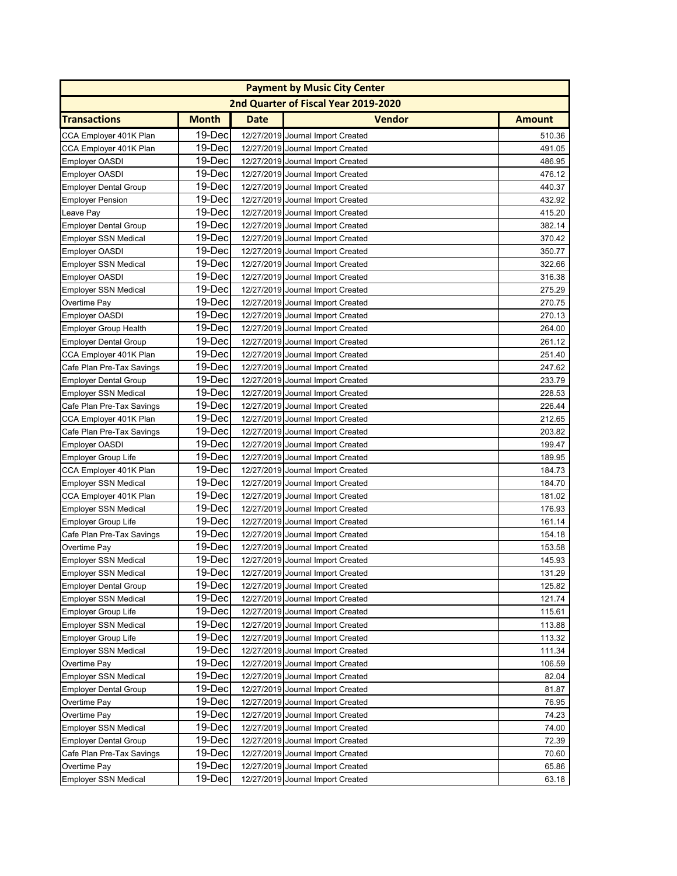|                              | <b>Payment by Music City Center</b> |             |                                      |               |  |  |
|------------------------------|-------------------------------------|-------------|--------------------------------------|---------------|--|--|
|                              |                                     |             | 2nd Quarter of Fiscal Year 2019-2020 |               |  |  |
| <b>Transactions</b>          | <b>Month</b>                        | <b>Date</b> | <b>Vendor</b>                        | <b>Amount</b> |  |  |
| CCA Employer 401K Plan       | 19-Dec                              |             | 12/27/2019 Journal Import Created    | 510.36        |  |  |
| CCA Employer 401K Plan       | 19-Dec                              |             | 12/27/2019 Journal Import Created    | 491.05        |  |  |
| Employer OASDI               | 19-Dec                              |             | 12/27/2019 Journal Import Created    | 486.95        |  |  |
| Employer OASDI               | 19-Dec                              |             | 12/27/2019 Journal Import Created    | 476.12        |  |  |
| <b>Employer Dental Group</b> | 19-Dec                              |             | 12/27/2019 Journal Import Created    | 440.37        |  |  |
| <b>Employer Pension</b>      | 19-Dec                              |             | 12/27/2019 Journal Import Created    | 432.92        |  |  |
| Leave Pay                    | 19-Dec                              |             | 12/27/2019 Journal Import Created    | 415.20        |  |  |
| <b>Employer Dental Group</b> | 19-Dec                              |             | 12/27/2019 Journal Import Created    | 382.14        |  |  |
| <b>Employer SSN Medical</b>  | 19-Dec                              |             | 12/27/2019 Journal Import Created    | 370.42        |  |  |
| <b>Employer OASDI</b>        | 19-Dec                              |             | 12/27/2019 Journal Import Created    | 350.77        |  |  |
| <b>Employer SSN Medical</b>  | 19-Dec                              |             | 12/27/2019 Journal Import Created    | 322.66        |  |  |
| Employer OASDI               | 19-Dec                              |             | 12/27/2019 Journal Import Created    | 316.38        |  |  |
| <b>Employer SSN Medical</b>  | 19-Dec                              |             | 12/27/2019 Journal Import Created    | 275.29        |  |  |
| Overtime Pay                 | 19-Dec                              |             | 12/27/2019 Journal Import Created    | 270.75        |  |  |
| <b>Employer OASDI</b>        | 19-Dec                              |             | 12/27/2019 Journal Import Created    | 270.13        |  |  |
| <b>Employer Group Health</b> | 19-Dec                              |             | 12/27/2019 Journal Import Created    | 264.00        |  |  |
| <b>Employer Dental Group</b> | 19-Dec                              |             | 12/27/2019 Journal Import Created    | 261.12        |  |  |
| CCA Employer 401K Plan       | 19-Dec                              |             | 12/27/2019 Journal Import Created    | 251.40        |  |  |
| Cafe Plan Pre-Tax Savings    | 19-Dec                              |             | 12/27/2019 Journal Import Created    | 247.62        |  |  |
| <b>Employer Dental Group</b> | 19-Dec                              |             | 12/27/2019 Journal Import Created    | 233.79        |  |  |
| <b>Employer SSN Medical</b>  | 19-Dec                              |             | 12/27/2019 Journal Import Created    | 228.53        |  |  |
| Cafe Plan Pre-Tax Savings    | 19-Dec                              |             | 12/27/2019 Journal Import Created    | 226.44        |  |  |
| CCA Employer 401K Plan       | 19-Dec                              |             | 12/27/2019 Journal Import Created    | 212.65        |  |  |
| Cafe Plan Pre-Tax Savings    | 19-Dec                              |             | 12/27/2019 Journal Import Created    | 203.82        |  |  |
| Employer OASDI               | 19-Dec                              |             | 12/27/2019 Journal Import Created    | 199.47        |  |  |
| <b>Employer Group Life</b>   | 19-Dec                              |             | 12/27/2019 Journal Import Created    | 189.95        |  |  |
| CCA Employer 401K Plan       | 19-Dec                              |             | 12/27/2019 Journal Import Created    | 184.73        |  |  |
| <b>Employer SSN Medical</b>  | 19-Dec                              |             | 12/27/2019 Journal Import Created    | 184.70        |  |  |
| CCA Employer 401K Plan       | 19-Dec                              |             | 12/27/2019 Journal Import Created    | 181.02        |  |  |
| Employer SSN Medical         | 19-Dec                              |             | 12/27/2019 Journal Import Created    | 176.93        |  |  |
| Employer Group Life          | 19-Dec                              |             | 12/27/2019 Journal Import Created    | 161.14        |  |  |
| Cafe Plan Pre-Tax Savings    | 19-Dec                              |             | 12/27/2019 Journal Import Created    | 154.18        |  |  |
| Overtime Pay                 | 19-Dec                              |             | 12/27/2019 Journal Import Created    | 153.58        |  |  |
| <b>Employer SSN Medical</b>  | 19-Dec                              |             | 12/27/2019 Journal Import Created    | 145.93        |  |  |
| Employer SSN Medical         | 19-Decl                             |             | 12/27/2019 Journal Import Created    | 131.29        |  |  |
| <b>Employer Dental Group</b> | 19-Dec                              |             | 12/27/2019 Journal Import Created    | 125.82        |  |  |
| <b>Employer SSN Medical</b>  | 19-Dec                              |             | 12/27/2019 Journal Import Created    | 121.74        |  |  |
| <b>Employer Group Life</b>   | 19-Dec                              |             | 12/27/2019 Journal Import Created    | 115.61        |  |  |
| <b>Employer SSN Medical</b>  | 19-Dec                              |             | 12/27/2019 Journal Import Created    | 113.88        |  |  |
| <b>Employer Group Life</b>   | 19-Dec                              |             | 12/27/2019 Journal Import Created    | 113.32        |  |  |
| <b>Employer SSN Medical</b>  | 19-Dec                              |             | 12/27/2019 Journal Import Created    | 111.34        |  |  |
| Overtime Pay                 | 19-Dec                              |             | 12/27/2019 Journal Import Created    | 106.59        |  |  |
| <b>Employer SSN Medical</b>  | 19-Dec                              |             | 12/27/2019 Journal Import Created    | 82.04         |  |  |
| <b>Employer Dental Group</b> | 19-Dec                              |             | 12/27/2019 Journal Import Created    | 81.87         |  |  |
| Overtime Pay                 | 19-Dec                              |             | 12/27/2019 Journal Import Created    | 76.95         |  |  |
| Overtime Pay                 | 19-Dec                              |             | 12/27/2019 Journal Import Created    | 74.23         |  |  |
| <b>Employer SSN Medical</b>  | 19-Dec                              |             | 12/27/2019 Journal Import Created    | 74.00         |  |  |
| <b>Employer Dental Group</b> | 19-Dec                              |             | 12/27/2019 Journal Import Created    | 72.39         |  |  |
| Cafe Plan Pre-Tax Savings    | 19-Dec                              |             | 12/27/2019 Journal Import Created    | 70.60         |  |  |
| Overtime Pay                 | 19-Dec                              |             | 12/27/2019 Journal Import Created    | 65.86         |  |  |
| <b>Employer SSN Medical</b>  | 19-Dec                              |             | 12/27/2019 Journal Import Created    | 63.18         |  |  |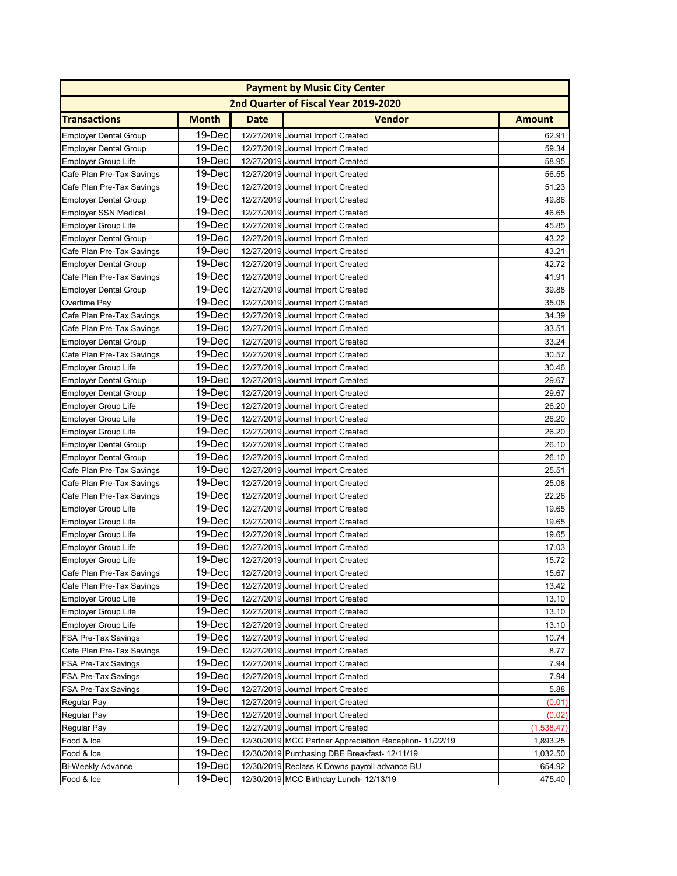|                              | <b>Payment by Music City Center</b> |             |                                                        |               |  |  |
|------------------------------|-------------------------------------|-------------|--------------------------------------------------------|---------------|--|--|
|                              |                                     |             | 2nd Quarter of Fiscal Year 2019-2020                   |               |  |  |
| <b>Transactions</b>          | <b>Month</b>                        | <b>Date</b> | <b>Vendor</b>                                          | <b>Amount</b> |  |  |
| <b>Employer Dental Group</b> | 19-Dec                              |             | 12/27/2019 Journal Import Created                      | 62.91         |  |  |
| <b>Employer Dental Group</b> | 19-Dec                              |             | 12/27/2019 Journal Import Created                      | 59.34         |  |  |
| <b>Employer Group Life</b>   | 19-Dec                              |             | 12/27/2019 Journal Import Created                      | 58.95         |  |  |
| Cafe Plan Pre-Tax Savings    | 19-Dec                              |             | 12/27/2019 Journal Import Created                      | 56.55         |  |  |
| Cafe Plan Pre-Tax Savings    | 19-Dec                              |             | 12/27/2019 Journal Import Created                      | 51.23         |  |  |
| <b>Employer Dental Group</b> | 19-Dec                              |             | 12/27/2019 Journal Import Created                      | 49.86         |  |  |
| <b>Employer SSN Medical</b>  | 19-Dec                              |             | 12/27/2019 Journal Import Created                      | 46.65         |  |  |
| <b>Employer Group Life</b>   | 19-Dec                              |             | 12/27/2019 Journal Import Created                      | 45.85         |  |  |
| <b>Employer Dental Group</b> | 19-Dec                              |             | 12/27/2019 Journal Import Created                      | 43.22         |  |  |
| Cafe Plan Pre-Tax Savings    | 19-Dec                              |             | 12/27/2019 Journal Import Created                      | 43.21         |  |  |
| <b>Employer Dental Group</b> | 19-Dec                              |             | 12/27/2019 Journal Import Created                      | 42.72         |  |  |
| Cafe Plan Pre-Tax Savings    | 19-Dec                              |             | 12/27/2019 Journal Import Created                      | 41.91         |  |  |
| <b>Employer Dental Group</b> | 19-Dec                              |             | 12/27/2019 Journal Import Created                      | 39.88         |  |  |
| Overtime Pay                 | 19-Dec                              |             | 12/27/2019 Journal Import Created                      | 35.08         |  |  |
| Cafe Plan Pre-Tax Savings    | 19-Dec                              |             | 12/27/2019 Journal Import Created                      | 34.39         |  |  |
| Cafe Plan Pre-Tax Savings    | 19-Dec                              |             | 12/27/2019 Journal Import Created                      | 33.51         |  |  |
| <b>Employer Dental Group</b> | 19-Dec                              |             | 12/27/2019 Journal Import Created                      | 33.24         |  |  |
| Cafe Plan Pre-Tax Savings    | 19-Dec                              |             | 12/27/2019 Journal Import Created                      | 30.57         |  |  |
| <b>Employer Group Life</b>   | 19-Dec                              |             | 12/27/2019 Journal Import Created                      | 30.46         |  |  |
| <b>Employer Dental Group</b> | 19-Dec                              |             | 12/27/2019 Journal Import Created                      | 29.67         |  |  |
| <b>Employer Dental Group</b> | 19-Dec                              |             | 12/27/2019 Journal Import Created                      | 29.67         |  |  |
| <b>Employer Group Life</b>   | 19-Dec                              |             | 12/27/2019 Journal Import Created                      | 26.20         |  |  |
| <b>Employer Group Life</b>   | 19-Dec                              |             | 12/27/2019 Journal Import Created                      | 26.20         |  |  |
| <b>Employer Group Life</b>   | 19-Dec                              |             | 12/27/2019 Journal Import Created                      | 26.20         |  |  |
| <b>Employer Dental Group</b> | 19-Dec                              |             | 12/27/2019 Journal Import Created                      | 26.10         |  |  |
| <b>Employer Dental Group</b> | 19-Dec                              |             | 12/27/2019 Journal Import Created                      | 26.10         |  |  |
| Cafe Plan Pre-Tax Savings    | 19-Dec                              |             | 12/27/2019 Journal Import Created                      | 25.51         |  |  |
| Cafe Plan Pre-Tax Savings    | 19-Dec                              |             | 12/27/2019 Journal Import Created                      | 25.08         |  |  |
| Cafe Plan Pre-Tax Savings    | 19-Dec                              |             | 12/27/2019 Journal Import Created                      | 22.26         |  |  |
| <b>Employer Group Life</b>   | 19-Dec                              |             | 12/27/2019 Journal Import Created                      | 19.65         |  |  |
| <b>Employer Group Life</b>   | 19-Dec                              |             | 12/27/2019 Journal Import Created                      | 19.65         |  |  |
| <b>Employer Group Life</b>   | 19-Dec                              |             | 12/27/2019 Journal Import Created                      | 19.65         |  |  |
| <b>Employer Group Life</b>   | 19-Dec                              |             | 12/27/2019 Journal Import Created                      | 17.03         |  |  |
| <b>Employer Group Life</b>   | 19-Dec                              |             | 12/27/2019 Journal Import Created                      | 15.72         |  |  |
| Cafe Plan Pre-Tax Savings    | 19-Decl                             |             | 12/27/2019 Journal Import Created                      | 15.67         |  |  |
| Cafe Plan Pre-Tax Savings    | 19-Dec                              |             | 12/27/2019 Journal Import Created                      | 13.42         |  |  |
| <b>Employer Group Life</b>   | 19-Dec                              |             | 12/27/2019 Journal Import Created                      | 13.10         |  |  |
| <b>Employer Group Life</b>   | 19-Dec                              |             | 12/27/2019 Journal Import Created                      | 13.10         |  |  |
| <b>Employer Group Life</b>   | 19-Dec                              |             | 12/27/2019 Journal Import Created                      | 13.10         |  |  |
| FSA Pre-Tax Savings          | 19-Dec                              |             | 12/27/2019 Journal Import Created                      | 10.74         |  |  |
| Cafe Plan Pre-Tax Savings    | 19-Dec                              |             | 12/27/2019 Journal Import Created                      | 8.77          |  |  |
| FSA Pre-Tax Savings          | 19-Dec                              |             | 12/27/2019 Journal Import Created                      | 7.94          |  |  |
| FSA Pre-Tax Savings          | 19-Dec                              |             | 12/27/2019 Journal Import Created                      | 7.94          |  |  |
| FSA Pre-Tax Savings          | 19-Dec                              |             | 12/27/2019 Journal Import Created                      | 5.88          |  |  |
| Regular Pay                  | 19-Dec                              |             | 12/27/2019 Journal Import Created                      | (0.01)        |  |  |
| Regular Pay                  | 19-Dec                              |             | 12/27/2019 Journal Import Created                      | (0.02)        |  |  |
| Regular Pay                  | 19-Dec                              |             | 12/27/2019 Journal Import Created                      | (1,538.47)    |  |  |
| Food & Ice                   | 19-Dec                              |             | 12/30/2019 MCC Partner Appreciation Reception-11/22/19 | 1,893.25      |  |  |
| Food & Ice                   | 19-Dec                              |             | 12/30/2019 Purchasing DBE Breakfast- 12/11/19          | 1,032.50      |  |  |
| <b>Bi-Weekly Advance</b>     | 19-Dec                              |             | 12/30/2019 Reclass K Downs payroll advance BU          | 654.92        |  |  |
| Food & Ice                   | 19-Dec                              |             | 12/30/2019 MCC Birthday Lunch- 12/13/19                | 475.40        |  |  |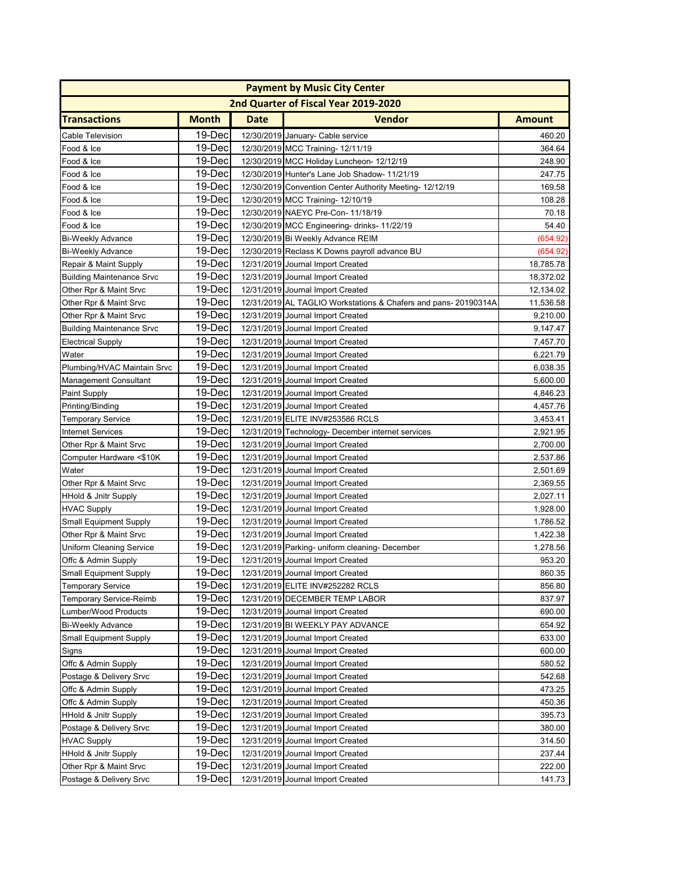|                                  | <b>Payment by Music City Center</b> |             |                                                                 |               |  |  |
|----------------------------------|-------------------------------------|-------------|-----------------------------------------------------------------|---------------|--|--|
|                                  |                                     |             | 2nd Quarter of Fiscal Year 2019-2020                            |               |  |  |
| <b>Transactions</b>              | <b>Month</b>                        | <b>Date</b> | <b>Vendor</b>                                                   | <b>Amount</b> |  |  |
| <b>Cable Television</b>          | 19-Dec                              |             | 12/30/2019 January- Cable service                               | 460.20        |  |  |
| Food & Ice                       | 19-Dec                              |             | 12/30/2019 MCC Training- 12/11/19                               | 364.64        |  |  |
| Food & Ice                       | 19-Dec                              |             | 12/30/2019 MCC Holiday Luncheon- 12/12/19                       | 248.90        |  |  |
| Food & Ice                       | 19-Dec                              |             | 12/30/2019 Hunter's Lane Job Shadow- 11/21/19                   | 247.75        |  |  |
| Food & Ice                       | 19-Dec                              |             | 12/30/2019 Convention Center Authority Meeting- 12/12/19        | 169.58        |  |  |
| Food & Ice                       | 19-Dec                              |             | 12/30/2019 MCC Training- 12/10/19                               | 108.28        |  |  |
| Food & Ice                       | 19-Dec                              |             | 12/30/2019 NAEYC Pre-Con- 11/18/19                              | 70.18         |  |  |
| Food & Ice                       | 19-Dec                              |             | 12/30/2019 MCC Engineering-drinks-11/22/19                      | 54.40         |  |  |
| <b>Bi-Weekly Advance</b>         | 19-Dec                              |             | 12/30/2019 Bi Weekly Advance REIM                               | (654.92)      |  |  |
| <b>Bi-Weekly Advance</b>         | 19-Dec                              |             | 12/30/2019 Reclass K Downs payroll advance BU                   | (654.92)      |  |  |
| Repair & Maint Supply            | 19-Dec                              |             | 12/31/2019 Journal Import Created                               | 18,785.78     |  |  |
| <b>Building Maintenance Srvc</b> | 19-Dec                              |             | 12/31/2019 Journal Import Created                               | 18,372.02     |  |  |
| Other Rpr & Maint Srvc           | 19-Dec                              |             | 12/31/2019 Journal Import Created                               | 12,134.02     |  |  |
| Other Rpr & Maint Srvc           | 19-Dec                              |             | 12/31/2019 AL TAGLIO Workstations & Chafers and pans- 20190314A | 11,536.58     |  |  |
| Other Rpr & Maint Srvc           | 19-Dec                              |             | 12/31/2019 Journal Import Created                               | 9,210.00      |  |  |
| <b>Building Maintenance Srvc</b> | 19-Dec                              |             | 12/31/2019 Journal Import Created                               | 9,147.47      |  |  |
| <b>Electrical Supply</b>         | 19-Dec                              |             | 12/31/2019 Journal Import Created                               | 7,457.70      |  |  |
| Water                            | 19-Dec                              |             | 12/31/2019 Journal Import Created                               | 6,221.79      |  |  |
| Plumbing/HVAC Maintain Srvc      | 19-Dec                              |             | 12/31/2019 Journal Import Created                               | 6,038.35      |  |  |
| <b>Management Consultant</b>     | 19-Dec                              |             | 12/31/2019 Journal Import Created                               | 5,600.00      |  |  |
| <b>Paint Supply</b>              | 19-Dec                              |             | 12/31/2019 Journal Import Created                               | 4,846.23      |  |  |
| Printing/Binding                 | 19-Dec                              |             | 12/31/2019 Journal Import Created                               | 4,457.76      |  |  |
| Temporary Service                | 19-Dec                              |             | 12/31/2019 ELITE INV#253586 RCLS                                | 3,453.41      |  |  |
| <b>Internet Services</b>         | 19-Dec                              |             | 12/31/2019 Technology- December internet services               | 2,921.95      |  |  |
| Other Rpr & Maint Srvc           | 19-Dec                              |             | 12/31/2019 Journal Import Created                               | 2,700.00      |  |  |
| Computer Hardware <\$10K         | 19-Dec                              |             | 12/31/2019 Journal Import Created                               | 2,537.86      |  |  |
| Water                            | 19-Dec                              |             | 12/31/2019 Journal Import Created                               | 2,501.69      |  |  |
| Other Rpr & Maint Srvc           | 19-Dec                              |             | 12/31/2019 Journal Import Created                               | 2,369.55      |  |  |
| <b>HHold &amp; Jnitr Supply</b>  | 19-Dec                              |             | 12/31/2019 Journal Import Created                               | 2,027.11      |  |  |
| <b>HVAC Supply</b>               | 19-Dec                              |             | 12/31/2019 Journal Import Created                               | 1,928.00      |  |  |
| Small Equipment Supply           | 19-Dec                              |             | 12/31/2019 Journal Import Created                               | 1,786.52      |  |  |
| Other Rpr & Maint Srvc           | 19-Dec                              |             | 12/31/2019 Journal Import Created                               | 1,422.38      |  |  |
| Uniform Cleaning Service         | 19-Dec                              |             | 12/31/2019 Parking- uniform cleaning- December                  | 1,278.56      |  |  |
| Offc & Admin Supply              | 19-Dec                              |             | 12/31/2019 Journal Import Created                               | 953.20        |  |  |
| Small Equipment Supply           | 19-Dec                              |             | 12/31/2019 Journal Import Created                               | 860.35        |  |  |
| <b>Temporary Service</b>         | 19-Dec                              |             | 12/31/2019 ELITE INV#252282 RCLS                                | 856.80        |  |  |
| <b>Temporary Service-Reimb</b>   | 19-Dec                              |             | 12/31/2019 DECEMBER TEMP LABOR                                  | 837.97        |  |  |
| Lumber/Wood Products             | 19-Dec                              |             | 12/31/2019 Journal Import Created                               | 690.00        |  |  |
| <b>Bi-Weekly Advance</b>         | 19-Dec                              |             | 12/31/2019 BI WEEKLY PAY ADVANCE                                | 654.92        |  |  |
| <b>Small Equipment Supply</b>    | 19-Dec                              |             | 12/31/2019 Journal Import Created                               | 633.00        |  |  |
| Signs                            | 19-Dec                              |             | 12/31/2019 Journal Import Created                               | 600.00        |  |  |
| Offc & Admin Supply              | 19-Dec                              |             | 12/31/2019 Journal Import Created                               | 580.52        |  |  |
| Postage & Delivery Srvc          | 19-Dec                              |             | 12/31/2019 Journal Import Created                               | 542.68        |  |  |
| Offc & Admin Supply              | 19-Dec                              |             | 12/31/2019 Journal Import Created                               | 473.25        |  |  |
| Offc & Admin Supply              | 19-Dec                              |             | 12/31/2019 Journal Import Created                               | 450.36        |  |  |
| <b>HHold &amp; Jnitr Supply</b>  | 19-Dec                              |             | 12/31/2019 Journal Import Created                               | 395.73        |  |  |
| Postage & Delivery Srvc          | 19-Dec                              |             | 12/31/2019 Journal Import Created                               | 380.00        |  |  |
| <b>HVAC Supply</b>               | 19-Dec                              |             | 12/31/2019 Journal Import Created                               | 314.50        |  |  |
| <b>HHold &amp; Jnitr Supply</b>  | 19-Dec                              |             | 12/31/2019 Journal Import Created                               | 237.44        |  |  |
| Other Rpr & Maint Srvc           | 19-Dec                              |             | 12/31/2019 Journal Import Created                               | 222.00        |  |  |
| Postage & Delivery Srvc          | 19-Dec                              |             | 12/31/2019 Journal Import Created                               | 141.73        |  |  |